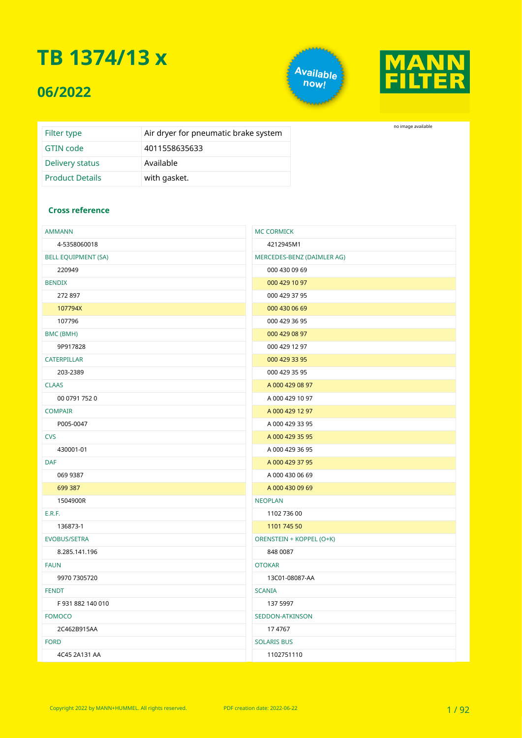#### **06/2022**





no image available

| Filter type            | Air dryer for pneumatic brake system |
|------------------------|--------------------------------------|
| GTIN code              | 4011558635633                        |
| Delivery status        | Available                            |
| <b>Product Details</b> | with gasket.                         |

#### **Cross reference**

| <b>AMMANN</b>              | <b>MC CORMICK</b>          |  |  |  |
|----------------------------|----------------------------|--|--|--|
| 4-5358060018               | 4212945M1                  |  |  |  |
| <b>BELL EQUIPMENT (SA)</b> | MERCEDES-BENZ (DAIMLER AG) |  |  |  |
| 220949                     | 000 430 09 69              |  |  |  |
| <b>BENDIX</b>              | 000 429 10 97              |  |  |  |
| 272 897                    | 000 429 37 95              |  |  |  |
| 107794X                    | 000 430 06 69              |  |  |  |
| 107796                     | 000 429 36 95              |  |  |  |
| BMC (BMH)                  | 000 429 08 97              |  |  |  |
| 9P917828                   | 000 429 12 97              |  |  |  |
| CATERPILLAR                | 000 429 33 95              |  |  |  |
| 203-2389                   | 000 429 35 95              |  |  |  |
| <b>CLAAS</b>               | A 000 429 08 97            |  |  |  |
| 00 0791 752 0              | A 000 429 10 97            |  |  |  |
| <b>COMPAIR</b>             | A 000 429 12 97            |  |  |  |
| P005-0047                  | A 000 429 33 95            |  |  |  |
| <b>CVS</b>                 | A 000 429 35 95            |  |  |  |
| 430001-01                  | A 000 429 36 95            |  |  |  |
| <b>DAF</b>                 | A 000 429 37 95            |  |  |  |
| 069 9387                   | A 000 430 06 69            |  |  |  |
| 699 387                    | A 000 430 09 69            |  |  |  |
| 1504900R                   | <b>NEOPLAN</b>             |  |  |  |
| E.R.F.                     | 1102 736 00                |  |  |  |
| 136873-1                   | 1101 745 50                |  |  |  |
| <b>EVOBUS/SETRA</b>        | ORENSTEIN + KOPPEL (O+K)   |  |  |  |
| 8.285.141.196              | 848 0087                   |  |  |  |
| <b>FAUN</b>                | <b>OTOKAR</b>              |  |  |  |
| 9970 7305720               | 13C01-08087-AA             |  |  |  |
| <b>FENDT</b>               | <b>SCANIA</b>              |  |  |  |
| F931882140010              | 137 5997                   |  |  |  |
| <b>FOMOCO</b>              | SEDDON-ATKINSON            |  |  |  |
| 2C462B915AA                | 174767                     |  |  |  |
| <b>FORD</b>                | <b>SOLARIS BUS</b>         |  |  |  |
| 4C45 2A131 AA              | 1102751110                 |  |  |  |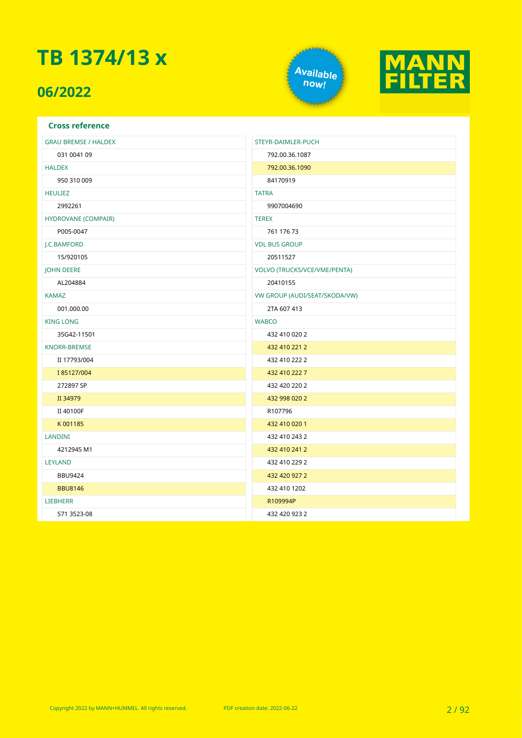### **06/2022**





| <b>Cross reference</b>      |                                     |
|-----------------------------|-------------------------------------|
| <b>GRAU BREMSE / HALDEX</b> | STEYR-DAIMLER-PUCH                  |
| 031 0041 09                 | 792.00.36.1087                      |
| <b>HALDEX</b>               | 792.00.36.1090                      |
| 950 310 009                 | 84170919                            |
| <b>HEULIEZ</b>              | <b>TATRA</b>                        |
| 2992261                     | 9907004690                          |
| HYDROVANE (COMPAIR)         | <b>TEREX</b>                        |
| P005-0047                   | 761 176 73                          |
| J.C.BAMFORD                 | <b>VDL BUS GROUP</b>                |
| 15/920105                   | 20511527                            |
| <b>JOHN DEERE</b>           | <b>VOLVO (TRUCKS/VCE/VME/PENTA)</b> |
| AL204884                    | 20410155                            |
| <b>KAMAZ</b>                | VW GROUP (AUDI/SEAT/SKODA/VW)       |
| 001.000.00                  | 2TA 607 413                         |
| <b>KING LONG</b>            | <b>WABCO</b>                        |
| 35G42-11501                 | 432 410 020 2                       |
| <b>KNORR-BREMSE</b>         | 432 410 221 2                       |
| II 17793/004                | 432 410 222 2                       |
| I 85127/004                 | 432 410 222 7                       |
| 272897 SP                   | 432 420 220 2                       |
| II 34979                    | 432 998 020 2                       |
| II 40100F                   | R107796                             |
| K001185                     | 432 410 020 1                       |
| <b>LANDINI</b>              | 432 410 243 2                       |
| 4212945 M1                  | 432 410 241 2                       |
| <b>LEYLAND</b>              | 432 410 229 2                       |
| <b>BBU9424</b>              | 432 420 927 2                       |
| <b>BBU8146</b>              | 432 410 1202                        |
| <b>LIEBHERR</b>             | R109994P                            |
| 571 3523-08                 | 432 420 923 2                       |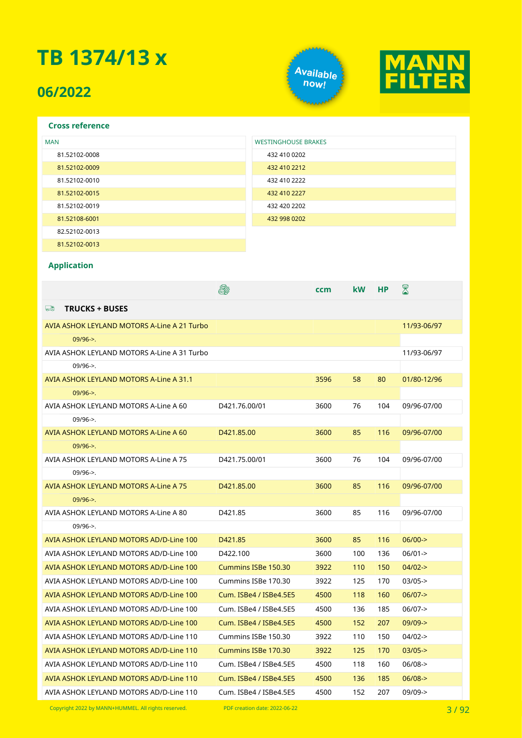### **06/2022**





#### **Cross reference**

| <b>MAN</b>    | <b>WESTINGHOUSE BRAKES</b> |
|---------------|----------------------------|
| 81.52102-0008 | 432 410 0202               |
| 81.52102-0009 | 432 410 2212               |
| 81.52102-0010 | 432 410 2222               |
| 81.52102-0015 | 432 410 2227               |
| 81.52102-0019 | 432 420 2202               |
| 81.52108-6001 | 432 998 0202               |
| 82.52102-0013 |                            |
| 81.52102-0013 |                            |

#### **Application**

|                                             |                        | ccm  | kW  | НP  | X           |
|---------------------------------------------|------------------------|------|-----|-----|-------------|
| 드<br><b>TRUCKS + BUSES</b>                  |                        |      |     |     |             |
| AVIA ASHOK LEYLAND MOTORS A-Line A 21 Turbo |                        |      |     |     | 11/93-06/97 |
| $09/96 -$                                   |                        |      |     |     |             |
| AVIA ASHOK LEYLAND MOTORS A-Line A 31 Turbo |                        |      |     |     | 11/93-06/97 |
| $09/96 - >$ .                               |                        |      |     |     |             |
| AVIA ASHOK LEYLAND MOTORS A-Line A 31.1     |                        | 3596 | 58  | 80  | 01/80-12/96 |
| $09/96 -$                                   |                        |      |     |     |             |
| AVIA ASHOK LEYLAND MOTORS A-Line A 60       | D421.76.00/01          | 3600 | 76  | 104 | 09/96-07/00 |
| $09/96 -$                                   |                        |      |     |     |             |
| AVIA ASHOK LEYLAND MOTORS A-Line A 60       | D421.85.00             | 3600 | 85  | 116 | 09/96-07/00 |
| $09/96 -$                                   |                        |      |     |     |             |
| AVIA ASHOK LEYLAND MOTORS A-Line A 75       | D421.75.00/01          | 3600 | 76  | 104 | 09/96-07/00 |
| $09/96 - >$ .                               |                        |      |     |     |             |
| AVIA ASHOK LEYLAND MOTORS A-Line A 75       | D421.85.00             | 3600 | 85  | 116 | 09/96-07/00 |
| $09/96 -$                                   |                        |      |     |     |             |
| AVIA ASHOK LEYLAND MOTORS A-Line A 80       | D421.85                | 3600 | 85  | 116 | 09/96-07/00 |
| $09/96 -$                                   |                        |      |     |     |             |
| AVIA ASHOK LEYLAND MOTORS AD/D-Line 100     | D421.85                | 3600 | 85  | 116 | $06/00-$    |
| AVIA ASHOK LEYLAND MOTORS AD/D-Line 100     | D422.100               | 3600 | 100 | 136 | $06/01 -$   |
| AVIA ASHOK LEYLAND MOTORS AD/D-Line 100     | Cummins ISBe 150.30    | 3922 | 110 | 150 | $04/02 -$   |
| AVIA ASHOK LEYLAND MOTORS AD/D-Line 100     | Cummins ISBe 170.30    | 3922 | 125 | 170 | $03/05$ ->  |
| AVIA ASHOK LEYLAND MOTORS AD/D-Line 100     | Cum. ISBe4 / ISBe4.5E5 | 4500 | 118 | 160 | $06/07$ ->  |
| AVIA ASHOK LEYLAND MOTORS AD/D-Line 100     | Cum. ISBe4 / ISBe4.5E5 | 4500 | 136 | 185 | $06/07$ ->  |
| AVIA ASHOK LEYLAND MOTORS AD/D-Line 100     | Cum. ISBe4 / ISBe4.5E5 | 4500 | 152 | 207 | $09/09 - >$ |
| AVIA ASHOK LEYLAND MOTORS AD/D-Line 110     | Cummins ISBe 150.30    | 3922 | 110 | 150 | $04/02 -$   |
| AVIA ASHOK LEYLAND MOTORS AD/D-Line 110     | Cummins ISBe 170.30    | 3922 | 125 | 170 | $03/05$ ->  |
| AVIA ASHOK LEYLAND MOTORS AD/D-Line 110     | Cum. ISBe4 / ISBe4.5E5 | 4500 | 118 | 160 | $06/08$ ->  |
| AVIA ASHOK LEYLAND MOTORS AD/D-Line 110     | Cum. ISBe4 / ISBe4.5E5 | 4500 | 136 | 185 | $06/08$ ->  |
| AVIA ASHOK LEYLAND MOTORS AD/D-Line 110     | Cum. ISBe4 / ISBe4.5E5 | 4500 | 152 | 207 | $09/09 - >$ |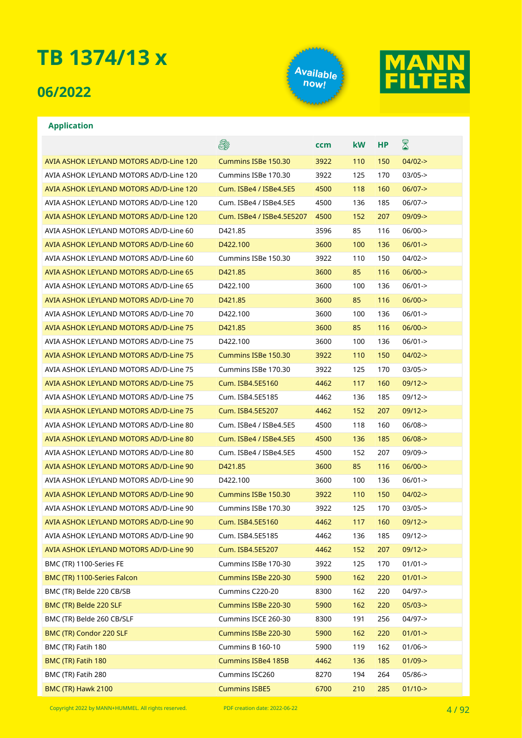#### **06/2022**





#### **Application**

AVIA ASHOK LEYLAND MOTORS AD/D-Line 120 AVIA ASHOK LEYLAND MOTORS AD/D-Line 120 AVIA ASHOK LEYLAND MOTORS AD/D-Line 120 AVIA ASHOK LEYLAND MOTORS AD/D-Line 120 AVIA ASHOK LEYLAND MOTORS AD/D-Line 120 AVIA ASHOK LEYLAND MOTORS AD/D-Line 60 AVIA ASHOK LEYLAND MOTORS AD/D-Line 60 AVIA ASHOK LEYLAND MOTORS AD/D-Line 60 AVIA ASHOK LEYLAND MOTORS AD/D-Line 65 AVIA ASHOK LEYLAND MOTORS AD/D-Line 65 AVIA ASHOK LEYLAND MOTORS AD/D-Line 70 AVIA ASHOK LEYLAND MOTORS AD/D-Line 70 AVIA ASHOK LEYLAND MOTORS AD/D-Line 75 AVIA ASHOK LEYLAND MOTORS AD/D-Line 75 AVIA ASHOK LEYLAND MOTORS AD/D-Line 75 AVIA ASHOK LEYLAND MOTORS AD/D-Line 75 AVIA ASHOK LEYLAND MOTORS AD/D-Line 75 AVIA ASHOK LEYLAND MOTORS AD/D-Line 75 AVIA ASHOK LEYLAND MOTORS AD/D-Line 75 AVIA ASHOK LEYLAND MOTORS AD/D-Line 80 AVIA ASHOK LEYLAND MOTORS AD/D-Line 80 AVIA ASHOK LEYLAND MOTORS AD/D-Line 80 AVIA ASHOK LEYLAND MOTORS AD/D-Line 90 AVIA ASHOK LEYLAND MOTORS AD/D-Line 90 AVIA ASHOK LEYLAND MOTORS AD/D-Line 90 AVIA ASHOK LEYLAND MOTORS AD/D-Line 90 AVIA ASHOK LEYLAND MOTORS AD/D-Line 90 AVIA ASHOK LEYLAND MOTORS AD/D-Line 90 AVIA ASHOK LEYLAND MOTORS AD/D-Line 90 BMC (TR) 1100-Series FE BMC (TR) 1100-Series Falcon BMC (TR) Belde 220 CB/SB BMC (TR) Belde 220 SLF BMC (TR) Belde 260 CB/SLF BMC (TR) Condor 220 SLF BMC (TR) Fatih 180 BMC (TR) Fatih 180 BMC (TR) Fatih 280

|                           | ccm  | kW  | НP  | $\boxtimes$         |
|---------------------------|------|-----|-----|---------------------|
| Cummins ISBe 150.30       | 3922 | 110 | 150 | $04/02 -$           |
| Cummins ISBe 170.30       | 3922 | 125 | 170 | 03/05->             |
| Cum. ISBe4 / ISBe4.5E5    | 4500 | 118 | 160 | $06/07 - >$         |
| Cum. ISBe4 / ISBe4.5E5    | 4500 | 136 | 185 | $06/07 - >$         |
| Cum. ISBe4 / ISBe4.5E5207 | 4500 | 152 | 207 | $09/09 - >$         |
| D421.85                   | 3596 | 85  | 116 | 06/00->             |
| D422.100                  | 3600 | 100 | 136 | $06/01 -$           |
| Cummins ISBe 150.30       | 3922 | 110 | 150 | 04/02->             |
| D421.85                   | 3600 | 85  | 116 | $06/00 -$           |
| D422.100                  | 3600 | 100 | 136 | $06/01 -$           |
| D421.85                   | 3600 | 85  | 116 | $06/00 -$           |
| D422.100                  | 3600 | 100 | 136 | $06/01 -$           |
| D421.85                   | 3600 | 85  | 116 | $06/00 -$           |
| D422.100                  | 3600 | 100 | 136 | $06/01 -$           |
| Cummins ISBe 150.30       | 3922 | 110 | 150 | $04/02 -$           |
| Cummins ISBe 170.30       | 3922 | 125 | 170 | $03/05 -$           |
| Cum. ISB4.5E5160          | 4462 | 117 | 160 | $09/12 -$           |
| Cum. ISB4.5E5185          | 4462 | 136 | 185 | $09/12 -$           |
| Cum. ISB4.5E5207          | 4462 | 152 | 207 | $09/12 -$           |
| Cum. ISBe4 / ISBe4.5E5    | 4500 | 118 | 160 | 06/08->             |
| Cum. ISBe4 / ISBe4.5E5    | 4500 | 136 | 185 | $06/08$ ->          |
| Cum. ISBe4 / ISBe4.5E5    | 4500 | 152 | 207 | 09/09->             |
| D421.85                   | 3600 | 85  | 116 | $06/00 -$           |
| D422.100                  | 3600 | 100 | 136 | $06/01 -$           |
| Cummins ISBe 150.30       | 3922 | 110 | 150 | 04/02->             |
| Cummins ISBe 170.30       | 3922 | 125 | 170 | $03/05 -$           |
| Cum. ISB4.5E5160          | 4462 | 117 | 160 | $09/12 -$           |
| Cum. ISB4.5E5185          | 4462 | 136 | 185 | $09/12 -$           |
| Cum. ISB4.5E5207          | 4462 | 152 | 207 | $09/12 -$           |
| Cummins ISBe 170-30       | 3922 | 125 | 170 | $01/01 - >$         |
| Cummins ISBe 220-30       | 5900 | 162 | 220 | $01/01 - >$         |
| Cummins C220-20           | 8300 | 162 | 220 | 04/97->             |
| Cummins ISBe 220-30       | 5900 | 162 | 220 | $05/03->$           |
| Cummins ISCE 260-30       | 8300 | 191 | 256 | 04/97->             |
| Cummins ISBe 220-30       | 5900 | 162 | 220 | $01/01 -$           |
| Cummins B 160-10          | 5900 | 119 | 162 | $01/06 - >$         |
| <b>Cummins ISBe4 185B</b> | 4462 | 136 | 185 | $01/09$ ->          |
| Cummins ISC260            | 8270 | 194 | 264 | 05/86->             |
| <b>Cummins ISBE5</b>      | 6700 | 210 | 285 | $01/10 \rightarrow$ |

Copyright 2022 by MANN+HUMMEL. All rights reserved. PDF creation date: 2022-06-22

**BMC (TR) Hawk 2100**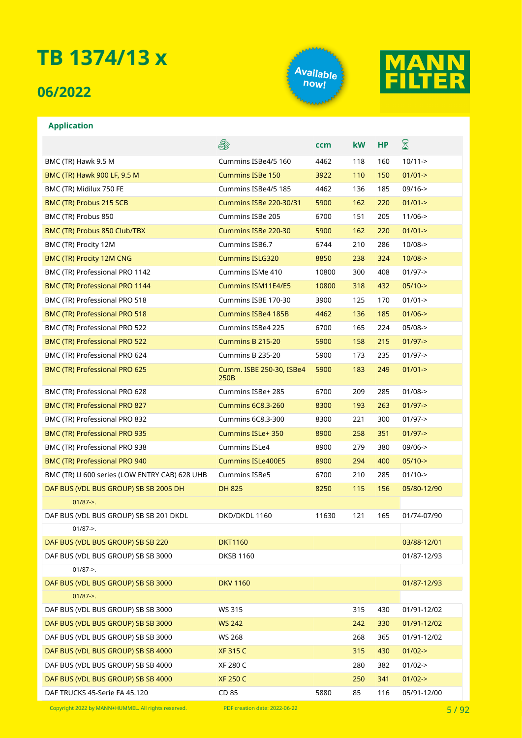#### **06/2022**





#### **Application**

|                                               | E.                               | ccm   | kW  | <b>HP</b> | 8           |
|-----------------------------------------------|----------------------------------|-------|-----|-----------|-------------|
| BMC (TR) Hawk 9.5 M                           | Cummins ISBe4/5 160              | 4462  | 118 | 160       | $10/11 - >$ |
| BMC (TR) Hawk 900 LF, 9.5 M                   | <b>Cummins ISBe 150</b>          | 3922  | 110 | 150       | $01/01 - >$ |
| BMC (TR) Midilux 750 FE                       | Cummins ISBe4/5 185              | 4462  | 136 | 185       | $09/16 - >$ |
| BMC (TR) Probus 215 SCB                       | <b>Cummins ISBe 220-30/31</b>    | 5900  | 162 | 220       | $01/01 -$   |
| BMC (TR) Probus 850                           | Cummins ISBe 205                 | 6700  | 151 | 205       | $11/06 - >$ |
| BMC (TR) Probus 850 Club/TBX                  | Cummins ISBe 220-30              | 5900  | 162 | 220       | $01/01 - >$ |
| BMC (TR) Procity 12M                          | Cummins ISB6.7                   | 6744  | 210 | 286       | $10/08 - >$ |
| <b>BMC (TR) Procity 12M CNG</b>               | <b>Cummins ISLG320</b>           | 8850  | 238 | 324       | $10/08 - >$ |
| BMC (TR) Professional PRO 1142                | Cummins ISMe 410                 | 10800 | 300 | 408       | $01/97 - >$ |
| BMC (TR) Professional PRO 1144                | Cummins ISM11E4/E5               | 10800 | 318 | 432       | $05/10->$   |
| BMC (TR) Professional PRO 518                 | Cummins ISBE 170-30              | 3900  | 125 | 170       | $01/01 - >$ |
| <b>BMC (TR) Professional PRO 518</b>          | <b>Cummins ISBe4 185B</b>        | 4462  | 136 | 185       | $01/06$ ->  |
| BMC (TR) Professional PRO 522                 | Cummins ISBe4 225                | 6700  | 165 | 224       | $05/08$ ->  |
| BMC (TR) Professional PRO 522                 | Cummins B 215-20                 | 5900  | 158 | 215       | $01/97 - >$ |
| BMC (TR) Professional PRO 624                 | Cummins B 235-20                 | 5900  | 173 | 235       | $01/97 - >$ |
| BMC (TR) Professional PRO 625                 | Cumm. ISBE 250-30, ISBe4<br>250B | 5900  | 183 | 249       | $01/01 - >$ |
| BMC (TR) Professional PRO 628                 | Cummins ISBe+ 285                | 6700  | 209 | 285       | $01/08$ ->  |
| BMC (TR) Professional PRO 827                 | <b>Cummins 6C8.3-260</b>         | 8300  | 193 | 263       | $01/97 - >$ |
| BMC (TR) Professional PRO 832                 | <b>Cummins 6C8.3-300</b>         | 8300  | 221 | 300       | $01/97 - >$ |
| <b>BMC (TR) Professional PRO 935</b>          | <b>Cummins ISLe+350</b>          | 8900  | 258 | 351       | $01/97 - >$ |
| BMC (TR) Professional PRO 938                 | Cummins ISLe4                    | 8900  | 279 | 380       | $09/06 - >$ |
| BMC (TR) Professional PRO 940                 | <b>Cummins ISLe400E5</b>         | 8900  | 294 | 400       | $05/10->$   |
| BMC (TR) U 600 series (LOW ENTRY CAB) 628 UHB | <b>Cummins ISBe5</b>             | 6700  | 210 | 285       | $01/10$ ->  |
| DAF BUS (VDL BUS GROUP) SB SB 2005 DH         | <b>DH 825</b>                    | 8250  | 115 | 156       | 05/80-12/90 |
| $01/87 - >$ .                                 |                                  |       |     |           |             |
| DAF BUS (VDL BUS GROUP) SB SB 201 DKDL        | DKD/DKDL 1160                    | 11630 | 121 | 165       | 01/74-07/90 |
| $01/87 -$                                     |                                  |       |     |           |             |
| DAF BUS (VDL BUS GROUP) SB SB 220             | <b>DKT1160</b>                   |       |     |           | 03/88-12/01 |
| DAF BUS (VDL BUS GROUP) SB SB 3000            | <b>DKSB 1160</b>                 |       |     |           | 01/87-12/93 |
| $01/87 - >$ .                                 |                                  |       |     |           |             |
| DAF BUS (VDL BUS GROUP) SB SB 3000            | <b>DKV 1160</b>                  |       |     |           | 01/87-12/93 |
| $01/87 - >$ .                                 |                                  |       |     |           |             |
| DAF BUS (VDL BUS GROUP) SB SB 3000            | WS 315                           |       | 315 | 430       | 01/91-12/02 |
| DAF BUS (VDL BUS GROUP) SB SB 3000            | <b>WS 242</b>                    |       | 242 | 330       | 01/91-12/02 |
| DAF BUS (VDL BUS GROUP) SB SB 3000            | <b>WS 268</b>                    |       | 268 | 365       | 01/91-12/02 |
| DAF BUS (VDL BUS GROUP) SB SB 4000            | <b>XF 315 C</b>                  |       | 315 | 430       | $01/02 - >$ |
| DAF BUS (VDL BUS GROUP) SB SB 4000            | XF 280 C                         |       | 280 | 382       | $01/02 - >$ |
| DAF BUS (VDL BUS GROUP) SB SB 4000            | <b>XF 250 C</b>                  |       | 250 | 341       | $01/02 - >$ |
| DAF TRUCKS 45-Serie FA 45.120                 | CD 85                            | 5880  | 85  | 116       | 05/91-12/00 |

Copyright 2022 by MANN+HUMMEL. All rights reserved. PDF creation date: 2022-06-22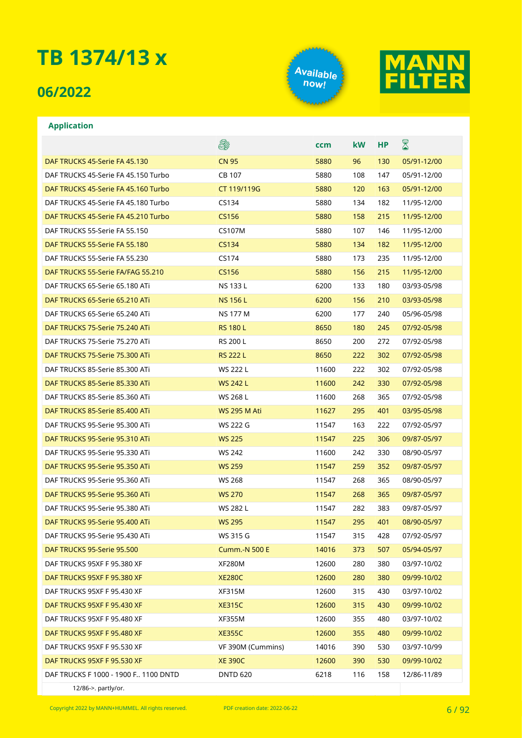### **06/2022**





#### **Application**

|                                        | 8                    | ccm   | <b>kW</b> | НP  | $\boxtimes$ |
|----------------------------------------|----------------------|-------|-----------|-----|-------------|
| DAF TRUCKS 45-Serie FA 45.130          | <b>CN 95</b>         | 5880  | 96        | 130 | 05/91-12/00 |
| DAF TRUCKS 45-Serie FA 45.150 Turbo    | CB 107               | 5880  | 108       | 147 | 05/91-12/00 |
| DAF TRUCKS 45-Serie FA 45.160 Turbo    | CT 119/119G          | 5880  | 120       | 163 | 05/91-12/00 |
| DAF TRUCKS 45-Serie FA 45.180 Turbo    | CS134                | 5880  | 134       | 182 | 11/95-12/00 |
| DAF TRUCKS 45-Serie FA 45.210 Turbo    | CS156                | 5880  | 158       | 215 | 11/95-12/00 |
| DAF TRUCKS 55-Serie FA 55.150          | <b>CS107M</b>        | 5880  | 107       | 146 | 11/95-12/00 |
| DAF TRUCKS 55-Serie FA 55.180          | CS134                | 5880  | 134       | 182 | 11/95-12/00 |
| DAF TRUCKS 55-Serie FA 55.230          | CS174                | 5880  | 173       | 235 | 11/95-12/00 |
| DAF TRUCKS 55-Serie FA/FAG 55.210      | CS156                | 5880  | 156       | 215 | 11/95-12/00 |
| DAF TRUCKS 65-Serie 65.180 ATi         | NS 133 L             | 6200  | 133       | 180 | 03/93-05/98 |
| DAF TRUCKS 65-Serie 65.210 ATi         | <b>NS 156 L</b>      | 6200  | 156       | 210 | 03/93-05/98 |
| DAF TRUCKS 65-Serie 65.240 ATi         | <b>NS 177 M</b>      | 6200  | 177       | 240 | 05/96-05/98 |
| DAF TRUCKS 75-Serie 75.240 ATi         | <b>RS 180 L</b>      | 8650  | 180       | 245 | 07/92-05/98 |
| DAF TRUCKS 75-Serie 75.270 ATi         | <b>RS 200 L</b>      | 8650  | 200       | 272 | 07/92-05/98 |
| DAF TRUCKS 75-Serie 75.300 ATi         | <b>RS 222 L</b>      | 8650  | 222       | 302 | 07/92-05/98 |
| DAF TRUCKS 85-Serie 85.300 ATi         | WS 222 L             | 11600 | 222       | 302 | 07/92-05/98 |
| DAF TRUCKS 85-Serie 85.330 ATi         | <b>WS 242 L</b>      | 11600 | 242       | 330 | 07/92-05/98 |
| DAF TRUCKS 85-Serie 85.360 ATi         | WS 268 L             | 11600 | 268       | 365 | 07/92-05/98 |
| DAF TRUCKS 85-Serie 85.400 ATi         | <b>WS 295 M Ati</b>  | 11627 | 295       | 401 | 03/95-05/98 |
| DAF TRUCKS 95-Serie 95.300 ATi         | WS 222 G             | 11547 | 163       | 222 | 07/92-05/97 |
| DAF TRUCKS 95-Serie 95.310 ATi         | <b>WS 225</b>        | 11547 | 225       | 306 | 09/87-05/97 |
| DAF TRUCKS 95-Serie 95.330 ATi         | <b>WS 242</b>        | 11600 | 242       | 330 | 08/90-05/97 |
| DAF TRUCKS 95-Serie 95.350 ATi         | <b>WS 259</b>        | 11547 | 259       | 352 | 09/87-05/97 |
| DAF TRUCKS 95-Serie 95.360 ATi         | <b>WS 268</b>        | 11547 | 268       | 365 | 08/90-05/97 |
| DAF TRUCKS 95-Serie 95.360 ATi         | <b>WS 270</b>        | 11547 | 268       | 365 | 09/87-05/97 |
| DAF TRUCKS 95-Serie 95.380 ATi         | WS 282 L             | 11547 | 282       | 383 | 09/87-05/97 |
| DAF TRUCKS 95-Serie 95.400 ATi         | <b>WS 295</b>        | 11547 | 295       | 401 | 08/90-05/97 |
| DAF TRUCKS 95-Serie 95.430 ATi         | WS 315 G             | 11547 | 315       | 428 | 07/92-05/97 |
| DAF TRUCKS 95-Serie 95.500             | <b>Cumm.-N 500 E</b> | 14016 | 373       | 507 | 05/94-05/97 |
| DAF TRUCKS 95XF F 95.380 XF            | <b>XF280M</b>        | 12600 | 280       | 380 | 03/97-10/02 |
| DAF TRUCKS 95XF F 95.380 XF            | <b>XE280C</b>        | 12600 | 280       | 380 | 09/99-10/02 |
| DAF TRUCKS 95XF F 95.430 XF            | <b>XF315M</b>        | 12600 | 315       | 430 | 03/97-10/02 |
| DAF TRUCKS 95XF F 95.430 XF            | <b>XE315C</b>        | 12600 | 315       | 430 | 09/99-10/02 |
| DAF TRUCKS 95XF F 95.480 XF            | <b>XF355M</b>        | 12600 | 355       | 480 | 03/97-10/02 |
| DAF TRUCKS 95XF F 95.480 XF            | <b>XE355C</b>        | 12600 | 355       | 480 | 09/99-10/02 |
| DAF TRUCKS 95XF F 95.530 XF            | VF 390M (Cummins)    | 14016 | 390       | 530 | 03/97-10/99 |
| DAF TRUCKS 95XF F 95.530 XF            | <b>XE 390C</b>       | 12600 | 390       | 530 | 09/99-10/02 |
| DAF TRUCKS F 1000 - 1900 F., 1100 DNTD | <b>DNTD 620</b>      | 6218  | 116       | 158 | 12/86-11/89 |
| 12/86->. partly/or.                    |                      |       |           |     |             |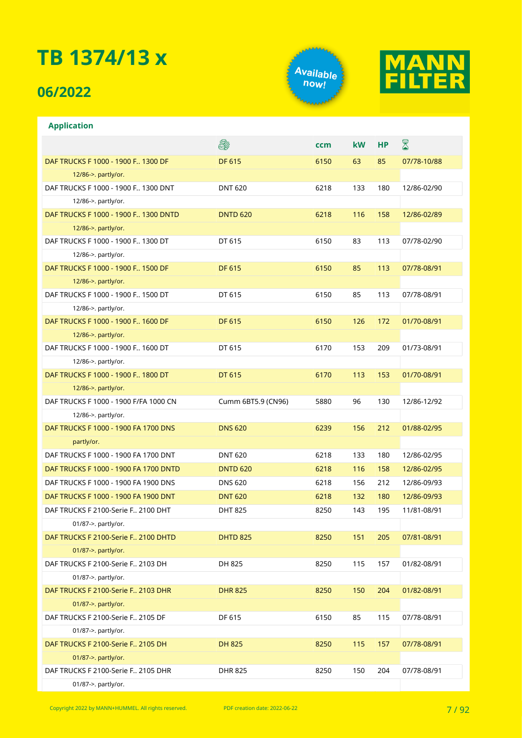### **06/2022**





| <b>Application</b>                    |                    |      |           |     |             |
|---------------------------------------|--------------------|------|-----------|-----|-------------|
|                                       | 8                  | ccm  | <b>kW</b> | НP  | 8           |
| DAF TRUCKS F 1000 - 1900 F., 1300 DF  | <b>DF 615</b>      | 6150 | 63        | 85  | 07/78-10/88 |
| 12/86->. partly/or.                   |                    |      |           |     |             |
| DAF TRUCKS F 1000 - 1900 F., 1300 DNT | <b>DNT 620</b>     | 6218 | 133       | 180 | 12/86-02/90 |
| 12/86->. partly/or.                   |                    |      |           |     |             |
| DAF TRUCKS F 1000 - 1900 F 1300 DNTD  | <b>DNTD 620</b>    | 6218 | 116       | 158 | 12/86-02/89 |
| 12/86->. partly/or.                   |                    |      |           |     |             |
| DAF TRUCKS F 1000 - 1900 F., 1300 DT  | DT 615             | 6150 | 83        | 113 | 07/78-02/90 |
| 12/86->. partly/or.                   |                    |      |           |     |             |
| DAF TRUCKS F 1000 - 1900 F., 1500 DF  | <b>DF 615</b>      | 6150 | 85        | 113 | 07/78-08/91 |
| 12/86->. partly/or.                   |                    |      |           |     |             |
| DAF TRUCKS F 1000 - 1900 F., 1500 DT  | DT 615             | 6150 | 85        | 113 | 07/78-08/91 |
| 12/86->. partly/or.                   |                    |      |           |     |             |
| DAF TRUCKS F 1000 - 1900 F., 1600 DF  | <b>DF 615</b>      | 6150 | 126       | 172 | 01/70-08/91 |
| 12/86->. partly/or.                   |                    |      |           |     |             |
| DAF TRUCKS F 1000 - 1900 F., 1600 DT  | DT 615             | 6170 | 153       | 209 | 01/73-08/91 |
| 12/86->. partly/or.                   |                    |      |           |     |             |
| DAF TRUCKS F 1000 - 1900 F 1800 DT    | DT 615             | 6170 | 113       | 153 | 01/70-08/91 |
| 12/86->. partly/or.                   |                    |      |           |     |             |
| DAF TRUCKS F 1000 - 1900 F/FA 1000 CN | Cumm 6BT5.9 (CN96) | 5880 | 96        | 130 | 12/86-12/92 |
| 12/86->. partly/or.                   |                    |      |           |     |             |
| DAF TRUCKS F 1000 - 1900 FA 1700 DNS  | <b>DNS 620</b>     | 6239 | 156       | 212 | 01/88-02/95 |
| partly/or.                            |                    |      |           |     |             |
| DAF TRUCKS F 1000 - 1900 FA 1700 DNT  | <b>DNT 620</b>     | 6218 | 133       | 180 | 12/86-02/95 |
| DAF TRUCKS F 1000 - 1900 FA 1700 DNTD | <b>DNTD 620</b>    | 6218 | 116       | 158 | 12/86-02/95 |
| DAF TRUCKS F 1000 - 1900 FA 1900 DNS  | <b>DNS 620</b>     | 6218 | 156       | 212 | 12/86-09/93 |
| DAF TRUCKS F 1000 - 1900 FA 1900 DNT  | <b>DNT 620</b>     | 6218 | 132       | 180 | 12/86-09/93 |
| DAF TRUCKS F 2100-Serie F., 2100 DHT  | <b>DHT 825</b>     | 8250 | 143       | 195 | 11/81-08/91 |
| 01/87->. partly/or.                   |                    |      |           |     |             |
| DAF TRUCKS F 2100-Serie F., 2100 DHTD | <b>DHTD 825</b>    | 8250 | 151       | 205 | 07/81-08/91 |
| 01/87->. partly/or.                   |                    |      |           |     |             |
| DAF TRUCKS F 2100-Serie F., 2103 DH   | DH 825             | 8250 | 115       | 157 | 01/82-08/91 |
| 01/87->. partly/or.                   |                    |      |           |     |             |
| DAF TRUCKS F 2100-Serie F., 2103 DHR  | <b>DHR 825</b>     | 8250 | 150       | 204 | 01/82-08/91 |
| 01/87->. partly/or.                   |                    |      |           |     |             |
| DAF TRUCKS F 2100-Serie F., 2105 DF   | DF 615             | 6150 | 85        | 115 | 07/78-08/91 |
| 01/87->. partly/or.                   |                    |      |           |     |             |
| DAF TRUCKS F 2100-Serie F., 2105 DH   | <b>DH 825</b>      | 8250 | 115       | 157 | 07/78-08/91 |
| 01/87->. partly/or.                   |                    |      |           |     |             |
| DAF TRUCKS F 2100-Serie F., 2105 DHR  | <b>DHR 825</b>     | 8250 | 150       | 204 | 07/78-08/91 |
| 01/87->. partly/or.                   |                    |      |           |     |             |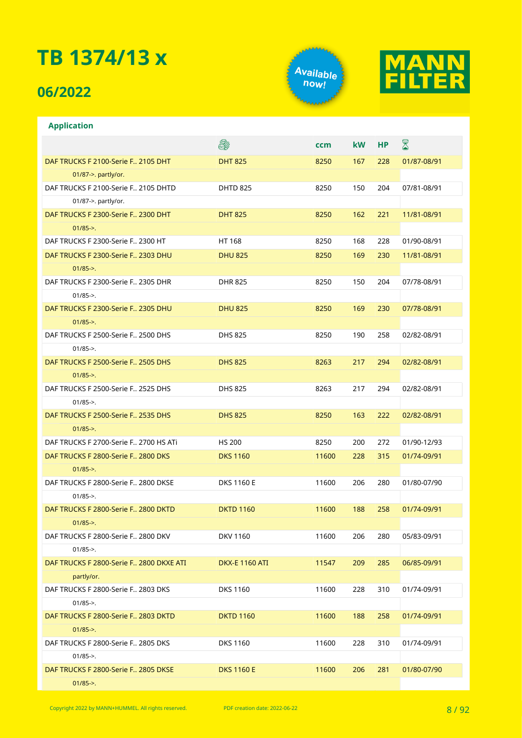### **06/2022**

**Application**





|                                           | ê.                    | <b>ccm</b> | <b>kW</b> | <b>HP</b> | $\boxtimes$ |
|-------------------------------------------|-----------------------|------------|-----------|-----------|-------------|
| DAF TRUCKS F 2100-Serie F., 2105 DHT      | <b>DHT 825</b>        | 8250       | 167       | 228       | 01/87-08/91 |
| 01/87->. partly/or.                       |                       |            |           |           |             |
| DAF TRUCKS F 2100-Serie F., 2105 DHTD     | <b>DHTD 825</b>       | 8250       | 150       | 204       | 07/81-08/91 |
| 01/87->. partly/or.                       |                       |            |           |           |             |
| DAF TRUCKS F 2300-Serie F., 2300 DHT      | <b>DHT 825</b>        | 8250       | 162       | 221       | 11/81-08/91 |
| $01/85 -$                                 |                       |            |           |           |             |
| DAF TRUCKS F 2300-Serie F., 2300 HT       | HT 168                | 8250       | 168       | 228       | 01/90-08/91 |
| DAF TRUCKS F 2300-Serie F., 2303 DHU      | <b>DHU 825</b>        | 8250       | 169       | 230       | 11/81-08/91 |
| $01/85 - >$ .                             |                       |            |           |           |             |
| DAF TRUCKS F 2300-Serie F., 2305 DHR      | <b>DHR 825</b>        | 8250       | 150       | 204       | 07/78-08/91 |
| $01/85 -$                                 |                       |            |           |           |             |
| DAF TRUCKS F 2300-Serie F., 2305 DHU      | <b>DHU 825</b>        | 8250       | 169       | 230       | 07/78-08/91 |
| $01/85 -$                                 |                       |            |           |           |             |
| DAF TRUCKS F 2500-Serie F., 2500 DHS      | <b>DHS 825</b>        | 8250       | 190       | 258       | 02/82-08/91 |
| $01/85 -$                                 |                       |            |           |           |             |
| DAF TRUCKS F 2500-Serie F., 2505 DHS      | <b>DHS 825</b>        | 8263       | 217       | 294       | 02/82-08/91 |
| $01/85 -$                                 |                       |            |           |           |             |
| DAF TRUCKS F 2500-Serie F 2525 DHS        | <b>DHS 825</b>        | 8263       | 217       | 294       | 02/82-08/91 |
| $01/85 - >$ .                             |                       |            |           |           |             |
| DAF TRUCKS F 2500-Serie F., 2535 DHS      | <b>DHS 825</b>        | 8250       | 163       | 222       | 02/82-08/91 |
| $01/85 -$                                 |                       |            |           |           |             |
| DAF TRUCKS F 2700-Serie F., 2700 HS ATI   | <b>HS 200</b>         | 8250       | 200       | 272       | 01/90-12/93 |
| DAF TRUCKS F 2800-Serie F., 2800 DKS      | <b>DKS 1160</b>       | 11600      | 228       | 315       | 01/74-09/91 |
| $01/85 -$                                 |                       |            |           |           |             |
| DAF TRUCKS F 2800-Serie F., 2800 DKSE     | <b>DKS 1160 E</b>     | 11600      | 206       | 280       | 01/80-07/90 |
| $01/85 - >$ .                             |                       |            |           |           |             |
| DAF TRUCKS F 2800-Serie F., 2800 DKTD     | <b>DKTD 1160</b>      | 11600      | 188       | 258       | 01/74-09/91 |
| $01/85 -$                                 |                       |            |           |           |             |
| DAF TRUCKS F 2800-Serie F., 2800 DKV      | DKV 1160              | 11600      | 206       | 280       | 05/83-09/91 |
| $01/85$ ->.                               |                       |            |           |           |             |
| DAF TRUCKS F 2800-Serie F., 2800 DKXE ATI | <b>DKX-E 1160 ATI</b> | 11547      | 209       | 285       | 06/85-09/91 |
| partly/or.                                |                       |            |           |           |             |
| DAF TRUCKS F 2800-Serie F., 2803 DKS      | <b>DKS 1160</b>       | 11600      | 228       | 310       | 01/74-09/91 |
| $01/85 -$                                 |                       |            |           |           |             |
| DAF TRUCKS F 2800-Serie F., 2803 DKTD     | <b>DKTD 1160</b>      | 11600      | 188       | 258       | 01/74-09/91 |
| $01/85$ ->.                               |                       |            |           |           |             |
| DAF TRUCKS F 2800-Serie F., 2805 DKS      | <b>DKS 1160</b>       | 11600      | 228       | 310       | 01/74-09/91 |
| $01/85 - >$ .                             |                       |            |           |           |             |
| DAF TRUCKS F 2800-Serie F., 2805 DKSE     | <b>DKS 1160 E</b>     | 11600      | 206       | 281       | 01/80-07/90 |
| $01/85 -$                                 |                       |            |           |           |             |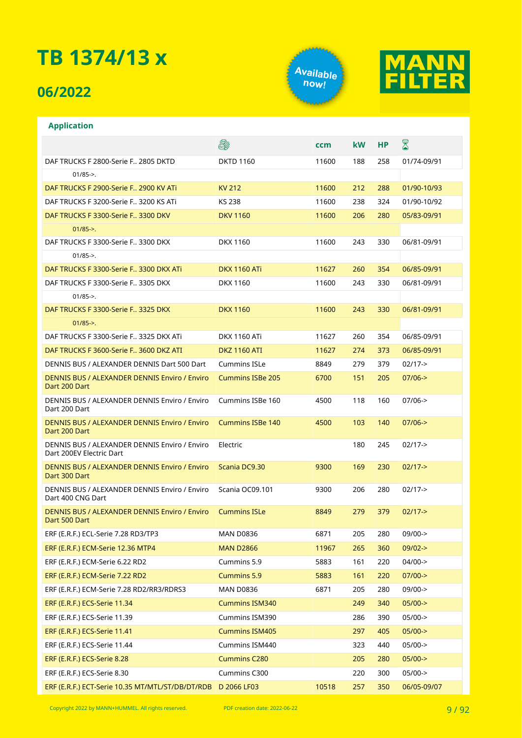### **06/2022**

**Application**





#### E. X **ccm kW HP** DAF TRUCKS F 2800-Serie F.. 2805 DKTD DKTD 1160 11600 188 258 01/74-09/91  $01/85 - >$ DAF TRUCKS F 2900-Serie F.. 2900 KV ATi KV 212 11600 212 288 01/90-10/93 DAF TRUCKS F 3200-Serie F.. 3200 KS ATi KS 238 11600 238 324 01/90-10/92 DAF TRUCKS F 3300-Serie F.. 3300 DKV 1160 **DKV 1160** 11600 206 280 05/83-09/91  $01/85 - >$ DAF TRUCKS F 3300-Serie F.. 3300 DKX DKX 1160 11600 243 330 06/81-09/91 01/85->. DAF TRUCKS F 3300-Serie F.. 3300 DKX ATi DKX 1160 ATi 11627 260 354 06/85-09/91 DAF TRUCKS F 3300-Serie F.. 3305 DKX DKX 1160 11600 243 330 06/81-09/91  $01/85 - >$ DAF TRUCKS F 3300-Serie F.. 3325 DKX DKX 1160 1160 11600 243 330 06/81-09/91 01/85->. DAF TRUCKS F 3300-Serie F.. 3325 DKX ATi DKX 1160 ATi 11627 260 354 06/85-09/91 DAF TRUCKS F 3600-Serie F.. 3600 DKZ ATI DKZ 1160 ATI 11627 274 373 06/85-09/91 DENNIS BUS / ALEXANDER DENNIS Dart 500 Dart Cummins ISLe 8849 279 379 02/17-> DENNIS BUS / ALEXANDER DENNIS Enviro / Enviro Cummins ISBe 205 6700 151 205 07/06-> Dart 200 Dart DENNIS BUS / ALEXANDER DENNIS Enviro / Enviro Cummins ISBe 160 4500 118 160 07/06-> Dart 200 Dart DENNIS BUS / ALEXANDER DENNIS Enviro / Enviro Cummins ISBe 140 4500 103 140 07/06-> Dart 200 Dart DENNIS BUS / ALEXANDER DENNIS Enviro / Enviro Electric 180 245 02/17-> Dart 200EV Electric Dart DENNIS BUS / ALEXANDER DENNIS Enviro / Enviro Scania DC9.30 9300 169 230 02/17-> Dart 300 Dart DENNIS BUS / ALEXANDER DENNIS Enviro / Enviro Scania OC09.101 9300 206 280 02/17-> Dart 400 CNG Dart DENNIS BUS / ALEXANDER DENNIS Enviro / Enviro Cummins ISLe 8849 279 379 02/17-> Dart 500 Dart ERF (E.R.F.) ECL-Serie 7.28 RD3/TP3 MAN D0836 6871 205 280 09/00-> ERF (E.R.F.) ECM-Serie 12.36 MTP4 MAN D2866 11967 265 360 09/02-> ERF (E.R.F.) ECM-Serie 6.22 RD2 Cummins 5.9 5883 161 220 04/00-> ERF (E.R.F.) ECM-Serie 7.22 RD2 Cummins 5.9 5883 161 220 07/00-> ERF (E.R.F.) ECM-Serie 7.28 RD2/RR3/RDRS3 MAN D0836 6871 205 280 09/00-> ERF (E.R.F.) ECS-Serie 11.34 Cummins ISM340 249 340 05/00-> ERF (E.R.F.) ECS-Serie 11.39 Cummins ISM390 286 390 05/00-> ERF (E.R.F.) ECS-Serie 11.41 Cummins ISM405 297 405 05/00-> ERF (E.R.F.) ECS-Serie 11.44 Cummins ISM440 323 440 05/00-> ERF (E.R.F.) ECS-Serie 8.28 Cummins C280 205 280 05/00-> ERF (E.R.F.) ECS-Serie 8.30 Cummins C300 220 300 05/00-> ERF (E.R.F.) ECT-Serie 10.35 MT/MTL/ST/DB/DT/RDB D 2066 LF03 10518 257 350 06/05-09/07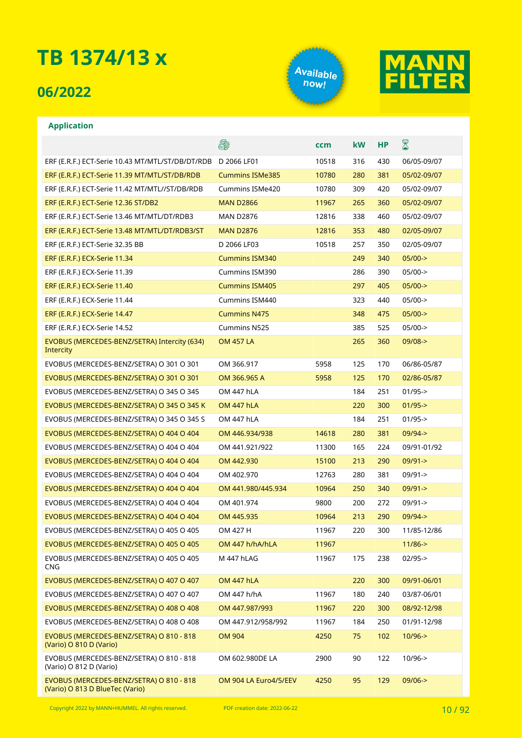### **06/2022**





#### **Application**

|                                                                             | E.                     | ccm   | kW  | <b>HP</b> | $\boxtimes$ |
|-----------------------------------------------------------------------------|------------------------|-------|-----|-----------|-------------|
| ERF (E.R.F.) ECT-Serie 10.43 MT/MTL/ST/DB/DT/RDB                            | D 2066 LF01            | 10518 | 316 | 430       | 06/05-09/07 |
| ERF (E.R.F.) ECT-Serie 11.39 MT/MTL/ST/DB/RDB                               | <b>Cummins ISMe385</b> | 10780 | 280 | 381       | 05/02-09/07 |
| ERF (E.R.F.) ECT-Serie 11.42 MT/MTL//ST/DB/RDB                              | Cummins ISMe420        | 10780 | 309 | 420       | 05/02-09/07 |
| ERF (E.R.F.) ECT-Serie 12.36 ST/DB2                                         | <b>MAN D2866</b>       | 11967 | 265 | 360       | 05/02-09/07 |
| ERF (E.R.F.) ECT-Serie 13.46 MT/MTL/DT/RDB3                                 | <b>MAN D2876</b>       | 12816 | 338 | 460       | 05/02-09/07 |
| ERF (E.R.F.) ECT-Serie 13.48 MT/MTL/DT/RDB3/ST                              | <b>MAN D2876</b>       | 12816 | 353 | 480       | 02/05-09/07 |
| ERF (E.R.F.) ECT-Serie 32.35 BB                                             | D 2066 LF03            | 10518 | 257 | 350       | 02/05-09/07 |
| ERF (E.R.F.) ECX-Serie 11.34                                                | <b>Cummins ISM340</b>  |       | 249 | 340       | $05/00-$    |
| ERF (E.R.F.) ECX-Serie 11.39                                                | Cummins ISM390         |       | 286 | 390       | $05/00$ ->  |
| ERF (E.R.F.) ECX-Serie 11.40                                                | <b>Cummins ISM405</b>  |       | 297 | 405       | $05/00-$    |
| ERF (E.R.F.) ECX-Serie 11.44                                                | Cummins ISM440         |       | 323 | 440       | $05/00$ ->  |
| ERF (E.R.F.) ECX-Serie 14.47                                                | <b>Cummins N475</b>    |       | 348 | 475       | $05/00-$    |
| ERF (E.R.F.) ECX-Serie 14.52                                                | Cummins N525           |       | 385 | 525       | $05/00-$    |
| EVOBUS (MERCEDES-BENZ/SETRA) Intercity (634)<br>Intercity                   | <b>OM 457 LA</b>       |       | 265 | 360       | $09/08 - >$ |
| EVOBUS (MERCEDES-BENZ/SETRA) O 301 O 301                                    | OM 366.917             | 5958  | 125 | 170       | 06/86-05/87 |
| EVOBUS (MERCEDES-BENZ/SETRA) O 301 O 301                                    | OM 366.965 A           | 5958  | 125 | 170       | 02/86-05/87 |
| EVOBUS (MERCEDES-BENZ/SETRA) O 345 O 345                                    | OM 447 hLA             |       | 184 | 251       | $01/95 -$   |
| EVOBUS (MERCEDES-BENZ/SETRA) O 345 O 345 K                                  | <b>OM 447 hLA</b>      |       | 220 | 300       | $01/95 - >$ |
| EVOBUS (MERCEDES-BENZ/SETRA) O 345 O 345 S                                  | OM 447 hLA             |       | 184 | 251       | $01/95 -$   |
| EVOBUS (MERCEDES-BENZ/SETRA) O 404 O 404                                    | OM 446.934/938         | 14618 | 280 | 381       | $09/94 - >$ |
| EVOBUS (MERCEDES-BENZ/SETRA) O 404 O 404                                    | OM 441.921/922         | 11300 | 165 | 224       | 09/91-01/92 |
| EVOBUS (MERCEDES-BENZ/SETRA) O 404 O 404                                    | OM 442.930             | 15100 | 213 | 290       | $09/91 - >$ |
| EVOBUS (MERCEDES-BENZ/SETRA) O 404 O 404                                    | OM 402.970             | 12763 | 280 | 381       | $09/91 - >$ |
| EVOBUS (MERCEDES-BENZ/SETRA) O 404 O 404                                    | OM 441.980/445.934     | 10964 | 250 | 340       | $09/91 - >$ |
| EVOBUS (MERCEDES-BENZ/SETRA) O 404 O 404                                    | OM 401.974             | 9800  | 200 | 272       | $09/91 - >$ |
| EVOBUS (MERCEDES-BENZ/SETRA) O 404 O 404                                    | OM 445.935             | 10964 | 213 | 290       | $09/94 - >$ |
| EVOBUS (MERCEDES-BENZ/SETRA) O 405 O 405                                    | OM 427 H               | 11967 | 220 | 300       | 11/85-12/86 |
| EVOBUS (MERCEDES-BENZ/SETRA) O 405 O 405                                    | OM 447 h/hA/hLA        | 11967 |     |           | $11/86 - >$ |
| EVOBUS (MERCEDES-BENZ/SETRA) O 405 O 405<br><b>CNG</b>                      | M 447 hLAG             | 11967 | 175 | 238       | $02/95 - >$ |
| EVOBUS (MERCEDES-BENZ/SETRA) O 407 O 407                                    | <b>OM 447 hLA</b>      |       | 220 | 300       | 09/91-06/01 |
| EVOBUS (MERCEDES-BENZ/SETRA) O 407 O 407                                    | OM 447 h/hA            | 11967 | 180 | 240       | 03/87-06/01 |
| EVOBUS (MERCEDES-BENZ/SETRA) O 408 O 408                                    | OM 447.987/993         | 11967 | 220 | 300       | 08/92-12/98 |
| EVOBUS (MERCEDES-BENZ/SETRA) O 408 O 408                                    | OM 447.912/958/992     | 11967 | 184 | 250       | 01/91-12/98 |
| EVOBUS (MERCEDES-BENZ/SETRA) O 810 - 818<br>(Vario) O 810 D (Vario)         | <b>OM 904</b>          | 4250  | 75  | 102       | $10/96 - >$ |
| EVOBUS (MERCEDES-BENZ/SETRA) O 810 - 818<br>(Vario) O 812 D (Vario)         | OM 602.980DE LA        | 2900  | 90  | 122       | 10/96->     |
| EVOBUS (MERCEDES-BENZ/SETRA) O 810 - 818<br>(Vario) O 813 D BlueTec (Vario) | OM 904 LA Euro4/5/EEV  | 4250  | 95  | 129       | $09/06 - >$ |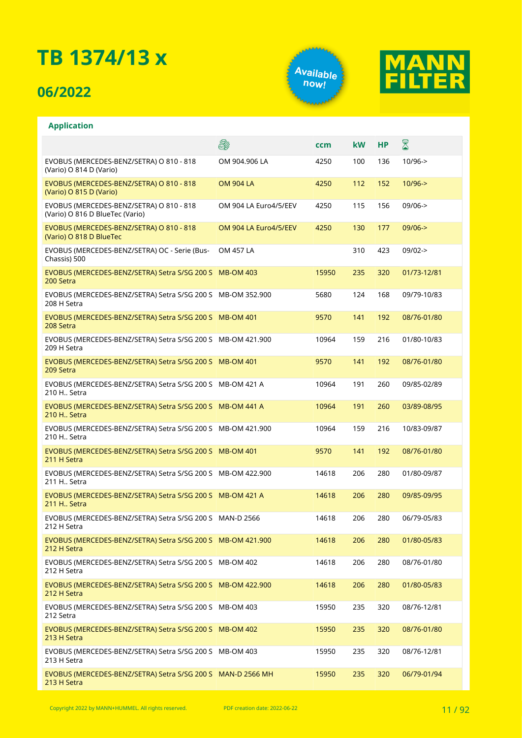### **06/2022**

**Application**





#### E. X **ccm kW HP** EVOBUS (MERCEDES-BENZ/SETRA) O 810 - 818 OM 904.906 LA 4250 100 136 10/96-> (Vario) O 814 D (Vario) EVOBUS (MERCEDES-BENZ/SETRA) O 810 - 818 OM 904 LA 4250 112 152 10/96-> (Vario) O 815 D (Vario) EVOBUS (MERCEDES-BENZ/SETRA) O 810 - 818 OM 904 LA Euro4/5/EEV 4250 115 156 09/06-> (Vario) O 816 D BlueTec (Vario) EVOBUS (MERCEDES-BENZ/SETRA) O 810 - 818 OM 904 LA Euro4/5/EEV 4250 130 177 09/06-> (Vario) O 818 D BlueTec EVOBUS (MERCEDES-BENZ/SETRA) OC - Serie (Bus-OM 457 LA 310 423 09/02-> Chassis) 500 EVOBUS (MERCEDES-BENZ/SETRA) Setra S/SG 200 S MB-OM 403 15950 235 320 01/73-12/81 200 Setra EVOBUS (MERCEDES-BENZ/SETRA) Setra S/SG 200 S MB-OM 352.900 5680 124 168 09/79-10/83 208 H Setra EVOBUS (MERCEDES-BENZ/SETRA) Setra S/SG 200 S 9570 141 192 08/76-01/80 208 Setra EVOBUS (MERCEDES-BENZ/SETRA) Setra S/SG 200 S MB-OM 421.900 10964 159 216 01/80-10/83 209 H Setra EVOBUS (MERCEDES-BENZ/SETRA) Setra S/SG 200 S MB-OM 401 9570 141 192 08/76-01/80 209 Setra EVOBUS (MERCEDES-BENZ/SETRA) Setra S/SG 200 S MB-OM 421 A 10964 191 260 09/85-02/89 210 H. Setra EVOBUS (MERCEDES-BENZ/SETRA) Setra S/SG 200 S MB-OM 441 A 10964 191 260 03/89-08/95 210 H.. Setra EVOBUS (MERCEDES-BENZ/SETRA) Setra S/SG 200 S MB-OM 421.900 10964 159 216 10/83-09/87 210 H.. Setra EVOBUS (MERCEDES-BENZ/SETRA) Setra S/SG 200 S MB-OM 401 9570 141 192 08/76-01/80 211 H Setra EVOBUS (MERCEDES-BENZ/SETRA) Setra S/SG 200 S MB-OM 422.900 14618 206 280 01/80-09/87 211 H.. Setra EVOBUS (MERCEDES-BENZ/SETRA) Setra S/SG 200 S MB-OM 421 A 14618 206 280 09/85-09/95 211 H.. Setra EVOBUS (MERCEDES-BENZ/SETRA) Setra S/SG 200 S MAN-D 2566 14618 206 280 06/79-05/83 212 H Setra EVOBUS (MERCEDES-BENZ/SETRA) Setra S/SG 200 S MB-OM 421.900 14618 206 280 01/80-05/83 212 H Setra EVOBUS (MERCEDES-BENZ/SETRA) Setra S/SG 200 S MB-OM 402 14618 206 280 08/76-01/80 212 H Setra EVOBUS (MERCEDES-BENZ/SETRA) Setra S/SG 200 S MB-OM 422.900 14618 206 280 01/80-05/83 212 H Setra EVOBUS (MERCEDES-BENZ/SETRA) Setra S/SG 200 S MB-OM 403 15950 235 320 08/76-12/81 212 Setra EVOBUS (MERCEDES-BENZ/SETRA) Setra S/SG 200 S MB-OM 402 15950 235 320 08/76-01/80 213 H Setra EVOBUS (MERCEDES-BENZ/SETRA) Setra S/SG 200 S MB-OM 403 15950 235 320 08/76-12/81 213 H Setra EVOBUS (MERCEDES-BENZ/SETRA) Setra S/SG 200 S MAN-D 2566 MH 15950 235 320 06/79-01/94213 H Setra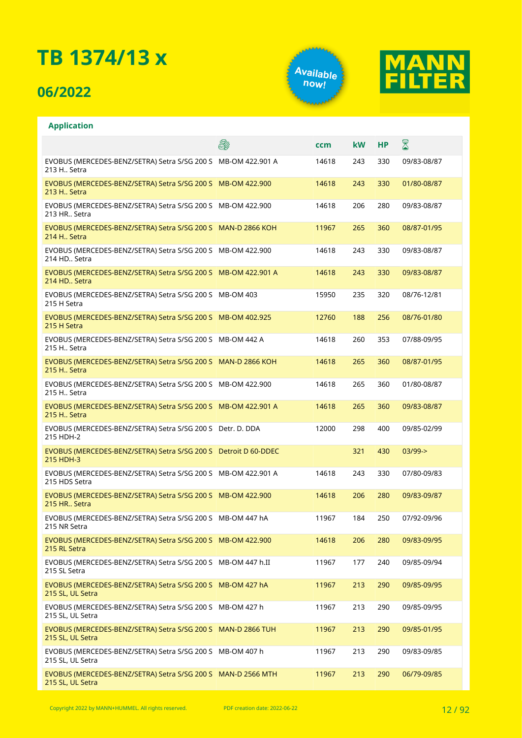### **06/2022**

**Application**





#### **A** X **ccm kW HP** EVOBUS (MERCEDES-BENZ/SETRA) Setra S/SG 200 S MB-OM 422.901 A 14618 243 330 09/83-08/87 213 H.. Setra EVOBUS (MERCEDES-BENZ/SETRA) Setra S/SG 200 S MB-OM 422.900 14618 243 330 01/80-08/87 213 H.. Setra EVOBUS (MERCEDES-BENZ/SETRA) Setra S/SG 200 S MB-OM 422.900 14618 206 280 09/83-08/87 213 HR Setra EVOBUS (MERCEDES-BENZ/SETRA) Setra S/SG 200 S MAN-D 2866 KOH 11967 265 360 08/87-01/95 214 H.. Setra EVOBUS (MERCEDES-BENZ/SETRA) Setra S/SG 200 S MB-OM 422.900 14618 243 330 09/83-08/87 214 HD. Setra EVOBUS (MERCEDES-BENZ/SETRA) Setra S/SG 200 S MB-OM 422.901 A 14618 243 330 09/83-08/87 214 HD.. Setra EVOBUS (MERCEDES-BENZ/SETRA) Setra S/SG 200 S MB-OM 403 15950 235 320 08/76-12/81 215 H Setra EVOBUS (MERCEDES-BENZ/SETRA) Setra S/SG 200 S MB-OM 402.925 12760 188 256 08/76-01/80 215 H Setra EVOBUS (MERCEDES-BENZ/SETRA) Setra S/SG 200 S MB-OM 442 A 14618 260 353 07/88-09/95 215 H.. Setra EVOBUS (MERCEDES-BENZ/SETRA) Setra S/SG 200 S MAN-D 2866 KOH 14618 265 360 08/87-01/95 215 H.. Setra EVOBUS (MERCEDES-BENZ/SETRA) Setra S/SG 200 S MB-OM 422.900 14618 265 360 01/80-08/87 215 H. Setra EVOBUS (MERCEDES-BENZ/SETRA) Setra S/SG 200 S MB-OM 422.901 A 14618 265 360 09/83-08/87 215 H.. Setra EVOBUS (MERCEDES-BENZ/SETRA) Setra S/SG 200 S Detr. D. DDA 12000 298 400 09/85-02/99 215 HDH-2 EVOBUS (MERCEDES-BENZ/SETRA) Setra S/SG 200 S Detroit D 60-DDEC 321 430 03/99-> 215 HDH-3 EVOBUS (MERCEDES-BENZ/SETRA) Setra S/SG 200 S MB-OM 422.901 A 14618 243 330 07/80-09/83 215 HDS Setra EVOBUS (MERCEDES-BENZ/SETRA) Setra S/SG 200 S MB-OM 422.900 14618 206 280 09/83-09/87 215 HR.. Setra EVOBUS (MERCEDES-BENZ/SETRA) Setra S/SG 200 S MB-OM 447 hA 11967 184 250 07/92-09/96 215 NR Setra EVOBUS (MERCEDES-BENZ/SETRA) Setra S/SG 200 S MB-OM 422.900 14618 206 280 09/83-09/95 215 RL Setra EVOBUS (MERCEDES-BENZ/SETRA) Setra S/SG 200 S MB-OM 447 h.II 11967 177 240 09/85-09/94 215 SL Setra EVOBUS (MERCEDES-BENZ/SETRA) Setra S/SG 200 S MB-OM 427 hA 11967 213 290 09/85-09/95 215 SL, UL Setra EVOBUS (MERCEDES-BENZ/SETRA) Setra S/SG 200 S MB-OM 427 h 11967 213 290 09/85-09/95 215 SL, UL Setra EVOBUS (MERCEDES-BENZ/SETRA) Setra S/SG 200 S MAN-D 2866 TUH 11967 213 290 09/85-01/95 215 SL, UL Setra EVOBUS (MERCEDES-BENZ/SETRA) Setra S/SG 200 S MB-OM 407 h 11967 213 290 09/83-09/85 215 SL, LIL Setra EVOBUS (MERCEDES-BENZ/SETRA) Setra S/SG 200 S MAN-D 2566 MTH 11967 213 290 06/79-09/85215 SL, UL Setra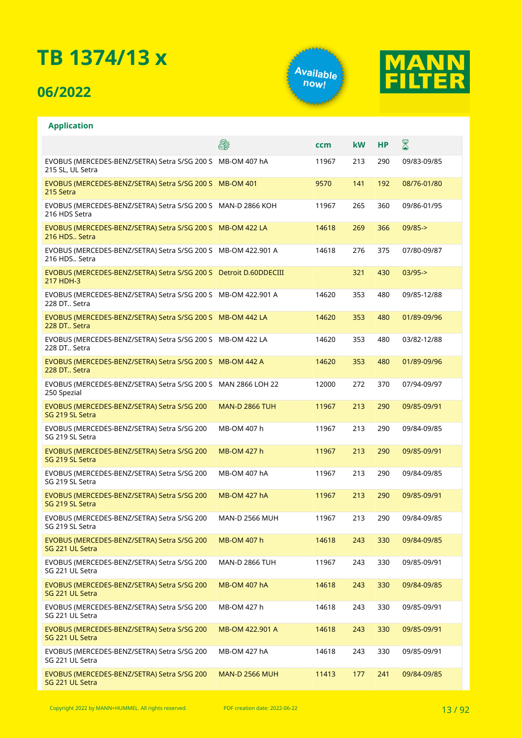### **06/2022**

**Application**





#### **A** X **ccm kW HP** EVOBUS (MERCEDES-BENZ/SETRA) Setra S/SG 200 S MB-OM 407 hA 11967 213 290 09/83-09/85 215 SL, UL Setra EVOBUS (MERCEDES-BENZ/SETRA) Setra S/SG 200 S MB-OM 401 9570 141 192 08/76-01/80 215 Setra EVOBUS (MERCEDES-BENZ/SETRA) Setra S/SG 200 S MAN-D 2866 KOH 11967 265 360 09/86-01/95 216 HDS Setra EVOBUS (MERCEDES-BENZ/SETRA) Setra S/SG 200 S MB-OM 422 LA 14618 269 366 09/85-> 216 HDS.. Setra EVOBUS (MERCEDES-BENZ/SETRA) Setra S/SG 200 S MB-OM 422.901 A 14618 276 375 07/80-09/87 216 HDS. Setra EVOBUS (MERCEDES-BENZ/SETRA) Setra S/SG 200 S Detroit D.60DDECIII 321 430 03/95-> 217 HDH-3 EVOBUS (MERCEDES-BENZ/SETRA) Setra S/SG 200 S MB-OM 422.901 A 14620 353 480 09/85-12/88 228 DT.. Setra EVOBUS (MERCEDES-BENZ/SETRA) Setra S/SG 200 S MB-OM 442 LA 14620 353 480 01/89-09/96 228 DT.. Setra EVOBUS (MERCEDES-BENZ/SETRA) Setra S/SG 200 S MB-OM 422 LA 14620 353 480 03/82-12/88 228 DT.. Setra EVOBUS (MERCEDES-BENZ/SETRA) Setra S/SG 200 S MB-OM 442 A 14620 353 480 01/89-09/96 228 DT.. Setra EVOBUS (MERCEDES-BENZ/SETRA) Setra S/SG 200 S MAN 2866 LOH 22 12000 272 370 07/94-09/97 250 Spezial EVOBUS (MERCEDES-BENZ/SETRA) Setra S/SG 200 MAN-D 2866 TUH 11967 213 290 09/85-09/91 SG 219 SL Setra EVOBUS (MERCEDES-BENZ/SETRA) Setra S/SG 200 MB-OM 407 h 11967 213 290 09/84-09/85 SG 219 SL Setra EVOBUS (MERCEDES-BENZ/SETRA) Setra S/SG 200 MB-OM 427 h 11967 213 290 09/85-09/91 SG 219 SL Setra EVOBUS (MERCEDES-BENZ/SETRA) Setra S/SG 200 MB-OM 407 hA 11967 213 290 09/84-09/85 SG 219 SL Setra EVOBUS (MERCEDES-BENZ/SETRA) Setra S/SG 200 MB-OM 427 hA 11967 213 290 09/85-09/91 SG 219 SL Setra MAN-D 2566 MUH 11967 213 290 09/84-09/85 EVOBUS (MERCEDES-BENZ/SETRA) Setra S/SG 200 SG 219 SL Setra EVOBUS (MERCEDES-BENZ/SETRA) Setra S/SG 200 MB-OM 407 h 14618 243 330 09/84-09/85 SG 221 UL Setra EVOBUS (MERCEDES-BENZ/SETRA) Setra S/SG 200 MAN-D 2866 TUH 11967 243 330 09/85-09/91 SG 221 UL Setra EVOBUS (MERCEDES-BENZ/SETRA) Setra S/SG 200 MB-OM 407 hA 14618 243 330 09/84-09/85 SG 221 UL Setra EVOBUS (MERCEDES-BENZ/SETRA) Setra S/SG 200 MB-OM 427 h 14618 243 330 09/85-09/91 SG 221 UL Setra EVOBUS (MERCEDES-BENZ/SETRA) Setra S/SG 200 MB-OM 422.901 A 14618 243 330 09/85-09/91 SG 221 UL Setra EVOBUS (MERCEDES-BENZ/SETRA) Setra S/SG 200 MB-OM 427 hA 14618 243 330 09/85-09/91 SG 221 UL Setra EVOBUS (MERCEDES-BENZ/SETRA) Setra S/SG 200 MAN-D 2566 MUH 11413 177 241 09/84-09/85SG 221 III Setra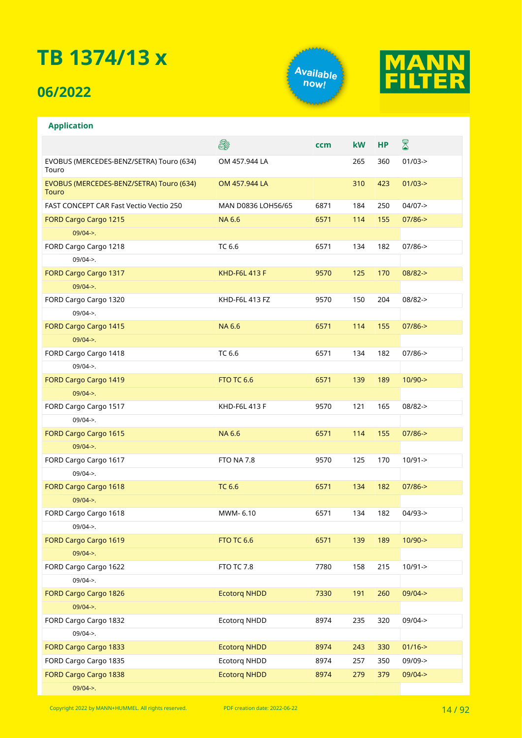### **06/2022**

**Application**





#### $\mathbb{R}$ **A ccm kW HP** EVOBUS (MERCEDES-BENZ/SETRA) Touro (634) OM 457.944 LA 265 360 01/03-> Touro EVOBUS (MERCEDES-BENZ/SETRA) Touro (634) OM 457.944 LA 310 423 01/03-> Touro FAST CONCEPT CAR Fast Vectio Vectio 250 MAN D0836 LOH56/65 6871 184 250 04/07-> FORD Cargo Cargo 1215 NA 6.6 6571 114 155 07/86-> 09/04->. FORD Cargo Cargo 1218 **TC 6.6** 6571 134 182 07/86-> 09/04->. FORD Cargo Cargo 1317 KHD-F6L 413 F 9570 125 170 08/82-> 09/04->. FORD Cargo Cargo 1320 KHD-F6L 413 FZ 9570 150 204 08/82-> 09/04->. FORD Cargo Cargo 1415 **NA 6.6** 6571 114 155 07/86-> 09/04->. FORD Cargo Cargo 1418 **TC 6.6** 6571 134 182 07/86-> 09/04->. FORD Cargo Cargo 1419 **FTO TC 6.6** 6571 139 189 10/90-> 09/04->. FORD Cargo Cargo 1517 KHD-F6L 413 F 9570 121 165 08/82-> 09/04->. FORD Cargo Cargo 1615 **NA 6.6** 6571 114 155 07/86-> 09/04->. FORD Cargo Cargo 1617 **FTO NA 7.8** 9570 125 170 10/91-> 09/04->. FORD Cargo Cargo 1618 **TC 6.6** 6571 134 182 07/86-> 09/04->. FORD Cargo Cargo 1618 **MWM- 6.10** 6571 134 182 04/93-> 09/04->. FORD Cargo Cargo 1619 **FTO TC 6.6** 6571 139 189 10/90-> 09/04->. FORD Cargo Cargo 1622 **FTO TC 7.8** 7780 158 215 10/91-> 09/04->. FORD Cargo Cargo 1826 Ecotorq NHDD 7330 191 260 09/04-> 09/04->. FORD Cargo Cargo 1832 Ecotorq NHDD 8974 235 320 09/04-> 09/04->. FORD Cargo Cargo 1833 Ecotorq NHDD 8974 243 330 01/16-> FORD Cargo Cargo 1835 Ecotorq NHDD 8974 257 350 09/09->

Copyright 2022 by MANN+HUMMEL. All rights reserved. PDF creation date: 2022-06-22

 $09/04 - >$ 

FORD Cargo Cargo 1838 Ecotorq NHDD 8974 279 379 09/04->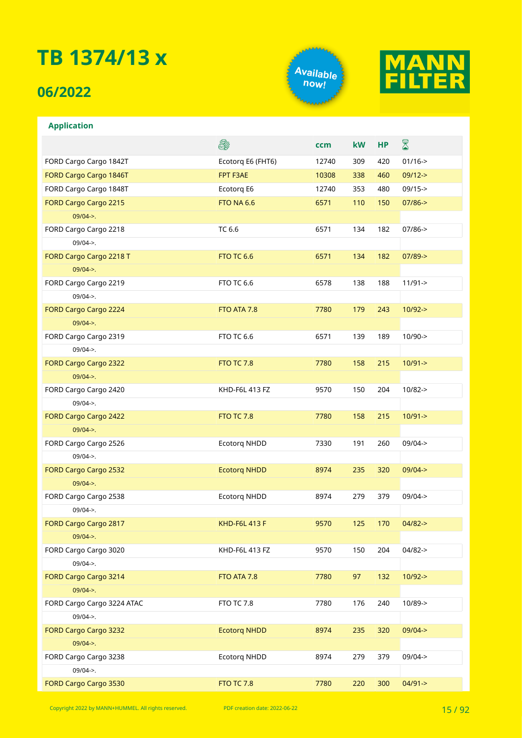### **06/2022**

**Application**





#### **A** ⊠ **ccm kW HP** FORD Cargo Cargo 1842T Ecotorq E6 (FHT6) 12740 309 420 01/16-> FORD Cargo Cargo 1846T **FPT F3AE** 10308 338 460 09/12-> FORD Cargo Cargo 1848T Ecotorq E6 12740 353 480 09/15-> FORD Cargo Cargo 2215 **FTO NA 6.6** 6571 110 150 07/86-> 09/04->. FORD Cargo Cargo 2218 TC 6.6 6571 134 182 07/86-> 09/04->. FORD Cargo Cargo 2218 T **FTO TC 6.6** 6571 134 182 07/89-> 09/04->. FORD Cargo Cargo 2219 **FTO TC 6.6** 6578 138 188 11/91-> 09/04->. FORD Cargo Cargo 2224 **FTO ATA 7.8** 7780 179 243 10/92-> 09/04->. FORD Cargo Cargo 2319 **FTO TC 6.6** 6571 139 189 10/90-> 09/04->. FORD Cargo Cargo 2322 **FTO TC 7.8** 7780 158 215 10/91-> 09/04->. FORD Cargo Cargo 2420 KHD-F6L 413 FZ 9570 150 204 10/82-> 09/04->. FORD Cargo Cargo 2422 **FTO TC 7.8** 7780 158 215 10/91-> 09/04->. FORD Cargo Cargo 2526 Ecotorq NHDD 7330 191 260 09/04-> 09/04->. FORD Cargo Cargo 2532 Ecotorq NHDD 8974 235 320 09/04-> 09/04->. FORD Cargo Cargo 2538 Ecotorq NHDD 8974 279 379 09/04-> 09/04->. FORD Cargo Cargo 2817 **KHD-F6L 413 F** 9570 125 170 04/82-> 09/04->. FORD Cargo Cargo 3020 KHD-F6L 413 FZ 9570 150 204 04/82-> 09/04->. FORD Cargo Cargo 3214 **FTO ATA 7.8** 7780 97 132 10/92-> 09/04->. FORD Cargo Cargo 3224 ATAC FTO TC 7.8 7780 176 240 10/89-> 09/04->. FORD Cargo Cargo 3232 Ecotorq NHDD 8974 235 320 09/04-> 09/04->. FORD Cargo Cargo 3238 Ecotorq NHDD 8974 279 379 09/04-> 09/04->. FORD Cargo Cargo 3530 **FTO TC 7.8** 7780 220 300 04/91->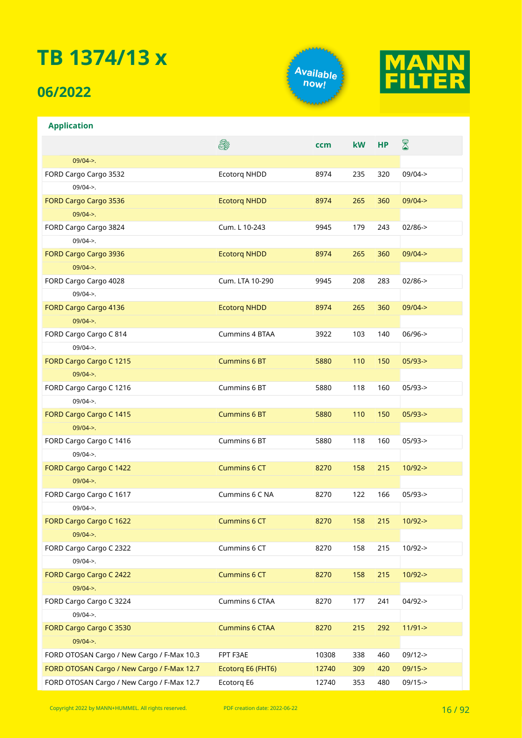### **06/2022**

**Application**



**ccm kW HP**



 $\bar{\mathbb{X}}$ 

#### **DED** 09/04->. FORD Cargo Cargo 3532 Ecotorq NHDD 8974 235 320 09/04-> 09/04->. FORD Cargo Cargo 3536 Ecotorq NHDD 8974 265 360 09/04-> 09/04->. FORD Cargo Cargo 3824 Cum. L 10-243 9945 179 243 02/86-> 09/04->. FORD Cargo Cargo 3936 Ecotorq NHDD 8974 265 360 09/04-> 09/04->. FORD Cargo Cargo 4028 Cum. LTA 10-290 9945 208 283 02/86-> 09/04->. 09/04->.

| <b>FORD Cargo Cargo 4136</b>               | <b>Ecotorg NHDD</b>   | 8974  | 265 | 360 | $09/04 - >$ |
|--------------------------------------------|-----------------------|-------|-----|-----|-------------|
| $09/04 - >$ .                              |                       |       |     |     |             |
| FORD Cargo Cargo C 814                     | Cummins 4 BTAA        | 3922  | 103 | 140 | $06/96$ ->  |
| $09/04 -$                                  |                       |       |     |     |             |
| FORD Cargo Cargo C 1215                    | <b>Cummins 6 BT</b>   | 5880  | 110 | 150 | $05/93 - >$ |
| $09/04 -$                                  |                       |       |     |     |             |
| FORD Cargo Cargo C 1216                    | Cummins 6 BT          | 5880  | 118 | 160 | $05/93 - >$ |
| $09/04$ ->.                                |                       |       |     |     |             |
| FORD Cargo Cargo C 1415                    | <b>Cummins 6 BT</b>   | 5880  | 110 | 150 | $05/93$ ->  |
| $09/04 -$                                  |                       |       |     |     |             |
| FORD Cargo Cargo C 1416                    | Cummins 6 BT          | 5880  | 118 | 160 | $05/93 - >$ |
| $09/04 -$                                  |                       |       |     |     |             |
| FORD Cargo Cargo C 1422                    | <b>Cummins 6 CT</b>   | 8270  | 158 | 215 | $10/92 - >$ |
| $09/04 - >$ .                              |                       |       |     |     |             |
| FORD Cargo Cargo C 1617                    | Cummins 6 C NA        | 8270  | 122 | 166 | $05/93 - >$ |
| $09/04 -$                                  |                       |       |     |     |             |
| FORD Cargo Cargo C 1622                    | <b>Cummins 6 CT</b>   | 8270  | 158 | 215 | $10/92 - >$ |
| $09/04 -$                                  |                       |       |     |     |             |
| FORD Cargo Cargo C 2322                    | Cummins 6 CT          | 8270  | 158 | 215 | $10/92 - >$ |
| $09/04$ ->.                                |                       |       |     |     |             |
| FORD Cargo Cargo C 2422                    | <b>Cummins 6 CT</b>   | 8270  | 158 | 215 | $10/92 - >$ |
| $09/04 -$                                  |                       |       |     |     |             |
| FORD Cargo Cargo C 3224                    | Cummins 6 CTAA        | 8270  | 177 | 241 | $04/92 -$   |
| $09/04 -$                                  |                       |       |     |     |             |
| FORD Cargo Cargo C 3530                    | <b>Cummins 6 CTAA</b> | 8270  | 215 | 292 | $11/91 - >$ |
| $09/04 -$                                  |                       |       |     |     |             |
| FORD OTOSAN Cargo / New Cargo / F-Max 10.3 | FPT F3AE              | 10308 | 338 | 460 | $09/12 - >$ |
| FORD OTOSAN Cargo / New Cargo / F-Max 12.7 | Ecotorg E6 (FHT6)     | 12740 | 309 | 420 | $09/15 -$   |

Copyright 2022 by MANN+HUMMEL. All rights reserved. PDF creation date: 2022-06-22 16 16 16 16 16 16 16 16 17 02

FORD OTOSAN Cargo / New Cargo / F-Max 12.7 Ecotorq E6 12740 353 480 09/15->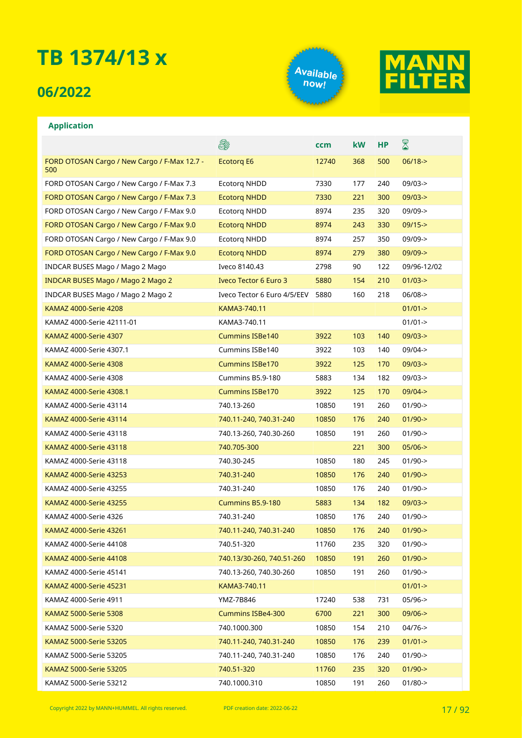### **06/2022**

**Application**





#### E. ⊠ **ccm kW HP** Ecotorq E6 12740 368 500 06/18-> FORD OTOSAN Cargo / New Cargo / F-Max 12.7 - 500 FORD OTOSAN Cargo / New Cargo / F-Max 7.3 Ecotorq NHDD 7330 177 240 09/03-> FORD OTOSAN Cargo / New Cargo / F-Max 7.3 Ecotorq NHDD 7330 221 300 09/03-> FORD OTOSAN Cargo / New Cargo / F-Max 9.0 Ecotorq NHDD 8974 235 320 09/09-> FORD OTOSAN Cargo / New Cargo / F-Max 9.0 Ecotorq NHDD 8974 243 330 09/15-> FORD OTOSAN Cargo / New Cargo / F-Max 9.0 Ecotorq NHDD 8974 257 350 09/09-> FORD OTOSAN Cargo / New Cargo / F-Max 9.0 Ecotorg NHDD 8974 279 380 09/09-> INDCAR BUSES Mago / Mago 2 Mago Iveco 8140.43 2798 90 122 09/96-12/02 INDCAR BUSES Mago / Mago 2 Mago 2 Iveco Tector 6 Euro 3 5880 154 210 01/03-> INDCAR BUSES Mago / Mago 2 Mago 2 Iveco Tector 6 Euro 4/5/EEV 5880 160 218 06/08-> KAMAZ 4000-Serie 4208 KAMA3-740.11 CHAMA3-740.11 CHAMAZ 4000-Serie 4208 KAMAZ 4000-Serie 42111-01 KAMA3-740.11 01/01-> KAMAZ 4000-Serie 4307 **Cummins ISBe140** 3922 103 140 09/03-> KAMAZ 4000-Serie 4307.1 Cummins ISBe140 3922 103 140 09/04-> KAMAZ 4000-Serie 4308 Cummins ISBe170 3922 125 170 09/03-> KAMAZ 4000-Serie 4308 Cummins B5.9-180 5883 134 182 09/03-> KAMAZ 4000-Serie 4308.1 Cummins ISBe170 3922 125 170 09/04-> KAMAZ 4000-Serie 43114 1900-> 1740.13-260 10850 10850 191 260 01/90-> KAMAZ 4000-Serie 43114 740.11-240, 740.31-240 10850 176 240 01/90-> KAMAZ 4000-Serie 43118 740.13-260, 740.30-260 10850 191 260 01/90-> KAMAZ 4000-Serie 43118 740.705-300 221 300 05/06-> KAMAZ 4000-Serie 43118 740.30-245 10850 180 245 01/90-> KAMAZ 4000-Serie 43253 740.31-240 10850 176 240 01/90-> KAMAZ 4000-Serie 43255 740.31-240 10850 176 240 01/90-> KAMAZ 4000-Serie 43255 Cummins B5.9-180 5883 134 182 09/03-> KAMAZ 4000-Serie 4326 740.31-240 10850 176 240 01/90-> KAMAZ 4000-Serie 43261 740.11-240, 740.31-240 10850 176 240 01/90-> KAMAZ 4000-Serie 44108 740.51-320 11760 235 320 01/90-> KAMAZ 4000-Serie 44108 740.13/30-260, 740.51-260 10850 191 260 01/90-> KAMAZ 4000-Serie 45141 740.13-260, 740.30-260 10850 191 260 01/90-> KAMAZ 4000-Serie 45231 KAMA3-740.11 KAMA3-740.11 CHAMAZ 4000-Serie 45231 KAMAZ 4000-Serie 4911 YMZ-7B846 17240 538 731 05/96-> KAMAZ 5000-Serie 5308 Cummins ISBe4-300 6700 221 300 09/06-> KAMAZ 5000-Serie 5320 740.1000.300 10850 154 210 04/76-> KAMAZ 5000-Serie 53205 740.11-240, 740.31-240 10850 176 239 01/01-> KAMAZ 5000-Serie 53205 740.11-240, 740.31-240 10850 176 240 01/90-> KAMAZ 5000-Serie 53205 740.51-320 11760 235 320 01/90-> KAMAZ 5000-Serie 53212 740.1000.310 10850 191 260 01/80->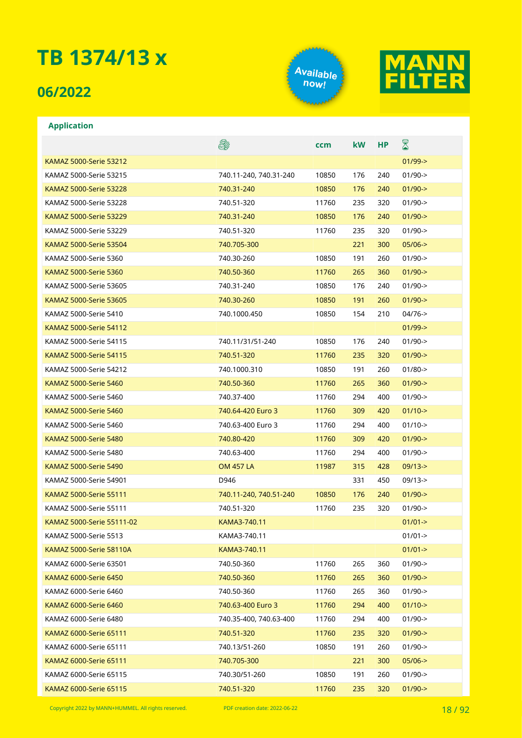### **06/2022**





#### **Application**

|                                | E\$                    | ccm   | <b>kW</b> | НP  | $\boxtimes$ |
|--------------------------------|------------------------|-------|-----------|-----|-------------|
| KAMAZ 5000-Serie 53212         |                        |       |           |     | $01/99 - >$ |
| KAMAZ 5000-Serie 53215         | 740.11-240, 740.31-240 | 10850 | 176       | 240 | $01/90 - >$ |
| <b>KAMAZ 5000-Serie 53228</b>  | 740.31-240             | 10850 | 176       | 240 | $01/90 - >$ |
| KAMAZ 5000-Serie 53228         | 740.51-320             | 11760 | 235       | 320 | $01/90 - >$ |
| <b>KAMAZ 5000-Serie 53229</b>  | 740.31-240             | 10850 | 176       | 240 | $01/90 - >$ |
| KAMAZ 5000-Serie 53229         | 740.51-320             | 11760 | 235       | 320 | $01/90 - >$ |
| <b>KAMAZ 5000-Serie 53504</b>  | 740.705-300            |       | 221       | 300 | $05/06$ ->  |
| KAMAZ 5000-Serie 5360          | 740.30-260             | 10850 | 191       | 260 | $01/90 - >$ |
| <b>KAMAZ 5000-Serie 5360</b>   | 740.50-360             | 11760 | 265       | 360 | $01/90$ ->  |
| KAMAZ 5000-Serie 53605         | 740.31-240             | 10850 | 176       | 240 | $01/90 - >$ |
| <b>KAMAZ 5000-Serie 53605</b>  | 740.30-260             | 10850 | 191       | 260 | $01/90 - >$ |
| KAMAZ 5000-Serie 5410          | 740.1000.450           | 10850 | 154       | 210 | $04/76$ ->  |
| KAMAZ 5000-Serie 54112         |                        |       |           |     | $01/99 - >$ |
| KAMAZ 5000-Serie 54115         | 740.11/31/51-240       | 10850 | 176       | 240 | $01/90 - >$ |
| <b>KAMAZ 5000-Serie 54115</b>  | 740.51-320             | 11760 | 235       | 320 | $01/90 - >$ |
| KAMAZ 5000-Serie 54212         | 740.1000.310           | 10850 | 191       | 260 | $01/80-$    |
| <b>KAMAZ 5000-Serie 5460</b>   | 740.50-360             | 11760 | 265       | 360 | $01/90 - >$ |
| KAMAZ 5000-Serie 5460          | 740.37-400             | 11760 | 294       | 400 | $01/90 - >$ |
| <b>KAMAZ 5000-Serie 5460</b>   | 740.64-420 Euro 3      | 11760 | 309       | 420 | $01/10$ ->  |
| KAMAZ 5000-Serie 5460          | 740.63-400 Euro 3      | 11760 | 294       | 400 | $01/10$ ->  |
| <b>KAMAZ 5000-Serie 5480</b>   | 740.80-420             | 11760 | 309       | 420 | $01/90 - >$ |
| KAMAZ 5000-Serie 5480          | 740.63-400             | 11760 | 294       | 400 | $01/90 - >$ |
| <b>KAMAZ 5000-Serie 5490</b>   | <b>OM 457 LA</b>       | 11987 | 315       | 428 | $09/13 - >$ |
| KAMAZ 5000-Serie 54901         | D946                   |       | 331       | 450 | $09/13 - >$ |
| <b>KAMAZ 5000-Serie 55111</b>  | 740.11-240, 740.51-240 | 10850 | 176       | 240 | $01/90 - >$ |
| KAMAZ 5000-Serie 55111         | 740.51-320             | 11760 | 235       | 320 | $01/90 - >$ |
| KAMAZ 5000-Serie 55111-02      | KAMA3-740.11           |       |           |     | $01/01 - >$ |
| KAMAZ 5000-Serie 5513          | KAMA3-740.11           |       |           |     | $01/01 - >$ |
| <b>KAMAZ 5000-Serie 58110A</b> | KAMA3-740.11           |       |           |     | $01/01 - >$ |
| KAMAZ 6000-Serie 63501         | 740.50-360             | 11760 | 265       | 360 | $01/90 - >$ |
| <b>KAMAZ 6000-Serie 6450</b>   | 740.50-360             | 11760 | 265       | 360 | $01/90 - >$ |
| KAMAZ 6000-Serie 6460          | 740.50-360             | 11760 | 265       | 360 | $01/90 - >$ |
| KAMAZ 6000-Serie 6460          | 740.63-400 Euro 3      | 11760 | 294       | 400 | $01/10$ ->  |
| KAMAZ 6000-Serie 6480          | 740.35-400, 740.63-400 | 11760 | 294       | 400 | $01/90 - >$ |
| KAMAZ 6000-Serie 65111         | 740.51-320             | 11760 | 235       | 320 | $01/90$ ->  |
| KAMAZ 6000-Serie 65111         | 740.13/51-260          | 10850 | 191       | 260 | $01/90 - >$ |
| KAMAZ 6000-Serie 65111         | 740.705-300            |       | 221       | 300 | $05/06$ ->  |
| KAMAZ 6000-Serie 65115         | 740.30/51-260          | 10850 | 191       | 260 | $01/90 - >$ |
| KAMAZ 6000-Serie 65115         | 740.51-320             | 11760 | 235       | 320 | $01/90 - >$ |

Copyright 2022 by MANN+HUMMEL. All rights reserved. PDF creation date: 2022-06-22 18 / 18 / 92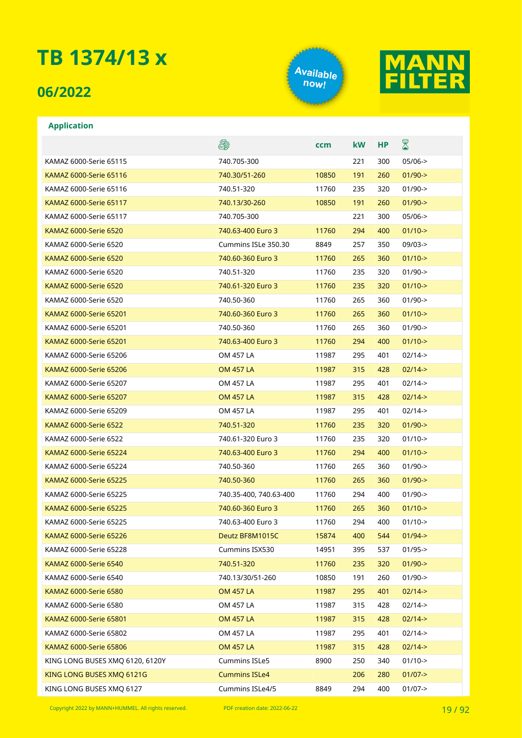### **06/2022**

**Application**





#### E. ⊠ **ccm kW HP** KAMAZ 6000-Serie 65115 740.705-300 221 300 05/06-> KAMAZ 6000-Serie 65116 740.30/51-260 10850 191 260 01/90-> KAMAZ 6000-Serie 65116 740.51-320 11760 235 320 01/90-> KAMAZ 6000-Serie 65117 740.13/30-260 10850 191 260 01/90-> KAMAZ 6000-Serie 65117 740.705-300 221 300 05/06-> KAMAZ 6000-Serie 6520 740.63-400 Euro 3 11760 294 400 01/10-> KAMAZ 6000-Serie 6520 Cummins ISLe 350.30 8849 257 350 09/03-> KAMAZ 6000-Serie 6520 740.60-360 Euro 3 11760 265 360 01/10-> KAMAZ 6000-Serie 6520 740.51-320 11760 235 320 01/90-> KAMAZ 6000-Serie 6520 740.61-320 Euro 3 11760 235 320 01/10-> KAMAZ 6000-Serie 6520 740.50-360 11760 265 360 01/90-> KAMAZ 6000-Serie 65201 740.60-360 Euro 3 11760 265 360 01/10-> KAMAZ 6000-Serie 65201 740.50-360 11760 265 360 01/90-> KAMAZ 6000-Serie 65201 740.63-400 Euro 3 11760 294 400 01/10-> KAMAZ 6000-Serie 65206 OM 457 LA 11987 295 401 02/14-> KAMAZ 6000-Serie 65206 OM 457 LA 11987 315 428 02/14-> KAMAZ 6000-Serie 65207 OM 457 LA 11987 295 401 02/14-> KAMAZ 6000-Serie 65207 OM 457 LA 11987 315 428 02/14-> KAMAZ 6000-Serie 65209 OM 457 LA 11987 295 401 02/14-> KAMAZ 6000-Serie 6522 740.51-320 11760 235 320 01/90-> KAMAZ 6000-Serie 6522 740.61-320 Euro 3 11760 235 320 01/10-> KAMAZ 6000-Serie 65224 740.63-400 Euro 3 11760 294 400 01/10-> KAMAZ 6000-Serie 65224 740.50-360 11760 265 360 01/90-> KAMAZ 6000-Serie 65225 740.50-360 11760 265 360 01/90-> KAMAZ 6000-Serie 65225 740.35-400, 740.63-400 11760 294 400 01/90-> KAMAZ 6000-Serie 65225 740.60-360 Euro 3 11760 265 360 01/10-> KAMAZ 6000-Serie 65225 740.63-400 Euro 3 11760 294 400 01/10-> KAMAZ 6000-Serie 65226 **Deutz BF8M1015C** 15874 400 544 01/94-> KAMAZ 6000-Serie 65228 Cummins ISX530 14951 395 537 01/95-> KAMAZ 6000-Serie 6540 740.51-320 11760 235 320 01/90-> KAMAZ 6000-Serie 6540 740.13/30/51-260 10850 191 260 01/90-> KAMAZ 6000-Serie 6580 OM 457 LA 11987 295 401 02/14->

Copyright 2022 by MANN+HUMMEL. All rights reserved. PDF creation date: 2022-06-22 19 19 19 19 19 19 19 19 19 1

KAMAZ 6000-Serie 6580 **OM 457 LA** 11987 315 428 02/14-> KAMAZ 6000-Serie 65801 OM 457 LA 11987 315 428 02/14-> KAMAZ 6000-Serie 65802 OM 457 LA 11987 295 401 02/14-> KAMAZ 6000-Serie 65806 **OM 457 LA** 11987 315 428 02/14-> KING LONG BUSES XMQ 6120, 6120Y Cummins ISLe5 8900 250 340 01/10-> KING LONG BUSES XMO 6121G Cummins ISLe4 206 280 01/07-> KING LONG BUSES XMQ 6127 Cummins ISLe4/5 8849 294 400 01/07->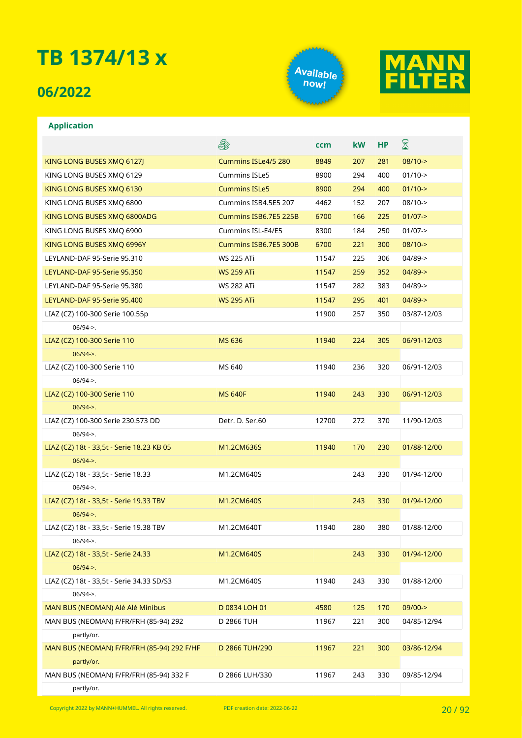### **06/2022**





#### **Application**

|                                                          | 5                     | ccm   | <b>kW</b> | <b>HP</b> | 8           |
|----------------------------------------------------------|-----------------------|-------|-----------|-----------|-------------|
| KING LONG BUSES XMQ 6127J                                | Cummins ISLe4/5 280   | 8849  | 207       | 281       | $08/10 - >$ |
| KING LONG BUSES XMQ 6129                                 | <b>Cummins ISLe5</b>  | 8900  | 294       | 400       | $01/10$ ->  |
| KING LONG BUSES XMO 6130                                 | <b>Cummins ISLe5</b>  | 8900  | 294       | 400       | $01/10$ ->  |
| KING LONG BUSES XMQ 6800                                 | Cummins ISB4.5E5 207  | 4462  | 152       | 207       | $08/10-$    |
| KING LONG BUSES XMQ 6800ADG                              | Cummins ISB6.7E5 225B | 6700  | 166       | 225       | $01/07 - >$ |
| KING LONG BUSES XMQ 6900                                 | Cummins ISL-E4/E5     | 8300  | 184       | 250       | $01/07 - >$ |
| KING LONG BUSES XMQ 6996Y                                | Cummins ISB6.7E5 300B | 6700  | 221       | 300       | $08/10-$    |
| LEYLAND-DAF 95-Serie 95.310                              | <b>WS 225 ATi</b>     | 11547 | 225       | 306       | $04/89$ ->  |
| LEYLAND-DAF 95-Serie 95.350                              | <b>WS 259 ATi</b>     | 11547 | 259       | 352       | $04/89$ ->  |
| LEYLAND-DAF 95-Serie 95.380                              | <b>WS 282 ATi</b>     | 11547 | 282       | 383       | $04/89$ ->  |
| LEYLAND-DAF 95-Serie 95.400                              | <b>WS 295 ATi</b>     | 11547 | 295       | 401       | $04/89 - >$ |
| LIAZ (CZ) 100-300 Serie 100.55p                          |                       | 11900 | 257       | 350       | 03/87-12/03 |
| $06/94 -$                                                |                       |       |           |           |             |
| LIAZ (CZ) 100-300 Serie 110                              | <b>MS 636</b>         | 11940 | 224       | 305       | 06/91-12/03 |
| $06/94 -$                                                |                       |       |           |           |             |
| LIAZ (CZ) 100-300 Serie 110                              | MS 640                | 11940 | 236       | 320       | 06/91-12/03 |
| $06/94$ ->.                                              |                       |       |           |           |             |
| LIAZ (CZ) 100-300 Serie 110                              | <b>MS 640F</b>        | 11940 | 243       | 330       | 06/91-12/03 |
| $06/94$ ->.                                              |                       |       |           |           |             |
| LIAZ (CZ) 100-300 Serie 230.573 DD                       | Detr. D. Ser.60       | 12700 | 272       | 370       | 11/90-12/03 |
| $06/94$ ->.                                              |                       |       |           |           |             |
| LIAZ (CZ) 18t - 33,5t - Serie 18.23 KB 05                | M1.2CM636S            | 11940 | 170       | 230       | 01/88-12/00 |
| $06/94 -$                                                |                       |       |           |           |             |
| LIAZ (CZ) 18t - 33,5t - Serie 18.33                      | M1.2CM640S            |       | 243       | 330       | 01/94-12/00 |
| $06/94$ ->.                                              |                       |       |           |           |             |
| LIAZ (CZ) 18t - 33,5t - Serie 19.33 TBV                  | M1.2CM640S            |       | 243       | 330       | 01/94-12/00 |
| $06/94$ ->.                                              |                       |       |           |           |             |
| LIAZ (CZ) 18t - 33,5t - Serie 19.38 TBV                  | M1.2CM640T            | 11940 | 280       | 380       | 01/88-12/00 |
| $06/94 -$                                                |                       |       |           |           |             |
| LIAZ (CZ) 18t - 33,5t - Serie 24.33                      | M1.2CM640S            |       | 243       | 330       | 01/94-12/00 |
| $06/94 -$                                                |                       |       |           |           |             |
| LIAZ (CZ) 18t - 33,5t - Serie 34.33 SD/S3                | M1.2CM640S            | 11940 | 243       | 330       | 01/88-12/00 |
| $06/94$ ->.<br>MAN BUS (NEOMAN) Alé Alé Minibus          | D 0834 LOH 01         | 4580  | 125       | 170       | 09/00->     |
|                                                          |                       |       |           |           |             |
| MAN BUS (NEOMAN) F/FR/FRH (85-94) 292                    | D 2866 TUH            | 11967 | 221       | 300       | 04/85-12/94 |
| partly/or.<br>MAN BUS (NEOMAN) F/FR/FRH (85-94) 292 F/HF | D 2866 TUH/290        | 11967 | 221       | 300       | 03/86-12/94 |
| partly/or.                                               |                       |       |           |           |             |
| MAN BUS (NEOMAN) F/FR/FRH (85-94) 332 F                  | D 2866 LUH/330        | 11967 | 243       | 330       | 09/85-12/94 |
| partly/or.                                               |                       |       |           |           |             |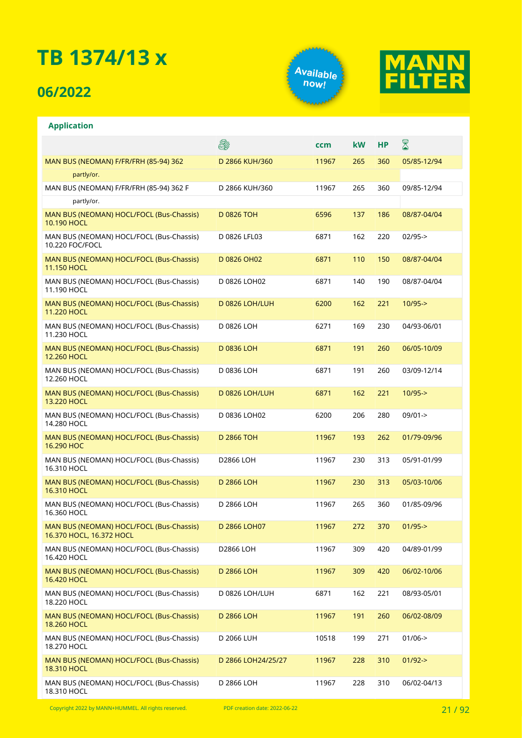### **06/2022**

**Application**





#### E. ⊠ **ccm kW HP** MAN BUS (NEOMAN) F/FR/FRH (85-94) 362 D 2866 KUH/360 11967 265 360 05/85-12/94 partly/or. MAN BUS (NEOMAN) F/FR/FRH (85-94) 362 F D 2866 KUH/360 11967 265 360 09/85-12/94 partly/or. MAN BUS (NEOMAN) HOCL/FOCL (Bus-Chassis) D 0826 TOH 6596 137 186 08/87-04/04 10.190 HOCL MAN BUS (NEOMAN) HOCL/FOCL (Bus-Chassis) D 0826 LFL03 6871 162 220 02/95-> 10.220 FOC/FOCL MAN BUS (NEOMAN) HOCL/FOCL (Bus-Chassis) D 0826 OH02 6871 110 150 08/87-04/04 11.150 HOCL MAN BUS (NEOMAN) HOCL/FOCL (Bus-Chassis) D 0826 LOH02 6871 140 190 08/87-04/04 11.190 HOCL D 0826 LOH/LUH 6200 162 221 10/95-> MAN BUS (NEOMAN) HOCL/FOCL (Bus-Chassis) 11.220 HOCL MAN BUS (NEOMAN) HOCL/FOCL (Bus-Chassis) D 0826 LOH 6271 169 230 04/93-06/01 11.230 HOCL MAN BUS (NEOMAN) HOCL/FOCL (Bus-Chassis) D 0836 LOH 6871 191 260 06/05-10/09 12.260 HOCL MAN BUS (NEOMAN) HOCL/FOCL (Bus-Chassis) D 0836 LOH 6871 191 260 03/09-12/14 12.260 HOCL MAN BUS (NEOMAN) HOCL/FOCL (Bus-Chassis) D 0826 LOH/LUH 6871 162 221 10/95-> 13.220 HOCL MAN BUS (NEOMAN) HOCL/FOCL (Bus-Chassis) D 0836 LOH02 6200 206 280 09/01-> 14.280 HOCL MAN BUS (NEOMAN) HOCL/FOCL (Bus-Chassis) D 2866 TOH 11967 193 262 01/79-09/96 16.290 HOC MAN BUS (NEOMAN) HOCL/FOCL (Bus-Chassis) D2866 LOH 11967 230 313 05/91-01/99 16.310 HOCL D 2866 LOH 11967 230 313 05/03-10/06 MAN BUS (NEOMAN) HOCL/FOCL (Bus-Chassis) 16.310 HOCL MAN BUS (NEOMAN) HOCL/FOCL (Bus-Chassis) D 2866 LOH 11967 265 360 01/85-09/96  $16.360$  HOCL MAN BUS (NEOMAN) HOCL/FOCL (Bus-Chassis) D 2866 LOH07 11967 272 370 01/95-> 16.370 HOCL, 16.372 HOCL MAN BUS (NEOMAN) HOCL/FOCL (Bus-Chassis) D2866 LOH 11967 309 420 04/89-01/99 16.420 HOCL MAN BUS (NEOMAN) HOCL/FOCL (Bus-Chassis) D 2866 LOH 11967 309 420 06/02-10/06 16.420 HOCL MAN BUS (NEOMAN) HOCL/FOCL (Bus-Chassis) D 0826 LOH/LUH 6871 162 221 08/93-05/01 18.220 HOCL MAN BUS (NEOMAN) HOCL/FOCL (Bus-Chassis) D 2866 LOH 11967 191 260 06/02-08/09 18.260 HOCL MAN BUS (NEOMAN) HOCL/FOCL (Bus-Chassis) D 2066 LUH 10518 199 271 01/06-> 18.270 HOCL MAN BUS (NEOMAN) HOCL/FOCL (Bus-Chassis) D 2866 LOH24/25/27 11967 228 310 01/92-> **18.310 HOCL** MAN BUS (NEOMAN) HOCL/FOCL (Bus-Chassis) D 2866 LOH 11967 228 310 06/02-04/13

Copyright 2022 by MANN+HUMMEL. All rights reserved. PDF creation date: 2022-06-22

18.310 HOCL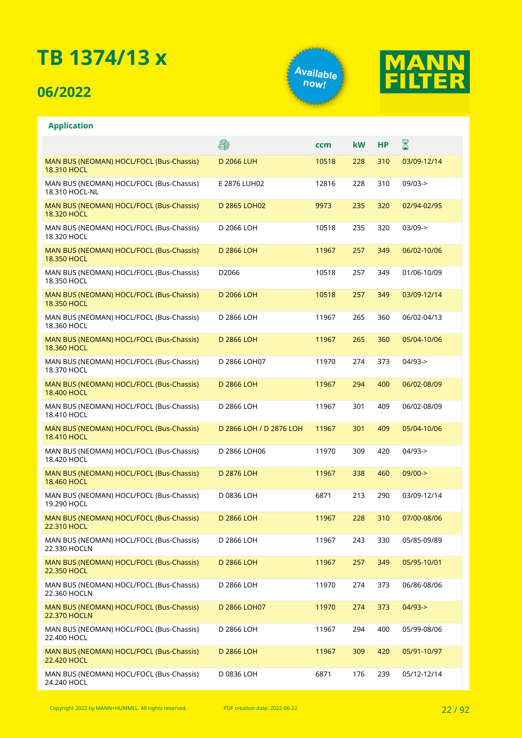### **06/2022**

**Application**





#### E. X **ccm kW HP** MAN BUS (NEOMAN) HOCL/FOCL (Bus-Chassis) D 2066 LUH 10518 228 310 03/09-12/14 18.310 HOCL MAN BUS (NEOMAN) HOCL/FOCL (Bus-Chassis) E 2876 LUH02 12816 228 310 09/03-> 18.310 HOCL-NL MAN BUS (NEOMAN) HOCL/FOCL (Bus-Chassis) D 2865 LOH02 9973 235 320 02/94-02/95 18.320 HOCL MAN BUS (NEOMAN) HOCL/FOCL (Bus-Chassis) D 2066 LOH 10518 235 320 03/09-> 18.320 HOCL MAN BUS (NEOMAN) HOCL/FOCL (Bus-Chassis) D 2866 LOH 11967 257 349 06/02-10/06 18.350 HOCL MAN BUS (NEOMAN) HOCL/FOCL (Bus-Chassis) D2066 10518 257 349 01/06-10/09 18.350 HOCL MAN BUS (NEOMAN) HOCL/FOCL (Bus-Chassis) D 2066 LOH 10518 257 349 03/09-12/14 18.350 HOCL D 2866 LOH 11967 265 360 06/02-04/13 MAN BUS (NEOMAN) HOCL/FOCL (Bus-Chassis) 18.360 HOCL MAN BUS (NEOMAN) HOCL/FOCL (Bus-Chassis) D 2866 LOH 11967 265 360 05/04-10/06 18.360 HOCL MAN BUS (NEOMAN) HOCL/FOCL (Bus-Chassis) D 2866 LOH07 11970 274 373 04/93-> 18.370 HOCL MAN BUS (NEOMAN) HOCL/FOCL (Bus-Chassis) D 2866 LOH 11967 294 400 06/02-08/09 18.400 HOCL MAN BUS (NEOMAN) HOCL/FOCL (Bus-Chassis) D 2866 LOH 11967 301 409 06/02-08/09 18.410 HOCL MAN BUS (NEOMAN) HOCL/FOCL (Bus-Chassis) D 2866 LOH / D 2876 LOH 11967 301 409 05/04-10/06 18.410 HOCL MAN BUS (NEOMAN) HOCL/FOCL (Bus-Chassis) D 2866 LOH06 11970 309 420 04/93-> 18.420 HOCL MAN BUS (NEOMAN) HOCL/FOCL (Bus-Chassis) D 2876 LOH 11967 338 460 09/00-> 18.460 HOCL MAN BUS (NEOMAN) HOCL/FOCL (Bus-Chassis) D 0836 LOH 6871 213 290 03/09-12/14 19.290 HOCL MAN BUS (NEOMAN) HOCL/FOCL (Bus-Chassis) D 2866 LOH 11967 228 310 07/00-08/06 22.310 HOCL MAN BUS (NEOMAN) HOCL/FOCL (Bus-Chassis) D 2866 LOH 11967 243 330 05/85-09/89 22.330 HOCLN MAN BUS (NEOMAN) HOCL/FOCL (Bus-Chassis) D 2866 LOH 11967 257 349 05/95-10/01 22.350 HOCL MAN BUS (NEOMAN) HOCL/FOCL (Bus-Chassis) D 2866 LOH 11970 274 373 06/86-08/06 22.360 HOCLN MAN BUS (NEOMAN) HOCL/FOCL (Bus-Chassis) D 2866 LOH07 11970 274 373 04/93-> 22.370 HOCLN MAN BUS (NEOMAN) HOCL/FOCL (Bus-Chassis) D 2866 LOH 11967 294 400 05/99-08/06 22.400 HOCL MAN BUS (NEOMAN) HOCL/FOCL (Bus-Chassis) D 2866 LOH 11967 309 420 05/91-10/97 **22.420 HOCL** MAN BUS (NEOMAN) HOCL/FOCL (Bus-Chassis) D 0836 LOH 6871 176 239 05/12-12/1424.240 HOCL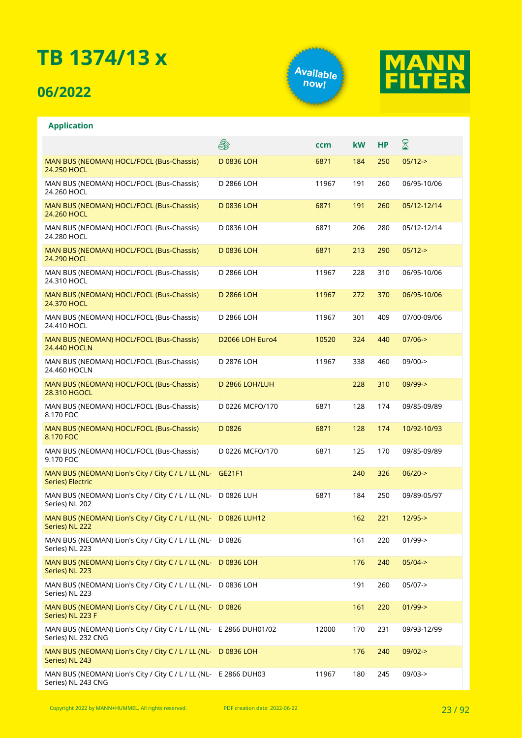### **06/2022**

**Application**





|                                                                                           | ê.              | ccm   | kW  | <b>HP</b> | $\boxtimes$ |
|-------------------------------------------------------------------------------------------|-----------------|-------|-----|-----------|-------------|
| MAN BUS (NEOMAN) HOCL/FOCL (Bus-Chassis)<br>24.250 HOCL                                   | D 0836 LOH      | 6871  | 184 | 250       | $05/12->$   |
| MAN BUS (NEOMAN) HOCL/FOCL (Bus-Chassis)<br>24.260 HOCL                                   | D 2866 LOH      | 11967 | 191 | 260       | 06/95-10/06 |
| MAN BUS (NEOMAN) HOCL/FOCL (Bus-Chassis)<br>24.260 HOCL                                   | D 0836 LOH      | 6871  | 191 | 260       | 05/12-12/14 |
| MAN BUS (NEOMAN) HOCL/FOCL (Bus-Chassis)<br>24.280 HOCL                                   | D 0836 LOH      | 6871  | 206 | 280       | 05/12-12/14 |
| MAN BUS (NEOMAN) HOCL/FOCL (Bus-Chassis)<br>24.290 HOCL                                   | D 0836 LOH      | 6871  | 213 | 290       | $05/12->$   |
| MAN BUS (NEOMAN) HOCL/FOCL (Bus-Chassis)<br>24.310 HOCL                                   | D 2866 LOH      | 11967 | 228 | 310       | 06/95-10/06 |
| MAN BUS (NEOMAN) HOCL/FOCL (Bus-Chassis)<br>24.370 HOCL                                   | D 2866 LOH      | 11967 | 272 | 370       | 06/95-10/06 |
| MAN BUS (NEOMAN) HOCL/FOCL (Bus-Chassis)<br>24.410 HOCL                                   | D 2866 LOH      | 11967 | 301 | 409       | 07/00-09/06 |
| MAN BUS (NEOMAN) HOCL/FOCL (Bus-Chassis)<br><b>24.440 HOCLN</b>                           | D2066 LOH Euro4 | 10520 | 324 | 440       | $07/06 - >$ |
| MAN BUS (NEOMAN) HOCL/FOCL (Bus-Chassis)<br>24.460 HOCLN                                  | D 2876 LOH      | 11967 | 338 | 460       | 09/00->     |
| MAN BUS (NEOMAN) HOCL/FOCL (Bus-Chassis)<br>28.310 HGOCL                                  | D 2866 LOH/LUH  |       | 228 | 310       | $09/99 - >$ |
| MAN BUS (NEOMAN) HOCL/FOCL (Bus-Chassis)<br>8.170 FOC                                     | D 0226 MCFO/170 | 6871  | 128 | 174       | 09/85-09/89 |
| MAN BUS (NEOMAN) HOCL/FOCL (Bus-Chassis)<br>8.170 FOC                                     | D 0826          | 6871  | 128 | 174       | 10/92-10/93 |
| MAN BUS (NEOMAN) HOCL/FOCL (Bus-Chassis)<br>9.170 FOC                                     | D 0226 MCFO/170 | 6871  | 125 | 170       | 09/85-09/89 |
| MAN BUS (NEOMAN) Lion's City / City C / L / LL (NL-<br><b>Series) Electric</b>            | GE21F1          |       | 240 | 326       | $06/20$ ->  |
| MAN BUS (NEOMAN) Lion's City / City C / L / LL (NL- D 0826 LUH<br>Series) NL 202          |                 | 6871  | 184 | 250       | 09/89-05/97 |
| MAN BUS (NEOMAN) Lion's City / City C / L / LL (NL- D 0826 LUH12<br>Series) NL 222        |                 |       | 162 | 221       | $12/95 - >$ |
| MAN BUS (NEOMAN) Lion's City / City C / L / LL (NL-<br>Series) NL 223                     | D 0826          |       | 161 | 220       | $01/99$ ->  |
| MAN BUS (NEOMAN) Lion's City / City C / L / LL (NL-<br>Series) NL 223                     | D 0836 LOH      |       | 176 | 240       | $05/04 - >$ |
| MAN BUS (NEOMAN) Lion's City / City C / L / LL (NL-<br>Series) NL 223                     | D 0836 LOH      |       | 191 | 260       | $05/07$ ->  |
| MAN BUS (NEOMAN) Lion's City / City C / L / LL (NL-<br>Series) NL 223 F                   | D 0826          |       | 161 | 220       | $01/99$ ->  |
| MAN BUS (NEOMAN) Lion's City / City C / L / LL (NL- E 2866 DUH01/02<br>Series) NL 232 CNG |                 | 12000 | 170 | 231       | 09/93-12/99 |
| MAN BUS (NEOMAN) Lion's City / City C / L / LL (NL- D 0836 LOH<br>Series) NL 243          |                 |       | 176 | 240       | $09/02 -$   |
| MAN BUS (NEOMAN) Lion's City / City C / L / LL (NL- E 2866 DUH03<br>Series) NL 243 CNG    |                 | 11967 | 180 | 245       | 09/03->     |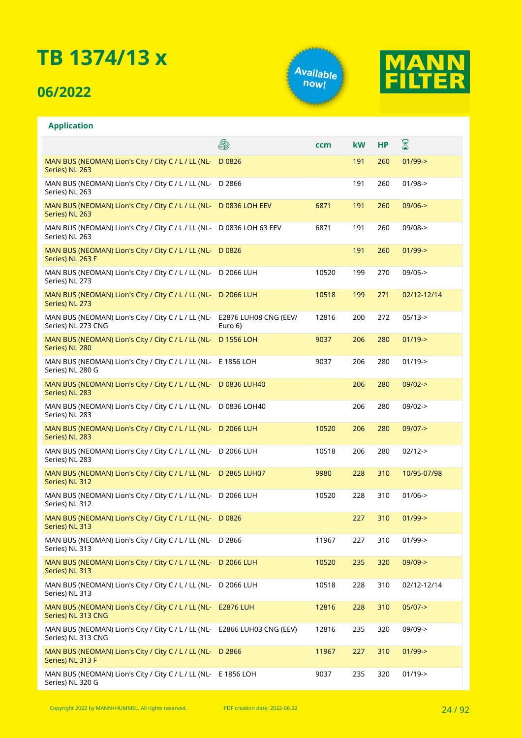### **06/2022**

**Application**





#### **A** X **ccm kW HP** MAN BUS (NEOMAN) Lion's City / City C / L / LL (NL-D 0826 191 260 01/99-> Series) NL 263 MAN BUS (NEOMAN) Lion's City / City C / L / LL (NL-D 2866 191 260 01/98-> Series) NL 263 MAN BUS (NEOMAN) Lion's City / City C / L / LL (NL-D 0836 LOH EEV 6871 191 260 09/06-> Series) NL 263 MAN BUS (NEOMAN) Lion's City / City C / L / LL (NL-D 0836 LOH 63 EEV 6871 191 260 09/08-> Series) NL 263 MAN BUS (NEOMAN) Lion's City / City C / L / LL (NL- D 0826 191 260 01/99-> Series) NL 263 F MAN BUS (NEOMAN) Lion's City / City C / L / LL (NL-D 2066 LUH 10520 199 270 09/05-> Series) NL 273 MAN BUS (NEOMAN) Lion's City / City C / L / LL (NL-D 2066 LUH 10518 199 271 02/12-12/14 Series) NL 273 12816 200 272 05/13-> MAN BUS (NEOMAN) Lion's City / City C / L / LL (NL-E2876 LUH08 CNG (EEV/ Series) NL 273 CNG Euro 6) MAN BUS (NEOMAN) Lion's City / City C / L / LL (NL-D 1556 LOH 9037 206 280 01/19-> Series) NL 280 MAN BUS (NEOMAN) Lion's City / City C / L / LL (NL-E 1856 LOH 9037 206 280 01/19-> Series) NL 280 G MAN BUS (NEOMAN) Lion's City / City C / L / LL (NL-D 0836 LUH40 206 280 09/02-> Series) NL 283 MAN BUS (NEOMAN) Lion's City / City C / L / LL (NL-D 0836 LOH40 206 280 09/02-> Series) NL 283 MAN BUS (NEOMAN) Lion's City / City C / L / LL (NL-D 2066 LUH 10520 206 280 09/07-> Series) NL 283 MAN BUS (NEOMAN) Lion's City / City C / L / LL (NL-D 2066 LUH 10518 206 280 02/12-> Series) NL 283 MAN BUS (NEOMAN) Lion's City / City C / L / LL (NL-D 2865 LUH07 9980 228 310 10/95-07/98 Series) NL 312 MAN BUS (NEOMAN) Lion's City / City C / L / LL (NL-D 2066 LUH 10520 228 310 01/06-> Series) NL 312 MAN BUS (NEOMAN) Lion's City / City C / L / LL (NL-D 0826 227 310 01/99-> Series) NL 313 MAN BUS (NEOMAN) Lion's City / City C / L / LL (NL-D 2866 11967 227 310 01/99-> Series) NL 313 MAN BUS (NEOMAN) Lion's City / City C / L / LL (NL-D 2066 LUH 10520 235 320 09/09-> Series) NL 313 MAN BUS (NEOMAN) Lion's City / City C / L / LL (NL-D 2066 LUH 10518 228 310 02/12-12/14 Series) NL 313 MAN BUS (NEOMAN) Lion's City / City C / L / LL (NL-E2876 LUH 12816 228 310 05/07-> Series) NL 313 CNG MAN BUS (NEOMAN) Lion's City / City C / L / LL (NL-E2866 LUH03 CNG (EEV) 12816 235 320 09/09-> Series) NL 313 CNG MAN BUS (NEOMAN) Lion's City / City C / L / LL (NL-D 2866 11967 227 310 01/99-> Series) NL 313 F MAN BUS (NEOMAN) Lion's City / City C / L / LL (NL-E 1856 LOH 9037 235 320 01/19->Series) NL 320 G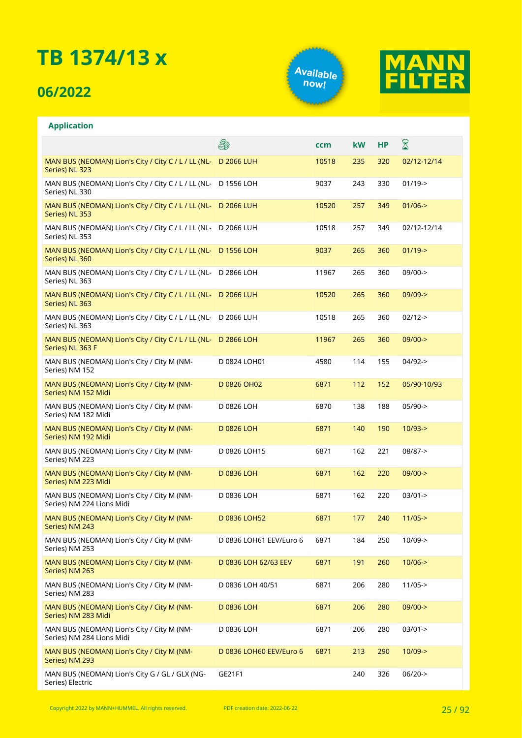### **06/2022**

**Application**





#### E. X **ccm kW HP** MAN BUS (NEOMAN) Lion's City / City C / L / LL (NL-D 2066 LUH 10518 235 320 02/12-12/14 Series) NL 323 MAN BUS (NEOMAN) Lion's City / City C / L / LL (NL-D 1556 LOH 9037 243 330 01/19-> Series) NL 330 MAN BUS (NEOMAN) Lion's City / City C / L / LL (NL-D 2066 LUH 10520 257 349 01/06-> Series) NL 353 MAN BUS (NEOMAN) Lion's City / City C / L / LL (NL-D 2066 LUH 10518 257 349 02/12-12/14 Series) NL 353 MAN BUS (NEOMAN) Lion's City / City C / L / LL (NL-D 1556 LOH 9037 265 360 01/19-> Series) NL 360 MAN BUS (NEOMAN) Lion's City / City C / L / LL (NL-D 2866 LOH 11967 265 360 09/00-> Series) NL 363 MAN BUS (NEOMAN) Lion's City / City C / L / LL (NL-D 2066 LUH 10520 265 360 09/09-> Series) NL 363 MAN BUS (NEOMAN) Lion's City / City C / L / LL (NL-D 2066 LUH 10518 265 360 02/12-> Series) NL 363 MAN BUS (NEOMAN) Lion's City / City C / L / LL (NL-D 2866 LOH 11967 265 360 09/00-> Series) NL 363 F MAN BUS (NEOMAN) Lion's City / City M (NM-D 0824 LOH01 4580 114 155 04/92-> Series) NM 152 MAN BUS (NEOMAN) Lion's City / City M (NM-D 0826 OH02 6871 112 152 05/90-10/93 Series) NM 152 Midi MAN BUS (NEOMAN) Lion's City / City M (NM-D 0826 LOH 6870 138 188 05/90-> Series) NM 182 Midi MAN BUS (NEOMAN) Lion's City / City M (NM-D 0826 LOH 6871 140 190 10/93-> Series) NM 192 Midi MAN BUS (NEOMAN) Lion's City / City M (NM-D 0826 LOH15 6871 162 221 08/87-> Series) NM 223 MAN BUS (NEOMAN) Lion's City / City M (NM-D 0836 LOH 6871 162 220 09/00-> Series) NM 223 Midi D 0836 LOH 6871 162 220 03/01-> MAN BUS (NEOMAN) Lion's City / City M (NM-Series) NM 224 Lions Midi D 0836 LOH52 6871 177 240 11/05-> MAN BUS (NEOMAN) Lion's City / City M (NM-Series) NM 243 MAN BUS (NEOMAN) Lion's City / City M (NM-D 0836 LOH61 EEV/Euro 6 6871 184 250 10/09-> Series) NM 253 MAN BUS (NEOMAN) Lion's City / City M (NM-D 0836 LOH 62/63 EEV 6871 191 260 10/06-> Series) NM 263 MAN BUS (NEOMAN) Lion's City / City M (NM-D 0836 LOH 40/51 6871 206 280 11/05-> Series) NM 283 MAN BUS (NEOMAN) Lion's City / City M (NM-D 0836 LOH 6871 206 280 09/00-> Series) NM 283 Midi MAN BUS (NEOMAN) Lion's City / City M (NM-D 0836 LOH 6871 206 280 03/01-> Series) NM 284 Lions Midi MAN BUS (NEOMAN) Lion's City / City M (NM-D 0836 LOH60 EEV/Euro 6 6871 213 290 10/09-> Series) NM 293 MAN BUS (NEOMAN) Lion's City G / GL / GLX (NG-GE21F1 240 326 06/20-> Series) Electric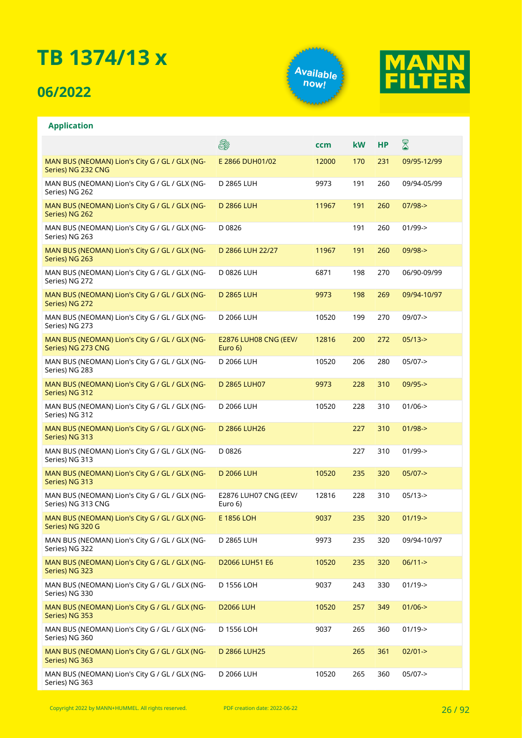### **06/2022**

**Application**





#### **A** X **ccm kW HP** MAN BUS (NEOMAN) Lion's City G / GL / GLX (NG-E 2866 DUH01/02 12000 170 231 09/95-12/99 Series) NG 232 CNG MAN BUS (NEOMAN) Lion's City G / GL / GLX (NG-D 2865 LUH 9973 191 260 09/94-05/99 Series) NG 262 D 2866 LUH 11967 191 260 07/98-> MAN BUS (NEOMAN) Lion's City G / GL / GLX (NG-Series) NG 262 MAN BUS (NEOMAN) Lion's City G / GL / GLX (NG-D 0826 191 260 01/99-> Series) NG 263 MAN BUS (NEOMAN) Lion's City G / GL / GLX (NG-D 2866 LUH 22/27 11967 191 260 09/98-> Series) NG 263 MAN BUS (NEOMAN) Lion's City G / GL / GLX (NG-D 0826 LUH 6871 198 270 06/90-09/99 Series) NG 272 MAN BUS (NEOMAN) Lion's City G / GL / GLX (NG-D 2865 LUH 9973 198 269 09/94-10/97 Series) NG 272 MAN BUS (NEOMAN) Lion's City G / GL / GLX (NG-D 2066 LUH 10520 199 270 09/07-> Series) NG 273 MAN BUS (NEOMAN) Lion's City G / GL / GLX (NG-E2876 LUH08 CNG (EEV/ 12816 200 272 05/13-> Series) NG 273 CNG Euro 6) MAN BUS (NEOMAN) Lion's City G / GL / GLX (NG-D 2066 LUH 10520 206 280 05/07-> Series) NG 283 MAN BUS (NEOMAN) Lion's City G / GL / GLX (NG-D 2865 LUH07 9973 228 310 09/95-> Series) NG 312 MAN BUS (NEOMAN) Lion's City G / GL / GLX (NG-D 2066 LUH 10520 228 310 01/06-> Series) NG 312 MAN BUS (NEOMAN) Lion's City G / GL / GLX (NG-D 2866 LUH26 227 310 01/98-> Series) NG 313 MAN BUS (NEOMAN) Lion's City G / GL / GLX (NG-D 0826 227 310 01/99-> Series) NG 313 MAN BUS (NEOMAN) Lion's City G / GL / GLX (NG-D 2066 LUH 10520 235 320 05/07-> Series) NG 313 E2876 LUH07 CNG (EEV/ MAN BUS (NEOMAN) Lion's City G / GL / GLX (NG-12816 228 310 05/13-> Series) NG 313 CNG Euro 6) E 1856 LOH 9037 235 320 01/19-> MAN BUS (NEOMAN) Lion's City G / GL / GLX (NG-Series) NG 320 G MAN BUS (NEOMAN) Lion's City G / GL / GLX (NG-D 2865 LUH 9973 235 320 09/94-10/97 Series) NG 322 MAN BUS (NEOMAN) Lion's City G / GL / GLX (NG-D2066 LUH51 E6 10520 235 320 06/11-> Series) NG 323 MAN BUS (NEOMAN) Lion's City G / GL / GLX (NG-D 1556 LOH 9037 243 330 01/19-> Series) NG 330 MAN BUS (NEOMAN) Lion's City G / GL / GLX (NG-D2066 LUH 10520 257 349 01/06-> Series) NG 353 MAN BUS (NEOMAN) Lion's City G / GL / GLX (NG-D 1556 LOH 9037 265 360 01/19-> Series) NG 360 MAN BUS (NEOMAN) Lion's City G / GL / GLX (NG-D 2866 LUH25 265 361 02/01-> Series) NG 363 MAN BUS (NEOMAN) Lion's City G / GL / GLX (NG-D 2066 LUH 10520 265 360 05/07->Series) NG 363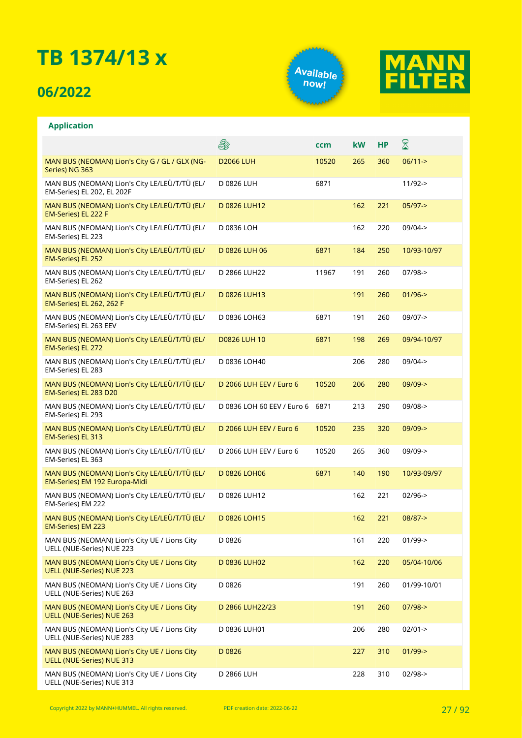### **06/2022**





| <b>Application</b>                                                             |                            |       |           |     |             |
|--------------------------------------------------------------------------------|----------------------------|-------|-----------|-----|-------------|
|                                                                                | 8                          | ccm   | <b>kW</b> | НP  | 8           |
| MAN BUS (NEOMAN) Lion's City G / GL / GLX (NG-<br>Series) NG 363               | <b>D2066 LUH</b>           | 10520 | 265       | 360 | $06/11 - >$ |
| MAN BUS (NEOMAN) Lion's City LE/LEÜ/T/TÜ (EL/<br>EM-Series) EL 202, EL 202F    | D 0826 LUH                 | 6871  |           |     | $11/92 - >$ |
| MAN BUS (NEOMAN) Lion's City LE/LEÜ/T/TÜ (EL/<br>EM-Series) EL 222 F           | D 0826 LUH12               |       | 162       | 221 | $05/97$ ->  |
| MAN BUS (NEOMAN) Lion's City LE/LEÜ/T/TÜ (EL/<br>EM-Series) EL 223             | D 0836 LOH                 |       | 162       | 220 | $09/04 - >$ |
| MAN BUS (NEOMAN) Lion's City LE/LEÜ/T/TÜ (EL/<br>EM-Series) EL 252             | D 0826 LUH 06              | 6871  | 184       | 250 | 10/93-10/97 |
| MAN BUS (NEOMAN) Lion's City LE/LEÜ/T/TÜ (EL/<br>EM-Series) EL 262             | D 2866 LUH22               | 11967 | 191       | 260 | $07/98 - >$ |
| MAN BUS (NEOMAN) Lion's City LE/LEÜ/T/TÜ (EL/<br>EM-Series) EL 262, 262 F      | D 0826 LUH13               |       | 191       | 260 | $01/96$ ->  |
| MAN BUS (NEOMAN) Lion's City LE/LEÜ/T/TÜ (EL/<br>EM-Series) EL 263 EEV         | D 0836 LOH63               | 6871  | 191       | 260 | $09/07 - >$ |
| MAN BUS (NEOMAN) Lion's City LE/LEÜ/T/TÜ (EL/<br>EM-Series) EL 272             | <b>D0826 LUH 10</b>        | 6871  | 198       | 269 | 09/94-10/97 |
| MAN BUS (NEOMAN) Lion's City LE/LEÜ/T/TÜ (EL/<br>EM-Series) EL 283             | D 0836 LOH40               |       | 206       | 280 | $09/04 -$   |
| MAN BUS (NEOMAN) Lion's City LE/LEÜ/T/TÜ (EL/<br>EM-Series) EL 283 D20         | D 2066 LUH EEV / Euro 6    | 10520 | 206       | 280 | $09/09 - >$ |
| MAN BUS (NEOMAN) Lion's City LE/LEÜ/T/TÜ (EL/<br>EM-Series) EL 293             | D 0836 LOH 60 EEV / Euro 6 | 6871  | 213       | 290 | 09/08->     |
| MAN BUS (NEOMAN) Lion's City LE/LEÜ/T/TÜ (EL/<br>EM-Series) EL 313             | D 2066 LUH EEV / Euro 6    | 10520 | 235       | 320 | $09/09 - >$ |
| MAN BUS (NEOMAN) Lion's City LE/LEÜ/T/TÜ (EL/<br>EM-Series) EL 363             | D 2066 LUH EEV / Euro 6    | 10520 | 265       | 360 | $09/09$ ->  |
| MAN BUS (NEOMAN) Lion's City LE/LEÜ/T/TÜ (EL/<br>EM-Series) EM 192 Europa-Midi | D 0826 LOH06               | 6871  | 140       | 190 | 10/93-09/97 |
| MAN BUS (NEOMAN) Lion's City LE/LEÜ/T/TÜ (EL/<br>EM-Series) EM 222             | D 0826 LUH12               |       | 162       | 221 | $02/96 - >$ |
| MAN BUS (NEOMAN) Lion's City LE/LEÜ/T/TÜ (EL/<br>EM-Series) EM 223             | D 0826 LOH15               |       | 162       | 221 | $08/87 - >$ |
| MAN BUS (NEOMAN) Lion's City UE / Lions City<br>UELL (NUE-Series) NUE 223      | D 0826                     |       | 161       | 220 | $01/99$ ->  |
| MAN BUS (NEOMAN) Lion's City UE / Lions City<br>UELL (NUE-Series) NUE 223      | D 0836 LUH02               |       | 162       | 220 | 05/04-10/06 |
| MAN BUS (NEOMAN) Lion's City UE / Lions City<br>UELL (NUE-Series) NUE 263      | D 0826                     |       | 191       | 260 | 01/99-10/01 |
| MAN BUS (NEOMAN) Lion's City UE / Lions City<br>UELL (NUE-Series) NUE 263      | D 2866 LUH22/23            |       | 191       | 260 | $07/98 - >$ |
| MAN BUS (NEOMAN) Lion's City UE / Lions City<br>UELL (NUE-Series) NUE 283      | D 0836 LUH01               |       | 206       | 280 | $02/01 - >$ |
| MAN BUS (NEOMAN) Lion's City UE / Lions City<br>UELL (NUE-Series) NUE 313      | D0826                      |       | 227       | 310 | $01/99$ ->  |
| MAN BUS (NEOMAN) Lion's City UE / Lions City<br>UELL (NUE-Series) NUE 313      | D 2866 LUH                 |       | 228       | 310 | $02/98 - >$ |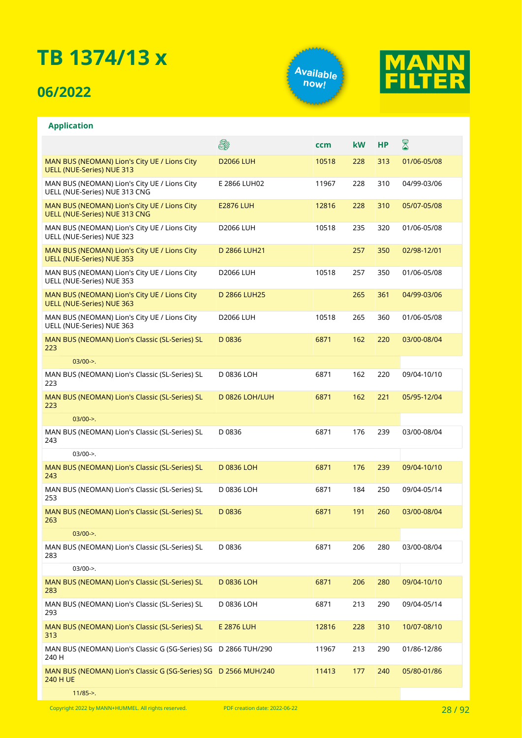### **06/2022**





| <b>Application</b>                                                               |                   |       |           |           |             |
|----------------------------------------------------------------------------------|-------------------|-------|-----------|-----------|-------------|
|                                                                                  | 8                 | ccm   | <b>kW</b> | <b>HP</b> | 8           |
| MAN BUS (NEOMAN) Lion's City UE / Lions City<br><b>UELL (NUE-Series) NUE 313</b> | <b>D2066 LUH</b>  | 10518 | 228       | 313       | 01/06-05/08 |
| MAN BUS (NEOMAN) Lion's City UE / Lions City<br>UELL (NUE-Series) NUE 313 CNG    | E 2866 LUH02      | 11967 | 228       | 310       | 04/99-03/06 |
| MAN BUS (NEOMAN) Lion's City UE / Lions City<br>UELL (NUE-Series) NUE 313 CNG    | <b>E2876 LUH</b>  | 12816 | 228       | 310       | 05/07-05/08 |
| MAN BUS (NEOMAN) Lion's City UE / Lions City<br>UELL (NUE-Series) NUE 323        | <b>D2066 LUH</b>  | 10518 | 235       | 320       | 01/06-05/08 |
| MAN BUS (NEOMAN) Lion's City UE / Lions City<br><b>UELL (NUE-Series) NUE 353</b> | D 2866 LUH21      |       | 257       | 350       | 02/98-12/01 |
| MAN BUS (NEOMAN) Lion's City UE / Lions City<br>UELL (NUE-Series) NUE 353        | <b>D2066 LUH</b>  | 10518 | 257       | 350       | 01/06-05/08 |
| MAN BUS (NEOMAN) Lion's City UE / Lions City<br><b>UELL (NUE-Series) NUE 363</b> | D 2866 LUH25      |       | 265       | 361       | 04/99-03/06 |
| MAN BUS (NEOMAN) Lion's City UE / Lions City<br>UELL (NUE-Series) NUE 363        | <b>D2066 LUH</b>  | 10518 | 265       | 360       | 01/06-05/08 |
| MAN BUS (NEOMAN) Lion's Classic (SL-Series) SL<br>223                            | D0836             | 6871  | 162       | 220       | 03/00-08/04 |
| $03/00-$                                                                         |                   |       |           |           |             |
| MAN BUS (NEOMAN) Lion's Classic (SL-Series) SL<br>223                            | D 0836 LOH        | 6871  | 162       | 220       | 09/04-10/10 |
| MAN BUS (NEOMAN) Lion's Classic (SL-Series) SL<br>223                            | D 0826 LOH/LUH    | 6871  | 162       | 221       | 05/95-12/04 |
| $03/00-$                                                                         |                   |       |           |           |             |
| MAN BUS (NEOMAN) Lion's Classic (SL-Series) SL<br>243                            | D0836             | 6871  | 176       | 239       | 03/00-08/04 |
| $03/00-$                                                                         |                   |       |           |           |             |
| MAN BUS (NEOMAN) Lion's Classic (SL-Series) SL<br>243                            | D 0836 LOH        | 6871  | 176       | 239       | 09/04-10/10 |
| MAN BUS (NEOMAN) Lion's Classic (SL-Series) SL<br>253                            | D 0836 LOH        | 6871  | 184       | 250       | 09/04-05/14 |
| MAN BUS (NEOMAN) Lion's Classic (SL-Series) SL<br>263                            | D0836             | 6871  | 191       | 260       | 03/00-08/04 |
| $03/00-$                                                                         |                   |       |           |           |             |
| MAN BUS (NEOMAN) Lion's Classic (SL-Series) SL<br>283                            | D 0836            | 6871  | 206       | 280       | 03/00-08/04 |
| $03/00-$                                                                         |                   |       |           |           |             |
| MAN BUS (NEOMAN) Lion's Classic (SL-Series) SL<br>283                            | D 0836 LOH        | 6871  | 206       | 280       | 09/04-10/10 |
| MAN BUS (NEOMAN) Lion's Classic (SL-Series) SL<br>293                            | D 0836 LOH        | 6871  | 213       | 290       | 09/04-05/14 |
| MAN BUS (NEOMAN) Lion's Classic (SL-Series) SL                                   | <b>E 2876 LUH</b> | 12816 | 228       | 310       | 10/07-08/10 |
| 313                                                                              |                   |       |           |           |             |
| MAN BUS (NEOMAN) Lion's Classic G (SG-Series) SG D 2866 TUH/290<br>240 H         |                   | 11967 | 213       | 290       | 01/86-12/86 |

11/85->.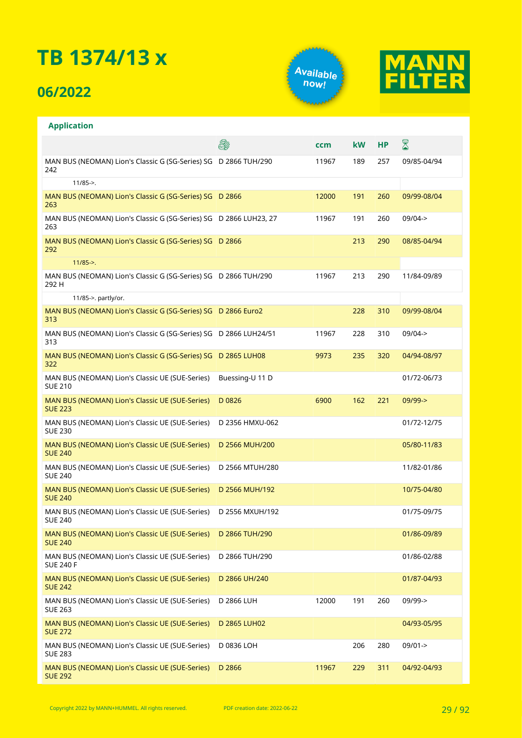### **06/2022**





#### **Application**

|                                                                                  | E.              | ccm   | <b>kW</b> | <b>HP</b> | ${\color{red} \mathbb{Z}}$ |
|----------------------------------------------------------------------------------|-----------------|-------|-----------|-----------|----------------------------|
| MAN BUS (NEOMAN) Lion's Classic G (SG-Series) SG D 2866 TUH/290<br>242           |                 | 11967 | 189       | 257       | 09/85-04/94                |
| $11/85 -$                                                                        |                 |       |           |           |                            |
| MAN BUS (NEOMAN) Lion's Classic G (SG-Series) SG D 2866<br>263                   |                 | 12000 | 191       | 260       | 09/99-08/04                |
| MAN BUS (NEOMAN) Lion's Classic G (SG-Series) SG D 2866 LUH23, 27<br>263         |                 | 11967 | 191       | 260       | $09/04 - >$                |
| MAN BUS (NEOMAN) Lion's Classic G (SG-Series) SG D 2866<br>292                   |                 |       | 213       | 290       | 08/85-04/94                |
| $11/85 - >$ .                                                                    |                 |       |           |           |                            |
| MAN BUS (NEOMAN) Lion's Classic G (SG-Series) SG D 2866 TUH/290<br>292 H         |                 | 11967 | 213       | 290       | 11/84-09/89                |
| 11/85->. partly/or.                                                              |                 |       |           |           |                            |
| MAN BUS (NEOMAN) Lion's Classic G (SG-Series) SG D 2866 Euro2<br>313             |                 |       | 228       | 310       | 09/99-08/04                |
| MAN BUS (NEOMAN) Lion's Classic G (SG-Series) SG D 2866 LUH24/51<br>313          |                 | 11967 | 228       | 310       | $09/04 - >$                |
| MAN BUS (NEOMAN) Lion's Classic G (SG-Series) SG D 2865 LUH08<br>322             |                 | 9973  | 235       | 320       | 04/94-08/97                |
| MAN BUS (NEOMAN) Lion's Classic UE (SUE-Series)<br><b>SUE 210</b>                | Buessing-U 11 D |       |           |           | 01/72-06/73                |
| MAN BUS (NEOMAN) Lion's Classic UE (SUE-Series)<br><b>SUE 223</b>                | D 0826          | 6900  | 162       | 221       | $09/99 - >$                |
| MAN BUS (NEOMAN) Lion's Classic UE (SUE-Series)<br><b>SUE 230</b>                | D 2356 HMXU-062 |       |           |           | 01/72-12/75                |
| MAN BUS (NEOMAN) Lion's Classic UE (SUE-Series)<br><b>SUE 240</b>                | D 2566 MUH/200  |       |           |           | 05/80-11/83                |
| MAN BUS (NEOMAN) Lion's Classic UE (SUE-Series)<br><b>SUE 240</b>                | D 2566 MTUH/280 |       |           |           | 11/82-01/86                |
| MAN BUS (NEOMAN) Lion's Classic UE (SUE-Series)<br><b>SUE 240</b>                | D 2566 MUH/192  |       |           |           | 10/75-04/80                |
| MAN BUS (NEOMAN) Lion's Classic UE (SUE-Series)<br><b>SUE 240</b>                | D 2556 MXUH/192 |       |           |           | 01/75-09/75                |
| MAN BUS (NEOMAN) Lion's Classic UE (SUE-Series) D 2866 TUH/290<br><b>SUE 240</b> |                 |       |           |           | 01/86-09/89                |
| MAN BUS (NEOMAN) Lion's Classic UE (SUE-Series)<br><b>SUE 240 F</b>              | D 2866 TUH/290  |       |           |           | 01/86-02/88                |
| MAN BUS (NEOMAN) Lion's Classic UE (SUE-Series)<br><b>SUE 242</b>                | D 2866 UH/240   |       |           |           | 01/87-04/93                |
| MAN BUS (NEOMAN) Lion's Classic UE (SUE-Series)<br><b>SUE 263</b>                | D 2866 LUH      | 12000 | 191       | 260       | 09/99->                    |
| MAN BUS (NEOMAN) Lion's Classic UE (SUE-Series)<br><b>SUE 272</b>                | D 2865 LUH02    |       |           |           | 04/93-05/95                |
| MAN BUS (NEOMAN) Lion's Classic UE (SUE-Series)<br><b>SUE 283</b>                | D 0836 LOH      |       | 206       | 280       | 09/01->                    |
| MAN BUS (NEOMAN) Lion's Classic UE (SUE-Series)<br><b>SUE 292</b>                | D 2866          | 11967 | 229       | 311       | 04/92-04/93                |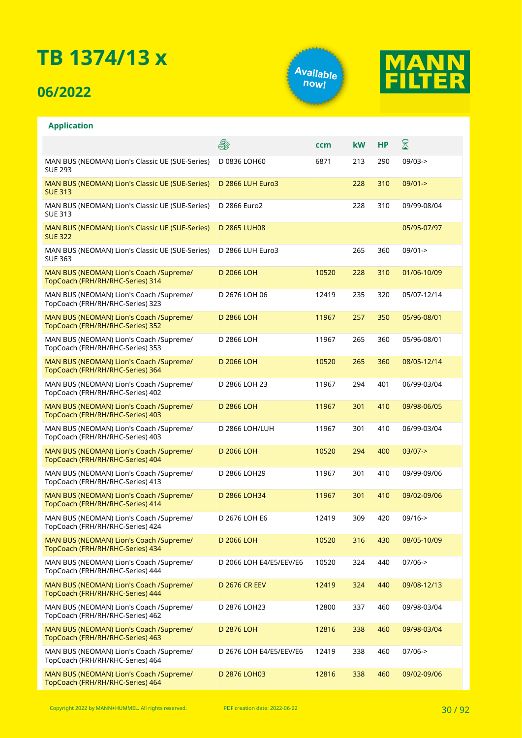### **06/2022**

**Application**





#### **A** X **ccm kW HP** MAN BUS (NEOMAN) Lion's Classic UE (SUE-Series) D 0836 LOH60 6871 213 290 09/03-> SUE 293 MAN BUS (NEOMAN) Lion's Classic UE (SUE-Series) D 2866 LUH Euro3 228 310 09/01-> SUE 313 MAN BUS (NEOMAN) Lion's Classic UE (SUE-Series) D 2866 Euro2 228 310 09/99-08/04 SUE 313 MAN BUS (NEOMAN) Lion's Classic UE (SUE-Series) D 2865 LUH08 05/95-07/97 SUE 322 MAN BUS (NEOMAN) Lion's Classic UE (SUE-Series) D 2866 LUH Euro3 265 360 09/01-> SUE 363 MAN BUS (NEOMAN) Lion's Coach /Supreme/ D 2066 LOH 10520 228 310 01/06-10/09 TopCoach (FRH/RH/RHC-Series) 314 MAN BUS (NEOMAN) Lion's Coach /Supreme/ D 2676 LOH 06 12419 235 320 05/07-12/14 TopCoach (FRH/RH/RHC-Series) 323 MAN BUS (NEOMAN) Lion's Coach /Supreme/ D 2866 LOH 11967 257 350 05/96-08/01 TopCoach (FRH/RH/RHC-Series) 352 MAN BUS (NEOMAN) Lion's Coach /Supreme/ D 2866 LOH 11967 265 360 05/96-08/01 TopCoach (FRH/RH/RHC-Series) 353 MAN BUS (NEOMAN) Lion's Coach /Supreme/ D 2066 LOH 10520 265 360 08/05-12/14 TopCoach (FRH/RH/RHC-Series) 364 MAN BUS (NEOMAN) Lion's Coach /Supreme/ D 2866 LOH 23 11967 294 401 06/99-03/04 TopCoach (FRH/RH/RHC-Series) 402 MAN BUS (NEOMAN) Lion's Coach /Supreme/ D 2866 LOH 11967 301 410 09/98-06/05 TopCoach (FRH/RH/RHC-Series) 403 MAN BUS (NEOMAN) Lion's Coach /Supreme/ D 2866 LOH/LUH 11967 301 410 06/99-03/04 TopCoach (FRH/RH/RHC-Series) 403 MAN BUS (NEOMAN) Lion's Coach /Supreme/ D 2066 LOH 10520 294 400 03/07-> TopCoach (FRH/RH/RHC-Series) 404 MAN BUS (NEOMAN) Lion's Coach /Supreme/ D 2866 LOH29 11967 301 410 09/99-09/06 TopCoach (FRH/RH/RHC-Series) 413 D 2866 LOH34 11967 301 410 09/02-09/06 MAN BUS (NEOMAN) Lion's Coach /Supreme/ TopCoach (FRH/RH/RHC-Series) 414 D 2676 LOH E6 12419 309 420 09/16-> MAN BUS (NEOMAN) Lion's Coach /Supreme/ TopCoach (FRH/RH/RHC-Series) 424 D 2066 LOH 10520 316 430 08/05-10/09 MAN BUS (NEOMAN) Lion's Coach /Supreme/ TopCoach (FRH/RH/RHC-Series) 434 MAN BUS (NEOMAN) Lion's Coach /Supreme/ D 2066 LOH E4/E5/EEV/E6 10520 324 440 07/06-> TopCoach (FRH/RH/RHC-Series) 444 MAN BUS (NEOMAN) Lion's Coach /Supreme/ D 2676 CR EEV 12419 324 440 09/08-12/13 TopCoach (FRH/RH/RHC-Series) 444 MAN BUS (NEOMAN) Lion's Coach /Supreme/ D 2876 LOH23 12800 337 460 09/98-03/04 TopCoach (FRH/RH/RHC-Series) 462 MAN BUS (NEOMAN) Lion's Coach /Supreme/ D 2876 LOH 12816 338 460 09/98-03/04 TopCoach (FRH/RH/RHC-Series) 463 MAN BUS (NEOMAN) Lion's Coach /Supreme/ D 2676 LOH E4/E5/EEV/E6 12419 338 460 07/06-> TopCoach (FRH/RH/RHC-Series) 464 MAN BUS (NEOMAN) Lion's Coach /Supreme/ D 2876 LOH03 12816 338 460 09/02-09/06TopCoach (FRH/RH/RHC-Series) 464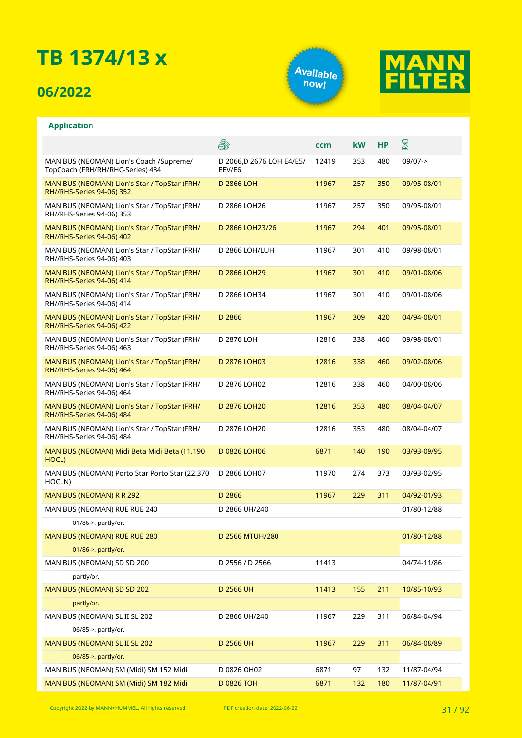### **06/2022**

**Application**





#### E. X **ccm kW HP** MAN BUS (NEOMAN) Lion's Coach /Supreme/ D 2066,D 2676 LOH E4/E5/ 12419 353 480 09/07-> TopCoach (FRH/RH/RHC-Series) 484 EEV/E6 D 2866 LOH 11967 257 350 09/95-08/01 MAN BUS (NEOMAN) Lion's Star / TopStar (FRH/ RH//RHS-Series 94-06) 352 MAN BUS (NEOMAN) Lion's Star / TopStar (FRH/ D 2866 LOH26 11967 257 350 09/95-08/01 RH//RHS-Series 94-06) 353 MAN BUS (NEOMAN) Lion's Star / TopStar (FRH/ D 2866 LOH23/26 11967 294 401 09/95-08/01 RH//RHS-Series 94-06) 402 MAN BUS (NEOMAN) Lion's Star / TopStar (FRH/ D 2866 LOH/LUH 11967 301 410 09/98-08/01 RH//RHS-Series 94-06) 403 MAN BUS (NEOMAN) Lion's Star / TopStar (FRH/ D 2866 LOH29 11967 301 410 09/01-08/06 RH//RHS-Series 94-06) 414 MAN BUS (NEOMAN) Lion's Star / TopStar (FRH/ D 2866 LOH34 11967 301 410 09/01-08/06 RH//RHS-Series 94-06) 414 MAN BUS (NEOMAN) Lion's Star / TopStar (FRH/ D 2866 11967 309 420 04/94-08/01 RH//RHS-Series 94-06) 422 MAN BUS (NEOMAN) Lion's Star / TopStar (FRH/ D 2876 LOH 12816 338 460 09/98-08/01 RH//RHS-Series 94-06) 463 MAN BUS (NEOMAN) Lion's Star / TopStar (FRH/ D 2876 LOH03 12816 338 460 09/02-08/06 RH//RHS-Series 94-06) 464 MAN BUS (NEOMAN) Lion's Star / TopStar (FRH/ D 2876 LOH02 12816 338 460 04/00-08/06 RH//RHS-Series 94-06) 464 MAN BUS (NEOMAN) Lion's Star / TopStar (FRH/ D 2876 LOH20 12816 353 480 08/04-04/07 RH//RHS-Series 94-06) 484 MAN BUS (NEOMAN) Lion's Star / TopStar (FRH/ D 2876 LOH20 12816 353 480 08/04-04/07 RH//RHS-Series 94-06) 484 MAN BUS (NEOMAN) Midi Beta Midi Beta (11.190 D 0826 LOH06 6871 140 190 03/93-09/95 HOCL) MAN BUS (NEOMAN) Porto Star Porto Star (22.370 D 2866 LOH07 11970 274 373 03/93-02/95 HOCLN) MAN BUS (NEOMAN) R R 292 **D 2866** D 2866 211967 229 311 04/92-01/93 MAN BUS (NEOMAN) RUE RUE 240 D 2866 UH/240 D 2866 UH/240 01/86->. partly/or. MAN BUS (NEOMAN) RUE RUE 280 D 2566 MTUH/280 D 2566 MTUH/280 01/86->. partly/or. MAN BUS (NEOMAN) SD SD 200 D 2556 / D 2566 11413 04/74-11/86 partly/or. MAN BUS (NEOMAN) SD SD 202 D 2566 UH 11413 155 211 10/85-10/93 partly/or. MAN BUS (NEOMAN) SL II SL 202 D 2866 UH/240 11967 229 311 06/84-04/94 06/85->. partly/or. MAN BUS (NEOMAN) SL II SL 202 D 2566 UH 11967 229 311 06/84-08/89 06/85->. partly/or. MAN BUS (NEOMAN) SM (Midi) SM 152 Midi D 0826 OH02 6871 97 132 11/87-04/94 MAN BUS (NEOMAN) SM (Midi) SM 182 Midi D 0826 TOH 6871 132 180 11/87-04/91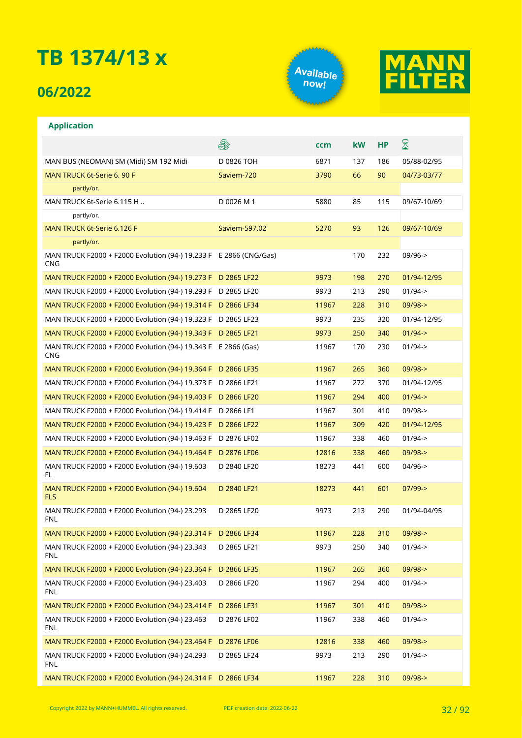### **06/2022**

**Application**





#### **A** ⊠ **ccm kW HP** MAN BUS (NEOMAN) SM (Midi) SM 192 Midi D 0826 TOH 6871 137 186 05/88-02/95 MAN TRUCK 6t-Serie 6. 90 F Saviem-720 5aviem-720 3790 66 90 04/73-03/77 partly/or. MAN TRUCK 6t-Serie 6.115 H .. b 0026 M 1 5880 85 115 09/67-10/69 partly/or. MAN TRUCK 6t-Serie 6.126 F Saviem-597.02 5270 93 126 09/67-10/69 partly/or. MAN TRUCK F2000 + F2000 Evolution (94-) 19.233 F E 2866 (CNG/Gas) 170 232 09/96-> CNG MAN TRUCK F2000 + F2000 Evolution (94-) 19.273 F D 2865 LF22 9973 198 270 01/94-12/95 MAN TRUCK F2000 + F2000 Evolution (94-) 19.293 F D 2865 LF20 9973 213 290 01/94-> MAN TRUCK F2000 + F2000 Evolution (94-) 19.314 F D 2866 LF34 11967 228 310 09/98-> MAN TRUCK F2000 + F2000 Evolution (94-) 19.323 F D 2865 LF23 9973 235 320 01/94-12/95 MAN TRUCK F2000 + F2000 Evolution (94-) 19.343 F D 2865 LF21 9973 2973 250 340 01/94-> MAN TRUCK F2000 + F2000 Evolution (94-) 19.343 F E 2866 (Gas) 11967 170 230 01/94-> CNG MAN TRUCK F2000 + F2000 Evolution (94-) 19.364 F D 2866 LF35 11967 265 360 09/98-> MAN TRUCK F2000 + F2000 Evolution (94-) 19.373 F D 2866 LF21 11967 272 370 01/94-12/95 MAN TRUCK F2000 + F2000 Evolution (94-) 19.403 F D 2866 LF20 11967 294 400 01/94-> MAN TRUCK F2000 + F2000 Evolution (94-) 19.414 F D 2866 LF1 11967 301 410 09/98-> MAN TRUCK F2000 + F2000 Evolution (94-) 19.423 F D 2866 LF22 11967 309 420 01/94-12/95 MAN TRUCK F2000 + F2000 Evolution (94-) 19.463 F D 2876 LF02 11967 338 460 01/94-> MAN TRUCK F2000 + F2000 Evolution (94-) 19.464 F D 2876 LF06 12816 328 460 09/98-> MAN TRUCK F2000 + F2000 Evolution (94-) 19.603 D 2840 LF20 18273 441 600 04/96-> FL MAN TRUCK F2000 + F2000 Evolution (94-) 19.604 D 2840 LF21 18273 441 601 07/99-> FLS MAN TRUCK F2000 + F2000 Evolution (94-) 23.293 D 2865 LF20 9973 213 290 01/94-04/95 FNL MAN TRUCK F2000 + F2000 Evolution (94-) 23.314 F D 2866 LF34 11967 228 310 09/98-> D 2865 LF21 9973 250 340 01/94-> MAN TRUCK F2000 + F2000 Evolution (94-) 23.343 FNL MAN TRUCK F2000 + F2000 Evolution (94-) 23.364 F D 2866 LF35 11967 11967 265 360 09/98-> MAN TRUCK F2000 + F2000 Evolution (94-) 23.403 D 2866 LF20 11967 294 400 01/94-> FNL MAN TRUCK F2000 + F2000 Evolution (94-) 23.414 F D 2866 LF31 11967 301 410 09/98-> MAN TRUCK F2000 + F2000 Evolution (94-) 23.463 D 2876 LF02 11967 338 460 01/94-> FNL MAN TRUCK F2000 + F2000 Evolution (94-) 23.464 F D 2876 LF06 12816 328 460 09/98-> MAN TRUCK F2000 + F2000 Evolution (94-) 24.293 D 2865 LF24 9973 213 290 01/94-> FNL MAN TRUCK F2000 + F2000 Evolution (94-) 24.314 F D 2866 LF34 11967 228 310 09/98->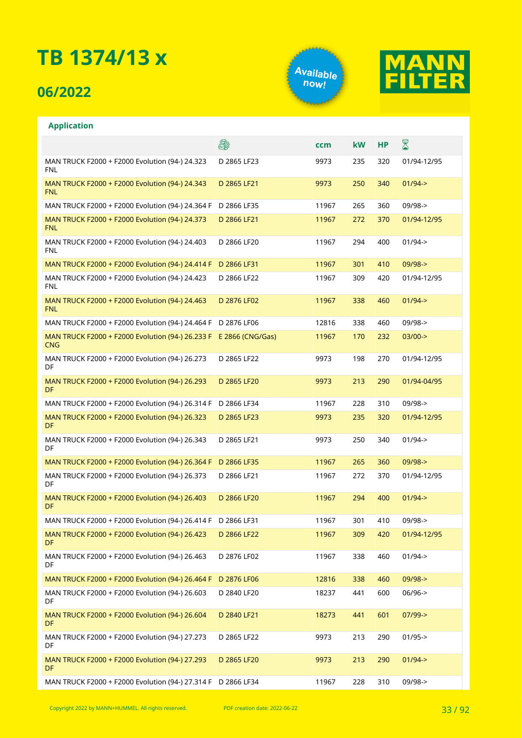### **06/2022**

**Application**





#### **A** X **ccm kW HP** D 2865 LF23 9973 235 320 01/94-12/95 MAN TRUCK F2000 + F2000 Evolution (94-) 24.323 FNL MAN TRUCK F2000 + F2000 Evolution (94-) 24.343 D 2865 LF21 9973 250 340 01/94-> FNL MAN TRUCK F2000 + F2000 Evolution (94-) 24.364 F D 2866 LF35 11967 265 360 09/98-> MAN TRUCK F2000 + F2000 Evolution (94-) 24.373 D 2866 LF21 11967 272 370 01/94-12/95 FNL MAN TRUCK F2000 + F2000 Evolution (94-) 24.403 D 2866 LF20 11967 294 400 01/94-> FNL MAN TRUCK F2000 + F2000 Evolution (94-) 24.414 F D 2866 LF31 11967 301 410 09/98-> MAN TRUCK F2000 + F2000 Evolution (94-) 24.423 D 2866 LF22 11967 309 420 01/94-12/95 FNL D 2876 LF02 11967 338 460 01/94-> MAN TRUCK F2000 + F2000 Evolution (94-) 24.463 FNL MAN TRUCK F2000 + F2000 Evolution (94-) 24.464 F D 2876 LF06 12816 338 460 09/98-> MAN TRUCK F2000 + F2000 Evolution (94-) 26.233 F E 2866 (CNG/Gas) 11967 170 232 03/00-> CNG MAN TRUCK F2000 + F2000 Evolution (94-) 26.273 D 2865 LF22 9973 198 270 01/94-12/95 DF MAN TRUCK F2000 + F2000 Evolution (94-) 26.293 D 2865 LF20 9973 213 290 01/94-04/95 DF MAN TRUCK F2000 + F2000 Evolution (94-) 26.314 F D 2866 LF34 11967 228 310 09/98-> D 2865 LF23 9973 235 320 01/94-12/95 MAN TRUCK F2000 + F2000 Evolution (94-) 26.323 DF MAN TRUCK F2000 + F2000 Evolution (94-) 26.343 D 2865 LF21 9973 250 340 01/94-> DF MAN TRUCK F2000 + F2000 Evolution (94-) 26.364 F D 2866 LF35 11967 11967 265 360 09/98-> MAN TRUCK F2000 + F2000 Evolution (94-) 26.373 D 2866 LF21 11967 272 370 01/94-12/95 DF MAN TRUCK F2000 + F2000 Evolution (94-) 26.403 D 2866 LF20 11967 294 400 01/94-> DF MAN TRUCK F2000 + F2000 Evolution (94-) 26.414 F D 2866 LF31 11967 301 410 09/98-> MAN TRUCK F2000 + F2000 Evolution (94-) 26.423 D 2866 LF22 11967 309 420 01/94-12/95 DF MAN TRUCK F2000 + F2000 Evolution (94-) 26.463 D 2876 LF02 11967 338 460 01/94-> DF MAN TRUCK F2000 + F2000 Evolution (94-) 26.464 F D 2876 LF06 12816 328 460 09/98-> MAN TRUCK F2000 + F2000 Evolution (94-) 26.603 D 2840 LF20 18237 441 600 06/96-> DF MAN TRUCK F2000 + F2000 Evolution (94-) 26.604 D 2840 LF21 18273 441 601 07/99-> DF MAN TRUCK F2000 + F2000 Evolution (94-) 27.273 D 2865 LF22 9973 213 290 01/95-> DF MAN TRUCK F2000 + F2000 Evolution (94-) 27.293 D 2865 LF20 9973 213 290 01/94-> DF MAN TRUCK F2000 + F2000 Evolution (94-) 27.314 F D 2866 LF34 11967 228 310 09/98->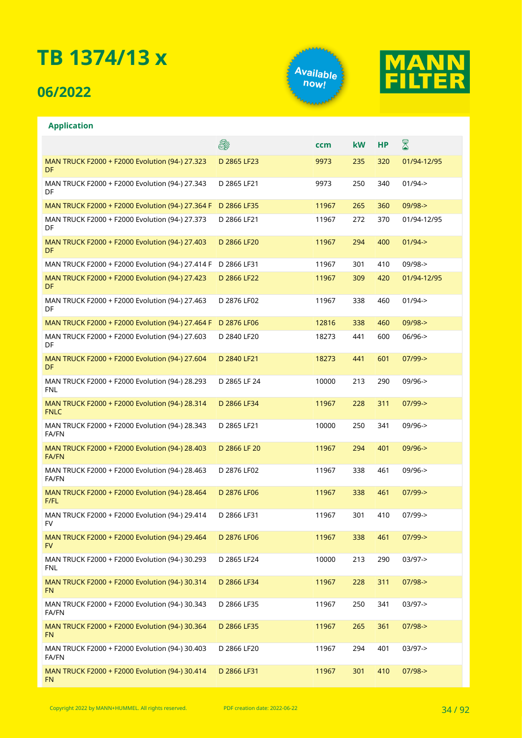### **06/2022**

**Application**





#### **A** ⊠ **ccm kW HP** MAN TRUCK F2000 + F2000 Evolution (94-) 27.323 D 2865 LF23 9973 235 320 01/94-12/95 DF D 2865 LF21 9973 250 340 01/94-> MAN TRUCK F2000 + F2000 Evolution (94-) 27.343 DF MAN TRUCK F2000 + F2000 Evolution (94-) 27.364 F D 2866 LF35 11967 265 360 09/98-> MAN TRUCK F2000 + F2000 Evolution (94-) 27.373 D 2866 LF21 11967 272 370 01/94-12/95 DF MAN TRUCK F2000 + F2000 Evolution (94-) 27.403 D 2866 LF20 11967 294 400 01/94-> DF MAN TRUCK F2000 + F2000 Evolution (94-) 27.414 F D 2866 LF31 11967 301 410 09/98-> MAN TRUCK F2000 + F2000 Evolution (94-) 27.423 D 2866 LF22 11967 309 420 01/94-12/95 DF MAN TRUCK F2000 + F2000 Evolution (94-) 27.463 D 2876 LF02 11967 338 460 01/94-> DF MAN TRUCK F2000 + F2000 Evolution (94-) 27.464 F D 2876 LF06 12816 338 460 09/98-> MAN TRUCK F2000 + F2000 Evolution (94-) 27.603 D 2840 LF20 18273 441 600 06/96-> DF MAN TRUCK F2000 + F2000 Evolution (94-) 27.604 D 2840 LF21 18273 441 601 07/99-> DF MAN TRUCK F2000 + F2000 Evolution (94-) 28.293 D 2865 LF 24 10000 213 290 09/96-> FNL MAN TRUCK F2000 + F2000 Evolution (94-) 28.314 D 2866 LF34 11967 228 311 07/99-> FNLC MAN TRUCK F2000 + F2000 Evolution (94-) 28.343 D 2865 LF21 10000 250 341 09/96-> FA/FN MAN TRUCK F2000 + F2000 Evolution (94-) 28.403 D 2866 LF 20 11967 294 401 09/96-> FA/FN MAN TRUCK F2000 + F2000 Evolution (94-) 28.463 D 2876 LF02 11967 338 461 09/96-> FA/FN MAN TRUCK F2000 + F2000 Evolution (94-) 28.464 D 2876 LF06 11967 338 461 07/99-> F/FL D 2866 LF31 11967 301 410 07/99-> MAN TRUCK F2000 + F2000 Evolution (94-) 29.414 FV MAN TRUCK F2000 + F2000 Evolution (94-) 29.464 D 2876 LF06 11967 338 461 07/99-> FV MAN TRUCK F2000 + F2000 Evolution (94-) 30.293 D 2865 LF24 10000 213 290 03/97-> FNL MAN TRUCK F2000 + F2000 Evolution (94-) 30.314 D 2866 LF34 11967 228 311 07/98-> FN MAN TRUCK F2000 + F2000 Evolution (94-) 30.343 D 2866 LF35 11967 250 341 03/97-> FA/FN MAN TRUCK F2000 + F2000 Evolution (94-) 30.364 D 2866 LF35 11967 265 361 07/98-> FN MAN TRUCK F2000 + F2000 Evolution (94-) 30.403 D 2866 LF20 11967 294 401 03/97-> FA/FN MAN TRUCK F2000 + F2000 Evolution (94-) 30.414 D 2866 LF31 11967 301 410 07/98->FN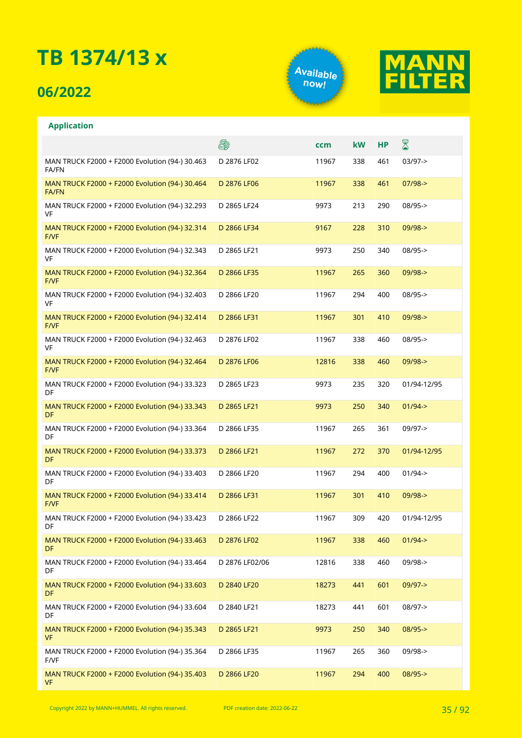### **06/2022**

**Application**





#### **A** ⊠ **ccm kW HP** D 2876 LF02 11967 338 461 03/97-> MAN TRUCK F2000 + F2000 Evolution (94-) 30.463 FA/FN MAN TRUCK F2000 + F2000 Evolution (94-) 30.464 D 2876 LF06 11967 338 461 07/98-> FA/FN MAN TRUCK F2000 + F2000 Evolution (94-) 32.293 D 2865 LF24 9973 213 290 08/95-> VF MAN TRUCK F2000 + F2000 Evolution (94-) 32.314 D 2866 LF34 9167 228 310 09/98-> F/VF MAN TRUCK F2000 + F2000 Evolution (94-) 32.343 D 2865 LF21 9973 250 340 08/95-> VF MAN TRUCK F2000 + F2000 Evolution (94-) 32.364 D 2866 LF35 11967 265 360 09/98-> F/VF MAN TRUCK F2000 + F2000 Evolution (94-) 32.403 D 2866 LF20 11967 294 400 08/95-> VF MAN TRUCK F2000 + F2000 Evolution (94-) 32.414 D 2866 LF31 11967 301 410 09/98-> F/VF MAN TRUCK F2000 + F2000 Evolution (94-) 32.463 D 2876 LF02 11967 338 460 08/95-> VF MAN TRUCK F2000 + F2000 Evolution (94-) 32.464 D 2876 LF06 12816 338 460 09/98-> F/VF MAN TRUCK F2000 + F2000 Evolution (94-) 33.323 D 2865 LF23 9973 235 320 01/94-12/95 DF MAN TRUCK F2000 + F2000 Evolution (94-) 33.343 D 2865 LF21 9973 250 340 01/94-> DF D 2866 LF35 11967 265 361 09/97-> MAN TRUCK F2000 + F2000 Evolution (94-) 33.364 DF MAN TRUCK F2000 + F2000 Evolution (94-) 33.373 D 2866 LF21 11967 272 370 01/94-12/95 DF MAN TRUCK F2000 + F2000 Evolution (94-) 33.403 D 2866 LF20 11967 294 400 01/94-> DF D 2866 LF31 11967 301 410 09/98-> MAN TRUCK F2000 + F2000 Evolution (94-) 33.414 F/VF MAN TRUCK F2000 + F2000 Evolution (94-) 33.423 D 2866 LF22 11967 309 420 01/94-12/95 DF D 2876 LF02 11967 338 460 01/94-> MAN TRUCK F2000 + F2000 Evolution (94-) 33.463 DF MAN TRUCK F2000 + F2000 Evolution (94-) 33.464 D 2876 LF02/06 12816 338 460 09/98-> DF MAN TRUCK F2000 + F2000 Evolution (94-) 33.603 D 2840 LF20 18273 441 601 09/97-> DF MAN TRUCK F2000 + F2000 Evolution (94-) 33.604 D 2840 LF21 18273 441 601 08/97-> DF MAN TRUCK F2000 + F2000 Evolution (94-) 35.343 D 2865 LF21 9973 250 340 08/95-> VF MAN TRUCK F2000 + F2000 Evolution (94-) 35.364 D 2866 LF35 11967 265 360 09/98-> F/VF MAN TRUCK F2000 + F2000 Evolution (94-) 35.403 D 2866 LF20 11967 294 400 08/95->VF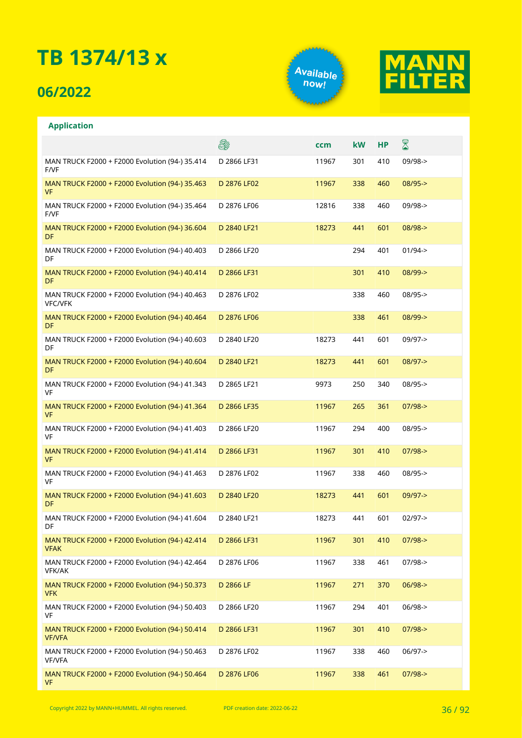### **06/2022**

**Application**





#### **A** ⊠ **ccm kW HP** MAN TRUCK F2000 + F2000 Evolution (94-) 35.414 D 2866 LF31 11967 301 410 09/98-> F/VF MAN TRUCK F2000 + F2000 Evolution (94-) 35.463 D 2876 LF02 11967 338 460 08/95-> VF MAN TRUCK F2000 + F2000 Evolution (94-) 35.464 D 2876 LF06 12816 338 460 09/98-> F/VF MAN TRUCK F2000 + F2000 Evolution (94-) 36.604 D 2840 LF21 18273 441 601 08/98-> DF MAN TRUCK F2000 + F2000 Evolution (94-) 40.403 D 2866 LF20 294 401 01/94-> DF MAN TRUCK F2000 + F2000 Evolution (94-) 40.414 D 2866 LF31 301 410 08/99-> DF MAN TRUCK F2000 + F2000 Evolution (94-) 40.463 D 2876 LF02 338 460 08/95-> VFC/VFK MAN TRUCK F2000 + F2000 Evolution (94-) 40.464 D 2876 LF06 338 461 08/99-> DF MAN TRUCK F2000 + F2000 Evolution (94-) 40.603 D 2840 LF20 18273 441 601 09/97-> DF MAN TRUCK F2000 + F2000 Evolution (94-) 40.604 D 2840 LF21 18273 441 601 08/97-> DF MAN TRUCK F2000 + F2000 Evolution (94-) 41.343 D 2865 LF21 9973 250 340 08/95-> VF MAN TRUCK F2000 + F2000 Evolution (94-) 41.364 D 2866 LF35 11967 265 361 07/98-> VF D 2866 LF20 11967 294 400 08/95-> MAN TRUCK F2000 + F2000 Evolution (94-) 41.403 VF MAN TRUCK F2000 + F2000 Evolution (94-) 41.414 D 2866 LF31 11967 301 410 07/98-> VF MAN TRUCK F2000 + F2000 Evolution (94-) 41.463 D 2876 LF02 11967 338 460 08/95-> VF MAN TRUCK F2000 + F2000 Evolution (94-) 41.603 D 2840 LF20 18273 441 601 09/97-> DF MAN TRUCK F2000 + F2000 Evolution (94-) 41.604 D 2840 LF21 18273 441 601 02/97-> DF MAN TRUCK F2000 + F2000 Evolution (94-) 42.414 D 2866 LF31 11967 301 410 07/98-> VFAK MAN TRUCK F2000 + F2000 Evolution (94-) 42.464 D 2876 LF06 11967 338 461 07/98-> VFK/AK MAN TRUCK F2000 + F2000 Evolution (94-) 50.373 D 2866 LF 11967 271 370 06/98-> VFK MAN TRUCK F2000 + F2000 Evolution (94-) 50.403 D 2866 LF20 11967 294 401 06/98-> VF MAN TRUCK F2000 + F2000 Evolution (94-) 50.414 D 2866 LF31 11967 301 410 07/98-> VF/VFA MAN TRUCK F2000 + F2000 Evolution (94-) 50.463 D 2876 LF02 11967 338 460 06/97-> VF/VFA MAN TRUCK F2000 + F2000 Evolution (94-) 50.464 D 2876 LF06 11967 338 461 07/98->VF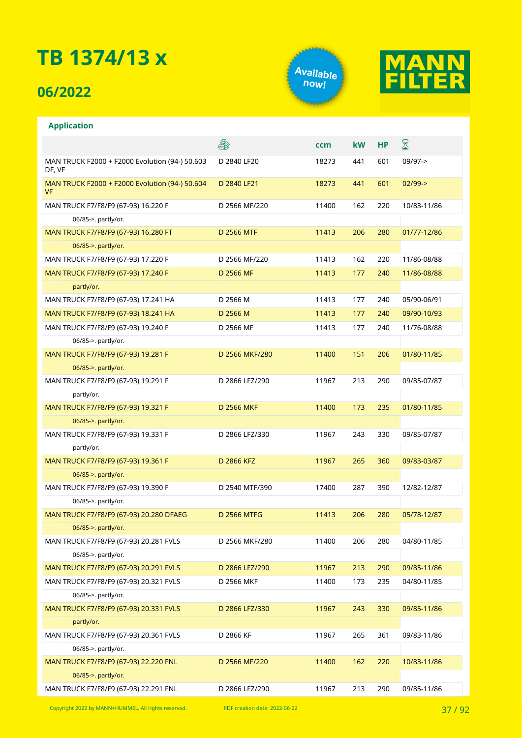## **06/2022**

**Application**





### **A** ⊠ **ccm kW HP** MAN TRUCK F2000 + F2000 Evolution (94-) 50.603 D 2840 LF20 18273 441 601 09/97-> DF, VF MAN TRUCK F2000 + F2000 Evolution (94-) 50.604 D 2840 LF21 18273 441 601 02/99-> VF MAN TRUCK F7/F8/F9 (67-93) 16.220 F D 2566 MF/220 11400 162 220 10/83-11/86 06/85->. partly/or. MAN TRUCK F7/F8/F9 (67-93) 16.280 FT D 2566 MTF 11413 206 280 01/77-12/86 06/85->. partly/or. MAN TRUCK F7/F8/F9 (67-93) 17.220 F D 2566 MF/220 11413 162 220 11/86-08/88 MAN TRUCK F7/F8/F9 (67-93) 17.240 F D 2566 MF 11413 177 240 11/86-08/88 partly/or. MAN TRUCK F7/F8/F9 (67-93) 17.241 HA D 2566 M 11413 177 240 05/90-06/91 MAN TRUCK F7/F8/F9 (67-93) 18.241 HA D 2566 M 11413 177 240 09/90-10/93 MAN TRUCK F7/F8/F9 (67-93) 19.240 F D 2566 MF 11413 177 240 11/76-08/88 06/85->. partly/or. MAN TRUCK F7/F8/F9 (67-93) 19.281 F D 2566 MKF/280 11400 151 206 01/80-11/85 06/85->. partly/or. MAN TRUCK F7/F8/F9 (67-93) 19.291 F D 2866 LFZ/290 11967 213 290 09/85-07/87 partly/or. MAN TRUCK F7/F8/F9 (67-93) 19.321 F D 2566 MKF 11400 173 235 01/80-11/85 06/85->. partly/or. MAN TRUCK F7/F8/F9 (67-93) 19.331 F D 2866 LFZ/330 11967 243 330 09/85-07/87 partly/or. MAN TRUCK F7/F8/F9 (67-93) 19.361 F D 2866 KFZ 11967 265 360 09/83-03/87 06/85->. partly/or. MAN TRUCK F7/F8/F9 (67-93) 19.390 F D 2540 MTF/390 17400 287 390 12/82-12/87 06/85->. partly/or. MAN TRUCK F7/F8/F9 (67-93) 20.280 DFAEG D 2566 MTFG 11413 206 280 05/78-12/87 06/85->. partly/or. MAN TRUCK F7/F8/F9 (67-93) 20.281 FVLS D 2566 MKF/280 11400 206 280 04/80-11/85 06/85->. partly/or. MAN TRUCK F7/F8/F9 (67-93) 20.291 FVLS D 2866 LFZ/290 11967 213 290 09/85-11/86 MAN TRUCK F7/F8/F9 (67-93) 20.321 FVLS D 2566 MKF 11400 173 235 04/80-11/85 06/85->. partly/or. MAN TRUCK F7/F8/F9 (67-93) 20.331 FVLS D 2866 LFZ/330 11967 243 330 09/85-11/86 partly/or. MAN TRUCK F7/F8/F9 (67-93) 20.361 FVLS D 2866 KF 11967 265 361 09/83-11/86 06/85->. partly/or. MAN TRUCK F7/F8/F9 (67-93) 22.220 FNL D 2566 MF/220 11400 162 220 10/83-11/86 06/85->. partly/or. MAN TRUCK F7/F8/F9 (67-93) 22.291 FNL D 2866 LFZ/290 11967 213 290 09/85-11/86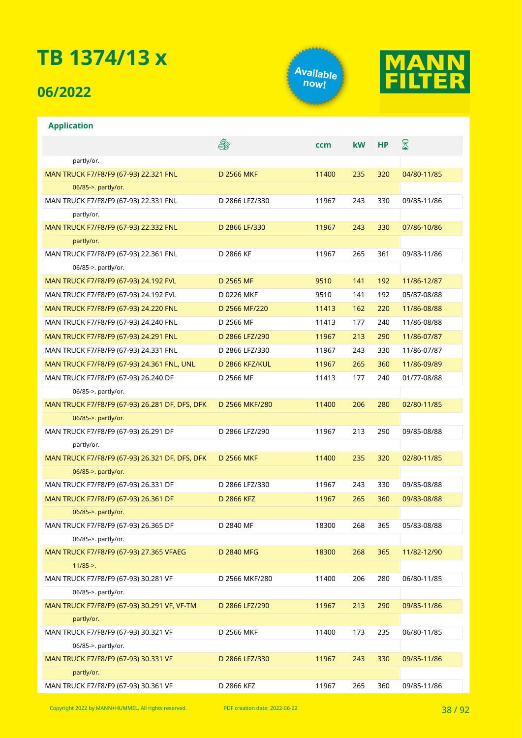## **06/2022**

**Application**



**ccm kW HP**



8

## 5 partly/or. MAN TRUCK F7/F8/F9 (67-93) 22.321 FNL D 2566 MKF 11400 235 320 04/80-11/85 06/85->. partly/or. MAN TRUCK F7/F8/F9 (67-93) 22.331 FNL D 2866 LFZ/330 11967 243 330 09/85-11/86 partly/or. MAN TRUCK F7/F8/F0 (67-02) 22.332 FNL D 2866 LE/230 11967 243 230 07/86-10/86 partly/or. 06/85->. partly/or.

| MAN TRUCK F77F87F9 (07-93) ZZ.33Z FNL          | D 2800 LF/330     | 1190/ | 243 | 33U | 07/80-10/80 |
|------------------------------------------------|-------------------|-------|-----|-----|-------------|
| partly/or.                                     |                   |       |     |     |             |
| MAN TRUCK F7/F8/F9 (67-93) 22.361 FNL          | D 2866 KF         | 11967 | 265 | 361 | 09/83-11/86 |
| 06/85->. partly/or.                            |                   |       |     |     |             |
| MAN TRUCK F7/F8/F9 (67-93) 24.192 FVL          | D 2565 MF         | 9510  | 141 | 192 | 11/86-12/87 |
| MAN TRUCK F7/F8/F9 (67-93) 24.192 FVL          | D 0226 MKF        | 9510  | 141 | 192 | 05/87-08/88 |
| MAN TRUCK F7/F8/F9 (67-93) 24.220 FNL          | D 2566 MF/220     | 11413 | 162 | 220 | 11/86-08/88 |
| MAN TRUCK F7/F8/F9 (67-93) 24.240 FNL          | D 2566 MF         | 11413 | 177 | 240 | 11/86-08/88 |
| MAN TRUCK F7/F8/F9 (67-93) 24.291 FNL          | D 2866 LFZ/290    | 11967 | 213 | 290 | 11/86-07/87 |
| MAN TRUCK F7/F8/F9 (67-93) 24.331 FNL          | D 2866 LFZ/330    | 11967 | 243 | 330 | 11/86-07/87 |
| MAN TRUCK F7/F8/F9 (67-93) 24.361 FNL, UNL     | D 2866 KFZ/KUL    | 11967 | 265 | 360 | 11/86-09/89 |
| MAN TRUCK F7/F8/F9 (67-93) 26.240 DF           | D 2566 MF         | 11413 | 177 | 240 | 01/77-08/88 |
| 06/85->. partly/or.                            |                   |       |     |     |             |
| MAN TRUCK F7/F8/F9 (67-93) 26.281 DF, DFS, DFK | D 2566 MKF/280    | 11400 | 206 | 280 | 02/80-11/85 |
| 06/85->. partly/or.                            |                   |       |     |     |             |
| MAN TRUCK F7/F8/F9 (67-93) 26.291 DF           | D 2866 LFZ/290    | 11967 | 213 | 290 | 09/85-08/88 |
| partly/or.                                     |                   |       |     |     |             |
| MAN TRUCK F7/F8/F9 (67-93) 26.321 DF, DFS, DFK | <b>D 2566 MKF</b> | 11400 | 235 | 320 | 02/80-11/85 |
| 06/85->. partly/or.                            |                   |       |     |     |             |
| MAN TRUCK F7/F8/F9 (67-93) 26.331 DF           | D 2866 LFZ/330    | 11967 | 243 | 330 | 09/85-08/88 |
| MAN TRUCK F7/F8/F9 (67-93) 26.361 DF           | D 2866 KFZ        | 11967 | 265 | 360 | 09/83-08/88 |
| 06/85->. partly/or.                            |                   |       |     |     |             |
| MAN TRUCK F7/F8/F9 (67-93) 26.365 DF           | D 2840 MF         | 18300 | 268 | 365 | 05/83-08/88 |
| 06/85->. partly/or.                            |                   |       |     |     |             |
| MAN TRUCK F7/F8/F9 (67-93) 27.365 VFAEG        | D 2840 MFG        | 18300 | 268 | 365 | 11/82-12/90 |
| $11/85 - >$ .                                  |                   |       |     |     |             |
| MAN TRUCK F7/F8/F9 (67-93) 30.281 VF           | D 2566 MKF/280    | 11400 | 206 | 280 | 06/80-11/85 |
| 06/85->. partly/or.                            |                   |       |     |     |             |
| MAN TRUCK F7/F8/F9 (67-93) 30.291 VF, VF-TM    | D 2866 LFZ/290    | 11967 | 213 | 290 | 09/85-11/86 |
| partly/or.                                     |                   |       |     |     |             |
| MAN TRUCK F7/F8/F9 (67-93) 30.321 VF           | D 2566 MKF        | 11400 | 173 | 235 | 06/80-11/85 |
| 06/85->. partly/or.                            |                   |       |     |     |             |
| MAN TRUCK F7/F8/F9 (67-93) 30.331 VF           | D 2866 LFZ/330    | 11967 | 243 | 330 | 09/85-11/86 |
| partly/or.                                     |                   |       |     |     |             |
| MAN TRUCK F7/F8/F9 (67-93) 30.361 VF           | D 2866 KFZ        | 11967 | 265 | 360 | 09/85-11/86 |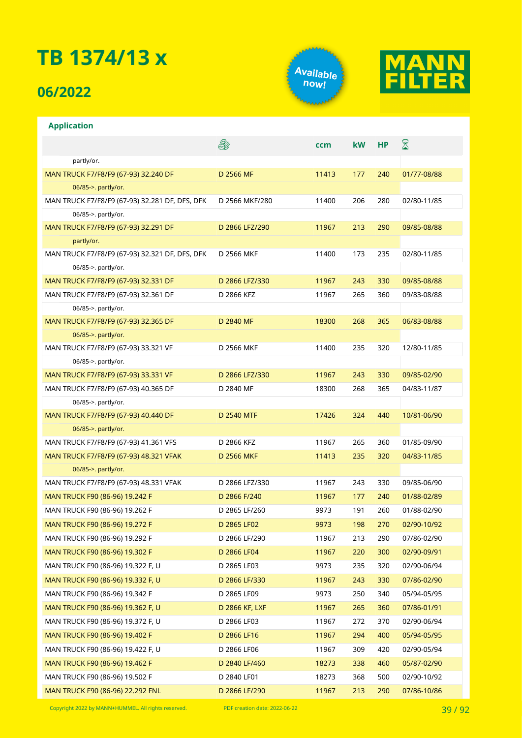## **06/2022**

**Application**





### **A** ⊠ **ccm kW HP** partly/or. MAN TRUCK F7/F8/F9 (67-93) 32.240 DF D 2566 MF 11413 177 240 01/77-08/88 06/85->. partly/or. MAN TRUCK F7/F8/F9 (67-93) 32.281 DF, DFS, DFK D 2566 MKF/280 11400 206 280 02/80-11/85 06/85->. partly/or. MAN TRUCK F7/F8/F9 (67-93) 32.291 DF D 2866 LFZ/290 11967 213 290 09/85-08/88 partly/or. MAN TRUCK F7/F8/F9 (67-93) 32.321 DF, DFS, DFK D 2566 MKF 11400 173 235 02/80-11/85 06/85->. partly/or. MAN TRUCK F7/F8/F9 (67-93) 32.331 DF D 2866 LFZ/330 11967 243 330 09/85-08/88 MAN TRUCK F7/F8/F9 (67-93) 32.361 DF D 2866 KFZ 11967 265 360 09/83-08/88 06/85->. partly/or. MAN TRUCK F7/F8/F9 (67-93) 32.365 DF D 2840 MF 18300 268 365 06/83-08/88 06/85->. partly/or. MAN TRUCK F7/F8/F9 (67-93) 33.321 VF D 2566 MKF 11400 235 320 12/80-11/85 06/85->. partly/or. MAN TRUCK F7/F8/F9 (67-93) 33.331 VF D 2866 LFZ/330 11967 243 330 09/85-02/90 MAN TRUCK F7/F8/F9 (67-93) 40.365 DF D 2840 MF 18300 268 365 04/83-11/87 06/85->. partly/or. MAN TRUCK F7/F8/F9 (67-93) 40.440 DF D 2540 MTF 17426 324 440 10/81-06/90 06/85->. partly/or. MAN TRUCK F7/F8/F9 (67-93) 41.361 VFS D 2866 KFZ 11967 265 360 01/85-09/90 MAN TRUCK F7/F8/F9 (67-93) 48.321 VFAK D 2566 MKF 11413 235 320 04/83-11/85 06/85->. partly/or. MAN TRUCK F7/F8/F9 (67-93) 48.331 VFAK D 2866 LFZ/330 11967 243 330 09/85-06/90 MAN TRUCK F90 (86-96) 19.242 F D 2866 F/240 11967 177 240 01/88-02/89 MAN TRUCK F90 (86-96) 19.262 F D 2865 LF/260 9973 191 260 01/88-02/90 MAN TRUCK F90 (86-96) 19.272 F D 2865 LF02 9973 198 270 02/90-10/92 MAN TRUCK F90 (86-96) 19.292 F D 2866 LF/290 11967 213 290 07/86-02/90 MAN TRUCK F90 (86-96) 19.302 F D 2866 LF04 11967 220 300 02/90-09/91 MAN TRUCK F90 (86-96) 19.322 F, U D 2865 LF03 9973 235 320 02/90-06/94 MAN TRUCK F90 (86-96) 19.332 F, U D 2866 LF/330 11967 243 330 07/86-02/90 MAN TRUCK F90 (86-96) 19.342 F D 2865 LF09 9973 250 340 05/94-05/95 MAN TRUCK F90 (86-96) 19.362 F, U D 2866 KF, LXF 11967 265 360 07/86-01/91 MAN TRUCK F90 (86-96) 19.372 F, U D 2866 LF03 11967 272 370 02/90-06/94 MAN TRUCK F90 (86-96) 19.402 F D 2866 LF16 11967 294 400 05/94-05/95 MAN TRUCK F90 (86-96) 19.422 F, U B 2866 LF06 11967 309 420 02/90-05/94 MAN TRUCK F90 (86-96) 19.462 F D 2840 LF/460 18273 338 460 05/87-02/90 MAN TRUCK F90 (86-96) 19.502 F D 2840 LF01 18273 368 500 02/90-10/92 MAN TRUCK F90 (86-96) 22.292 FNL D 2866 LF/290 11967 213 290 07/86-10/86

Copyright <sup>2022</sup> by MANN+HUMMEL. All rights reserved. PDF creation date: 2022-06-22 39 / 92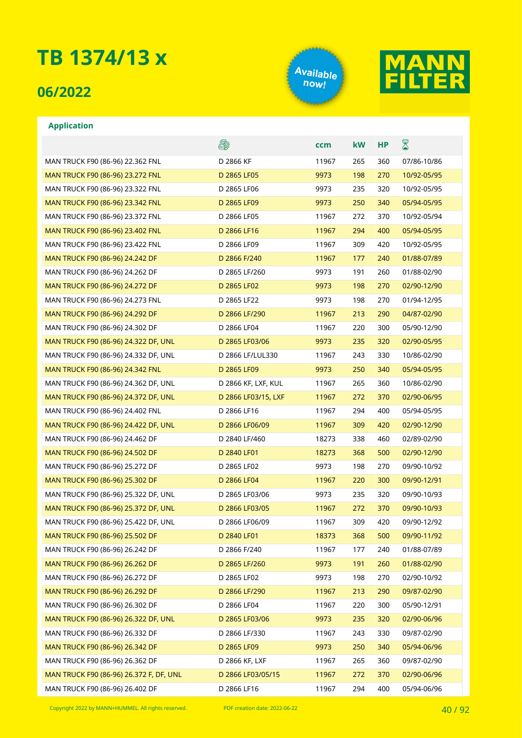### **06/2022**

**Application**





### **A** ⊠ **ccm kW HP** MAN TRUCK F90 (86-96) 22.362 FNL D 2866 KF 11967 265 360 07/86-10/86 MAN TRUCK F90 (86-96) 23.272 FNL D 2865 LF05 9973 198 270 10/92-05/95 MAN TRUCK F90 (86-96) 23.322 FNL D 2865 LF06 9973 235 320 10/92-05/95 MAN TRUCK F90 (86-96) 23.342 FNL D 2865 LF09 9973 250 340 05/94-05/95 MAN TRUCK F90 (86-96) 23.372 FNL D 2866 LF05 11967 272 370 10/92-05/94 MAN TRUCK F90 (86-96) 23.402 FNL D 2866 LF16 11967 294 400 05/94-05/95 MAN TRUCK F90 (86-96) 23.422 FNL D 2866 LF09 11967 309 420 10/92-05/95 MAN TRUCK F90 (86-96) 24.242 DF D 2866 F/240 11967 177 240 01/88-07/89 MAN TRUCK F90 (86-96) 24.262 DF D 2865 LF/260 9973 191 260 01/88-02/90 MAN TRUCK F90 (86-96) 24.272 DF D 2865 LF02 9973 198 270 02/90-12/90 MAN TRUCK F90 (86-96) 24.273 FNL D 2865 LF22 9973 198 270 01/94-12/95 MAN TRUCK F90 (86-96) 24.292 DF D 2866 LF/290 11967 213 290 04/87-02/90 MAN TRUCK F90 (86-96) 24.302 DF D 2866 LF04 11967 220 300 05/90-12/90 MAN TRUCK F90 (86-96) 24.322 DF, UNL D 2865 LF03/06 9973 235 320 02/90-05/95 MAN TRUCK F90 (86-96) 24.332 DF, UNL D 2866 LF/LUL330 11967 243 330 10/86-02/90 MAN TRUCK F90 (86-96) 24.342 FNL D 2865 LF09 9973 250 340 05/94-05/95 MAN TRUCK F90 (86-96) 24.362 DF, UNL D 2866 KF, LXF, KUL 11967 265 360 10/86-02/90 MAN TRUCK F90 (86-96) 24.372 DF, UNL D 2866 LF03/15, LXF 11967 272 370 02/90-06/95 MAN TRUCK F90 (86-96) 24.402 FNL D 2866 LF16 11967 294 400 05/94-05/95 MAN TRUCK F90 (86-96) 24.422 DF, UNL D 2866 LF06/09 11967 309 420 02/90-12/90 MAN TRUCK F90 (86-96) 24.462 DF D 2840 LF/460 18273 338 460 02/89-02/90 MAN TRUCK F90 (86-96) 24.502 DF D 2840 LF01 18273 368 500 02/90-12/90 MAN TRUCK F90 (86-96) 25.272 DF D 2865 LF02 9973 198 270 09/90-10/92 MAN TRUCK F90 (86-96) 25.302 DF D 2866 LF04 11967 220 300 09/90-12/91 MAN TRUCK F90 (86-96) 25.322 DF, UNL D 2865 LF03/06 9973 235 320 09/90-10/93 MAN TRUCK F90 (86-96) 25.372 DF, UNL D 2866 LF03/05 11967 272 370 09/90-10/93 MAN TRUCK F90 (86-96) 25.422 DF, UNL D 2866 LF06/09 11967 309 420 09/90-12/92 MAN TRUCK F90 (86-96) 25.502 DF D 2840 LF01 18373 368 500 09/90-11/92 MAN TRUCK F90 (86-96) 26.242 DF D 2866 F/240 11967 177 240 01/88-07/89

| MAN TRUCK F90 (86-96) 26.262 DF         | D 2865 LF/260     | 9973  | 191 | 260 | 01/88-02/90 |
|-----------------------------------------|-------------------|-------|-----|-----|-------------|
| MAN TRUCK F90 (86-96) 26.272 DF         | D 2865 LF02       | 9973  | 198 | 270 | 02/90-10/92 |
| MAN TRUCK F90 (86-96) 26.292 DF         | D 2866 LF/290     | 11967 | 213 | 290 | 09/87-02/90 |
| MAN TRUCK F90 (86-96) 26.302 DF         | D 2866 LF04       | 11967 | 220 | 300 | 05/90-12/91 |
| MAN TRUCK F90 (86-96) 26.322 DF, UNL    | D 2865 LF03/06    | 9973  | 235 | 320 | 02/90-06/96 |
| MAN TRUCK F90 (86-96) 26.332 DF         | D 2866 LF/330     | 11967 | 243 | 330 | 09/87-02/90 |
| MAN TRUCK F90 (86-96) 26.342 DF         | D 2865 LF09       | 9973  | 250 | 340 | 05/94-06/96 |
| MAN TRUCK F90 (86-96) 26.362 DF         | D 2866 KF, LXF    | 11967 | 265 | 360 | 09/87-02/90 |
| MAN TRUCK F90 (86-96) 26.372 F, DF, UNL | D 2866 LF03/05/15 | 11967 | 272 | 370 | 02/90-06/96 |
| MAN TRUCK F90 (86-96) 26.402 DF         | D 2866 LF16       | 11967 | 294 | 400 | 05/94-06/96 |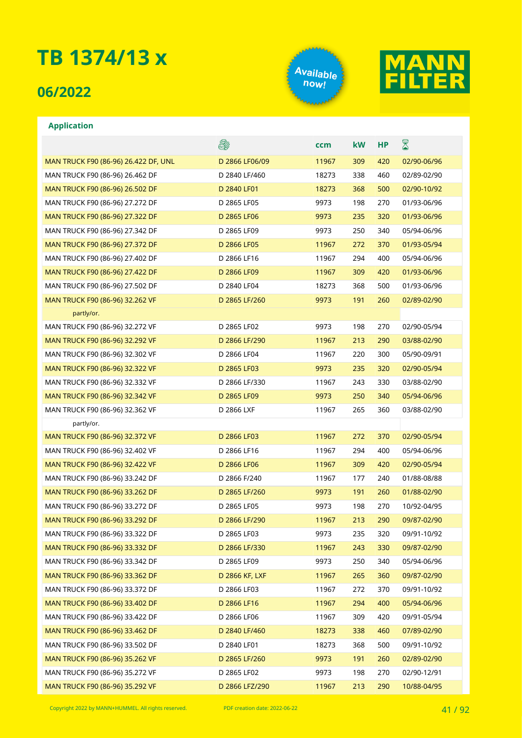## **06/2022**

**Application**





### E. ⊠ **ccm kW HP** MAN TRUCK F90 (86-96) 26.422 DF, UNL D 2866 LF06/09 11967 309 420 02/90-06/96 MAN TRUCK F90 (86-96) 26.462 DF D 2840 LF/460 18273 338 460 02/89-02/90 MAN TRUCK F90 (86-96) 26.502 DF D 2840 LF01 18273 368 500 02/90-10/92 MAN TRUCK F90 (86-96) 27.272 DF D 2865 LF05 9973 198 270 01/93-06/96 MAN TRUCK F90 (86-96) 27.322 DF D 2865 LF06 9973 235 320 01/93-06/96 MAN TRUCK F90 (86-96) 27.342 DF **D** 2865 LF09 9973 250 340 05/94-06/96 MAN TRUCK F90 (86-96) 27.372 DF D 2866 LF05 11967 272 370 01/93-05/94 MAN TRUCK F90 (86-96) 27.402 DF D 2866 LF16 11967 294 400 05/94-06/96 MAN TRUCK F90 (86-96) 27.422 DF D 2866 LF09 11967 309 420 01/93-06/96 MAN TRUCK F90 (86-96) 27.502 DF D 2840 LF04 18273 368 500 01/93-06/96 MAN TRUCK F90 (86-96) 32.262 VF D 2865 LF/260 9973 191 260 02/89-02/90 partly/or. MAN TRUCK F90 (86-96) 32.272 VF D 2865 LF02 9973 198 270 02/90-05/94 MAN TRUCK F90 (86-96) 32.292 VF D 2866 LF/290 11967 213 290 03/88-02/90 MAN TRUCK F90 (86-96) 32.302 VF D 2866 LF04 11967 220 300 05/90-09/91 MAN TRUCK F90 (86-96) 32.322 VF D 2865 LF03 9973 235 320 02/90-05/94 MAN TRUCK F90 (86-96) 32.332 VF D 2866 LF/330 11967 243 330 03/88-02/90 MAN TRUCK F90 (86-96) 32.342 VF D 2865 LF09 9973 250 340 05/94-06/96 MAN TRUCK F90 (86-96) 32.362 VF D 2866 LXF 11967 265 360 03/88-02/90 partly/or. MAN TRUCK F90 (86-96) 32.372 VF D 2866 LF03 11967 272 370 02/90-05/94 MAN TRUCK F90 (86-96) 32.402 VF D 2866 LF16 11967 294 400 05/94-06/96 MAN TRUCK F90 (86-96) 32.422 VF D 2866 LF06 11967 309 420 02/90-05/94 MAN TRUCK F90 (86-96) 33.242 DF D 2866 F/240 11967 177 240 01/88-08/88 MAN TRUCK F90 (86-96) 33.262 DF D 2865 LF/260 9973 191 260 01/88-02/90 MAN TRUCK F90 (86-96) 33.272 DF D 2865 LF05 9973 198 270 10/92-04/95 MAN TRUCK F90 (86-96) 33.292 DF D 2866 LF/290 11967 213 290 09/87-02/90 MAN TRUCK F90 (86-96) 33.322 DF D 2865 LF03 9973 235 320 09/91-10/92 MAN TRUCK F90 (86-96) 33.332 DF D 2866 LF/330 11967 243 330 09/87-02/90 MAN TRUCK F90 (86-96) 33.342 DF D 2865 LF09 9973 250 340 05/94-06/96 MAN TRUCK F90 (86-96) 33.362 DF D 2866 KF, LXF 11967 265 360 09/87-02/90 MAN TRUCK F90 (86-96) 33.372 DF D 2866 LF03 11967 272 370 09/91-10/92 MAN TRUCK F90 (86-96) 33.402 DF D 2866 LF16 11967 294 400 05/94-06/96 MAN TRUCK F90 (86-96) 33.422 DF D 2866 LF06 11967 309 420 09/91-05/94 MAN TRUCK F90 (86-96) 33.462 DF D 2840 LF/460 18273 338 460 07/89-02/90 MAN TRUCK F90 (86-96) 33.502 DF D 2840 LF01 18273 368 500 09/91-10/92 MAN TRUCK F90 (86-96) 35.262 VF D 2865 LF/260 9973 191 260 02/89-02/90 MAN TRUCK F90 (86-96) 35.272 VF D 2865 LF02 9973 198 270 02/90-12/91 MAN TRUCK F90 (86-96) 35.292 VF D 2866 LFZ/290 11967 213 290 10/88-04/95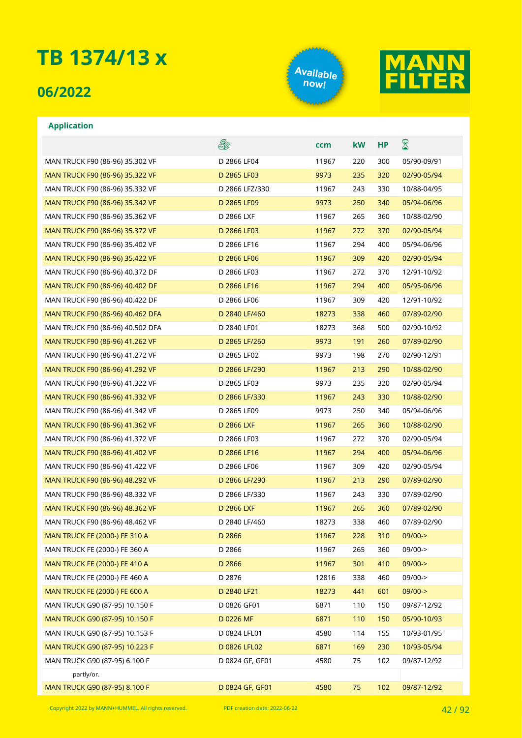## **06/2022**





### **Application**

|                                      | er.               | ccm   | kW  | <b>HP</b> | $\boxtimes$ |
|--------------------------------------|-------------------|-------|-----|-----------|-------------|
| MAN TRUCK F90 (86-96) 35.302 VF      | D 2866 LF04       | 11967 | 220 | 300       | 05/90-09/91 |
| MAN TRUCK F90 (86-96) 35.322 VF      | D 2865 LF03       | 9973  | 235 | 320       | 02/90-05/94 |
| MAN TRUCK F90 (86-96) 35.332 VF      | D 2866 LFZ/330    | 11967 | 243 | 330       | 10/88-04/95 |
| MAN TRUCK F90 (86-96) 35.342 VF      | D 2865 LF09       | 9973  | 250 | 340       | 05/94-06/96 |
| MAN TRUCK F90 (86-96) 35.362 VF      | D 2866 LXF        | 11967 | 265 | 360       | 10/88-02/90 |
| MAN TRUCK F90 (86-96) 35.372 VF      | D 2866 LF03       | 11967 | 272 | 370       | 02/90-05/94 |
| MAN TRUCK F90 (86-96) 35.402 VF      | D 2866 LF16       | 11967 | 294 | 400       | 05/94-06/96 |
| MAN TRUCK F90 (86-96) 35.422 VF      | D 2866 LF06       | 11967 | 309 | 420       | 02/90-05/94 |
| MAN TRUCK F90 (86-96) 40.372 DF      | D 2866 LF03       | 11967 | 272 | 370       | 12/91-10/92 |
| MAN TRUCK F90 (86-96) 40.402 DF      | D 2866 LF16       | 11967 | 294 | 400       | 05/95-06/96 |
| MAN TRUCK F90 (86-96) 40.422 DF      | D 2866 LF06       | 11967 | 309 | 420       | 12/91-10/92 |
| MAN TRUCK F90 (86-96) 40.462 DFA     | D 2840 LF/460     | 18273 | 338 | 460       | 07/89-02/90 |
| MAN TRUCK F90 (86-96) 40.502 DFA     | D 2840 LF01       | 18273 | 368 | 500       | 02/90-10/92 |
| MAN TRUCK F90 (86-96) 41.262 VF      | D 2865 LF/260     | 9973  | 191 | 260       | 07/89-02/90 |
| MAN TRUCK F90 (86-96) 41.272 VF      | D 2865 LF02       | 9973  | 198 | 270       | 02/90-12/91 |
| MAN TRUCK F90 (86-96) 41.292 VF      | D 2866 LF/290     | 11967 | 213 | 290       | 10/88-02/90 |
| MAN TRUCK F90 (86-96) 41.322 VF      | D 2865 LF03       | 9973  | 235 | 320       | 02/90-05/94 |
| MAN TRUCK F90 (86-96) 41.332 VF      | D 2866 LF/330     | 11967 | 243 | 330       | 10/88-02/90 |
| MAN TRUCK F90 (86-96) 41.342 VF      | D 2865 LF09       | 9973  | 250 | 340       | 05/94-06/96 |
| MAN TRUCK F90 (86-96) 41.362 VF      | <b>D 2866 LXF</b> | 11967 | 265 | 360       | 10/88-02/90 |
| MAN TRUCK F90 (86-96) 41.372 VF      | D 2866 LF03       | 11967 | 272 | 370       | 02/90-05/94 |
| MAN TRUCK F90 (86-96) 41.402 VF      | D 2866 LF16       | 11967 | 294 | 400       | 05/94-06/96 |
| MAN TRUCK F90 (86-96) 41.422 VF      | D 2866 LF06       | 11967 | 309 | 420       | 02/90-05/94 |
| MAN TRUCK F90 (86-96) 48.292 VF      | D 2866 LF/290     | 11967 | 213 | 290       | 07/89-02/90 |
| MAN TRUCK F90 (86-96) 48.332 VF      | D 2866 LF/330     | 11967 | 243 | 330       | 07/89-02/90 |
| MAN TRUCK F90 (86-96) 48.362 VF      | <b>D 2866 LXF</b> | 11967 | 265 | 360       | 07/89-02/90 |
| MAN TRUCK F90 (86-96) 48.462 VF      | D 2840 LF/460     | 18273 | 338 | 460       | 07/89-02/90 |
| MAN TRUCK FE (2000-) FE 310 A        | D 2866            | 11967 | 228 | 310       | $09/00$ ->  |
| MAN TRUCK FE (2000-) FE 360 A        | D 2866            | 11967 | 265 | 360       | 09/00->     |
| MAN TRUCK FE (2000-) FE 410 A        | D 2866            | 11967 | 301 | 410       | $09/00-$    |
| MAN TRUCK FE (2000-) FE 460 A        | D 2876            | 12816 | 338 | 460       | 09/00->     |
| <b>MAN TRUCK FE (2000-) FE 600 A</b> | D 2840 LF21       | 18273 | 441 | 601       | 09/00->     |
| MAN TRUCK G90 (87-95) 10.150 F       | D 0826 GF01       | 6871  | 110 | 150       | 09/87-12/92 |
| MAN TRUCK G90 (87-95) 10.150 F       | D 0226 MF         | 6871  | 110 | 150       | 05/90-10/93 |
| MAN TRUCK G90 (87-95) 10.153 F       | D 0824 LFL01      | 4580  | 114 | 155       | 10/93-01/95 |
| MAN TRUCK G90 (87-95) 10.223 F       | D 0826 LFL02      | 6871  | 169 | 230       | 10/93-05/94 |
| MAN TRUCK G90 (87-95) 6.100 F        | D 0824 GF, GF01   | 4580  | 75  | 102       | 09/87-12/92 |
| partly/or.                           |                   |       |     |           |             |
| MAN TRUCK G90 (87-95) 8.100 F        | D 0824 GF, GF01   | 4580  | 75  | 102       | 09/87-12/92 |

Copyright <sup>2022</sup> by MANN+HUMMEL. All rights reserved. PDF creation date: 2022-06-22 42 / 92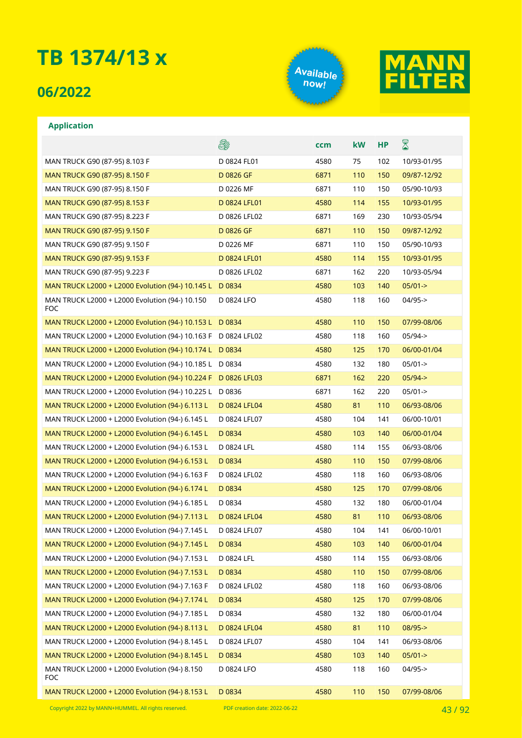## **06/2022**

**Application**





### **A** ⊠ **ccm kW HP** MAN TRUCK G90 (87-95) 8.103 F D 0824 FL01 4580 75 102 10/93-01/95 MAN TRUCK G90 (87-95) 8.150 F B CONSERVED BOSS OF THE GAS CONSERVED TO A 110 THE GO OS 09/87-12/92 MAN TRUCK G90 (87-95) 8.150 F FOR THE RESOLUTION CONTROL CONTROLLED A CONTROLLED BY DATA THE DOCA OF DUCK OF T MAN TRUCK G90 (87-95) 8.153 F D 0824 LFL01 4580 114 155 10/93-01/95 MAN TRUCK G90 (87-95) 8.223 F D 0826 LFL02 6871 169 230 10/93-05/94 MAN TRUCK G90 (87-95) 9.150 F B CONSERVED BOSS OF THE GASS OF THE GASS OF THE GRASH STATE OF THE GRASH STATE O MAN TRUCK G90 (87-95) 9.150 F B D 0226 MF 6871 110 150 05/90-10/93 MAN TRUCK G90 (87-95) 9.153 F D 0824 LFL01 4580 114 155 10/93-01/95 MAN TRUCK G90 (87-95) 9.223 F D 0826 LFL02 6871 162 220 10/93-05/94 MAN TRUCK L2000 + L2000 Evolution (94-) 10.145 L D 0834 4580 4580 103 140 05/01-> MAN TRUCK L2000 + L2000 Evolution (94-) 10.150 D 0824 LFO 4580 118 160 04/95-> FOC MAN TRUCK L2000 + L2000 Evolution (94-) 10.153 L D 0834 4580 4580 110 150 07/99-08/06 MAN TRUCK L2000 + L2000 Evolution (94-) 10.163 F D 0824 LFL02 4580 118 160 05/94-> MAN TRUCK L2000 + L2000 Evolution (94-) 10.174 L D 0834 4580 4580 125 170 66/00-01/04 MAN TRUCK L2000 + L2000 Evolution (94-) 10.185 L D 0834 4580 4580 132 180 05/01-> MAN TRUCK L2000 + L2000 Evolution (94-) 10.224 F D 0826 LFL03 6871 162 220 05/94-> MAN TRUCK L2000 + L2000 Evolution (94-) 10.225 L D 0836 6871 6871 162 220 05/01-> MAN TRUCK L2000 + L2000 Evolution (94-) 6.113 L D 0824 LFL04 4580 81 110 06/93-08/06 MAN TRUCK L2000 + L2000 Evolution (94-) 6.145 L D 0824 LFL07 4580 104 141 06/00-10/01 MAN TRUCK L2000 + L2000 Evolution (94-) 6.145 L D 0834 4580 4580 103 140 66/00-01/04 MAN TRUCK L2000 + L2000 Evolution (94-) 6.153 L D 0824 LFL 4580 114 155 06/93-08/06 MAN TRUCK L2000 + L2000 Evolution (94-) 6.153 L D 0834 4580 4580 110 150 07/99-08/06 MAN TRUCK L2000 + L2000 Evolution (94-) 6.163 F D 0824 LFL02 4580 118 160 06/93-08/06 MAN TRUCK L2000 + L2000 Evolution (94-) 6.174 L D 0834 4580 4580 125 170 07/99-08/06 MAN TRUCK L2000 + L2000 Evolution (94-) 6.185 L D 0834 4580 4580 132 180 06/00-01/04 MAN TRUCK L2000 + L2000 Evolution (94-) 7.113 L D 0824 LFL04 4580 81 110 06/93-08/06 MAN TRUCK L2000 + L2000 Evolution (94-) 7.145 L D 0824 LFL07 4580 104 141 06/00-10/01 MAN TRUCK L2000 + L2000 Evolution (94-) 7.145 L D 0834 4580 4580 103 140 66/00-01/04 MAN TRUCK L2000 + L2000 Evolution (94-) 7.153 L D 0824 LFL 4580 114 155 06/93-08/06 MAN TRUCK L2000 + L2000 Evolution (94-) 7.153 L D 0834 4580 4580 110 150 07/99-08/06 MAN TRUCK L2000 + L2000 Evolution (94-) 7.163 F D 0824 LFL02 4580 118 160 06/93-08/06 MAN TRUCK L2000 + L2000 Evolution (94-) 7.174 L D 0834 4580 4580 125 170 07/99-08/06 MAN TRUCK L2000 + L2000 Evolution (94-) 7.185 L D 0834 4580 4580 132 180 06/00-01/04 MAN TRUCK L2000 + L2000 Evolution (94-) 8.113 L D 0824 LFL04 4580 81 110 08/95-> MAN TRUCK L2000 + L2000 Evolution (94-) 8.145 L D 0824 LFL07 4580 104 141 06/93-08/06

MAN TRUCK L2000 + L2000 Evolution (94-) 8.145 L D 0834 4580 4580 103 140 05/01-> MAN TRUCK L2000 + L2000 Evolution (94-) 8.150 FOC D 0824 LFO 4580 118 160 04/95-> MAN TRUCK L2000 + L2000 Evolution (94-) 8.153 L D 0834 4580 4580 110 150 07/99-08/06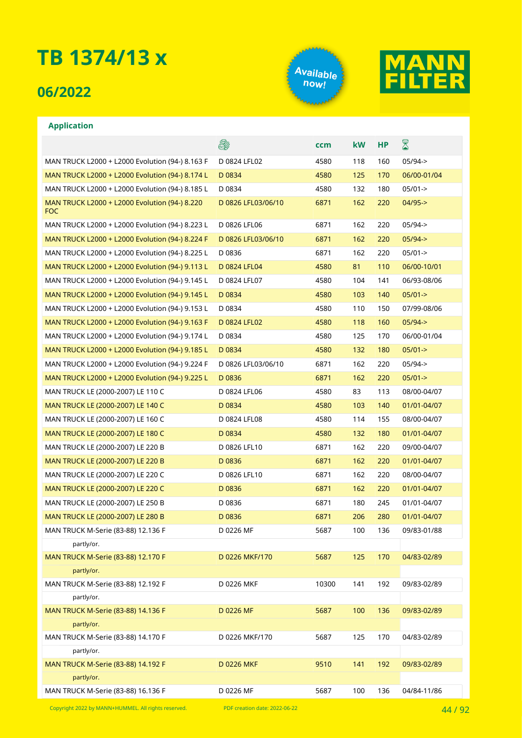## **06/2022**





### **Application**

|                                                             | es.                | ccm   | kW  | <b>HP</b> | $\boxtimes$ |
|-------------------------------------------------------------|--------------------|-------|-----|-----------|-------------|
| MAN TRUCK L2000 + L2000 Evolution (94-) 8.163 F             | D 0824 LFL02       | 4580  | 118 | 160       | $05/94 - >$ |
| MAN TRUCK L2000 + L2000 Evolution (94-) 8.174 L             | D 0834             | 4580  | 125 | 170       | 06/00-01/04 |
| MAN TRUCK L2000 + L2000 Evolution (94-) 8.185 L             | D 0834             | 4580  | 132 | 180       | $05/01 - >$ |
| MAN TRUCK L2000 + L2000 Evolution (94-) 8.220<br><b>FOC</b> | D 0826 LFL03/06/10 | 6871  | 162 | 220       | $04/95 -$   |
| MAN TRUCK L2000 + L2000 Evolution (94-) 8.223 L             | D 0826 LFL06       | 6871  | 162 | 220       | $05/94 - >$ |
| MAN TRUCK L2000 + L2000 Evolution (94-) 8.224 F             | D 0826 LFL03/06/10 | 6871  | 162 | 220       | $05/94 - >$ |
| MAN TRUCK L2000 + L2000 Evolution (94-) 8.225 L             | D0836              | 6871  | 162 | 220       | $05/01 - >$ |
| MAN TRUCK L2000 + L2000 Evolution (94-) 9.113 L             | D 0824 LFL04       | 4580  | 81  | 110       | 06/00-10/01 |
| MAN TRUCK L2000 + L2000 Evolution (94-) 9.145 L             | D 0824 LFL07       | 4580  | 104 | 141       | 06/93-08/06 |
| MAN TRUCK L2000 + L2000 Evolution (94-) 9.145 L             | D 0834             | 4580  | 103 | 140       | $05/01 - >$ |
| MAN TRUCK L2000 + L2000 Evolution (94-) 9.153 L             | D 0834             | 4580  | 110 | 150       | 07/99-08/06 |
| MAN TRUCK L2000 + L2000 Evolution (94-) 9.163 F             | D 0824 LFL02       | 4580  | 118 | 160       | $05/94 - >$ |
| MAN TRUCK L2000 + L2000 Evolution (94-) 9.174 L             | D 0834             | 4580  | 125 | 170       | 06/00-01/04 |
| MAN TRUCK L2000 + L2000 Evolution (94-) 9.185 L             | D 0834             | 4580  | 132 | 180       | $05/01 - >$ |
| MAN TRUCK L2000 + L2000 Evolution (94-) 9.224 F             | D 0826 LFL03/06/10 | 6871  | 162 | 220       | $05/94 - >$ |
| MAN TRUCK L2000 + L2000 Evolution (94-) 9.225 L             | D 0836             | 6871  | 162 | 220       | $05/01 - >$ |
| MAN TRUCK LE (2000-2007) LE 110 C                           | D 0824 LFL06       | 4580  | 83  | 113       | 08/00-04/07 |
| MAN TRUCK LE (2000-2007) LE 140 C                           | D 0834             | 4580  | 103 | 140       | 01/01-04/07 |
| MAN TRUCK LE (2000-2007) LE 160 C                           | D 0824 LFL08       | 4580  | 114 | 155       | 08/00-04/07 |
| MAN TRUCK LE (2000-2007) LE 180 C                           | D 0834             | 4580  | 132 | 180       | 01/01-04/07 |
| MAN TRUCK LE (2000-2007) LE 220 B                           | D 0826 LFL10       | 6871  | 162 | 220       | 09/00-04/07 |
| MAN TRUCK LE (2000-2007) LE 220 B                           | D 0836             | 6871  | 162 | 220       | 01/01-04/07 |
| MAN TRUCK LE (2000-2007) LE 220 C                           | D 0826 LFL10       | 6871  | 162 | 220       | 08/00-04/07 |
| MAN TRUCK LE (2000-2007) LE 220 C                           | D0836              | 6871  | 162 | 220       | 01/01-04/07 |
| MAN TRUCK LE (2000-2007) LE 250 B                           | D 0836             | 6871  | 180 | 245       | 01/01-04/07 |
| MAN TRUCK LE (2000-2007) LE 280 B                           | D 0836             | 6871  | 206 | 280       | 01/01-04/07 |
| MAN TRUCK M-Serie (83-88) 12.136 F                          | D 0226 MF          | 5687  | 100 | 136       | 09/83-01/88 |
| partly/or.                                                  |                    |       |     |           |             |
| MAN TRUCK M-Serie (83-88) 12.170 F                          | D 0226 MKF/170     | 5687  | 125 | 170       | 04/83-02/89 |
| partly/or.                                                  |                    |       |     |           |             |
| MAN TRUCK M-Serie (83-88) 12.192 F                          | D 0226 MKF         | 10300 | 141 | 192       | 09/83-02/89 |
| partly/or.                                                  |                    |       |     |           |             |
| MAN TRUCK M-Serie (83-88) 14.136 F                          | D 0226 MF          | 5687  | 100 | 136       | 09/83-02/89 |
| partly/or.                                                  |                    |       |     |           |             |
| MAN TRUCK M-Serie (83-88) 14.170 F                          | D 0226 MKF/170     | 5687  | 125 | 170       | 04/83-02/89 |
| partly/or.                                                  |                    |       |     |           |             |
| MAN TRUCK M-Serie (83-88) 14.192 F                          | <b>D 0226 MKF</b>  | 9510  | 141 | 192       | 09/83-02/89 |
| partly/or.                                                  |                    |       |     |           |             |
| MAN TRUCK M-Serie (83-88) 16.136 F                          | D 0226 MF          | 5687  | 100 | 136       | 04/84-11/86 |

Copyright 2022 by MANN+HUMMEL. All rights reserved. PDF creation date: 2022-06-22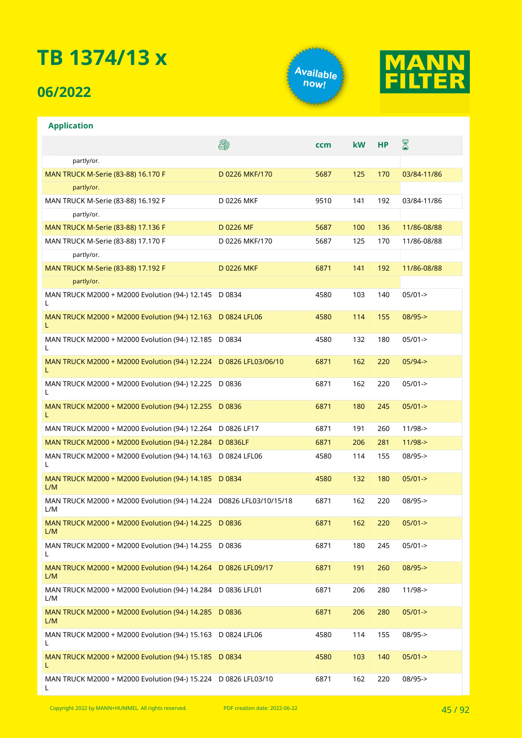## **06/2022**

**Application**





### **A** X **ccm kW HP** partly/or. MAN TRUCK M-Serie (83-88) 16.170 F D 0226 MKF/170 5687 125 170 03/84-11/86 partly/or. MAN TRUCK M-Serie (83-88) 16.192 F D 0226 MKF 9510 141 192 03/84-11/86 partly/or. MAN TRUCK M-Serie (83-88) 17.136 F D 0226 MF 5687 100 136 11/86-08/88 MAN TRUCK M-Serie (83-88) 17.170 F D 0226 MKF/170 5687 125 170 11/86-08/88 partly/or. MAN TRUCK M-Serie (83-88) 17.192 F D 0226 MKF 6871 141 192 11/86-08/88 partly/or. MAN TRUCK M2000 + M2000 Evolution (94-) 12.145 D 0834 4580 103 140 05/01->  $\mathbf{L}$ MAN TRUCK M2000 + M2000 Evolution (94-) 12.163 D 0824 LFL06 4580 114 155 08/95-> L MAN TRUCK M2000 + M2000 Evolution (94-) 12.185 D 0834 4580 4580 132 180 05/01-> L MAN TRUCK M2000 + M2000 Evolution (94-) 12.224 D 0826 LFL03/06/10 6871 162 220 05/94-> L MAN TRUCK M2000 + M2000 Evolution (94-) 12.225 D 0836 D 0836 6871 162 220 05/01-> L MAN TRUCK M2000 + M2000 Evolution (94-) 12.255 D 0836 D 0836 6871 180 245 05/01-> L MAN TRUCK M2000 + M2000 Evolution (94-) 12.264 D 0826 LF17 6871 191 260 11/98-> MAN TRUCK M2000 + M2000 Evolution (94-) 12.284 D 0836LF 6871 6871 206 281 11/98-> MAN TRUCK M2000 + M2000 Evolution (94-) 14.163 D 0824 LFL06 4580 114 155 08/95-> L MAN TRUCK M2000 + M2000 Evolution (94-) 14.185 D 0834 D 0834 4580 132 180 05/01-> L/M MAN TRUCK M2000 + M2000 Evolution (94-) 14.224 D0826 LFL03/10/15/18 6871 162 220 08/95-> L/M MAN TRUCK M2000 + M2000 Evolution (94-) 14.225 D 0836 6871 162 220 05/01-> L/M MAN TRUCK M2000 + M2000 Evolution (94-) 14.255 D 0836 D 0836 6871 180 245 05/01->  $\mathbf{L}$ MAN TRUCK M2000 + M2000 Evolution (94-) 14.264 D 0826 LFL09/17 6871 191 260 08/95-> L/M MAN TRUCK M2000 + M2000 Evolution (94-) 14.284 D 0836 LFL01 6871 206 280 11/98-> L/M MAN TRUCK M2000 + M2000 Evolution (94-) 14.285 D 0836 D 0836 6871 206 280 05/01-> L/M MAN TRUCK M2000 + M2000 Evolution (94-) 15.163 D 0824 LFL06 4580 114 155 08/95-> L MAN TRUCK M2000 + M2000 Evolution (94-) 15.185 D 0834 4580 103 140 05/01-> L MAN TRUCK M2000 + M2000 Evolution (94-) 15.224 D 0826 LFL03/10 6871 162 220 08/95->L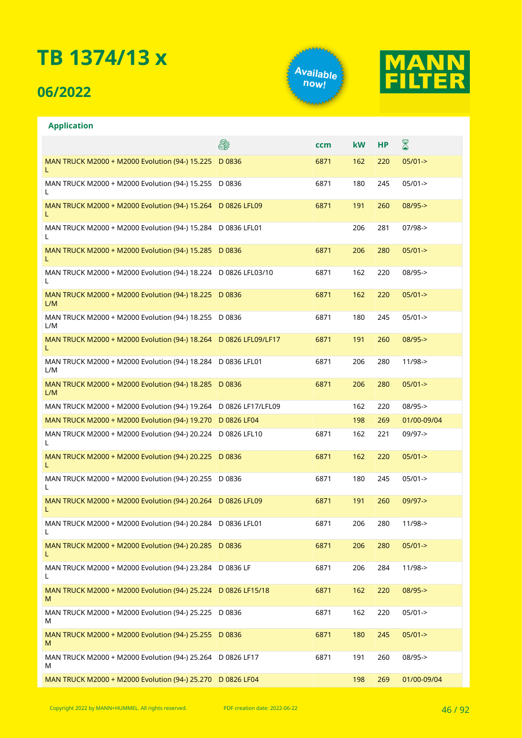## **06/2022**





| <b>Application</b>                                                    |     |      |           |           |             |
|-----------------------------------------------------------------------|-----|------|-----------|-----------|-------------|
|                                                                       | es. | ccm  | <b>kW</b> | <b>HP</b> | 8           |
| MAN TRUCK M2000 + M2000 Evolution (94-) 15.225 D 0836<br>L            |     | 6871 | 162       | 220       | $05/01 - >$ |
| MAN TRUCK M2000 + M2000 Evolution (94-) 15.255 D 0836<br>L            |     | 6871 | 180       | 245       | $05/01 - >$ |
| MAN TRUCK M2000 + M2000 Evolution (94-) 15.264 D 0826 LFL09<br>L      |     | 6871 | 191       | 260       | $08/95 - >$ |
| MAN TRUCK M2000 + M2000 Evolution (94-) 15.284 D 0836 LFL01<br>L      |     |      | 206       | 281       | $07/98 - >$ |
| MAN TRUCK M2000 + M2000 Evolution (94-) 15.285 D 0836<br>L            |     | 6871 | 206       | 280       | $05/01 - >$ |
| MAN TRUCK M2000 + M2000 Evolution (94-) 18.224 D 0826 LFL03/10<br>L   |     | 6871 | 162       | 220       | 08/95->     |
| MAN TRUCK M2000 + M2000 Evolution (94-) 18.225 D 0836<br>L/M          |     | 6871 | 162       | 220       | $05/01 - >$ |
| MAN TRUCK M2000 + M2000 Evolution (94-) 18.255 D 0836<br>L/M          |     | 6871 | 180       | 245       | $05/01 - >$ |
| MAN TRUCK M2000 + M2000 Evolution (94-) 18.264 D 0826 LFL09/LF17<br>L |     | 6871 | 191       | 260       | $08/95 - >$ |
| MAN TRUCK M2000 + M2000 Evolution (94-) 18.284 D 0836 LFL01<br>L/M    |     | 6871 | 206       | 280       | $11/98 - >$ |
| MAN TRUCK M2000 + M2000 Evolution (94-) 18.285 D 0836<br>L/M          |     | 6871 | 206       | 280       | $05/01 - >$ |
| MAN TRUCK M2000 + M2000 Evolution (94-) 19.264 D 0826 LF17/LFL09      |     |      | 162       | 220       | $08/95 -$   |
| MAN TRUCK M2000 + M2000 Evolution (94-) 19.270 D 0826 LF04            |     |      | 198       | 269       | 01/00-09/04 |
| MAN TRUCK M2000 + M2000 Evolution (94-) 20.224 D 0826 LFL10<br>L      |     | 6871 | 162       | 221       | 09/97->     |
| MAN TRUCK M2000 + M2000 Evolution (94-) 20.225 D 0836<br>L            |     | 6871 | 162       | 220       | $05/01 - >$ |
| MAN TRUCK M2000 + M2000 Evolution (94-) 20.255 D 0836<br>L            |     | 6871 | 180       | 245       | $05/01 - >$ |
| MAN TRUCK M2000 + M2000 Evolution (94-) 20.264 D 0826 LFL09<br>L      |     | 6871 | 191       | 260       | $09/97 - >$ |
| MAN TRUCK M2000 + M2000 Evolution (94-) 20.284 D 0836 LFL01<br>L      |     | 6871 | 206       | 280       | $11/98 - >$ |
| MAN TRUCK M2000 + M2000 Evolution (94-) 20.285 D 0836<br>L            |     | 6871 | 206       | 280       | $05/01 - >$ |
| MAN TRUCK M2000 + M2000 Evolution (94-) 23.284 D 0836 LF<br>L         |     | 6871 | 206       | 284       | $11/98 - >$ |
| MAN TRUCK M2000 + M2000 Evolution (94-) 25.224 D 0826 LF15/18<br>M    |     | 6871 | 162       | 220       | $08/95 - >$ |
| MAN TRUCK M2000 + M2000 Evolution (94-) 25.225 D 0836<br>M            |     | 6871 | 162       | 220       | $05/01 - >$ |
| MAN TRUCK M2000 + M2000 Evolution (94-) 25.255 D 0836<br>M            |     | 6871 | 180       | 245       | $05/01 - >$ |
| MAN TRUCK M2000 + M2000 Evolution (94-) 25.264 D 0826 LF17<br>M       |     | 6871 | 191       | 260       | 08/95->     |
| MAN TRUCK M2000 + M2000 Evolution (94-) 25.270 D 0826 LF04            |     |      | 198       | 269       | 01/00-09/04 |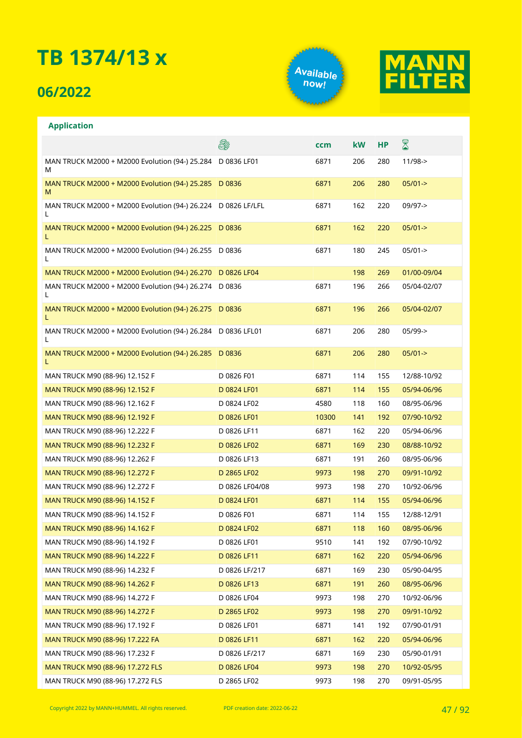## **06/2022**

**Application**





### **A** X **ccm kW HP** MAN TRUCK M2000 + M2000 Evolution (94-) 25.284 D 0836 LF01 6871 206 280 11/98-> M MAN TRUCK M2000 + M2000 Evolution (94-) 25.285 D 0836 D 0836 6871 206 280 05/01-> M MAN TRUCK M2000 + M2000 Evolution (94-) 26.224 D 0826 LF/LFL 6871 162 220 09/97-> L MAN TRUCK M2000 + M2000 Evolution (94-) 26.225 D 0836 D 0836 6871 162 220 05/01-> L MAN TRUCK M2000 + M2000 Evolution (94-) 26.255 D 0836 D 0836 6871 180 245 05/01-> L MAN TRUCK M2000 + M2000 Evolution (94-) 26.270 D 0826 LF04 198 198 198 269 01/00-09/04 MAN TRUCK M2000 + M2000 Evolution (94-) 26.274 D 0836 D 0836 6871 196 266 05/04-02/07 L MAN TRUCK M2000 + M2000 Evolution (94-) 26.275 D 0836 D 0836 6871 196 266 05/04-02/07 L MAN TRUCK M2000 + M2000 Evolution (94-) 26.284 D 0836 LFL01 6871 206 280 05/99-> L MAN TRUCK M2000 + M2000 Evolution (94-) 26.285 D 0836 6871 206 280 05/01-> L MAN TRUCK M90 (88-96) 12.152 F D 0826 F01 6871 114 155 12/88-10/92 MAN TRUCK M90 (88-96) 12.152 F D 0824 LF01 6871 114 155 05/94-06/96 MAN TRUCK M90 (88-96) 12.162 F FOR CONSERVATION CONSERVATION CONSERVED DO 0824 LF02 And the 4580 to 118 the 08/95-06/96 MAN TRUCK M90 (88-96) 12.192 F D 0826 LF01 10300 141 192 07/90-10/92 MAN TRUCK M90 (88-96) 12.222 F D 0826 LF11 6871 162 220 05/94-06/96 MAN TRUCK M90 (88-96) 12.232 F D 0826 LF02 6871 169 230 08/88-10/92 MAN TRUCK M90 (88-96) 12.262 F D 0826 LF13 6871 191 260 08/95-06/96 MAN TRUCK M90 (88-96) 12.272 F D 2865 LF02 9973 198 270 09/91-10/92 MAN TRUCK M90 (88-96) 12.272 F D 0826 LF04/08 9973 198 270 10/92-06/96 MAN TRUCK M90 (88-96) 14.152 F D 0824 LF01 6871 114 155 05/94-06/96 MAN TRUCK M90 (88-96) 14.152 F D 0826 F01 6871 114 155 12/88-12/91 MAN TRUCK M90 (88-96) 14.162 F D 0824 LF02 6871 118 160 08/95-06/96 MAN TRUCK M90 (88-96) 14.192 F REPORTS D 0826 LF01 8510 141 192 07/90-10/92 MAN TRUCK M90 (88-96) 14.222 F D 0826 LF11 5871 162 220 05/94-06/96 MAN TRUCK M90 (88-96) 14.232 F D 0826 LF/217 6871 169 230 05/90-04/95 MAN TRUCK M90 (88-96) 14.262 F D 0826 LF13 6871 191 260 08/95-06/96 MAN TRUCK M90 (88-96) 14.272 F D 0826 LF04 9973 198 270 10/92-06/96 MAN TRUCK M90 (88-96) 14.272 F D 2865 LF02 9973 198 270 09/91-10/92 MAN TRUCK M90 (88-96) 17.192 F D 0826 LF01 6871 141 192 07/90-01/91 MAN TRUCK M90 (88-96) 17.222 FA **DO826 LF11** 6871 162 220 05/94-06/96 MAN TRUCK M90 (88-96) 17.232 F D 0826 LF/217 6871 169 230 05/90-01/91 MAN TRUCK M90 (88-96) 17.272 FLS D 0826 LF04 9973 198 270 10/92-05/95 MAN TRUCK M90 (88-96) 17.272 FLS **D 2865 LF02** 9973 198 270 09/91-05/95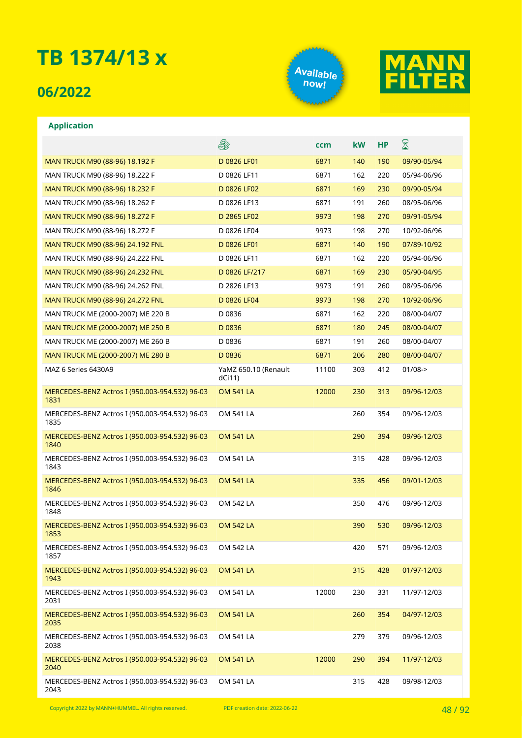## **06/2022**

**Application**





#### **A** ⊠ **ccm kW HP** MAN TRUCK M90 (88-96) 18.192 F D 0826 LF01 5 0826 LF01 6871 140 190 09/90-05/94 MAN TRUCK M90 (88-96) 18.222 F D 0826 LF11 6871 162 220 05/94-06/96 MAN TRUCK M90 (88-96) 18.232 F D 0826 LF02 6871 169 230 09/90-05/94 MAN TRUCK M90 (88-96) 18.262 F D 0826 LF13 6871 191 260 08/95-06/96 MAN TRUCK M90 (88-96) 18.272 F D 2865 LF02 9973 198 270 09/91-05/94 MAN TRUCK M90 (88-96) 18.272 F D 0826 LF04 9973 198 270 10/92-06/96 MAN TRUCK M90 (88-96) 24.192 FNL D 0826 LF01 6871 140 190 07/89-10/92 MAN TRUCK M90 (88-96) 24.222 FNL D 0826 LF11 6871 162 220 05/94-06/96 MAN TRUCK M90 (88-96) 24.232 FNL D 0826 LF/217 6871 169 230 05/90-04/95 MAN TRUCK M90 (88-96) 24.262 FNL D 2826 LF13 9973 191 260 08/95-06/96 MAN TRUCK M90 (88-96) 24.272 FNL D 0826 LF04 9973 198 270 10/92-06/96 MAN TRUCK ME (2000-2007) ME 220 B D 0836 6871 162 220 08/00-04/07 MAN TRUCK ME (2000-2007) ME 250 B B D 0836 CONSIDERING A GRIS 180 245 08/00-04/07 MAN TRUCK ME (2000-2007) ME 260 B B D 0836 6871 191 260 08/00-04/07 MAN TRUCK ME (2000-2007) ME 280 B B D 0836 6871 206 280 08/00-04/07 MAZ 6 Series 6430A9 YaMZ 650.10 (Renault 11100 303 412 01/08-> dCi11) MERCEDES-BENZ Actros I (950.003-954.532) 96-03 OM 541 LA 12000 230 313 09/96-12/03 1831 MERCEDES-BENZ Actros I (950.003-954.532) 96-03 OM 541 LA 260 354 09/96-12/03 1835 MERCEDES-BENZ Actros I (950.003-954.532) 96-03 OM 541 LA 290 394 09/96-12/03 1840 MERCEDES-BENZ Actros I (950.003-954.532) 96-03 OM 541 LA 315 428 09/96-12/03 1843 MERCEDES-BENZ Actros I (950.003-954.532) 96-03 OM 541 LA 335 456 09/01-12/03 1846 MERCEDES-BENZ Actros I (950.003-954.532) 96-03 OM 542 LA 350 476 09/96-12/03 1848 MERCEDES-BENZ Actros I (950.003-954.532) 96-03 OM 542 LA 390 530 09/96-12/03 1853 MERCEDES-BENZ Actros I (950.003-954.532) 96-03 OM 542 LA 420 571 09/96-12/03 1857 OM 541 LA 315 428 01/97-12/03 MERCEDES-BENZ Actros I (950.003-954.532) 96-03 1943 MERCEDES-BENZ Actros I (950.003-954.532) 96-03 OM 541 LA 12000 230 331 11/97-12/03 2031 MERCEDES-BENZ Actros I (950.003-954.532) 96-03 OM 541 LA 260 354 04/97-12/03 2035 MERCEDES-BENZ Actros I (950.003-954.532) 96-03 OM 541 LA 279 379 09/96-12/03 2038 MERCEDES-BENZ Actros I (950.003-954.532) 96-03 OM 541 LA 12000 290 394 11/97-12/03 2040 MERCEDES-BENZ Actros I (950.003-954.532) 96-03 OM 541 LA 315 428 09/98-12/03

2043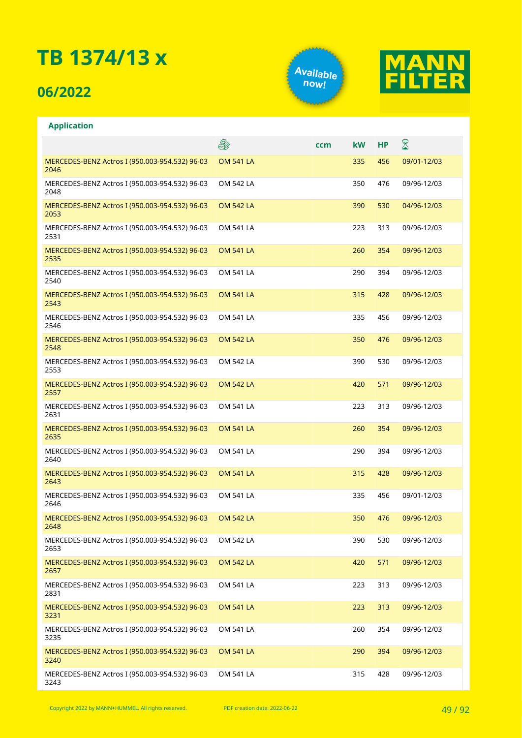## **06/2022**





|                                                        | \$               | ccm | kW  | НP  | 8           |
|--------------------------------------------------------|------------------|-----|-----|-----|-------------|
| MERCEDES-BENZ Actros I (950.003-954.532) 96-03<br>2046 | <b>OM 541 LA</b> |     | 335 | 456 | 09/01-12/03 |
| MERCEDES-BENZ Actros I (950.003-954.532) 96-03<br>2048 | <b>OM 542 LA</b> |     | 350 | 476 | 09/96-12/03 |
| MERCEDES-BENZ Actros I (950.003-954.532) 96-03<br>2053 | <b>OM 542 LA</b> |     | 390 | 530 | 04/96-12/03 |
| MERCEDES-BENZ Actros I (950.003-954.532) 96-03<br>2531 | <b>OM 541 LA</b> |     | 223 | 313 | 09/96-12/03 |
| MERCEDES-BENZ Actros I (950.003-954.532) 96-03<br>2535 | <b>OM 541 LA</b> |     | 260 | 354 | 09/96-12/03 |
| MERCEDES-BENZ Actros I (950.003-954.532) 96-03<br>2540 | <b>OM 541 LA</b> |     | 290 | 394 | 09/96-12/03 |
| MERCEDES-BENZ Actros I (950.003-954.532) 96-03<br>2543 | <b>OM 541 LA</b> |     | 315 | 428 | 09/96-12/03 |
| MERCEDES-BENZ Actros I (950.003-954.532) 96-03<br>2546 | <b>OM 541 LA</b> |     | 335 | 456 | 09/96-12/03 |
| MERCEDES-BENZ Actros I (950.003-954.532) 96-03<br>2548 | <b>OM 542 LA</b> |     | 350 | 476 | 09/96-12/03 |
| MERCEDES-BENZ Actros I (950.003-954.532) 96-03<br>2553 | <b>OM 542 LA</b> |     | 390 | 530 | 09/96-12/03 |
| MERCEDES-BENZ Actros I (950.003-954.532) 96-03<br>2557 | <b>OM 542 LA</b> |     | 420 | 571 | 09/96-12/03 |
| MERCEDES-BENZ Actros I (950.003-954.532) 96-03<br>2631 | <b>OM 541 LA</b> |     | 223 | 313 | 09/96-12/03 |
| MERCEDES-BENZ Actros I (950.003-954.532) 96-03<br>2635 | <b>OM 541 LA</b> |     | 260 | 354 | 09/96-12/03 |
| MERCEDES-BENZ Actros I (950.003-954.532) 96-03<br>2640 | <b>OM 541 LA</b> |     | 290 | 394 | 09/96-12/03 |
| MERCEDES-BENZ Actros I (950.003-954.532) 96-03<br>2643 | <b>OM 541 LA</b> |     | 315 | 428 | 09/96-12/03 |
| MERCEDES-BENZ Actros I (950.003-954.532) 96-03<br>2646 | <b>OM 541 LA</b> |     | 335 | 456 | 09/01-12/03 |
| MERCEDES-BENZ Actros I (950.003-954.532) 96-03<br>2648 | <b>OM 542 LA</b> |     | 350 | 476 | 09/96-12/03 |
| MERCEDES-BENZ Actros I (950.003-954.532) 96-03<br>2653 | OM 542 LA        |     | 390 | 530 | 09/96-12/03 |
| MERCEDES-BENZ Actros I (950.003-954.532) 96-03<br>2657 | <b>OM 542 LA</b> |     | 420 | 571 | 09/96-12/03 |
| MERCEDES-BENZ Actros I (950.003-954.532) 96-03<br>2831 | <b>OM 541 LA</b> |     | 223 | 313 | 09/96-12/03 |
| MERCEDES-BENZ Actros I (950.003-954.532) 96-03<br>3231 | <b>OM 541 LA</b> |     | 223 | 313 | 09/96-12/03 |
| MERCEDES-BENZ Actros I (950.003-954.532) 96-03<br>3235 | OM 541 LA        |     | 260 | 354 | 09/96-12/03 |
| MERCEDES-BENZ Actros I (950.003-954.532) 96-03<br>3240 | <b>OM 541 LA</b> |     | 290 | 394 | 09/96-12/03 |
| MERCEDES-BENZ Actros I (950.003-954.532) 96-03<br>3243 | OM 541 LA        |     | 315 | 428 | 09/96-12/03 |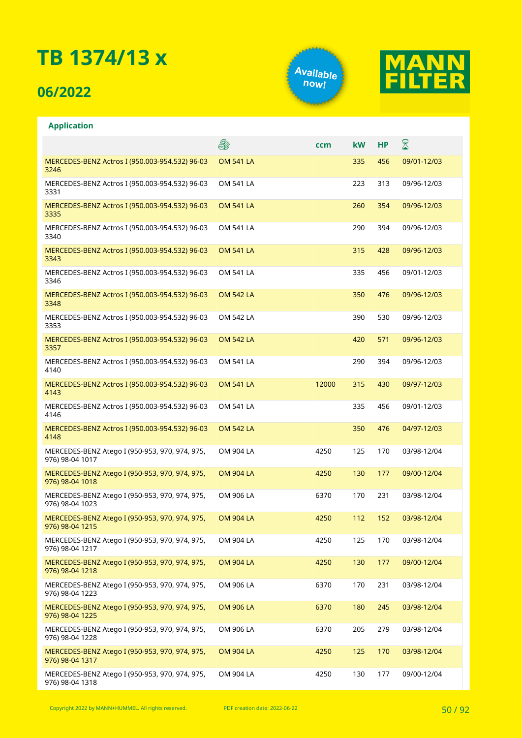## **06/2022**





|                                                                   | \$               | ccm   | <b>kW</b> | <b>HP</b> | ${\color{red} \mathbb{Z}}$ |
|-------------------------------------------------------------------|------------------|-------|-----------|-----------|----------------------------|
| MERCEDES-BENZ Actros I (950.003-954.532) 96-03<br>3246            | <b>OM 541 LA</b> |       | 335       | 456       | 09/01-12/03                |
| MERCEDES-BENZ Actros I (950.003-954.532) 96-03<br>3331            | <b>OM 541 LA</b> |       | 223       | 313       | 09/96-12/03                |
| MERCEDES-BENZ Actros I (950.003-954.532) 96-03<br>3335            | <b>OM 541 LA</b> |       | 260       | 354       | 09/96-12/03                |
| MERCEDES-BENZ Actros I (950.003-954.532) 96-03<br>3340            | <b>OM 541 LA</b> |       | 290       | 394       | 09/96-12/03                |
| MERCEDES-BENZ Actros I (950.003-954.532) 96-03<br>3343            | <b>OM 541 LA</b> |       | 315       | 428       | 09/96-12/03                |
| MERCEDES-BENZ Actros I (950.003-954.532) 96-03<br>3346            | <b>OM 541 LA</b> |       | 335       | 456       | 09/01-12/03                |
| MERCEDES-BENZ Actros I (950.003-954.532) 96-03<br>3348            | <b>OM 542 LA</b> |       | 350       | 476       | 09/96-12/03                |
| MERCEDES-BENZ Actros I (950.003-954.532) 96-03<br>3353            | OM 542 LA        |       | 390       | 530       | 09/96-12/03                |
| MERCEDES-BENZ Actros I (950.003-954.532) 96-03<br>3357            | <b>OM 542 LA</b> |       | 420       | 571       | 09/96-12/03                |
| MERCEDES-BENZ Actros I (950.003-954.532) 96-03<br>4140            | <b>OM 541 LA</b> |       | 290       | 394       | 09/96-12/03                |
| MERCEDES-BENZ Actros I (950.003-954.532) 96-03<br>4143            | <b>OM 541 LA</b> | 12000 | 315       | 430       | 09/97-12/03                |
| MERCEDES-BENZ Actros I (950.003-954.532) 96-03<br>4146            | <b>OM 541 LA</b> |       | 335       | 456       | 09/01-12/03                |
| MERCEDES-BENZ Actros I (950.003-954.532) 96-03<br>4148            | <b>OM 542 LA</b> |       | 350       | 476       | 04/97-12/03                |
| MERCEDES-BENZ Atego I (950-953, 970, 974, 975,<br>976) 98-04 1017 | OM 904 LA        | 4250  | 125       | 170       | 03/98-12/04                |
| MERCEDES-BENZ Atego I (950-953, 970, 974, 975,<br>976) 98-04 1018 | <b>OM 904 LA</b> | 4250  | 130       | 177       | 09/00-12/04                |
| MERCEDES-BENZ Atego I (950-953, 970, 974, 975,<br>976) 98-04 1023 | OM 906 LA        | 6370  | 170       | 231       | 03/98-12/04                |
| MERCEDES-BENZ Atego I (950-953, 970, 974, 975,<br>976) 98-04 1215 | <b>OM 904 LA</b> | 4250  | 112       | 152       | 03/98-12/04                |
| MERCEDES-BENZ Atego I (950-953, 970, 974, 975,<br>976) 98-04 1217 | OM 904 LA        | 4250  | 125       | 170       | 03/98-12/04                |
| MERCEDES-BENZ Atego I (950-953, 970, 974, 975,<br>976) 98-04 1218 | <b>OM 904 LA</b> | 4250  | 130       | 177       | 09/00-12/04                |
| MERCEDES-BENZ Atego I (950-953, 970, 974, 975,<br>976) 98-04 1223 | OM 906 LA        | 6370  | 170       | 231       | 03/98-12/04                |
| MERCEDES-BENZ Atego I (950-953, 970, 974, 975,<br>976) 98-04 1225 | <b>OM 906 LA</b> | 6370  | 180       | 245       | 03/98-12/04                |
| MERCEDES-BENZ Atego I (950-953, 970, 974, 975,<br>976) 98-04 1228 | OM 906 LA        | 6370  | 205       | 279       | 03/98-12/04                |
| MERCEDES-BENZ Atego I (950-953, 970, 974, 975,<br>976) 98-04 1317 | <b>OM 904 LA</b> | 4250  | 125       | 170       | 03/98-12/04                |
| MERCEDES-BENZ Atego I (950-953, 970, 974, 975,<br>976) 98-04 1318 | OM 904 LA        | 4250  | 130       | 177       | 09/00-12/04                |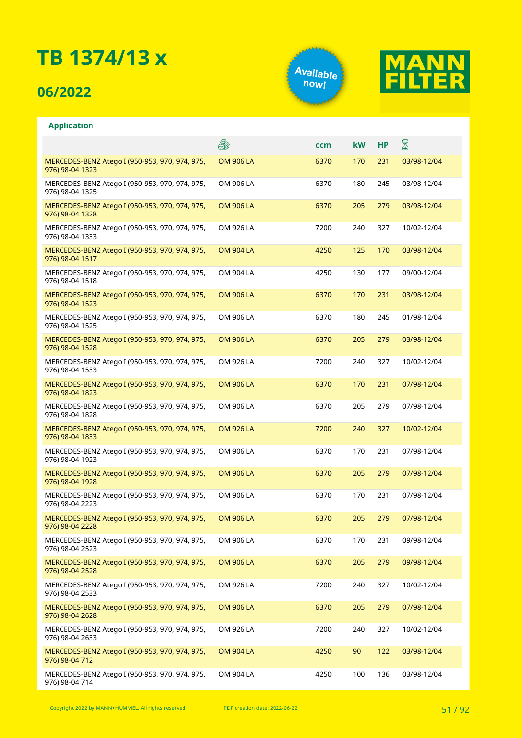## **06/2022**

**Application**





#### E. X **ccm kW HP** MERCEDES-BENZ Atego I (950-953, 970, 974, 975, OM 906 LA 6370 170 231 03/98-12/04 976) 98-04 1323 MERCEDES-BENZ Atego I (950-953, 970, 974, 975, OM 906 LA 6370 180 245 03/98-12/04 976) 98-04 1325 OM 906 LA 6370 205 279 03/98-12/04 MERCEDES-BENZ Atego I (950-953, 970, 974, 975, 976) 98-04 1328 OM 926 LA 7200 240 327 10/02-12/04 MERCEDES-BENZ Atego I (950-953, 970, 974, 975, 976) 98-04 1333 MERCEDES-BENZ Atego I (950-953, 970, 974, 975, OM 904 LA 4250 125 170 03/98-12/04 976) 98-04 1517 MERCEDES-BENZ Atego I (950-953, 970, 974, 975, OM 904 LA 4250 130 177 09/00-12/04 976) 98-04 1518 MERCEDES-BENZ Atego I (950-953, 970, 974, 975, OM 906 LA 6370 170 231 03/98-12/04 976) 98-04 1523 MERCEDES-BENZ Atego I (950-953, 970, 974, 975, OM 906 LA 6370 180 245 01/98-12/04 976) 98-04 1525 MERCEDES-BENZ Atego I (950-953, 970, 974, 975, OM 906 LA 6370 205 279 03/98-12/04 976) 98-04 1528 MERCEDES-BENZ Atego I (950-953, 970, 974, 975, OM 926 LA 7200 240 327 10/02-12/04 976) 98-04 1533 MERCEDES-BENZ Atego I (950-953, 970, 974, 975, OM 906 LA 6370 170 231 07/98-12/04 976) 98-04 1823 MERCEDES-BENZ Atego I (950-953, 970, 974, 975, OM 906 LA 6370 205 279 07/98-12/04 976) 98-04 1828 MERCEDES-BENZ Atego I (950-953, 970, 974, 975, OM 926 LA 7200 240 327 10/02-12/04 976) 98-04 1833 MERCEDES-BENZ Atego I (950-953, 970, 974, 975, OM 906 LA 6370 170 231 07/98-12/04 976) 98-04 1923 MERCEDES-BENZ Atego I (950-953, 970, 974, 975, OM 906 LA 6370 205 279 07/98-12/04 976) 98-04 1928 OM 906 LA 6370 170 231 07/98-12/04 MERCEDES-BENZ Atego I (950-953, 970, 974, 975, 976) 98-04 2223 MERCEDES-BENZ Atego I (950-953, 970, 974, 975, OM 906 LA 6370 205 279 07/98-12/04 976) 98-04 2228 MERCEDES-BENZ Atego I (950-953, 970, 974, 975, OM 906 LA 6370 170 231 09/98-12/04 976) 98-04 2523 MERCEDES-BENZ Atego I (950-953, 970, 974, 975, OM 906 LA 6370 205 279 09/98-12/04 976) 98-04 2528 MERCEDES-BENZ Atego I (950-953, 970, 974, 975, OM 926 LA 7200 240 327 10/02-12/04 976) 98-04 2533 MERCEDES-BENZ Atego I (950-953, 970, 974, 975, OM 906 LA 6370 205 279 07/98-12/04 976) 98-04 2628 MERCEDES-BENZ Atego I (950-953, 970, 974, 975, OM 926 LA 7200 240 327 10/02-12/04 976) 98-04 2633 MERCEDES-BENZ Atego I (950-953, 970, 974, 975, OM 904 LA 4250 90 122 03/98-12/04 976) 98-04 712 MERCEDES-BENZ Atego I (950-953, 970, 974, 975, OM 904 LA 4250 100 136 03/98-12/04 976) 98-04 714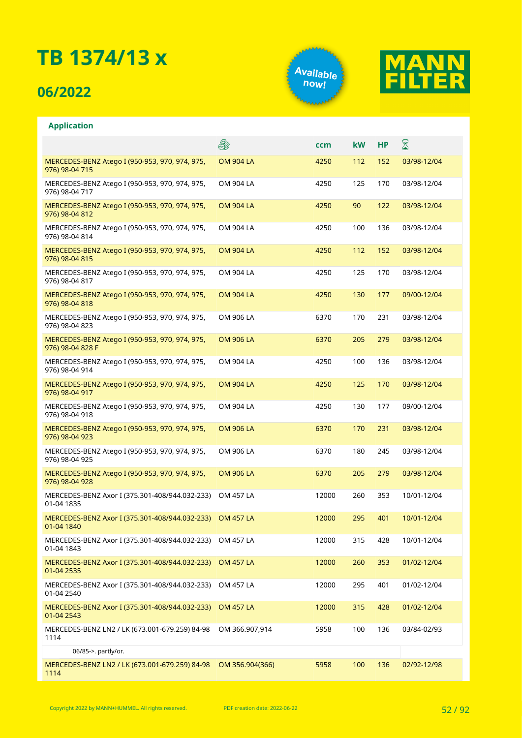## **06/2022**

**Application**





#### E. X **ccm kW HP** MERCEDES-BENZ Atego I (950-953, 970, 974, 975, OM 904 LA 4250 112 152 03/98-12/04 976) 98-04 715 MERCEDES-BENZ Atego I (950-953, 970, 974, 975, OM 904 LA 4250 125 170 03/98-12/04 976) 98-04 717 OM 904 LA 4250 90 122 03/98-12/04 MERCEDES-BENZ Atego I (950-953, 970, 974, 975, 976) 98-04 812 OM 904 LA 4250 100 136 03/98-12/04 MERCEDES-BENZ Atego I (950-953, 970, 974, 975, 976) 98-04 814 MERCEDES-BENZ Atego I (950-953, 970, 974, 975, OM 904 LA 4250 112 152 03/98-12/04 976) 98-04 815 MERCEDES-BENZ Atego I (950-953, 970, 974, 975, OM 904 LA 4250 125 170 03/98-12/04 976) 98-04 817 MERCEDES-BENZ Atego I (950-953, 970, 974, 975, OM 904 LA 4250 130 177 09/00-12/04 976) 98-04 818 MERCEDES-BENZ Atego I (950-953, 970, 974, 975, OM 906 LA 6370 170 231 03/98-12/04 976) 98-04 823 MERCEDES-BENZ Atego I (950-953, 970, 974, 975, OM 906 LA 6370 205 279 03/98-12/04 976) 98-04 828 F MERCEDES-BENZ Atego I (950-953, 970, 974, 975, OM 904 LA 4250 100 136 03/98-12/04 976) 98-04 914 MERCEDES-BENZ Atego I (950-953, 970, 974, 975, OM 904 LA 4250 125 170 03/98-12/04 976) 98-04 917 MERCEDES-BENZ Atego I (950-953, 970, 974, 975, OM 904 LA 4250 130 177 09/00-12/04 976) 98-04 918 MERCEDES-BENZ Atego I (950-953, 970, 974, 975, OM 906 LA 6370 170 231 03/98-12/04 976) 98-04 923 MERCEDES-BENZ Atego I (950-953, 970, 974, 975, OM 906 LA 6370 180 245 03/98-12/04 976) 98-04 925 MERCEDES-BENZ Atego I (950-953, 970, 974, 975, OM 906 LA 6370 205 279 03/98-12/04 976) 98-04 928 OM 457 LA 12000 260 353 10/01-12/04 MERCEDES-BENZ Axor I (375.301-408/944.032-233) 01-04 1835 MERCEDES-BENZ Axor I (375.301-408/944.032-233) OM 457 LA 12000 295 401 10/01-12/04 01-04 1840 MERCEDES-BENZ Axor I (375.301-408/944.032-233) OM 457 LA 12000 315 428 10/01-12/04 01-04 1843 MERCEDES-BENZ Axor I (375.301-408/944.032-233) OM 457 LA 12000 260 353 01/02-12/04 01-04 2535 MERCEDES-BENZ Axor I (375.301-408/944.032-233) OM 457 LA 12000 295 401 01/02-12/04 01-04 2540 MERCEDES-BENZ Axor I (375.301-408/944.032-233) OM 457 LA 12000 315 428 01/02-12/04 01-04 2543 MERCEDES-BENZ LN2 / LK (673.001-679.259) 84-98 OM 366.907,914 5958 100 136 03/84-02/93 1114 06/85->. partly/or. MERCEDES-BENZ LN2 / LK (673.001-679.259) 84-98 OM 356.904(366) 5958 100 136 02/92-12/981114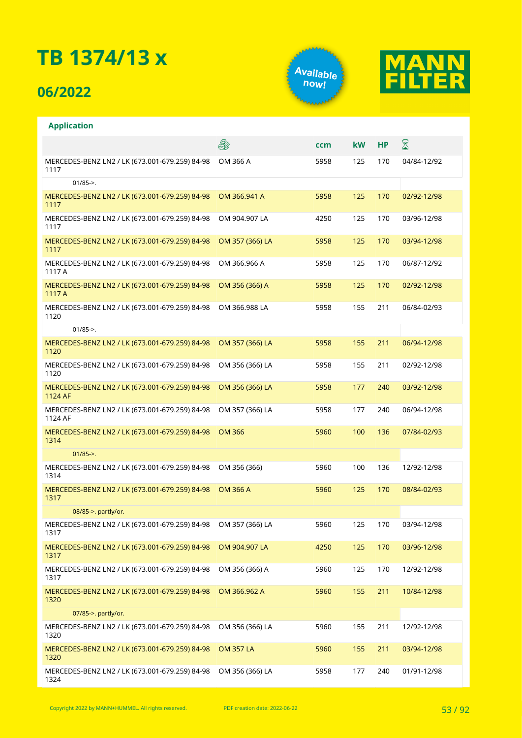## **06/2022**





|                                                           | 8                | ccm  | kW  | НP  | 8           |
|-----------------------------------------------------------|------------------|------|-----|-----|-------------|
| MERCEDES-BENZ LN2 / LK (673.001-679.259) 84-98<br>1117    | OM 366 A         | 5958 | 125 | 170 | 04/84-12/92 |
| $01/85 -$                                                 |                  |      |     |     |             |
| MERCEDES-BENZ LN2 / LK (673.001-679.259) 84-98<br>1117    | OM 366,941 A     | 5958 | 125 | 170 | 02/92-12/98 |
| MERCEDES-BENZ LN2 / LK (673.001-679.259) 84-98<br>1117    | OM 904.907 LA    | 4250 | 125 | 170 | 03/96-12/98 |
| MERCEDES-BENZ LN2 / LK (673.001-679.259) 84-98<br>1117    | OM 357 (366) LA  | 5958 | 125 | 170 | 03/94-12/98 |
| MERCEDES-BENZ LN2 / LK (673.001-679.259) 84-98<br>1117 A  | OM 366.966 A     | 5958 | 125 | 170 | 06/87-12/92 |
| MERCEDES-BENZ LN2 / LK (673.001-679.259) 84-98<br>1117 A  | OM 356 (366) A   | 5958 | 125 | 170 | 02/92-12/98 |
| MERCEDES-BENZ LN2 / LK (673.001-679.259) 84-98<br>1120    | OM 366.988 LA    | 5958 | 155 | 211 | 06/84-02/93 |
| $01/85 -$                                                 |                  |      |     |     |             |
| MERCEDES-BENZ LN2 / LK (673.001-679.259) 84-98<br>1120    | OM 357 (366) LA  | 5958 | 155 | 211 | 06/94-12/98 |
| MERCEDES-BENZ LN2 / LK (673.001-679.259) 84-98<br>1120    | OM 356 (366) LA  | 5958 | 155 | 211 | 02/92-12/98 |
| MERCEDES-BENZ LN2 / LK (673.001-679.259) 84-98<br>1124 AF | OM 356 (366) LA  | 5958 | 177 | 240 | 03/92-12/98 |
| MERCEDES-BENZ LN2 / LK (673.001-679.259) 84-98<br>1124 AF | OM 357 (366) LA  | 5958 | 177 | 240 | 06/94-12/98 |
| MERCEDES-BENZ LN2 / LK (673.001-679.259) 84-98<br>1314    | <b>OM 366</b>    | 5960 | 100 | 136 | 07/84-02/93 |
| $01/85 -$                                                 |                  |      |     |     |             |
| MERCEDES-BENZ LN2 / LK (673.001-679.259) 84-98<br>1314    | OM 356 (366)     | 5960 | 100 | 136 | 12/92-12/98 |
| MERCEDES-BENZ LN2 / LK (673.001-679.259) 84-98<br>1317    | <b>OM 366 A</b>  | 5960 | 125 | 170 | 08/84-02/93 |
| 08/85->. partly/or.                                       |                  |      |     |     |             |
| MERCEDES-BENZ LN2 / LK (673.001-679.259) 84-98<br>1317    | OM 357 (366) LA  | 5960 | 125 | 170 | 03/94-12/98 |
| MERCEDES-BENZ LN2 / LK (673.001-679.259) 84-98<br>1317    | OM 904.907 LA    | 4250 | 125 | 170 | 03/96-12/98 |
| MERCEDES-BENZ LN2 / LK (673.001-679.259) 84-98<br>1317    | OM 356 (366) A   | 5960 | 125 | 170 | 12/92-12/98 |
| MERCEDES-BENZ LN2 / LK (673.001-679.259) 84-98<br>1320    | OM 366.962 A     | 5960 | 155 | 211 | 10/84-12/98 |
| 07/85->. partly/or.                                       |                  |      |     |     |             |
| MERCEDES-BENZ LN2 / LK (673.001-679.259) 84-98<br>1320    | OM 356 (366) LA  | 5960 | 155 | 211 | 12/92-12/98 |
| MERCEDES-BENZ LN2 / LK (673.001-679.259) 84-98<br>1320    | <b>OM 357 LA</b> | 5960 | 155 | 211 | 03/94-12/98 |
| MERCEDES-BENZ LN2 / LK (673.001-679.259) 84-98<br>1324    | OM 356 (366) LA  | 5958 | 177 | 240 | 01/91-12/98 |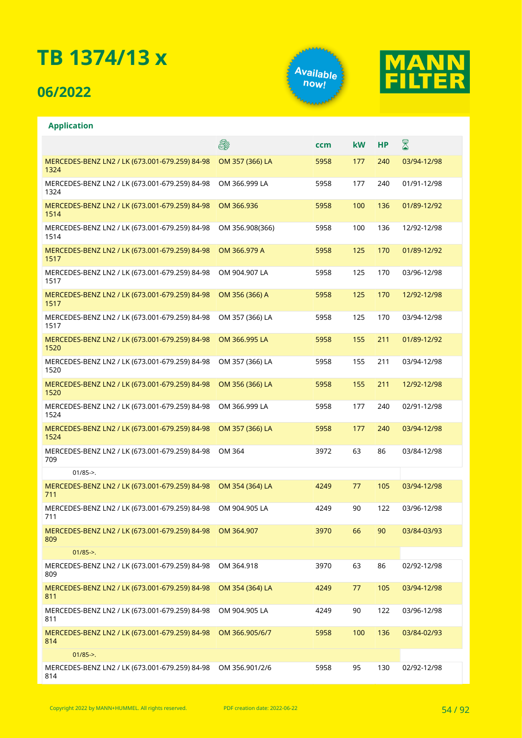## **06/2022**

**Application**





#### E. ⊠ **ccm kW HP** OM 357 (366) LA 5958 177 240 03/94-12/98 MERCEDES-BENZ LN2 / LK (673.001-679.259) 84-98 1324 MERCEDES-BENZ LN2 / LK (673.001-679.259) 84-98 OM 366.999 LA 5958 177 240 01/91-12/98 1324 MERCEDES-BENZ LN2 / LK (673.001-679.259) 84-98 OM 366.936 5958 100 136 01/89-12/92 1514 OM 356.908(366) 5958 100 136 12/92-12/98 MERCEDES-BENZ LN2 / LK (673.001-679.259) 84-98 1514 OM 366.979 A 5958 125 170 01/89-12/92 MERCEDES-BENZ LN2 / LK (673.001-679.259) 84-98 1517 MERCEDES-BENZ LN2 / LK (673.001-679.259) 84-98 OM 904.907 LA 5958 125 170 03/96-12/98 1517 MERCEDES-BENZ LN2 / LK (673.001-679.259) 84-98 OM 356 (366) A 5958 125 170 12/92-12/98 1517 MERCEDES-BENZ LN2 / LK (673.001-679.259) 84-98 OM 357 (366) LA 5958 125 170 03/94-12/98 1517 OM 366.995 LA 5958 155 211 01/89-12/92 MERCEDES-BENZ LN2 / LK (673.001-679.259) 84-98 1520 MERCEDES-BENZ LN2 / LK (673.001-679.259) 84-98 OM 357 (366) LA 5958 155 211 03/94-12/98 1520 MERCEDES-BENZ LN2 / LK (673.001-679.259) 84-98 OM 356 (366) LA 5958 155 211 12/92-12/98 1520 MERCEDES-BENZ LN2 / LK (673.001-679.259) 84-98 OM 366.999 LA 5958 177 240 02/91-12/98 1524 OM 357 (366) LA 5958 177 240 03/94-12/98 MERCEDES-BENZ LN2 / LK (673.001-679.259) 84-98 1524 MERCEDES-BENZ LN2 / LK (673.001-679.259) 84-98 OM 364 3972 63 86 03/84-12/98 709 01/85->. OM 354 (364) LA 4249 77 105 03/94-12/98 MERCEDES-BENZ LN2 / LK (673.001-679.259) 84-98 711 MERCEDES-BENZ LN2 / LK (673.001-679.259) 84-98 OM 904.905 LA 4249 90 122 03/96-12/98 711 MERCEDES-BENZ LN2 / LK (673.001-679.259) 84-98 OM 364.907 3970 66 90 03/84-03/93 809  $01/85-$ MERCEDES-BENZ LN2 / LK (673.001-679.259) 84-98 OM 364.918 3970 63 86 02/92-12/98 809 MERCEDES-BENZ LN2 / LK (673.001-679.259) 84-98 OM 354 (364) LA 4249 77 105 03/94-12/98 811 MERCEDES-BENZ LN2 / LK (673.001-679.259) 84-98 OM 904.905 LA 4249 90 122 03/96-12/98 811 MERCEDES-BENZ LN2 / LK (673.001-679.259) 84-98 OM 366.905/6/7 5958 100 136 03/84-02/93 814  $01/85 - >$ MERCEDES-BENZ LN2 / LK (673.001-679.259) 84-98 OM 356.901/2/6 5958 95 130 02/92-12/98814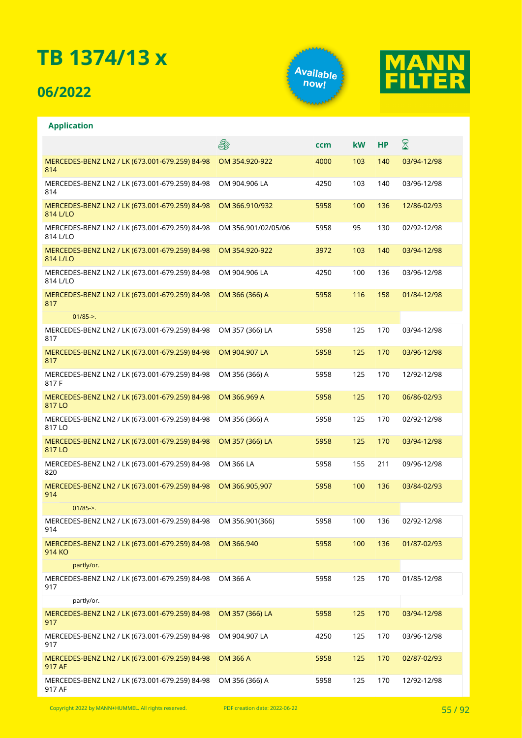## **06/2022**

**Application**





#### **A** X **ccm kW HP** OM 354.920-922 4000 103 140 03/94-12/98 MERCEDES-BENZ LN2 / LK (673.001-679.259) 84-98 814 OM 904.906 LA 4250 103 140 03/96-12/98 MERCEDES-BENZ LN2 / LK (673.001-679.259) 84-98 814 MERCEDES-BENZ LN2 / LK (673.001-679.259) 84-98 OM 366.910/932 5958 100 136 12/86-02/93  $8141/10$ OM 356.901/02/05/06 5958 95 130 02/92-12/98 MERCEDES-BENZ LN2 / LK (673.001-679.259) 84-98 814 L/LO MERCEDES-BENZ LN2 / LK (673.001-679.259) 84-98 OM 354.920-922 3972 103 140 03/94-12/98 814 L/LO MERCEDES-BENZ LN2 / LK (673.001-679.259) 84-98 OM 904.906 LA 4250 100 136 03/96-12/98 814 L/LO MERCEDES-BENZ LN2 / LK (673.001-679.259) 84-98 OM 366 (366) A 5958 116 158 01/84-12/98 817  $01/85 - > 0$ OM 357 (366) LA 5958 125 170 03/94-12/98 MERCEDES-BENZ LN2 / LK (673.001-679.259) 84-98 817 MERCEDES-BENZ LN2 / LK (673.001-679.259) 84-98 OM 904.907 LA 5958 125 170 03/96-12/98 817 MERCEDES-BENZ LN2 / LK (673.001-679.259) 84-98 OM 356 (366) A 5958 125 170 12/92-12/98 817 F MERCEDES-BENZ LN2 / LK (673.001-679.259) 84-98 OM 366.969 A 5958 125 170 06/86-02/93 817 LO MERCEDES-BENZ LN2 / LK (673.001-679.259) 84-98 OM 356 (366) A 5958 125 170 02/92-12/98 817 LO OM 357 (366) LA 5958 125 170 03/94-12/98 MERCEDES-BENZ LN2 / LK (673.001-679.259) 84-98 817 I O MERCEDES-BENZ LN2 / LK (673.001-679.259) 84-98 OM 366 LA 5958 155 211 09/96-12/98 820 MERCEDES-BENZ LN2 / LK (673.001-679.259) 84-98 OM 366.905,907 5958 100 136 03/84-02/93 914  $01/85 - >$ MERCEDES-BENZ LN2 / LK (673.001-679.259) 84-98 OM 356.901(366) 5958 100 136 02/92-12/98 914 MERCEDES-BENZ LN2 / LK (673.001-679.259) 84-98 OM 366.940 5958 100 136 01/87-02/93 914 KO partly/or. MERCEDES-BENZ LN2 / LK (673.001-679.259) 84-98 OM 366 A 5958 125 170 01/85-12/98 917 partly/or. OM 357 (366) LA 5958 125 170 03/94-12/98 MERCEDES-BENZ LN2 / LK (673.001-679.259) 84-98 917 MERCEDES-BENZ LN2 / LK (673.001-679.259) 84-98 OM 904.907 LA 4250 125 170 03/96-12/98 917 OM 366 A 5958 125 170 02/87-02/93 MERCEDES-BENZ LN2 / LK (673.001-679.259) 84-98 917 AF MERCEDES-BENZ LN2 / LK (673.001-679.259) 84-98 OM 356 (366) A 5958 125 170 12/92-12/98917 AF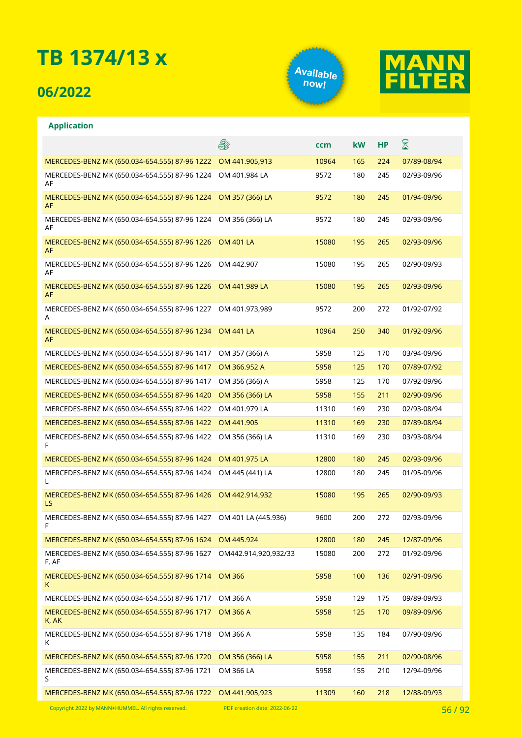## **06/2022**

**Application**





#### **A** ⊠ **ccm kW HP** MERCEDES-BENZ MK (650.034-654.555) 87-96 1222 OM 441.905,913 10964 165 224 07/89-08/94 OM 401.984 LA 9572 180 245 02/93-09/96 MERCEDES-BENZ MK (650.034-654.555) 87-96 1224 AF MERCEDES-BENZ MK (650.034-654.555) 87-96 1224 OM 357 (366) LA 9572 180 245 01/94-09/96 AF MERCEDES-BENZ MK (650.034-654.555) 87-96 1224 OM 356 (366) LA 9572 180 245 02/93-09/96 AF MERCEDES-BENZ MK (650.034-654.555) 87-96 1226 OM 401 LA 15080 195 265 02/93-09/96 AF MERCEDES-BENZ MK (650.034-654.555) 87-96 1226 OM 442.907 15080 195 265 02/90-09/93 AF MERCEDES-BENZ MK (650.034-654.555) 87-96 1226 OM 441.989 LA 15080 195 265 02/93-09/96 AF MERCEDES-BENZ MK (650.034-654.555) 87-96 1227 OM 401.973,989 9572 200 272 01/92-07/92 A MERCEDES-BENZ MK (650.034-654.555) 87-96 1234 OM 441 LA 10964 250 340 01/92-09/96 AF MERCEDES-BENZ MK (650.034-654.555) 87-96 1417 OM 357 (366) A 5958 125 170 03/94-09/96 MERCEDES-BENZ MK (650.034-654.555) 87-96 1417 OM 366.952 A 5958 125 125 170 07/89-07/92 MERCEDES-BENZ MK (650.034-654.555) 87-96 1417 OM 356 (366) A 5958 125 170 07/92-09/96 MERCEDES-BENZ MK (650.034-654.555) 87-96 1420 OM 356 (366) LA 5958 155 211 02/90-09/96 MERCEDES-BENZ MK (650.034-654.555) 87-96 1422 OM 401.979 LA 11310 169 230 02/93-08/94 MERCEDES-BENZ MK (650.034-654.555) 87-96 1422 OM 441.905 11310 169 230 07/89-08/94 MERCEDES-BENZ MK (650.034-654.555) 87-96 1422 OM 356 (366) LA 11310 169 230 03/93-08/94 F MERCEDES-BENZ MK (650.034-654.555) 87-96 1424 OM 401.975 LA 12800 180 245 02/93-09/96 MERCEDES-BENZ MK (650.034-654.555) 87-96 1424 OM 445 (441) LA 12800 180 245 01/95-09/96 L MERCEDES-BENZ MK (650.034-654.555) 87-96 1426 OM 442.914,932 15080 195 265 02/90-09/93 LS MERCEDES-BENZ MK (650.034-654.555) 87-96 1427 OM 401 LA (445.936) 9600 200 272 02/93-09/96 F MERCEDES-BENZ MK (650.034-654.555) 87-96 1624 OM 445.924 12800 180 245 12/87-09/96 MERCEDES-BENZ MK (650.034-654.555) 87-96 1627 OM442.914,920,932/33 15080 200 272 01/92-09/96 F, AF 5958 100 136 02/91-09/96 MERCEDES-BENZ MK (650.034-654.555) 87-96 1714 K MERCEDES-BENZ MK (650.034-654.555) 87-96 1717 OM 366 A 5958 129 175 09/89-09/93 MERCEDES-BENZ MK (650.034-654.555) 87-96 1717 OM 366 A 5958 125 170 09/89-09/96 K, AK MERCEDES-BENZ MK (650.034-654.555) 87-96 1718 5958 135 184 07/90-09/96 K MERCEDES-BENZ MK (650.034-654.555) 87-96 1720 OM 356 (366) LA 5958 155 211 02/90-08/96 OM 366 LA 5958 155 210 12/94-09/96 MERCEDES-BENZ MK (650.034-654.555) 87-96 1721 S MERCEDES-BENZ MK (650.034-654.555) 87-96 1722 OM 441.905,923 11309 160 218 12/88-09/93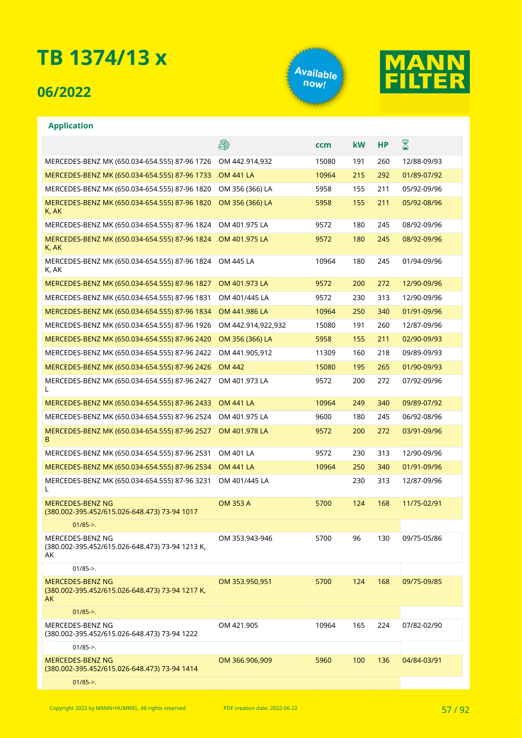## **06/2022**





|                                                                           | 8                  | ccm   | <b>kW</b> | <b>HP</b> | $\boxtimes$ |
|---------------------------------------------------------------------------|--------------------|-------|-----------|-----------|-------------|
| MERCEDES-BENZ MK (650.034-654.555) 87-96 1726                             | OM 442.914,932     | 15080 | 191       | 260       | 12/88-09/93 |
| MERCEDES-BENZ MK (650.034-654.555) 87-96 1733                             | <b>OM 441 LA</b>   | 10964 | 215       | 292       | 01/89-07/92 |
| MERCEDES-BENZ MK (650.034-654.555) 87-96 1820                             | OM 356 (366) LA    | 5958  | 155       | 211       | 05/92-09/96 |
| MERCEDES-BENZ MK (650.034-654.555) 87-96 1820<br>K, AK                    | OM 356 (366) LA    | 5958  | 155       | 211       | 05/92-08/96 |
| MERCEDES-BENZ MK (650.034-654.555) 87-96 1824                             | OM 401.975 LA      | 9572  | 180       | 245       | 08/92-09/96 |
| MERCEDES-BENZ MK (650.034-654.555) 87-96 1824<br>K, AK                    | OM 401.975 LA      | 9572  | 180       | 245       | 08/92-09/96 |
| MERCEDES-BENZ MK (650.034-654.555) 87-96 1824<br>K, AK                    | OM 445 LA          | 10964 | 180       | 245       | 01/94-09/96 |
| MERCEDES-BENZ MK (650.034-654.555) 87-96 1827                             | OM 401.973 LA      | 9572  | 200       | 272       | 12/90-09/96 |
| MERCEDES-BENZ MK (650.034-654.555) 87-96 1831                             | OM 401/445 LA      | 9572  | 230       | 313       | 12/90-09/96 |
| MERCEDES-BENZ MK (650.034-654.555) 87-96 1834                             | OM 441.986 LA      | 10964 | 250       | 340       | 01/91-09/96 |
| MERCEDES-BENZ MK (650.034-654.555) 87-96 1926                             | OM 442.914,922,932 | 15080 | 191       | 260       | 12/87-09/96 |
| MERCEDES-BENZ MK (650.034-654.555) 87-96 2420                             | OM 356 (366) LA    | 5958  | 155       | 211       | 02/90-09/93 |
| MERCEDES-BENZ MK (650.034-654.555) 87-96 2422                             | OM 441.905,912     | 11309 | 160       | 218       | 09/89-09/93 |
| MERCEDES-BENZ MK (650.034-654.555) 87-96 2426                             | <b>OM 442</b>      | 15080 | 195       | 265       | 01/90-09/93 |
| MERCEDES-BENZ MK (650.034-654.555) 87-96 2427<br>L                        | OM 401.973 LA      | 9572  | 200       | 272       | 07/92-09/96 |
| MERCEDES-BENZ MK (650.034-654.555) 87-96 2433                             | <b>OM 441 LA</b>   | 10964 | 249       | 340       | 09/89-07/92 |
| MERCEDES-BENZ MK (650.034-654.555) 87-96 2524                             | OM 401.975 LA      | 9600  | 180       | 245       | 06/92-08/96 |
| MERCEDES-BENZ MK (650.034-654.555) 87-96 2527<br>B                        | OM 401.978 LA      | 9572  | 200       | 272       | 03/91-09/96 |
| MERCEDES-BENZ MK (650.034-654.555) 87-96 2531                             | OM 401 LA          | 9572  | 230       | 313       | 12/90-09/96 |
| MERCEDES-BENZ MK (650.034-654.555) 87-96 2534                             | <b>OM 441 LA</b>   | 10964 | 250       | 340       | 01/91-09/96 |
| MERCEDES-BENZ MK (650.034-654.555) 87-96 3231<br>L                        | OM 401/445 LA      |       | 230       | 313       | 12/87-09/96 |
| MERCEDES-BENZ NG<br>(380.002-395.452/615.026-648.473) 73-94 1017          | <b>OM 353 A</b>    | 5700  | 124       | 168       | 11/75-02/91 |
| $01/85 - >$ .                                                             |                    |       |           |           |             |
| MERCEDES-BENZ NG<br>(380.002-395.452/615.026-648.473) 73-94 1213 K,<br>AK | OM 353.943-946     | 5700  | 96        | 130       | 09/75-05/86 |
| $01/85$ ->.                                                               |                    |       |           |           |             |
| MERCEDES-BENZ NG<br>(380.002-395.452/615.026-648.473) 73-94 1217 K,<br>AK | OM 353.950,951     | 5700  | 124       | 168       | 09/75-09/85 |
| $01/85$ ->.                                                               |                    |       |           |           |             |
| MERCEDES-BENZ NG<br>(380.002-395.452/615.026-648.473) 73-94 1222          | OM 421.905         | 10964 | 165       | 224       | 07/82-02/90 |
| $01/85$ ->.                                                               |                    |       |           |           |             |
| MERCEDES-BENZ NG<br>(380.002-395.452/615.026-648.473) 73-94 1414          | OM 366.906,909     | 5960  | 100       | 136       | 04/84-03/91 |
| $01/85 -$                                                                 |                    |       |           |           |             |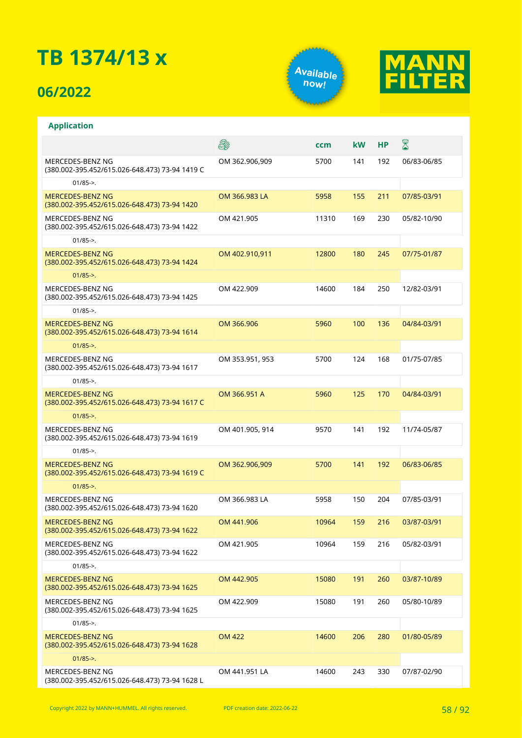## **06/2022**





|                                                                           | 8               | ccm   | <b>kW</b> | <b>HP</b> | 8           |
|---------------------------------------------------------------------------|-----------------|-------|-----------|-----------|-------------|
| MERCEDES-BENZ NG<br>(380.002-395.452/615.026-648.473) 73-94 1419 C        | OM 362.906,909  | 5700  | 141       | 192       | 06/83-06/85 |
| $01/85 -$                                                                 |                 |       |           |           |             |
| <b>MERCEDES-BENZ NG</b><br>(380.002-395.452/615.026-648.473) 73-94 1420   | OM 366.983 LA   | 5958  | 155       | 211       | 07/85-03/91 |
| MERCEDES-BENZ NG<br>(380.002-395.452/615.026-648.473) 73-94 1422          | OM 421.905      | 11310 | 169       | 230       | 05/82-10/90 |
| $01/85 -$                                                                 |                 |       |           |           |             |
| <b>MERCEDES-BENZ NG</b><br>(380.002-395.452/615.026-648.473) 73-94 1424   | OM 402.910,911  | 12800 | 180       | 245       | 07/75-01/87 |
| $01/85 -$                                                                 |                 |       |           |           |             |
| MERCEDES-BENZ NG<br>(380.002-395.452/615.026-648.473) 73-94 1425          | OM 422.909      | 14600 | 184       | 250       | 12/82-03/91 |
| $01/85 -$                                                                 |                 |       |           |           |             |
| MERCEDES-BENZ NG<br>(380.002-395.452/615.026-648.473) 73-94 1614          | OM 366.906      | 5960  | 100       | 136       | 04/84-03/91 |
| $01/85 -$                                                                 |                 |       |           |           |             |
| MERCEDES-BENZ NG<br>(380.002-395.452/615.026-648.473) 73-94 1617          | OM 353.951, 953 | 5700  | 124       | 168       | 01/75-07/85 |
| $01/85 -$                                                                 |                 |       |           |           |             |
| MERCEDES-BENZ NG<br>(380.002-395.452/615.026-648.473) 73-94 1617 C        | OM 366.951 A    | 5960  | 125       | 170       | 04/84-03/91 |
| $01/85 -$                                                                 |                 |       |           |           |             |
| MERCEDES-BENZ NG<br>(380.002-395.452/615.026-648.473) 73-94 1619          | OM 401.905, 914 | 9570  | 141       | 192       | 11/74-05/87 |
| $01/85 -$                                                                 |                 |       |           |           |             |
| <b>MERCEDES-BENZ NG</b><br>(380.002-395.452/615.026-648.473) 73-94 1619 C | OM 362.906,909  | 5700  | 141       | 192       | 06/83-06/85 |
| $01/85 -$                                                                 |                 |       |           |           |             |
| MERCEDES-BENZ NG<br>(380.002-395.452/615.026-648.473) 73-94 1620          | OM 366.983 LA   | 5958  | 150       | 204       | 07/85-03/91 |
| MERCEDES-BENZ NG<br>(380.002-395.452/615.026-648.473) 73-94 1622          | OM 441.906      | 10964 | 159       | 216       | 03/87-03/91 |
| MERCEDES-BENZ NG<br>(380.002-395.452/615.026-648.473) 73-94 1622          | OM 421.905      | 10964 | 159       | 216       | 05/82-03/91 |
| $01/85 -$                                                                 |                 |       |           |           |             |
| MERCEDES-BENZ NG<br>(380.002-395.452/615.026-648.473) 73-94 1625          | OM 442.905      | 15080 | 191       | 260       | 03/87-10/89 |
| MERCEDES-BENZ NG<br>(380.002-395.452/615.026-648.473) 73-94 1625          | OM 422.909      | 15080 | 191       | 260       | 05/80-10/89 |
| $01/85 -$                                                                 |                 |       |           |           |             |
| <b>MERCEDES-BENZ NG</b><br>(380.002-395.452/615.026-648.473) 73-94 1628   | <b>OM 422</b>   | 14600 | 206       | 280       | 01/80-05/89 |
| $01/85 -$                                                                 |                 |       |           |           |             |
| MERCEDES-BENZ NG<br>(380.002-395.452/615.026-648.473) 73-94 1628 L        | OM 441.951 LA   | 14600 | 243       | 330       | 07/87-02/90 |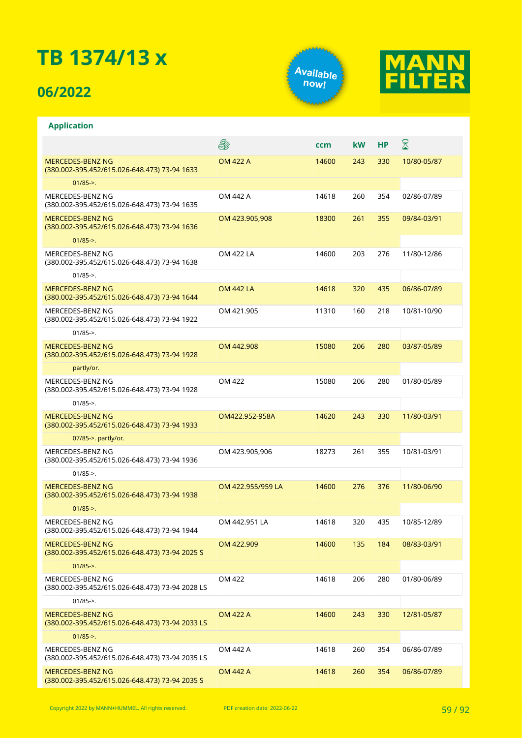## **06/2022**





|                                                                         | 8                 | ccm   | <b>kW</b> | <b>HP</b> | 8           |
|-------------------------------------------------------------------------|-------------------|-------|-----------|-----------|-------------|
| <b>MERCEDES-BENZ NG</b><br>(380.002-395.452/615.026-648.473) 73-94 1633 | <b>OM 422 A</b>   | 14600 | 243       | 330       | 10/80-05/87 |
| $01/85 - >$ .                                                           |                   |       |           |           |             |
| MERCEDES-BENZ NG<br>(380.002-395.452/615.026-648.473) 73-94 1635        | OM 442 A          | 14618 | 260       | 354       | 02/86-07/89 |
| <b>MERCEDES-BENZ NG</b><br>(380.002-395.452/615.026-648.473) 73-94 1636 | OM 423.905,908    | 18300 | 261       | 355       | 09/84-03/91 |
| $01/85 -$                                                               |                   |       |           |           |             |
| MERCEDES-BENZ NG<br>(380.002-395.452/615.026-648.473) 73-94 1638        | OM 422 LA         | 14600 | 203       | 276       | 11/80-12/86 |
| $01/85 - >$ .                                                           |                   |       |           |           |             |
| MERCEDES-BENZ NG<br>(380.002-395.452/615.026-648.473) 73-94 1644        | <b>OM 442 LA</b>  | 14618 | 320       | 435       | 06/86-07/89 |
| MERCEDES-BENZ NG<br>(380.002-395.452/615.026-648.473) 73-94 1922        | OM 421.905        | 11310 | 160       | 218       | 10/81-10/90 |
| $01/85 -$                                                               |                   |       |           |           |             |
| MERCEDES-BENZ NG<br>(380.002-395.452/615.026-648.473) 73-94 1928        | OM 442.908        | 15080 | 206       | 280       | 03/87-05/89 |
| partly/or.                                                              |                   |       |           |           |             |
| MERCEDES-BENZ NG<br>(380.002-395.452/615.026-648.473) 73-94 1928        | OM 422            | 15080 | 206       | 280       | 01/80-05/89 |
| $01/85$ ->.                                                             |                   |       |           |           |             |
| MERCEDES-BENZ NG<br>(380.002-395.452/615.026-648.473) 73-94 1933        | OM422.952-958A    | 14620 | 243       | 330       | 11/80-03/91 |
| 07/85->. partly/or.                                                     |                   |       |           |           |             |
| MERCEDES-BENZ NG<br>(380.002-395.452/615.026-648.473) 73-94 1936        | OM 423.905,906    | 18273 | 261       | 355       | 10/81-03/91 |
| $01/85 -$                                                               |                   |       |           |           |             |
| <b>MERCEDES-BENZ NG</b><br>(380.002-395.452/615.026-648.473) 73-94 1938 | OM 422.955/959 LA | 14600 | 276       | 376       | 11/80-06/90 |
| $01/85 -$                                                               |                   |       |           |           |             |
| MERCEDES-BENZ NG<br>(380.002-395.452/615.026-648.473) 73-94 1944        | OM 442.951 LA     | 14618 | 320       | 435       | 10/85-12/89 |
| MERCEDES-BENZ NG<br>(380.002-395.452/615.026-648.473) 73-94 2025 S      | OM 422.909        | 14600 | 135       | 184       | 08/83-03/91 |
| $01/85 -$                                                               |                   |       |           |           |             |
| MERCEDES-BENZ NG<br>(380.002-395.452/615.026-648.473) 73-94 2028 LS     | OM 422            | 14618 | 206       | 280       | 01/80-06/89 |
| $01/85$ ->.                                                             |                   |       |           |           |             |
| MERCEDES-BENZ NG<br>(380.002-395.452/615.026-648.473) 73-94 2033 LS     | <b>OM 422 A</b>   | 14600 | 243       | 330       | 12/81-05/87 |
| $01/85 - >$ .                                                           |                   |       |           |           |             |
| MERCEDES-BENZ NG<br>(380.002-395.452/615.026-648.473) 73-94 2035 LS     | OM 442 A          | 14618 | 260       | 354       | 06/86-07/89 |
| MERCEDES-BENZ NG<br>(380.002-395.452/615.026-648.473) 73-94 2035 S      | <b>OM 442 A</b>   | 14618 | 260       | 354       | 06/86-07/89 |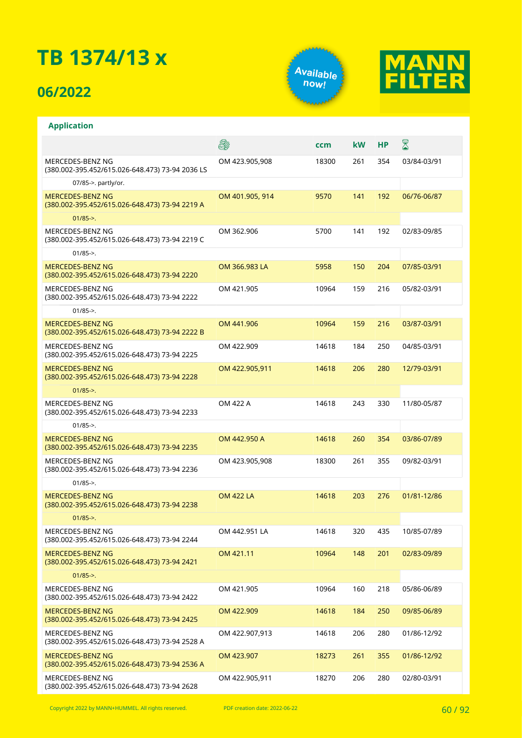## **06/2022**





|                                                                           | 8                | ccm   | kW  | НP  | $\boxtimes$ |
|---------------------------------------------------------------------------|------------------|-------|-----|-----|-------------|
| MERCEDES-BENZ NG<br>(380.002-395.452/615.026-648.473) 73-94 2036 LS       | OM 423.905,908   | 18300 | 261 | 354 | 03/84-03/91 |
| 07/85->. partly/or.                                                       |                  |       |     |     |             |
| <b>MERCEDES-BENZ NG</b><br>(380.002-395.452/615.026-648.473) 73-94 2219 A | OM 401.905, 914  | 9570  | 141 | 192 | 06/76-06/87 |
| $01/85 -$                                                                 |                  |       |     |     |             |
| MERCEDES-BENZ NG<br>(380.002-395.452/615.026-648.473) 73-94 2219 C        | OM 362.906       | 5700  | 141 | 192 | 02/83-09/85 |
| $01/85 -$                                                                 |                  |       |     |     |             |
| <b>MERCEDES-BENZ NG</b><br>(380.002-395.452/615.026-648.473) 73-94 2220   | OM 366.983 LA    | 5958  | 150 | 204 | 07/85-03/91 |
| MERCEDES-BENZ NG<br>(380.002-395.452/615.026-648.473) 73-94 2222          | OM 421.905       | 10964 | 159 | 216 | 05/82-03/91 |
| $01/85 -$                                                                 |                  |       |     |     |             |
| <b>MERCEDES-BENZ NG</b><br>(380.002-395.452/615.026-648.473) 73-94 2222 B | OM 441.906       | 10964 | 159 | 216 | 03/87-03/91 |
| MERCEDES-BENZ NG<br>(380.002-395.452/615.026-648.473) 73-94 2225          | OM 422.909       | 14618 | 184 | 250 | 04/85-03/91 |
| <b>MERCEDES-BENZ NG</b><br>(380.002-395.452/615.026-648.473) 73-94 2228   | OM 422.905,911   | 14618 | 206 | 280 | 12/79-03/91 |
| $01/85 -$                                                                 |                  |       |     |     |             |
| MERCEDES-BENZ NG<br>(380.002-395.452/615.026-648.473) 73-94 2233          | OM 422 A         | 14618 | 243 | 330 | 11/80-05/87 |
| $01/85 -$                                                                 |                  |       |     |     |             |
| <b>MERCEDES-BENZ NG</b><br>(380.002-395.452/615.026-648.473) 73-94 2235   | OM 442.950 A     | 14618 | 260 | 354 | 03/86-07/89 |
| MERCEDES-BENZ NG<br>(380.002-395.452/615.026-648.473) 73-94 2236          | OM 423.905,908   | 18300 | 261 | 355 | 09/82-03/91 |
| $01/85 -$                                                                 |                  |       |     |     |             |
| <b>MERCEDES-BENZ NG</b><br>(380.002-395.452/615.026-648.473) 73-94 2238   | <b>OM 422 LA</b> | 14618 | 203 | 276 | 01/81-12/86 |
| $01/85 -$                                                                 |                  |       |     |     |             |
| MERCEDES-BENZ NG<br>(380.002-395.452/615.026-648.473) 73-94 2244          | OM 442.951 LA    | 14618 | 320 | 435 | 10/85-07/89 |
| MERCEDES-BENZ NG<br>(380.002-395.452/615.026-648.473) 73-94 2421          | OM 421.11        | 10964 | 148 | 201 | 02/83-09/89 |
| $01/85 -$                                                                 |                  |       |     |     |             |
| MERCEDES-BENZ NG<br>(380.002-395.452/615.026-648.473) 73-94 2422          | OM 421.905       | 10964 | 160 | 218 | 05/86-06/89 |
| <b>MERCEDES-BENZ NG</b><br>(380.002-395.452/615.026-648.473) 73-94 2425   | OM 422.909       | 14618 | 184 | 250 | 09/85-06/89 |
| MERCEDES-BENZ NG<br>(380.002-395.452/615.026-648.473) 73-94 2528 A        | OM 422.907,913   | 14618 | 206 | 280 | 01/86-12/92 |
| <b>MERCEDES-BENZ NG</b><br>(380.002-395.452/615.026-648.473) 73-94 2536 A | OM 423.907       | 18273 | 261 | 355 | 01/86-12/92 |
| MERCEDES-BENZ NG<br>(380.002-395.452/615.026-648.473) 73-94 2628          | OM 422.905,911   | 18270 | 206 | 280 | 02/80-03/91 |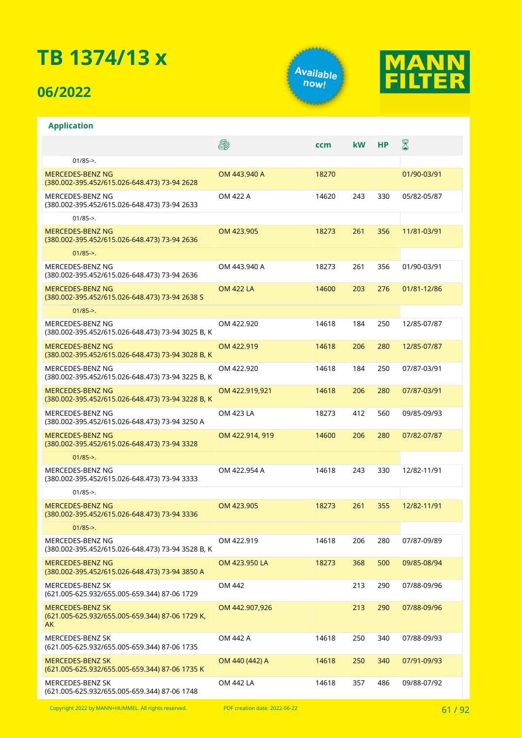### **06/2022**





|                                                                                  | S.               | ccm   | kW  | <b>HP</b> | $\boxtimes$ |
|----------------------------------------------------------------------------------|------------------|-------|-----|-----------|-------------|
| $01/85 -$                                                                        |                  |       |     |           |             |
| <b>MERCEDES-BENZ NG</b><br>(380.002-395.452/615.026-648.473) 73-94 2628          | OM 443.940 A     | 18270 |     |           | 01/90-03/91 |
| MERCEDES-BENZ NG<br>(380.002-395.452/615.026-648.473) 73-94 2633                 | OM 422 A         | 14620 | 243 | 330       | 05/82-05/87 |
| $01/85 -$                                                                        |                  |       |     |           |             |
| <b>MERCEDES-BENZ NG</b><br>(380.002-395.452/615.026-648.473) 73-94 2636          | OM 423.905       | 18273 | 261 | 356       | 11/81-03/91 |
| $01/85 -$                                                                        |                  |       |     |           |             |
| MERCEDES-BENZ NG<br>(380.002-395.452/615.026-648.473) 73-94 2636                 | OM 443.940 A     | 18273 | 261 | 356       | 01/90-03/91 |
| <b>MERCEDES-BENZ NG</b><br>(380.002-395.452/615.026-648.473) 73-94 2638 S        | <b>OM 422 LA</b> | 14600 | 203 | 276       | 01/81-12/86 |
| $01/85 -$                                                                        |                  |       |     |           |             |
| MERCEDES-BENZ NG<br>(380.002-395.452/615.026-648.473) 73-94 3025 B, K            | OM 422.920       | 14618 | 184 | 250       | 12/85-07/87 |
| <b>MERCEDES-BENZ NG</b><br>(380.002-395.452/615.026-648.473) 73-94 3028 B, K     | OM 422.919       | 14618 | 206 | 280       | 12/85-07/87 |
| MERCEDES-BENZ NG<br>(380.002-395.452/615.026-648.473) 73-94 3225 B, K            | OM 422.920       | 14618 | 184 | 250       | 07/87-03/91 |
| MERCEDES-BENZ NG<br>(380.002-395.452/615.026-648.473) 73-94 3228 B, K            | OM 422.919,921   | 14618 | 206 | 280       | 07/87-03/91 |
| MERCEDES-BENZ NG<br>(380.002-395.452/615.026-648.473) 73-94 3250 A               | OM 423 LA        | 18273 | 412 | 560       | 09/85-09/93 |
| MERCEDES-BENZ NG<br>(380.002-395.452/615.026-648.473) 73-94 3328                 | OM 422.914, 919  | 14600 | 206 | 280       | 07/82-07/87 |
| $01/85 -$                                                                        |                  |       |     |           |             |
| MERCEDES-BENZ NG<br>(380.002-395.452/615.026-648.473) 73-94 3333                 | OM 422.954 A     | 14618 | 243 | 330       | 12/82-11/91 |
| $01/85 -$                                                                        |                  |       |     |           |             |
| <b>MERCEDES-BENZ NG</b><br>(380.002-395.452/615.026-648.473) 73-94 3336          | OM 423.905       | 18273 | 261 | 355       | 12/82-11/91 |
| $01/85 -$                                                                        |                  |       |     |           |             |
| MERCEDES-BENZ NG<br>(380.002-395.452/615.026-648.473) 73-94 3528 B, K            | OM 422.919       | 14618 | 206 | 280       | 07/87-09/89 |
| MERCEDES-BENZ NG<br>(380.002-395.452/615.026-648.473) 73-94 3850 A               | OM 423.950 LA    | 18273 | 368 | 500       | 09/85-08/94 |
| MERCEDES-BENZ SK<br>(621.005-625.932/655.005-659.344) 87-06 1729                 | OM 442           |       | 213 | 290       | 07/88-09/96 |
| <b>MERCEDES-BENZ SK</b><br>(621.005-625.932/655.005-659.344) 87-06 1729 K,<br>AK | OM 442.907,926   |       | 213 | 290       | 07/88-09/96 |
| MERCEDES-BENZ SK<br>(621.005-625.932/655.005-659.344) 87-06 1735                 | OM 442 A         | 14618 | 250 | 340       | 07/88-09/93 |
| <b>MERCEDES-BENZ SK</b><br>(621.005-625.932/655.005-659.344) 87-06 1735 K        | OM 440 (442) A   | 14618 | 250 | 340       | 07/91-09/93 |
| MERCEDES-BENZ SK<br>(621.005-625.932/655.005-659.344) 87-06 1748                 | OM 442 LA        | 14618 | 357 | 486       | 09/88-07/92 |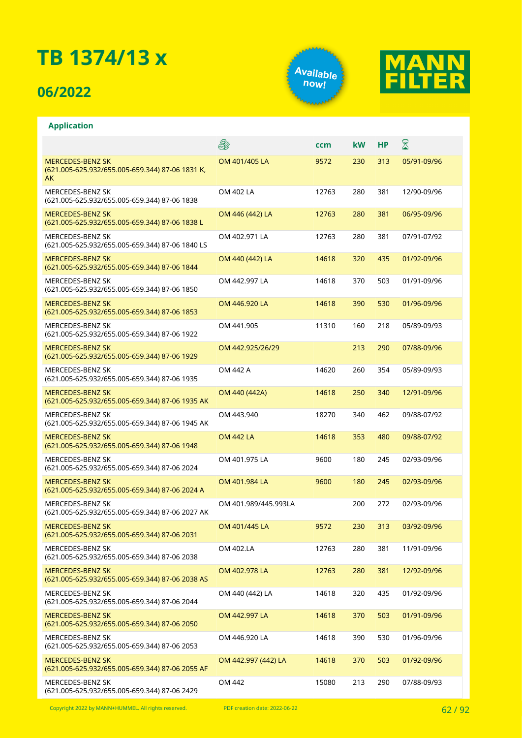## **06/2022**





|                                                                                  | 5                    | ccm   | kW  | НP  | ${\mathbb Z}$ |
|----------------------------------------------------------------------------------|----------------------|-------|-----|-----|---------------|
| <b>MERCEDES-BENZ SK</b><br>(621.005-625.932/655.005-659.344) 87-06 1831 K,<br>AK | OM 401/405 LA        | 9572  | 230 | 313 | 05/91-09/96   |
| MERCEDES-BENZ SK<br>(621.005-625.932/655.005-659.344) 87-06 1838                 | OM 402 LA            | 12763 | 280 | 381 | 12/90-09/96   |
| <b>MERCEDES-BENZ SK</b><br>(621.005-625.932/655.005-659.344) 87-06 1838 L        | OM 446 (442) LA      | 12763 | 280 | 381 | 06/95-09/96   |
| MERCEDES-BENZ SK<br>(621.005-625.932/655.005-659.344) 87-06 1840 LS              | OM 402.971 LA        | 12763 | 280 | 381 | 07/91-07/92   |
| <b>MERCEDES-BENZ SK</b><br>(621.005-625.932/655.005-659.344) 87-06 1844          | OM 440 (442) LA      | 14618 | 320 | 435 | 01/92-09/96   |
| MERCEDES-BENZ SK<br>(621.005-625.932/655.005-659.344) 87-06 1850                 | OM 442.997 LA        | 14618 | 370 | 503 | 01/91-09/96   |
| <b>MERCEDES-BENZ SK</b><br>(621.005-625.932/655.005-659.344) 87-06 1853          | OM 446.920 LA        | 14618 | 390 | 530 | 01/96-09/96   |
| MERCEDES-BENZ SK<br>(621.005-625.932/655.005-659.344) 87-06 1922                 | OM 441.905           | 11310 | 160 | 218 | 05/89-09/93   |
| <b>MERCEDES-BENZ SK</b><br>(621.005-625.932/655.005-659.344) 87-06 1929          | OM 442.925/26/29     |       | 213 | 290 | 07/88-09/96   |
| MERCEDES-BENZ SK<br>(621.005-625.932/655.005-659.344) 87-06 1935                 | OM 442 A             | 14620 | 260 | 354 | 05/89-09/93   |
| <b>MERCEDES-BENZ SK</b><br>(621.005-625.932/655.005-659.344) 87-06 1935 AK       | OM 440 (442A)        | 14618 | 250 | 340 | 12/91-09/96   |
| MERCEDES-BENZ SK<br>(621.005-625.932/655.005-659.344) 87-06 1945 AK              | OM 443.940           | 18270 | 340 | 462 | 09/88-07/92   |
| <b>MERCEDES-BENZ SK</b><br>(621.005-625.932/655.005-659.344) 87-06 1948          | <b>OM 442 LA</b>     | 14618 | 353 | 480 | 09/88-07/92   |
| MERCEDES-BENZ SK<br>(621.005-625.932/655.005-659.344) 87-06 2024                 | OM 401.975 LA        | 9600  | 180 | 245 | 02/93-09/96   |
| <b>MERCEDES-BENZ SK</b><br>(621.005-625.932/655.005-659.344) 87-06 2024 A        | OM 401.984 LA        | 9600  | 180 | 245 | 02/93-09/96   |
| MERCEDES-BENZ SK<br>(621.005-625.932/655.005-659.344) 87-06 2027 AK              | OM 401.989/445.993LA |       | 200 | 272 | 02/93-09/96   |
| <b>MERCEDES-BENZ SK</b><br>(621.005-625.932/655.005-659.344) 87-06 2031          | OM 401/445 LA        | 9572  | 230 | 313 | 03/92-09/96   |
| MERCEDES-BENZ SK<br>(621.005-625.932/655.005-659.344) 87-06 2038                 | OM 402.LA            | 12763 | 280 | 381 | 11/91-09/96   |
| <b>MERCEDES-BENZ SK</b><br>(621.005-625.932/655.005-659.344) 87-06 2038 AS       | OM 402.978 LA        | 12763 | 280 | 381 | 12/92-09/96   |
| MERCEDES-BENZ SK<br>(621.005-625.932/655.005-659.344) 87-06 2044                 | OM 440 (442) LA      | 14618 | 320 | 435 | 01/92-09/96   |
| <b>MERCEDES-BENZ SK</b><br>(621.005-625.932/655.005-659.344) 87-06 2050          | OM 442.997 LA        | 14618 | 370 | 503 | 01/91-09/96   |
| MERCEDES-BENZ SK<br>(621.005-625.932/655.005-659.344) 87-06 2053                 | OM 446.920 LA        | 14618 | 390 | 530 | 01/96-09/96   |
| <b>MERCEDES-BENZ SK</b><br>(621.005-625.932/655.005-659.344) 87-06 2055 AF       | OM 442.997 (442) LA  | 14618 | 370 | 503 | 01/92-09/96   |
| MERCEDES-BENZ SK<br>(621.005-625.932/655.005-659.344) 87-06 2429                 | OM 442               | 15080 | 213 | 290 | 07/88-09/93   |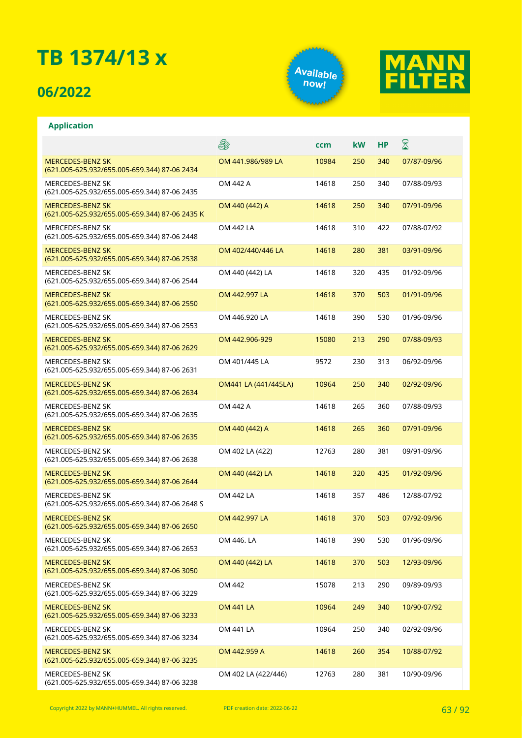## **06/2022**





|                                                                           | 5                    | ccm   | <b>kW</b> | НP  | ${\color{red} \mathbb{Z}}$ |
|---------------------------------------------------------------------------|----------------------|-------|-----------|-----|----------------------------|
| <b>MERCEDES-BENZ SK</b><br>(621.005-625.932/655.005-659.344) 87-06 2434   | OM 441.986/989 LA    | 10984 | 250       | 340 | 07/87-09/96                |
| MERCEDES-BENZ SK<br>(621.005-625.932/655.005-659.344) 87-06 2435          | OM 442 A             | 14618 | 250       | 340 | 07/88-09/93                |
| <b>MERCEDES-BENZ SK</b><br>(621.005-625.932/655.005-659.344) 87-06 2435 K | OM 440 (442) A       | 14618 | 250       | 340 | 07/91-09/96                |
| <b>MERCEDES-BENZ SK</b><br>(621.005-625.932/655.005-659.344) 87-06 2448   | <b>OM 442 LA</b>     | 14618 | 310       | 422 | 07/88-07/92                |
| <b>MERCEDES-BENZ SK</b><br>(621.005-625.932/655.005-659.344) 87-06 2538   | OM 402/440/446 LA    | 14618 | 280       | 381 | 03/91-09/96                |
| MERCEDES-BENZ SK<br>(621.005-625.932/655.005-659.344) 87-06 2544          | OM 440 (442) LA      | 14618 | 320       | 435 | 01/92-09/96                |
| <b>MERCEDES-BENZ SK</b><br>(621.005-625.932/655.005-659.344) 87-06 2550   | OM 442.997 LA        | 14618 | 370       | 503 | 01/91-09/96                |
| MERCEDES-BENZ SK<br>(621.005-625.932/655.005-659.344) 87-06 2553          | OM 446.920 LA        | 14618 | 390       | 530 | 01/96-09/96                |
| <b>MERCEDES-BENZ SK</b><br>(621.005-625.932/655.005-659.344) 87-06 2629   | OM 442.906-929       | 15080 | 213       | 290 | 07/88-09/93                |
| MERCEDES-BENZ SK<br>(621.005-625.932/655.005-659.344) 87-06 2631          | OM 401/445 LA        | 9572  | 230       | 313 | 06/92-09/96                |
| <b>MERCEDES-BENZ SK</b><br>(621.005-625.932/655.005-659.344) 87-06 2634   | OM441 LA (441/445LA) | 10964 | 250       | 340 | 02/92-09/96                |
| MERCEDES-BENZ SK<br>(621.005-625.932/655.005-659.344) 87-06 2635          | OM 442 A             | 14618 | 265       | 360 | 07/88-09/93                |
| <b>MERCEDES-BENZ SK</b><br>(621.005-625.932/655.005-659.344) 87-06 2635   | OM 440 (442) A       | 14618 | 265       | 360 | 07/91-09/96                |
| MERCEDES-BENZ SK<br>(621.005-625.932/655.005-659.344) 87-06 2638          | OM 402 LA (422)      | 12763 | 280       | 381 | 09/91-09/96                |
| <b>MERCEDES-BENZ SK</b><br>(621.005-625.932/655.005-659.344) 87-06 2644   | OM 440 (442) LA      | 14618 | 320       | 435 | 01/92-09/96                |
| MERCEDES-BENZ SK<br>(621.005-625.932/655.005-659.344) 87-06 2648 S        | <b>OM 442 LA</b>     | 14618 | 357       | 486 | 12/88-07/92                |
| <b>MERCEDES-BENZ SK</b><br>(621.005-625.932/655.005-659.344) 87-06 2650   | OM 442.997 LA        | 14618 | 370       | 503 | 07/92-09/96                |
| MERCEDES-BENZ SK<br>(621.005-625.932/655.005-659.344) 87-06 2653          | OM 446. LA           | 14618 | 390       | 530 | 01/96-09/96                |
| <b>MERCEDES-BENZ SK</b><br>(621.005-625.932/655.005-659.344) 87-06 3050   | OM 440 (442) LA      | 14618 | 370       | 503 | 12/93-09/96                |
| MERCEDES-BENZ SK<br>(621.005-625.932/655.005-659.344) 87-06 3229          | OM 442               | 15078 | 213       | 290 | 09/89-09/93                |
| <b>MERCEDES-BENZ SK</b><br>(621.005-625.932/655.005-659.344) 87-06 3233   | <b>OM 441 LA</b>     | 10964 | 249       | 340 | 10/90-07/92                |
| MERCEDES-BENZ SK<br>(621.005-625.932/655.005-659.344) 87-06 3234          | OM 441 LA            | 10964 | 250       | 340 | 02/92-09/96                |
| <b>MERCEDES-BENZ SK</b><br>(621.005-625.932/655.005-659.344) 87-06 3235   | OM 442.959 A         | 14618 | 260       | 354 | 10/88-07/92                |
| MERCEDES-BENZ SK<br>(621.005-625.932/655.005-659.344) 87-06 3238          | OM 402 LA (422/446)  | 12763 | 280       | 381 | 10/90-09/96                |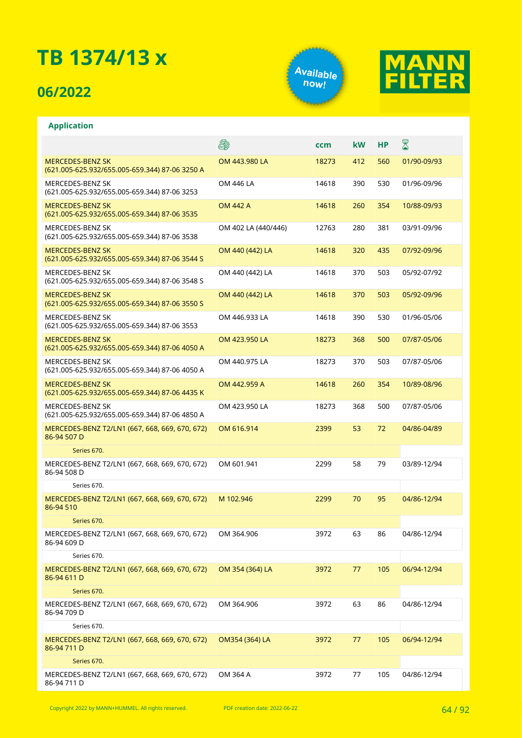## **06/2022**





|                                                                           | S.                  | ccm   | kW  | НP  | $\boxtimes$ |
|---------------------------------------------------------------------------|---------------------|-------|-----|-----|-------------|
| <b>MERCEDES-BENZ SK</b><br>(621.005-625.932/655.005-659.344) 87-06 3250 A | OM 443.980 LA       | 18273 | 412 | 560 | 01/90-09/93 |
| MERCEDES-BENZ SK<br>(621.005-625.932/655.005-659.344) 87-06 3253          | OM 446 LA           | 14618 | 390 | 530 | 01/96-09/96 |
| <b>MERCEDES-BENZ SK</b><br>(621.005-625.932/655.005-659.344) 87-06 3535   | <b>OM 442 A</b>     | 14618 | 260 | 354 | 10/88-09/93 |
| MERCEDES-BENZ SK<br>(621.005-625.932/655.005-659.344) 87-06 3538          | OM 402 LA (440/446) | 12763 | 280 | 381 | 03/91-09/96 |
| <b>MERCEDES-BENZ SK</b><br>(621.005-625.932/655.005-659.344) 87-06 3544 S | OM 440 (442) LA     | 14618 | 320 | 435 | 07/92-09/96 |
| MERCEDES-BENZ SK<br>(621.005-625.932/655.005-659.344) 87-06 3548 S        | OM 440 (442) LA     | 14618 | 370 | 503 | 05/92-07/92 |
| <b>MERCEDES-BENZ SK</b><br>(621.005-625.932/655.005-659.344) 87-06 3550 S | OM 440 (442) LA     | 14618 | 370 | 503 | 05/92-09/96 |
| MERCEDES-BENZ SK<br>(621.005-625.932/655.005-659.344) 87-06 3553          | OM 446.933 LA       | 14618 | 390 | 530 | 01/96-05/06 |
| <b>MERCEDES-BENZ SK</b><br>(621.005-625.932/655.005-659.344) 87-06 4050 A | OM 423.950 LA       | 18273 | 368 | 500 | 07/87-05/06 |
| MERCEDES-BENZ SK<br>(621.005-625.932/655.005-659.344) 87-06 4050 A        | OM 440.975 LA       | 18273 | 370 | 503 | 07/87-05/06 |
| <b>MERCEDES-BENZ SK</b><br>(621.005-625.932/655.005-659.344) 87-06 4435 K | OM 442.959 A        | 14618 | 260 | 354 | 10/89-08/96 |
| MERCEDES-BENZ SK<br>(621.005-625.932/655.005-659.344) 87-06 4850 A        | OM 423.950 LA       | 18273 | 368 | 500 | 07/87-05/06 |
| MERCEDES-BENZ T2/LN1 (667, 668, 669, 670, 672)<br>86-94 507 D             | OM 616.914          | 2399  | 53  | 72  | 04/86-04/89 |
| Series 670.                                                               |                     |       |     |     |             |
| MERCEDES-BENZ T2/LN1 (667, 668, 669, 670, 672)<br>86-94 508 D             | OM 601.941          | 2299  | 58  | 79  | 03/89-12/94 |
| Series 670.                                                               |                     |       |     |     |             |
| MERCEDES-BENZ T2/LN1 (667, 668, 669, 670, 672)<br>86-94 510               | M 102.946           | 2299  | 70  | 95  | 04/86-12/94 |
| Series 670.                                                               |                     |       |     |     |             |
| MERCEDES-BENZ T2/LN1 (667, 668, 669, 670, 672)<br>86-94 609 D             | OM 364.906          | 3972  | 63  | 86  | 04/86-12/94 |
| Series 670.                                                               |                     |       |     |     |             |
| MERCEDES-BENZ T2/LN1 (667, 668, 669, 670, 672)<br>86-94 611 D             | OM 354 (364) LA     | 3972  | 77  | 105 | 06/94-12/94 |
| Series 670.                                                               |                     |       |     |     |             |
| MERCEDES-BENZ T2/LN1 (667, 668, 669, 670, 672)<br>86-94 709 D             | OM 364.906          | 3972  | 63  | 86  | 04/86-12/94 |
| Series 670.                                                               |                     |       |     |     |             |
| MERCEDES-BENZ T2/LN1 (667, 668, 669, 670, 672)<br>86-94 711 D             | OM354 (364) LA      | 3972  | 77  | 105 | 06/94-12/94 |
| Series 670.                                                               |                     |       |     |     |             |
| MERCEDES-BENZ T2/LN1 (667, 668, 669, 670, 672)<br>86-94 711 D             | OM 364 A            | 3972  | 77  | 105 | 04/86-12/94 |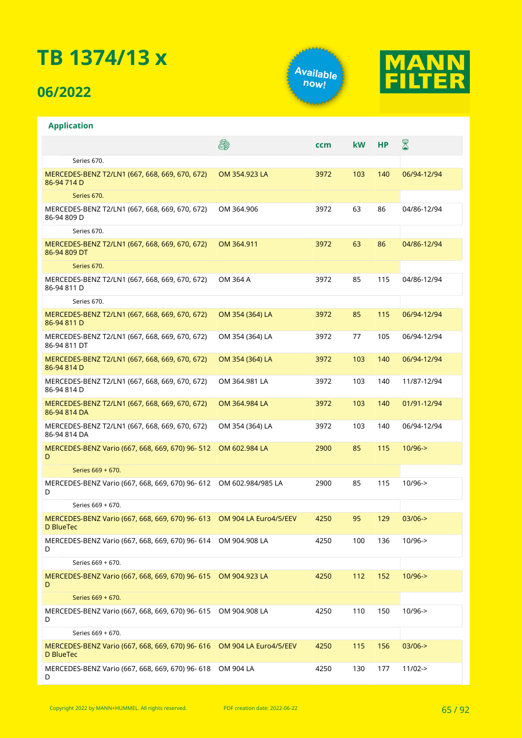### **06/2022**

**Application**





#### **A** X **ccm kW HP** Series 670. MERCEDES-BENZ T2/LN1 (667, 668, 669, 670, 672) OM 354.923 LA 3972 103 140 06/94-12/94 86-94 714 D Series 670. MERCEDES-BENZ T2/LN1 (667, 668, 669, 670, 672) OM 364.906 3972 63 86 04/86-12/94 86-94 809 D Series 670. MERCEDES-BENZ T2/LN1 (667, 668, 669, 670, 672) OM 364.911 3972 63 86 04/86-12/94 86-94 809 DT Series 670. MERCEDES-BENZ T2/LN1 (667, 668, 669, 670, 672) OM 364 A 3972 85 115 04/86-12/94 86-94 811 D Series 670. MERCEDES-BENZ T2/LN1 (667, 668, 669, 670, 672) OM 354 (364) LA 3972 85 115 06/94-12/94 86-94 811 D MERCEDES-BENZ T2/LN1 (667, 668, 669, 670, 672) OM 354 (364) LA 3972 77 105 06/94-12/94 86-94 811 DT MERCEDES-BENZ T2/LN1 (667, 668, 669, 670, 672) OM 354 (364) LA 3972 103 140 06/94-12/94 86-94 814 D MERCEDES-BENZ T2/LN1 (667, 668, 669, 670, 672) OM 364.981 LA 3972 103 140 11/87-12/94 86-94 814 D OM 364.984 LA 3972 103 140 01/91-12/94 MERCEDES-BENZ T2/LN1 (667, 668, 669, 670, 672) 86-94 814 DA MERCEDES-BENZ T2/LN1 (667, 668, 669, 670, 672) OM 354 (364) LA 3972 103 140 06/94-12/94 86-94 814 DA OM 602.984 LA 2900 85 115 10/96-> MERCEDES-BENZ Vario (667, 668, 669, 670) 96- 512 D Series 669 + 670. MERCEDES-BENZ Vario (667, 668, 669, 670) 96- 612 OM 602.984/985 LA 2900 85 115 10/96-> D Series 669 + 670. MERCEDES-BENZ Vario (667, 668, 669, 670) 96- 613 OM 904 LA Euro4/5/EEV 4250 95 129 03/06-> D BlueTec MERCEDES-BENZ Vario (667, 668, 669, 670) 96- 614 OM 904.908 LA 4250 4250 100 136 10/96-> D Series 669 + 670. MERCEDES-BENZ Vario (667, 668, 669, 670) 96- 615 OM 904.923 LA 4250 4250 412 152 10/96->  $\Gamma$ Series 669 + 670. MERCEDES-BENZ Vario (667, 668, 669, 670) 96- 615 OM 904.908 LA 4250 110 150 10/96-> D Series 669 + 670. MERCEDES-BENZ Vario (667, 668, 669, 670) 96- 616 OM 904 LA Euro4/5/EEV 4250 115 156 03/06-> D BlueTec MERCEDES-BENZ Vario (667, 668, 669, 670) 96- 618 OM 904 LA 4250 130 177 11/02->

Copyright 2022 by MANN+HUMMEL. All rights reserved. PDF creation date: 2022-06-22

D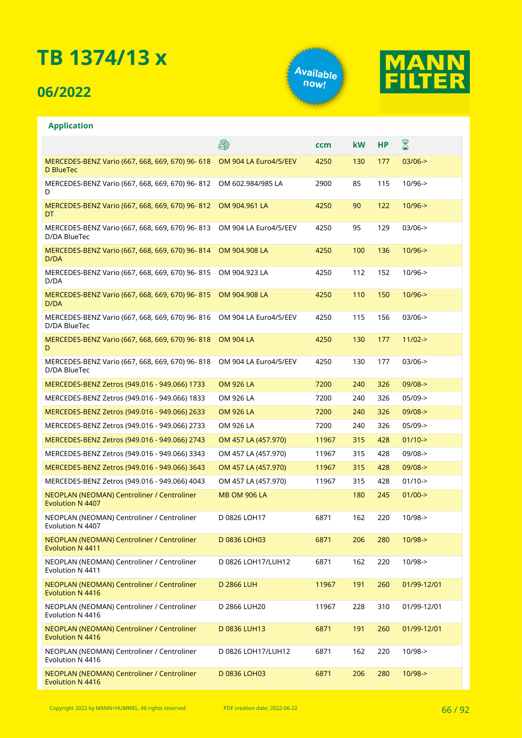## **06/2022**

**Application**





#### ⊠ A **ccm kW HP** MERCEDES-BENZ Vario (667, 668, 669, 670) 96- 618 OM 904 LA Euro4/5/EEV 4250 130 177 03/06-> D BlueTec MERCEDES-BENZ Vario (667, 668, 669, 670) 96- 812 OM 602.984/985 LA 2900 85 115 10/96-> D MERCEDES-BENZ Vario (667, 668, 669, 670) 96- 812 OM 904.961 LA 4250 90 122 10/96-> DT MERCEDES-BENZ Vario (667, 668, 669, 670) 96- 813 OM 904 LA Euro4/5/EEV 4250 95 129 03/06-> D/DA BlueTec MERCEDES-BENZ Vario (667, 668, 669, 670) 96- 814 OM 904.908 LA 4250 100 136 10/96-> D/DA MERCEDES-BENZ Vario (667, 668, 669, 670) 96- 815 OM 904.923 LA 4250 112 152 10/96-> D/DA MERCEDES-BENZ Vario (667, 668, 669, 670) 96- 815 OM 904.908 LA 4250 110 150 10/96-> D/DA MERCEDES-BENZ Vario (667, 668, 669, 670) 96- 816 OM 904 LA Euro4/5/EEV 4250 115 156 03/06-> D/DA BlueTec MERCEDES-BENZ Vario (667, 668, 669, 670) 96- 818 OM 904 LA 4250 130 177 11/02->  $\mathsf{D}$ MERCEDES-BENZ Vario (667, 668, 669, 670) 96- 818 OM 904 LA Euro4/5/EEV 4250 130 177 03/06-> D/DA BlueTec MERCEDES-BENZ Zetros (949.016 - 949.066) 1733 OM 926 LA 7200 240 326 09/08-> MERCEDES-BENZ Zetros (949.016 - 949.066) 1833 OM 926 LA 7200 240 326 05/09-> MERCEDES-BENZ Zetros (949.016 - 949.066) 2633 OM 926 LA 7200 240 326 09/08-> MERCEDES-BENZ Zetros (949.016 - 949.066) 2733 OM 926 LA 7200 240 326 05/09-> MERCEDES-BENZ Zetros (949.016 - 949.066) 2743 OM 457 LA (457.970) 11967 315 428 01/10-> MERCEDES-BENZ Zetros (949.016 - 949.066) 3343 OM 457 LA (457.970) 11967 315 428 09/08-> MERCEDES-BENZ Zetros (949.016 - 949.066) 3643 OM 457 LA (457.970) 11967 315 428 09/08-> MERCEDES-BENZ Zetros (949.016 - 949.066) 4043 OM 457 LA (457.970) 11967 315 428 01/10-> MB OM 906 LA 180 245 01/00-> NEOPLAN (NEOMAN) Centroliner / Centroliner Evolution N 4407 NEOPLAN (NEOMAN) Centroliner / Centroliner D 0826 LOH17 6871 162 220 10/98-> Evolution N 4407 NEOPLAN (NEOMAN) Centroliner / Centroliner D 0836 LOH03 6871 206 280 10/98-> Evolution N 4411 D 0826 LOH17/LUH12 6871 162 220 10/98-> NEOPLAN (NEOMAN) Centroliner / Centroliner Evolution N 4411 D 2866 LUH 11967 191 260 01/99-12/01 NEOPLAN (NEOMAN) Centroliner / Centroliner Evolution N 4416 NEOPLAN (NEOMAN) Centroliner / Centroliner D 2866 LUH20 11967 228 310 01/99-12/01 Evolution N 4416 NEOPLAN (NEOMAN) Centroliner / Centroliner D 0836 LUH13 6871 191 260 01/99-12/01 Evolution N 4416 D 0826 LOH17/LUH12 6871 162 220 10/98-> NEOPLAN (NEOMAN) Centroliner / Centroliner Evolution N 4416 NEOPLAN (NEOMAN) Centroliner / Centroliner D 0836 LOH03 6871 206 280 10/98->Evolution N 4416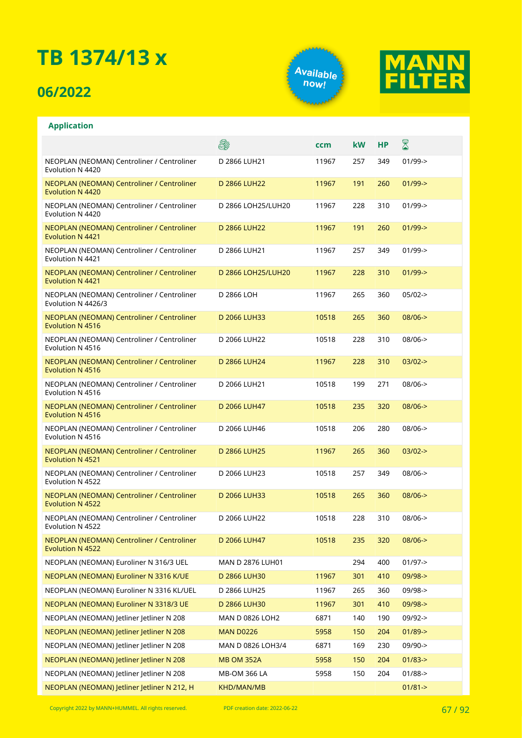## **06/2022**

**Application**





#### E. X **ccm kW HP** NEOPLAN (NEOMAN) Centroliner / Centroliner D 2866 LUH21 11967 257 349 01/99-> Evolution N 4420 NEOPLAN (NEOMAN) Centroliner / Centroliner D 2866 LUH22 11967 191 260 01/99-> Evolution N 4420 NEOPLAN (NEOMAN) Centroliner / Centroliner D 2866 LOH25/LUH20 11967 228 310 01/99-> Evolution N 4420 D 2866 LUH22 11967 191 260 01/99-> NEOPLAN (NEOMAN) Centroliner / Centroliner Evolution N 4421 NEOPLAN (NEOMAN) Centroliner / Centroliner D 2866 LUH21 11967 257 349 01/99-> Evolution N 4421 NEOPLAN (NEOMAN) Centroliner / Centroliner D 2866 LOH25/LUH20 11967 228 310 01/99-> Evolution N 4421 NEOPLAN (NEOMAN) Centroliner / Centroliner D 2866 LOH 11967 265 360 05/02-> Evolution N 4426/3 NEOPLAN (NEOMAN) Centroliner / Centroliner D 2066 LUH33 10518 265 360 08/06-> Evolution N 4516 NEOPLAN (NEOMAN) Centroliner / Centroliner D 2066 LUH22 10518 228 310 08/06-> Evolution N 4516 NEOPLAN (NEOMAN) Centroliner / Centroliner D 2866 LUH24 11967 228 310 03/02-> Evolution N 4516 NEOPLAN (NEOMAN) Centroliner / Centroliner D 2066 LUH21 10518 199 271 08/06-> Evolution N 4516 NEOPLAN (NEOMAN) Centroliner / Centroliner D 2066 LUH47 10518 235 320 08/06-> Evolution N 4516 NEOPLAN (NEOMAN) Centroliner / Centroliner D 2066 LUH46 10518 206 280 08/06-> Evolution N 4516 NEOPLAN (NEOMAN) Centroliner / Centroliner D 2866 LUH25 11967 265 360 03/02-> Evolution N 4521 NEOPLAN (NEOMAN) Centroliner / Centroliner D 2066 LUH23 10518 257 349 08/06-> Evolution N 4522 NEOPLAN (NEOMAN) Centroliner / Centroliner D 2066 LUH33 10518 265 360 08/06-> Evolution N 4522 NEOPLAN (NEOMAN) Centroliner / Centroliner D 2066 LUH22 10518 228 310 08/06-> Evolution N 4522 NEOPLAN (NEOMAN) Centroliner / Centroliner D 2066 LUH47 10518 235 320 08/06-> Evolution N 4522 NEOPLAN (NEOMAN) Euroliner N 316/3 UEL MAN D 2876 LUH01 294 400 01/97-> NEOPLAN (NEOMAN) Euroliner N 3316 K/UE D 2866 LUH30 11967 301 410 09/98-> NEOPLAN (NEOMAN) Euroliner N 3316 KL/UEL D 2866 LUH25 11967 265 360 09/98-> NEOPLAN (NEOMAN) Euroliner N 3318/3 UE D 2866 LUH30 11967 301 410 09/98-> NEOPLAN (NEOMAN) Jetliner Jetliner N 208 MAN D 0826 LOH2 6871 140 190 09/92-> NEOPLAN (NEOMAN) Jetliner Jetliner N 208 MAN D0226 5958 150 204 01/89-> NEOPLAN (NEOMAN) Jetliner Jetliner N 208 MAN D 0826 LOH3/4 6871 169 230 09/90-> NEOPLAN (NEOMAN) Jetliner Jetliner N 208 MB OM 352A 5958 150 204 01/83-> NEOPLAN (NEOMAN) Jetliner Jetliner N 208 MB-OM 366 LA 5958 150 204 01/88-> NEOPLAN (NEOMAN) Jetliner Jetliner N 212, H KHD/MAN/MB 01/81-> 01/81-> 01/81->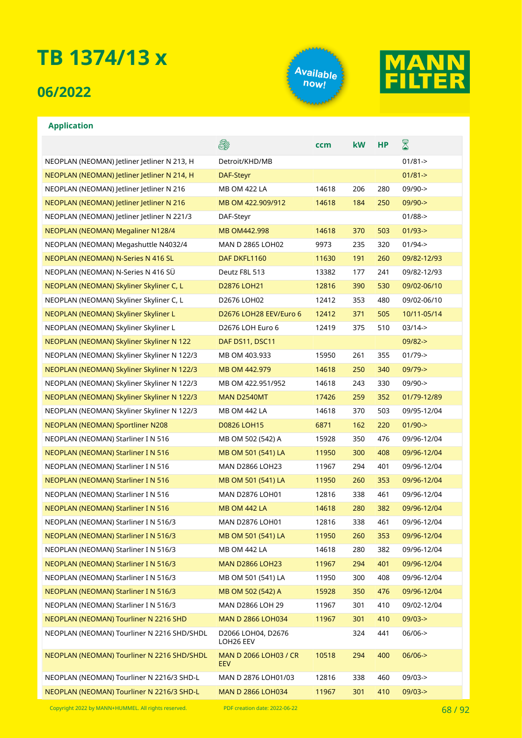## **06/2022**





### **Application**

|                                             | E.                                         | ccm   | kW  | <b>HP</b> | 8           |
|---------------------------------------------|--------------------------------------------|-------|-----|-----------|-------------|
| NEOPLAN (NEOMAN) Jetliner Jetliner N 213, H | Detroit/KHD/MB                             |       |     |           | $01/81 - >$ |
| NEOPLAN (NEOMAN) Jetliner Jetliner N 214, H | DAF-Steyr                                  |       |     |           | $01/81 - >$ |
| NEOPLAN (NEOMAN) letliner letliner N 216    | MB OM 422 LA                               | 14618 | 206 | 280       | $09/90 - >$ |
| NEOPLAN (NEOMAN) Jetliner Jetliner N 216    | MB OM 422.909/912                          | 14618 | 184 | 250       | $09/90 -$   |
| NEOPLAN (NEOMAN) Jetliner Jetliner N 221/3  | DAF-Steyr                                  |       |     |           | $01/88 - >$ |
| NEOPLAN (NEOMAN) Megaliner N128/4           | MB OM442.998                               | 14618 | 370 | 503       | $01/93 - >$ |
| NEOPLAN (NEOMAN) Megashuttle N4032/4        | MAN D 2865 LOH02                           | 9973  | 235 | 320       | $01/94 - >$ |
| NEOPLAN (NEOMAN) N-Series N 416 SL          | DAF DKFL1160                               | 11630 | 191 | 260       | 09/82-12/93 |
| NEOPLAN (NEOMAN) N-Series N 416 SÜ          | Deutz F8L 513                              | 13382 | 177 | 241       | 09/82-12/93 |
| NEOPLAN (NEOMAN) Skyliner Skyliner C, L     | D2876 LOH21                                | 12816 | 390 | 530       | 09/02-06/10 |
| NEOPLAN (NEOMAN) Skyliner Skyliner C, L     | D2676 LOH02                                | 12412 | 353 | 480       | 09/02-06/10 |
| NEOPLAN (NEOMAN) Skyliner Skyliner L        | D2676 LOH28 EEV/Euro 6                     | 12412 | 371 | 505       | 10/11-05/14 |
| NEOPLAN (NEOMAN) Skyliner Skyliner L        | D2676 LOH Euro 6                           | 12419 | 375 | 510       | $03/14 - >$ |
| NEOPLAN (NEOMAN) Skyliner Skyliner N 122    | DAF DS11, DSC11                            |       |     |           | $09/82 - >$ |
| NEOPLAN (NEOMAN) Skyliner Skyliner N 122/3  | MB OM 403.933                              | 15950 | 261 | 355       | $01/79$ ->  |
| NEOPLAN (NEOMAN) Skyliner Skyliner N 122/3  | MB OM 442.979                              | 14618 | 250 | 340       | $09/79 - >$ |
| NEOPLAN (NEOMAN) Skyliner Skyliner N 122/3  | MB OM 422.951/952                          | 14618 | 243 | 330       | $09/90 - >$ |
| NEOPLAN (NEOMAN) Skyliner Skyliner N 122/3  | MAN D2540MT                                | 17426 | 259 | 352       | 01/79-12/89 |
| NEOPLAN (NEOMAN) Skyliner Skyliner N 122/3  | <b>MB OM 442 LA</b>                        | 14618 | 370 | 503       | 09/95-12/04 |
| NEOPLAN (NEOMAN) Sportliner N208            | <b>D0826 LOH15</b>                         | 6871  | 162 | 220       | $01/90 - >$ |
| NEOPLAN (NEOMAN) Starliner I N 516          | MB OM 502 (542) A                          | 15928 | 350 | 476       | 09/96-12/04 |
| NEOPLAN (NEOMAN) Starliner I N 516          | MB OM 501 (541) LA                         | 11950 | 300 | 408       | 09/96-12/04 |
| NEOPLAN (NEOMAN) Starliner I N 516          | MAN D2866 LOH23                            | 11967 | 294 | 401       | 09/96-12/04 |
| NEOPLAN (NEOMAN) Starliner I N 516          | MB OM 501 (541) LA                         | 11950 | 260 | 353       | 09/96-12/04 |
| NEOPLAN (NEOMAN) Starliner I N 516          | MAN D2876 LOH01                            | 12816 | 338 | 461       | 09/96-12/04 |
| NEOPLAN (NEOMAN) Starliner I N 516          | <b>MB OM 442 LA</b>                        | 14618 | 280 | 382       | 09/96-12/04 |
| NEOPLAN (NEOMAN) Starliner I N 516/3        | <b>MAN D2876 LOH01</b>                     | 12816 | 338 | 461       | 09/96-12/04 |
| NEOPLAN (NEOMAN) Starliner I N 516/3        | MB OM 501 (541) LA                         | 11950 | 260 | 353       | 09/96-12/04 |
| NEOPLAN (NEOMAN) Starliner I N 516/3        | MB OM 442 LA                               | 14618 | 280 | 382       | 09/96-12/04 |
| NEOPLAN (NEOMAN) Starliner I N 516/3        | <b>MAN D2866 LOH23</b>                     | 11967 | 294 | 401       | 09/96-12/04 |
| NEOPLAN (NEOMAN) Starliner I N 516/3        | MB OM 501 (541) LA                         | 11950 | 300 | 408       | 09/96-12/04 |
| NEOPLAN (NEOMAN) Starliner I N 516/3        | MB OM 502 (542) A                          | 15928 | 350 | 476       | 09/96-12/04 |
| NEOPLAN (NEOMAN) Starliner I N 516/3        | MAN D2866 LOH 29                           | 11967 | 301 | 410       | 09/02-12/04 |
| NEOPLAN (NEOMAN) Tourliner N 2216 SHD       | MAN D 2866 LOH034                          | 11967 | 301 | 410       | $09/03 - >$ |
| NEOPLAN (NEOMAN) Tourliner N 2216 SHD/SHDL  | D2066 LOH04, D2676<br>LOH26 EEV            |       | 324 | 441       | $06/06$ ->  |
| NEOPLAN (NEOMAN) Tourliner N 2216 SHD/SHDL  | <b>MAN D 2066 LOH03 / CR</b><br><b>EEV</b> | 10518 | 294 | 400       | $06/06$ ->  |
| NEOPLAN (NEOMAN) Tourliner N 2216/3 SHD-L   | MAN D 2876 LOH01/03                        | 12816 | 338 | 460       | $09/03 - >$ |
| NEOPLAN (NEOMAN) Tourliner N 2216/3 SHD-L   | <b>MAN D 2866 LOH034</b>                   | 11967 | 301 | 410       | $09/03 - >$ |

Copyright 2022 by MANN+HUMMEL. All rights reserved. PDF creation date: 2022-06-22 68 / 68 / 92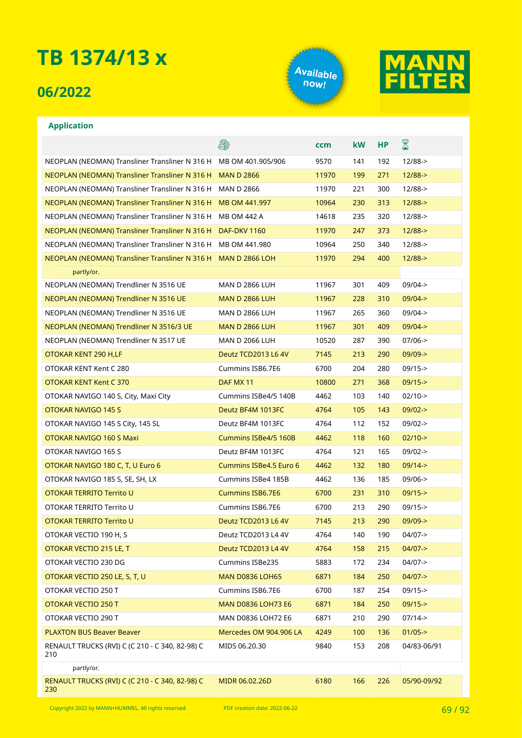## **06/2022**





|                                                               | E#                        | ccm   | <b>kW</b> | <b>HP</b> | ${\color{red} \mathbb{Z}}$ |
|---------------------------------------------------------------|---------------------------|-------|-----------|-----------|----------------------------|
| NEOPLAN (NEOMAN) Transliner Transliner N 316 H                | MB OM 401.905/906         | 9570  | 141       | 192       | $12/88 - >$                |
| NEOPLAN (NEOMAN) Transliner Transliner N 316 H                | <b>MAN D 2866</b>         | 11970 | 199       | 271       | $12/88 - >$                |
| NEOPLAN (NEOMAN) Transliner Transliner N 316 H                | <b>MAN D 2866</b>         | 11970 | 221       | 300       | $12/88 - >$                |
| NEOPLAN (NEOMAN) Transliner Transliner N 316 H                | MB OM 441.997             | 10964 | 230       | 313       | $12/88 - >$                |
| NEOPLAN (NEOMAN) Transliner Transliner N 316 H                | MB OM 442 A               | 14618 | 235       | 320       | $12/88 - >$                |
| NEOPLAN (NEOMAN) Transliner Transliner N 316 H                | <b>DAF-DKV 1160</b>       | 11970 | 247       | 373       | $12/88 - >$                |
| NEOPLAN (NEOMAN) Transliner Transliner N 316 H                | MB OM 441.980             | 10964 | 250       | 340       | $12/88 - >$                |
| NEOPLAN (NEOMAN) Transliner Transliner N 316 H MAN D 2866 LOH |                           | 11970 | 294       | 400       | $12/88 - >$                |
| partly/or.                                                    |                           |       |           |           |                            |
| NEOPLAN (NEOMAN) Trendliner N 3516 UE                         | <b>MAN D 2866 LUH</b>     | 11967 | 301       | 409       | $09/04 - >$                |
| NEOPLAN (NEOMAN) Trendliner N 3516 UE                         | <b>MAN D 2866 LUH</b>     | 11967 | 228       | 310       | $09/04 - >$                |
| NEOPLAN (NEOMAN) Trendliner N 3516 UE                         | <b>MAN D 2866 LUH</b>     | 11967 | 265       | 360       | $09/04 - >$                |
| NEOPLAN (NEOMAN) Trendliner N 3516/3 UE                       | <b>MAN D 2866 LUH</b>     | 11967 | 301       | 409       | $09/04 - >$                |
| NEOPLAN (NEOMAN) Trendliner N 3517 UE                         | <b>MAN D 2066 LUH</b>     | 10520 | 287       | 390       | $07/06 - >$                |
| OTOKAR KENT 290 H,LF                                          | Deutz TCD2013 L6 4V       | 7145  | 213       | 290       | $09/09 - >$                |
| OTOKAR KENT Kent C 280                                        | Cummins ISB6.7E6          | 6700  | 204       | 280       | $09/15 -$                  |
| OTOKAR KENT Kent C 370                                        | DAF MX 11                 | 10800 | 271       | 368       | $09/15 - >$                |
| OTOKAR NAVIGO 140 S, City, Maxi City                          | Cummins ISBe4/5 140B      | 4462  | 103       | 140       | $02/10-$                   |
| OTOKAR NAVIGO 145 S                                           | Deutz BF4M 1013FC         | 4764  | 105       | 143       | $09/02 - >$                |
| OTOKAR NAVIGO 145 S City, 145 SL                              | Deutz BF4M 1013FC         | 4764  | 112       | 152       | $09/02 - >$                |
| OTOKAR NAVIGO 160 S Maxi                                      | Cummins ISBe4/5 160B      | 4462  | 118       | 160       | $02/10-$                   |
| OTOKAR NAVIGO 165 S                                           | Deutz BF4M 1013FC         | 4764  | 121       | 165       | $09/02 -$                  |
| OTOKAR NAVIGO 180 C, T, U Euro 6                              | Cummins ISBe4.5 Euro 6    | 4462  | 132       | 180       | $09/14 - >$                |
| OTOKAR NAVIGO 185 S, SE, SH, LX                               | Cummins ISBe4 185B        | 4462  | 136       | 185       | $09/06 - >$                |
| OTOKAR TERRITO Territo U                                      | <b>Cummins ISB6.7E6</b>   | 6700  | 231       | 310       | $09/15 -$                  |
| OTOKAR TERRITO Territo U                                      | Cummins ISB6.7E6          | 6700  | 213       | 290       | $09/15 - >$                |
| OTOKAR TERRITO Territo U                                      | Deutz TCD2013 L6 4V       | 7145  | 213       | 290       | $09/09 - >$                |
| OTOKAR VECTIO 190 H, S                                        | Deutz TCD2013 L4 4V       | 4764  | 140       | 190       | 04/07->                    |
| OTOKAR VECTIO 215 LE, T                                       | Deutz TCD2013 L4 4V       | 4764  | 158       | 215       | $04/07 - >$                |
| OTOKAR VECTIO 230 DG                                          | Cummins ISBe235           | 5883  | 172       | 234       | $04/07 - >$                |
| OTOKAR VECTIO 250 LE, S, T, U                                 | <b>MAN D0836 LOH65</b>    | 6871  | 184       | 250       | $04/07 - >$                |
| OTOKAR VECTIO 250 T                                           | Cummins ISB6.7E6          | 6700  | 187       | 254       | $09/15 -$                  |
| OTOKAR VECTIO 250 T                                           | <b>MAN D0836 LOH73 E6</b> | 6871  | 184       | 250       | $09/15 -$                  |
| OTOKAR VECTIO 290 T                                           | MAN D0836 LOH72 E6        | 6871  | 210       | 290       | $07/14 - >$                |
| <b>PLAXTON BUS Beaver Beaver</b>                              | Mercedes OM 904.906 LA    | 4249  | 100       | 136       | $01/05 - >$                |
| RENAULT TRUCKS (RVI) C (C 210 - C 340, 82-98) C<br>210        | MIDS 06.20.30             | 9840  | 153       | 208       | 04/83-06/91                |
| partly/or.                                                    |                           |       |           |           |                            |
| RENAULT TRUCKS (RVI) C (C 210 - C 340, 82-98) C<br>230        | MIDR 06.02.26D            | 6180  | 166       | 226       | 05/90-09/92                |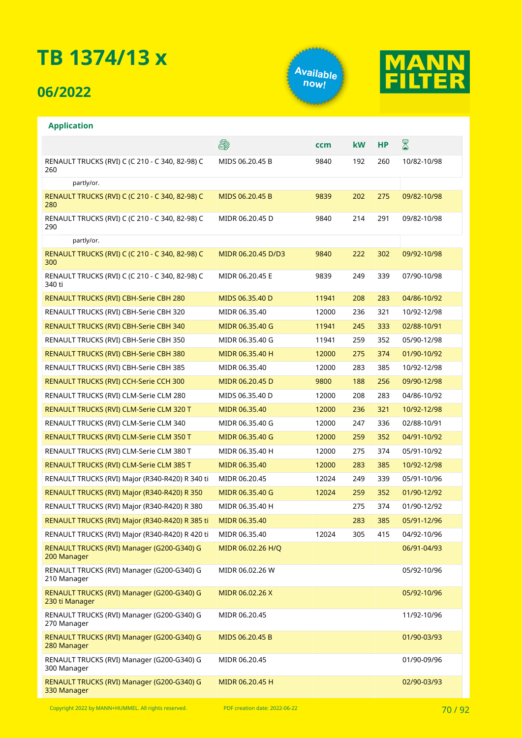## **06/2022**





### **Application**

|                                                              | 8                  | ccm   | <b>kW</b> | <b>HP</b> | ${\color{red} \mathbb{Z}}$ |
|--------------------------------------------------------------|--------------------|-------|-----------|-----------|----------------------------|
| RENAULT TRUCKS (RVI) C (C 210 - C 340, 82-98) C<br>260       | MIDS 06.20.45 B    | 9840  | 192       | 260       | 10/82-10/98                |
| partly/or.                                                   |                    |       |           |           |                            |
| RENAULT TRUCKS (RVI) C (C 210 - C 340, 82-98) C<br>280       | MIDS 06.20.45 B    | 9839  | 202       | 275       | 09/82-10/98                |
| RENAULT TRUCKS (RVI) C (C 210 - C 340, 82-98) C<br>290       | MIDR 06.20.45 D    | 9840  | 214       | 291       | 09/82-10/98                |
| partly/or.                                                   |                    |       |           |           |                            |
| RENAULT TRUCKS (RVI) C (C 210 - C 340, 82-98) C<br>300       | MIDR 06.20.45 D/D3 | 9840  | 222       | 302       | 09/92-10/98                |
| RENAULT TRUCKS (RVI) C (C 210 - C 340, 82-98) C<br>340 ti    | MIDR 06.20.45 E    | 9839  | 249       | 339       | 07/90-10/98                |
| RENAULT TRUCKS (RVI) CBH-Serie CBH 280                       | MIDS 06.35.40 D    | 11941 | 208       | 283       | 04/86-10/92                |
| RENAULT TRUCKS (RVI) CBH-Serie CBH 320                       | MIDR 06.35.40      | 12000 | 236       | 321       | 10/92-12/98                |
| RENAULT TRUCKS (RVI) CBH-Serie CBH 340                       | MIDR 06.35.40 G    | 11941 | 245       | 333       | 02/88-10/91                |
| RENAULT TRUCKS (RVI) CBH-Serie CBH 350                       | MIDR 06.35.40 G    | 11941 | 259       | 352       | 05/90-12/98                |
| RENAULT TRUCKS (RVI) CBH-Serie CBH 380                       | MIDR 06.35.40 H    | 12000 | 275       | 374       | 01/90-10/92                |
| RENAULT TRUCKS (RVI) CBH-Serie CBH 385                       | MIDR 06.35.40      | 12000 | 283       | 385       | 10/92-12/98                |
| <b>RENAULT TRUCKS (RVI) CCH-Serie CCH 300</b>                | MIDR 06.20.45 D    | 9800  | 188       | 256       | 09/90-12/98                |
| RENAULT TRUCKS (RVI) CLM-Serie CLM 280                       | MIDS 06.35.40 D    | 12000 | 208       | 283       | 04/86-10/92                |
| RENAULT TRUCKS (RVI) CLM-Serie CLM 320 T                     | MIDR 06.35.40      | 12000 | 236       | 321       | 10/92-12/98                |
| RENAULT TRUCKS (RVI) CLM-Serie CLM 340                       | MIDR 06.35.40 G    | 12000 | 247       | 336       | 02/88-10/91                |
| RENAULT TRUCKS (RVI) CLM-Serie CLM 350 T                     | MIDR 06.35.40 G    | 12000 | 259       | 352       | 04/91-10/92                |
| RENAULT TRUCKS (RVI) CLM-Serie CLM 380 T                     | MIDR 06.35.40 H    | 12000 | 275       | 374       | 05/91-10/92                |
| RENAULT TRUCKS (RVI) CLM-Serie CLM 385 T                     | MIDR 06.35.40      | 12000 | 283       | 385       | 10/92-12/98                |
| RENAULT TRUCKS (RVI) Major (R340-R420) R 340 ti              | MIDR 06.20.45      | 12024 | 249       | 339       | 05/91-10/96                |
| RENAULT TRUCKS (RVI) Major (R340-R420) R 350                 | MIDR 06.35.40 G    | 12024 | 259       | 352       | 01/90-12/92                |
| RENAULT TRUCKS (RVI) Major (R340-R420) R 380                 | MIDR 06.35.40 H    |       | 275       | 374       | 01/90-12/92                |
| RENAULT TRUCKS (RVI) Major (R340-R420) R 385 ti              | MIDR 06.35.40      |       | 283       | 385       | 05/91-12/96                |
| RENAULT TRUCKS (RVI) Major (R340-R420) R 420 ti              | MIDR 06.35.40      | 12024 | 305       | 415       | 04/92-10/96                |
| RENAULT TRUCKS (RVI) Manager (G200-G340) G<br>200 Manager    | MIDR 06.02.26 H/Q  |       |           |           | 06/91-04/93                |
| RENAULT TRUCKS (RVI) Manager (G200-G340) G<br>210 Manager    | MIDR 06.02.26 W    |       |           |           | 05/92-10/96                |
| RENAULT TRUCKS (RVI) Manager (G200-G340) G<br>230 ti Manager | MIDR 06.02.26 X    |       |           |           | 05/92-10/96                |
| RENAULT TRUCKS (RVI) Manager (G200-G340) G<br>270 Manager    | MIDR 06.20.45      |       |           |           | 11/92-10/96                |
| RENAULT TRUCKS (RVI) Manager (G200-G340) G<br>280 Manager    | MIDS 06.20.45 B    |       |           |           | 01/90-03/93                |
| RENAULT TRUCKS (RVI) Manager (G200-G340) G<br>300 Manager    | MIDR 06.20.45      |       |           |           | 01/90-09/96                |
| RENAULT TRUCKS (RVI) Manager (G200-G340) G<br>330 Manager    | MIDR 06.20.45 H    |       |           |           | 02/90-03/93                |

Copyright 2022 by MANN+HUMMEL. All rights reserved. PDF creation date: 2022-06-22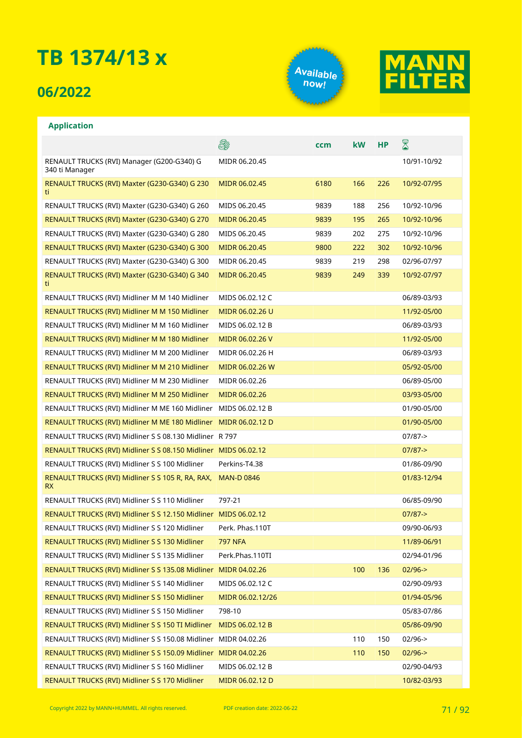## **06/2022**





|                                                                 | S.                | ccm  | <b>kW</b> | <b>HP</b> | 8           |
|-----------------------------------------------------------------|-------------------|------|-----------|-----------|-------------|
| RENAULT TRUCKS (RVI) Manager (G200-G340) G<br>340 ti Manager    | MIDR 06.20.45     |      |           |           | 10/91-10/92 |
| RENAULT TRUCKS (RVI) Maxter (G230-G340) G 230<br>ti             | MIDR 06.02.45     | 6180 | 166       | 226       | 10/92-07/95 |
| RENAULT TRUCKS (RVI) Maxter (G230-G340) G 260                   | MIDS 06.20.45     | 9839 | 188       | 256       | 10/92-10/96 |
| RENAULT TRUCKS (RVI) Maxter (G230-G340) G 270                   | MIDR 06.20.45     | 9839 | 195       | 265       | 10/92-10/96 |
| RENAULT TRUCKS (RVI) Maxter (G230-G340) G 280                   | MIDS 06.20.45     | 9839 | 202       | 275       | 10/92-10/96 |
| RENAULT TRUCKS (RVI) Maxter (G230-G340) G 300                   | MIDR 06.20.45     | 9800 | 222       | 302       | 10/92-10/96 |
| RENAULT TRUCKS (RVI) Maxter (G230-G340) G 300                   | MIDR 06.20.45     | 9839 | 219       | 298       | 02/96-07/97 |
| RENAULT TRUCKS (RVI) Maxter (G230-G340) G 340<br>ti             | MIDR 06.20.45     | 9839 | 249       | 339       | 10/92-07/97 |
| RENAULT TRUCKS (RVI) Midliner M M 140 Midliner                  | MIDS 06.02.12 C   |      |           |           | 06/89-03/93 |
| RENAULT TRUCKS (RVI) Midliner M M 150 Midliner                  | MIDR 06.02.26 U   |      |           |           | 11/92-05/00 |
| RENAULT TRUCKS (RVI) Midliner M M 160 Midliner                  | MIDS 06.02.12 B   |      |           |           | 06/89-03/93 |
| RENAULT TRUCKS (RVI) Midliner M M 180 Midliner                  | MIDR 06.02.26 V   |      |           |           | 11/92-05/00 |
| RENAULT TRUCKS (RVI) Midliner M M 200 Midliner                  | MIDR 06.02.26 H   |      |           |           | 06/89-03/93 |
| RENAULT TRUCKS (RVI) Midliner M M 210 Midliner                  | MIDR 06.02.26 W   |      |           |           | 05/92-05/00 |
| RENAULT TRUCKS (RVI) Midliner M M 230 Midliner                  | MIDR 06.02.26     |      |           |           | 06/89-05/00 |
| RENAULT TRUCKS (RVI) Midliner M M 250 Midliner                  | MIDR 06.02.26     |      |           |           | 03/93-05/00 |
| RENAULT TRUCKS (RVI) Midliner M ME 160 Midliner                 | MIDS 06.02.12 B   |      |           |           | 01/90-05/00 |
| RENAULT TRUCKS (RVI) Midliner M ME 180 Midliner                 | MIDR 06.02.12 D   |      |           |           | 01/90-05/00 |
| RENAULT TRUCKS (RVI) Midliner S S 08.130 Midliner R 797         |                   |      |           |           | $07/87$ ->  |
| RENAULT TRUCKS (RVI) Midliner S S 08.150 Midliner MIDS 06.02.12 |                   |      |           |           | $07/87 - >$ |
| RENAULT TRUCKS (RVI) Midliner S S 100 Midliner                  | Perkins-T4.38     |      |           |           | 01/86-09/90 |
| RENAULT TRUCKS (RVI) Midliner S S 105 R, RA, RAX,<br><b>RX</b>  | <b>MAN-D 0846</b> |      |           |           | 01/83-12/94 |
| RENAULT TRUCKS (RVI) Midliner S S 110 Midliner                  | 797-21            |      |           |           | 06/85-09/90 |
| RENAULT TRUCKS (RVI) Midliner S S 12.150 Midliner MIDS 06.02.12 |                   |      |           |           | $07/87 - >$ |
| RENAULT TRUCKS (RVI) Midliner S S 120 Midliner                  | Perk. Phas.110T   |      |           |           | 09/90-06/93 |
| RENAULT TRUCKS (RVI) Midliner S S 130 Midliner                  | <b>797 NFA</b>    |      |           |           | 11/89-06/91 |
| RENAULT TRUCKS (RVI) Midliner S S 135 Midliner                  | Perk.Phas.110TI   |      |           |           | 02/94-01/96 |
| RENAULT TRUCKS (RVI) Midliner S S 135.08 Midliner MIDR 04.02.26 |                   |      | 100       | 136       | $02/96 - >$ |
| RENAULT TRUCKS (RVI) Midliner S S 140 Midliner                  | MIDS 06.02.12 C   |      |           |           | 02/90-09/93 |
| RENAULT TRUCKS (RVI) Midliner S S 150 Midliner                  | MIDR 06.02.12/26  |      |           |           | 01/94-05/96 |
| RENAULT TRUCKS (RVI) Midliner S S 150 Midliner                  | 798-10            |      |           |           | 05/83-07/86 |
| RENAULT TRUCKS (RVI) Midliner S S 150 TI Midliner               | MIDS 06.02.12 B   |      |           |           | 05/86-09/90 |
| RENAULT TRUCKS (RVI) Midliner S S 150.08 Midliner MIDR 04.02.26 |                   |      | 110       | 150       | $02/96 - >$ |
| RENAULT TRUCKS (RVI) Midliner S S 150.09 Midliner MIDR 04.02.26 |                   |      | 110       | 150       | $02/96 - >$ |
| RENAULT TRUCKS (RVI) Midliner S S 160 Midliner                  | MIDS 06.02.12 B   |      |           |           | 02/90-04/93 |
| RENAULT TRUCKS (RVI) Midliner S S 170 Midliner                  | MIDR 06.02.12 D   |      |           |           | 10/82-03/93 |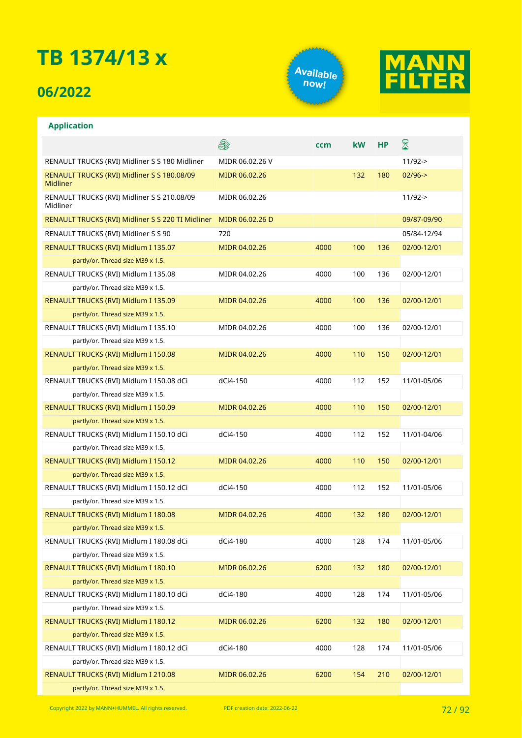## **06/2022**





|                                                                | St              | ccm  | <b>kW</b> | <b>HP</b> | ${\color{red} \mathbb{Z}}$ |
|----------------------------------------------------------------|-----------------|------|-----------|-----------|----------------------------|
| RENAULT TRUCKS (RVI) Midliner S S 180 Midliner                 | MIDR 06.02.26 V |      |           |           | $11/92 - >$                |
| RENAULT TRUCKS (RVI) Midliner S S 180.08/09<br><b>Midliner</b> | MIDR 06.02.26   |      | 132       | 180       | $02/96 - >$                |
| RENAULT TRUCKS (RVI) Midliner S S 210.08/09<br>Midliner        | MIDR 06.02.26   |      |           |           | $11/92 - >$                |
| RENAULT TRUCKS (RVI) Midliner S S 220 TI Midliner              | MIDR 06.02.26 D |      |           |           | 09/87-09/90                |
| RENAULT TRUCKS (RVI) Midliner S S 90                           | 720             |      |           |           | 05/84-12/94                |
| RENAULT TRUCKS (RVI) Midlum I 135.07                           | MIDR 04.02.26   | 4000 | 100       | 136       | 02/00-12/01                |
| partly/or. Thread size M39 x 1.5.                              |                 |      |           |           |                            |
| RENAULT TRUCKS (RVI) Midlum I 135.08                           | MIDR 04.02.26   | 4000 | 100       | 136       | 02/00-12/01                |
| partly/or. Thread size M39 x 1.5.                              |                 |      |           |           |                            |
| RENAULT TRUCKS (RVI) Midlum I 135.09                           | MIDR 04.02.26   | 4000 | 100       | 136       | 02/00-12/01                |
| partly/or. Thread size M39 x 1.5.                              |                 |      |           |           |                            |
| RENAULT TRUCKS (RVI) Midlum I 135.10                           | MIDR 04.02.26   | 4000 | 100       | 136       | 02/00-12/01                |
| partly/or. Thread size M39 x 1.5.                              |                 |      |           |           |                            |
| RENAULT TRUCKS (RVI) Midlum I 150.08                           | MIDR 04.02.26   | 4000 | 110       | 150       | 02/00-12/01                |
| partly/or. Thread size M39 x 1.5.                              |                 |      |           |           |                            |
| RENAULT TRUCKS (RVI) Midlum I 150.08 dCi                       | dCi4-150        | 4000 | 112       | 152       | 11/01-05/06                |
| partly/or. Thread size M39 x 1.5.                              |                 |      |           |           |                            |
| RENAULT TRUCKS (RVI) Midlum I 150.09                           | MIDR 04.02.26   | 4000 | 110       | 150       | 02/00-12/01                |
| partly/or. Thread size M39 x 1.5.                              |                 |      |           |           |                            |
| RENAULT TRUCKS (RVI) Midlum I 150.10 dCi                       | dCi4-150        | 4000 | 112       | 152       | 11/01-04/06                |
| partly/or. Thread size M39 x 1.5.                              |                 |      |           |           |                            |
| RENAULT TRUCKS (RVI) Midlum I 150.12                           | MIDR 04.02.26   | 4000 | 110       | 150       | 02/00-12/01                |
| partly/or. Thread size M39 x 1.5.                              |                 |      |           |           |                            |
| RENAULT TRUCKS (RVI) Midlum I 150.12 dCi                       | dCi4-150        | 4000 | 112       | 152       | 11/01-05/06                |
| partly/or. Thread size M39 x 1.5.                              |                 |      |           |           |                            |
| RENAULT TRUCKS (RVI) Midlum I 180.08                           | MIDR 04.02.26   | 4000 | 132       | 180       | 02/00-12/01                |
| partly/or. Thread size M39 x 1.5.                              |                 |      |           |           |                            |
| RENAULT TRUCKS (RVI) Midlum I 180.08 dCi                       | dCi4-180        | 4000 | 128       | 174       | 11/01-05/06                |
| partly/or. Thread size M39 x 1.5.                              |                 |      |           |           |                            |
| RENAULT TRUCKS (RVI) Midlum I 180.10                           | MIDR 06.02.26   | 6200 | 132       | 180       | 02/00-12/01                |
| partly/or. Thread size M39 x 1.5.                              |                 |      |           |           |                            |
| RENAULT TRUCKS (RVI) Midlum I 180.10 dCi                       | dCi4-180        | 4000 | 128       | 174       | 11/01-05/06                |
| partly/or. Thread size M39 x 1.5.                              |                 |      |           |           |                            |
| RENAULT TRUCKS (RVI) Midlum I 180.12                           | MIDR 06.02.26   | 6200 | 132       | 180       | 02/00-12/01                |
| partly/or. Thread size M39 x 1.5.                              |                 |      |           |           |                            |
| RENAULT TRUCKS (RVI) Midlum I 180.12 dCi                       | dCi4-180        | 4000 | 128       | 174       | 11/01-05/06                |
| partly/or. Thread size M39 x 1.5.                              |                 |      |           |           |                            |
| RENAULT TRUCKS (RVI) Midlum I 210.08                           | MIDR 06.02.26   | 6200 | 154       | 210       | 02/00-12/01                |
| partly/or. Thread size M39 x 1.5.                              |                 |      |           |           |                            |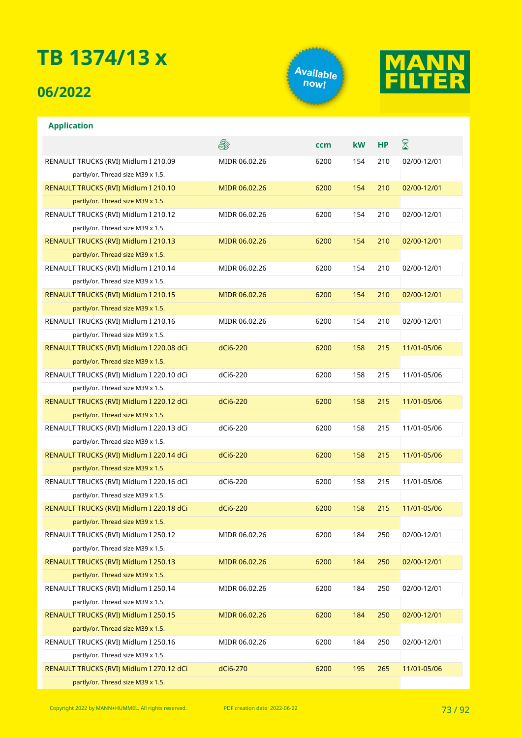## **06/2022**

**Application**





#### & ⊠ **ccm kW HP** RENAULT TRUCKS (RVI) Midlum I 210.09 MIDR 06.02.26 6200 154 210 02/00-12/01 partly/or. Thread size M39 x 1.5. RENAULT TRUCKS (RVI) Midlum I 210.10 MIDR 06.02.26 6200 154 210 02/00-12/01 partly/or. Thread size M39 x 1.5. RENAULT TRUCKS (RVI) Midlum I 210.12 MIDR 06.02.26 6200 154 210 02/00-12/01 partly/or. Thread size M39 x 1.5. RENAULT TRUCKS (RVI) Midlum I 210.13 MIDR 06.02.26 6200 154 210 02/00-12/01 partly/or. Thread size M39 x 1.5. RENAULT TRUCKS (RVI) Midlum I 210.14 MIDR 06.02.26 6200 154 210 02/00-12/01 partly/or. Thread size M39 x 1.5. RENAULT TRUCKS (RVI) Midlum I 210.15 MIDR 06.02.26 6200 154 210 02/00-12/01 partly/or. Thread size M39 x 1.5. RENAULT TRUCKS (RVI) Midlum I 210.16 MIDR 06.02.26 6200 154 210 02/00-12/01 partly/or. Thread size M39 x 1.5. RENAULT TRUCKS (RVI) Midlum I 220.08 dCi dCi6-220 6200 158 215 11/01-05/06 partly/or. Thread size M39 x 1.5. RENAULT TRUCKS (RVI) Midlum I 220.10 dCi dCi6-220 6200 158 215 11/01-05/06 partly/or. Thread size M39 x 1.5. RENAULT TRUCKS (RVI) Midlum I 220.12 dCi dCi6-220 6200 158 215 11/01-05/06 partly/or. Thread size M39 x 1.5. RENAULT TRUCKS (RVI) Midlum I 220.13 dCi dCi6-220 6200 158 215 11/01-05/06 partly/or. Thread size M39 x 1.5. RENAULT TRUCKS (RVI) Midlum I 220.14 dCi dCi6-220 6200 158 215 11/01-05/06 partly/or. Thread size M39 x 1.5. RENAULT TRUCKS (RVI) Midlum I 220.16 dCi dCi6-220 6200 158 215 11/01-05/06 partly/or. Thread size M39 x 1.5. RENAULT TRUCKS (RVI) Midlum I 220.18 dCi dCi6-220 6200 158 215 11/01-05/06 partly/or. Thread size M39 x 1.5. RENAULT TRUCKS (RVI) Midlum I 250.12 MIDR 06.02.26 6200 184 250 02/00-12/01 partly/or. Thread size M39 x 1.5. RENAULT TRUCKS (RVI) Midlum I 250.13 MIDR 06.02.26 6200 184 250 02/00-12/01 partly/or. Thread size M39 x 1.5. RENAULT TRUCKS (RVI) Midlum I 250.14 MIDR 06.02.26 6200 184 250 02/00-12/01 partly/or. Thread size M39 x 1.5. RENAULT TRUCKS (RVI) Midlum I 250.15 MIDR 06.02.26 6200 184 250 02/00-12/01 partly/or. Thread size M39 x 1.5. RENAULT TRUCKS (RVI) Midlum I 250.16 MIDR 06.02.26 6200 184 250 02/00-12/01 partly/or. Thread size M39 x 1.5.

RENAULT TRUCKS (RVI) Midlum I 270.12 dCi dCi6-270 6200 195 265 11/01-05/06 partly/or. Thread size M39 x 1.5.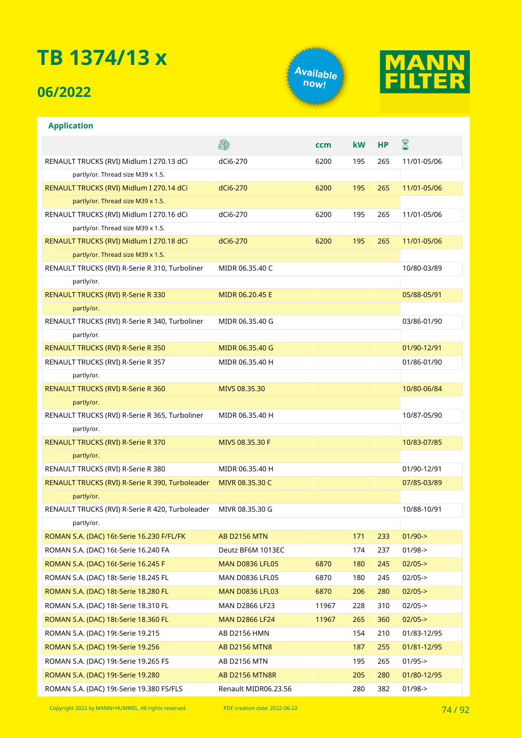## **06/2022**

**Application**





### **A** ⊠ **ccm kW HP** RENAULT TRUCKS (RVI) Midlum I 270.13 dCi dCi6-270 6200 195 265 11/01-05/06 partly/or. Thread size M39 x 1.5. RENAULT TRUCKS (RVI) Midlum I 270.14 dCi dCi6-270 6200 195 265 11/01-05/06 partly/or. Thread size M39 x 1.5. RENAULT TRUCKS (RVI) Midlum I 270.16 dCi dCi6-270 6200 195 265 11/01-05/06 partly/or. Thread size M39 x 1.5. RENAULT TRUCKS (RVI) Midlum I 270.18 dCi dCi6-270 6200 195 265 11/01-05/06 partly/or. Thread size M39 x 1.5. RENAULT TRUCKS (RVI) R-Serie R 310, Turboliner MIDR 06.35.40 C 10/80-03/89 partly/or. RENAULT TRUCKS (RVI) R-Serie R 330 MIDR 06.20.45 E 05/88-05/91 partly/or. RENAULT TRUCKS (RVI) R-Serie R 340, Turboliner MIDR 06.35.40 G 03/86-01/90 partly/or. RENAULT TRUCKS (RVI) R-Serie R 350 MIDR 06.35.40 G 01/90-12/91 01/90-12/91 RENAULT TRUCKS (RVI) R-Serie R 357 MIDR 06.35.40 H 01/86-01/90 partly/or. RENAULT TRUCKS (RVI) R-Serie R 360 MIVS 08.35.30 10/80-06/84 partly/or. RENAULT TRUCKS (RVI) R-Serie R 365, Turboliner MIDR 06.35.40 H 10/87-05/90 partly/or. RENAULT TRUCKS (RVI) R-Serie R 370 MIVS 08.35.30 F 10/83-07/85 partly/or. RENAULT TRUCKS (RVI) R-Serie R 380 MIDR 06.35.40 H 01/90-12/91 RENAULT TRUCKS (RVI) R-Serie R 390, Turboleader MIVR 08.35.30 C 07/85-03/89 07/85-03/89 partly/or. RENAULT TRUCKS (RVI) R-Serie R 420, Turboleader MIVR 08.35.30 G 10/88-10/91 partly/or. ROMAN S.A. (DAC) 16t-Serie 16.230 F/FL/FK AB D2156 MTN 171 233 01/90-> ROMAN S.A. (DAC) 16t-Serie 16.240 FA Deutz BF6M 1013EC 174 237 01/98-> ROMAN S.A. (DAC) 16t-Serie 16.245 F MAN D0836 LFL05 6870 180 245 02/05-> ROMAN S.A. (DAC) 18t-Serie 18.245 FL MAN D0836 LFL05 6870 180 245 02/05-> ROMAN S.A. (DAC) 18t-Serie 18.280 FL MAN D0836 LFL03 6870 206 280 02/05-> ROMAN S.A. (DAC) 18t-Serie 18.310 FL MAN D2866 LF23 11967 228 310 02/05-> ROMAN S.A. (DAC) 18t-Serie 18.360 FL MAN D2866 LF24 11967 265 360 02/05-> ROMAN S.A. (DAC) 19t-Serie 19.215 AB D2156 HMN 154 210 01/83-12/95 ROMAN S.A. (DAC) 19t-Serie 19.256 **AB D2156 MTN8** 187 2187 255 01/81-12/95 ROMAN S.A. (DAC) 19t-Serie 19.265 FS AB D2156 MTN 195 265 01/95-> ROMAN S.A. (DAC) 19t-Serie 19.280 AB D2156 MTN8R 205 205 280 01/80-12/95 ROMAN S.A. (DAC) 19t-Serie 19.380 FS/FLS Renault MIDR06.23.56 280 382 01/98->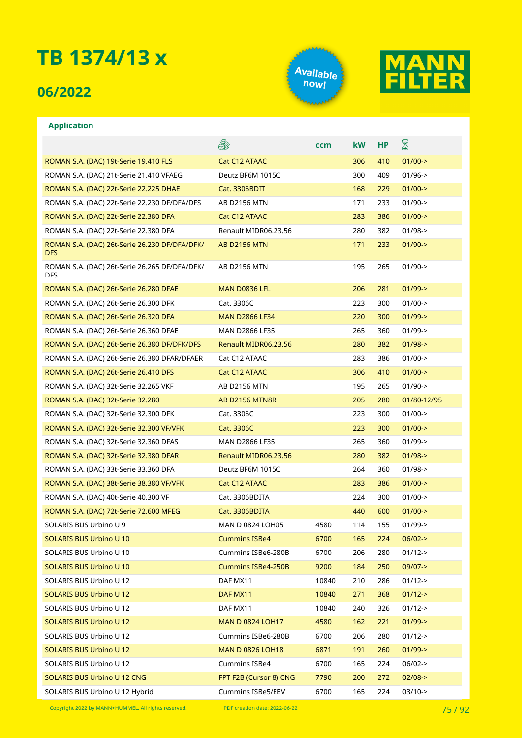### **06/2022**





#### **Application**

|                                                             | e.                        | ccm   | <b>kW</b> | <b>HP</b> | ${\color{red} \mathbb{Z}}$ |
|-------------------------------------------------------------|---------------------------|-------|-----------|-----------|----------------------------|
| ROMAN S.A. (DAC) 19t-Serie 19.410 FLS                       | Cat C12 ATAAC             |       | 306       | 410       | $01/00 - >$                |
| ROMAN S.A. (DAC) 21t-Serie 21.410 VFAEG                     | Deutz BF6M 1015C          |       | 300       | 409       | $01/96$ ->                 |
| ROMAN S.A. (DAC) 22t-Serie 22.225 DHAE                      | Cat. 3306BDIT             |       | 168       | 229       | $01/00$ ->                 |
| ROMAN S.A. (DAC) 22t-Serie 22.230 DF/DFA/DFS                | AB D2156 MTN              |       | 171       | 233       | $01/90 - >$                |
| ROMAN S.A. (DAC) 22t-Serie 22.380 DFA                       | Cat C12 ATAAC             |       | 283       | 386       | $01/00 - >$                |
| ROMAN S.A. (DAC) 22t-Serie 22.380 DFA                       | Renault MIDR06.23.56      |       | 280       | 382       | $01/98 - >$                |
| ROMAN S.A. (DAC) 26t-Serie 26.230 DF/DFA/DFK/<br><b>DFS</b> | <b>AB D2156 MTN</b>       |       | 171       | 233       | $01/90$ ->                 |
| ROMAN S.A. (DAC) 26t-Serie 26.265 DF/DFA/DFK/<br>DFS        | AB D2156 MTN              |       | 195       | 265       | $01/90 - >$                |
| ROMAN S.A. (DAC) 26t-Serie 26.280 DFAE                      | MAN D0836 LFL             |       | 206       | 281       | $01/99 - >$                |
| ROMAN S.A. (DAC) 26t-Serie 26.300 DFK                       | Cat. 3306C                |       | 223       | 300       | $01/00 - >$                |
| ROMAN S.A. (DAC) 26t-Serie 26.320 DFA                       | <b>MAN D2866 LF34</b>     |       | 220       | 300       | $01/99$ ->                 |
| ROMAN S.A. (DAC) 26t-Serie 26.360 DFAE                      | <b>MAN D2866 LF35</b>     |       | 265       | 360       | $01/99$ ->                 |
| ROMAN S.A. (DAC) 26t-Serie 26.380 DF/DFK/DFS                | Renault MIDR06.23.56      |       | 280       | 382       | $01/98 - >$                |
| ROMAN S.A. (DAC) 26t-Serie 26.380 DFAR/DFAER                | Cat C12 ATAAC             |       | 283       | 386       | $01/00$ ->                 |
| ROMAN S.A. (DAC) 26t-Serie 26.410 DFS                       | Cat C12 ATAAC             |       | 306       | 410       | $01/00$ ->                 |
| ROMAN S.A. (DAC) 32t-Serie 32.265 VKF                       | AB D2156 MTN              |       | 195       | 265       | $01/90$ ->                 |
| ROMAN S.A. (DAC) 32t-Serie 32.280                           | <b>AB D2156 MTN8R</b>     |       | 205       | 280       | 01/80-12/95                |
| ROMAN S.A. (DAC) 32t-Serie 32.300 DFK                       | Cat. 3306C                |       | 223       | 300       | $01/00 - >$                |
| ROMAN S.A. (DAC) 32t-Serie 32.300 VF/VFK                    | Cat. 3306C                |       | 223       | 300       | $01/00$ ->                 |
| ROMAN S.A. (DAC) 32t-Serie 32.360 DFAS                      | <b>MAN D2866 LF35</b>     |       | 265       | 360       | $01/99$ ->                 |
| ROMAN S.A. (DAC) 32t-Serie 32.380 DFAR                      | Renault MIDR06.23.56      |       | 280       | 382       | $01/98 - >$                |
| ROMAN S.A. (DAC) 33t-Serie 33.360 DFA                       | Deutz BF6M 1015C          |       | 264       | 360       | $01/98 - >$                |
| ROMAN S.A. (DAC) 38t-Serie 38.380 VF/VFK                    | Cat C12 ATAAC             |       | 283       | 386       | $01/00$ ->                 |
| ROMAN S.A. (DAC) 40t-Serie 40.300 VF                        | Cat. 3306BDITA            |       | 224       | 300       | $01/00$ ->                 |
| ROMAN S.A. (DAC) 72t-Serie 72.600 MFEG                      | Cat. 3306BDITA            |       | 440       | 600       | $01/00 - >$                |
| SOLARIS BUS Urbino U 9                                      | MAN D 0824 LOH05          | 4580  | 114       | 155       | $01/99 - >$                |
| SOLARIS BUS Urbino U 10                                     | <b>Cummins ISBe4</b>      | 6700  | 165       | 224       | $06/02 - >$                |
| SOLARIS BUS Urbino U 10                                     | Cummins ISBe6-280B        | 6700  | 206       | 280       | $01/12$ ->                 |
| SOLARIS BUS Urbino U 10                                     | <b>Cummins ISBe4-250B</b> | 9200  | 184       | 250       | $09/07 - >$                |
| SOLARIS BUS Urbino U 12                                     | DAF MX11                  | 10840 | 210       | 286       | $01/12$ ->                 |
| SOLARIS BUS Urbino U 12                                     | DAF MX11                  | 10840 | 271       | 368       | $01/12$ ->                 |
| SOLARIS BUS Urbino U 12                                     | DAF MX11                  | 10840 | 240       | 326       | $01/12 -$                  |
| <b>SOLARIS BUS Urbino U 12</b>                              | <b>MAN D 0824 LOH17</b>   | 4580  | 162       | 221       | $01/99 - >$                |
| SOLARIS BUS Urbino U 12                                     | Cummins ISBe6-280B        | 6700  | 206       | 280       | $01/12$ ->                 |
| SOLARIS BUS Urbino U 12                                     | <b>MAN D 0826 LOH18</b>   | 6871  | 191       | 260       | $01/99$ ->                 |
| SOLARIS BUS Urbino U 12                                     | Cummins ISBe4             | 6700  | 165       | 224       | $06/02 -$                  |
| <b>SOLARIS BUS Urbino U 12 CNG</b>                          | FPT F2B (Cursor 8) CNG    | 7790  | 200       | 272       | $02/08$ ->                 |
| SOLARIS BUS Urbino U 12 Hybrid                              | Cummins ISBe5/EEV         | 6700  | 165       | 224       | $03/10-$                   |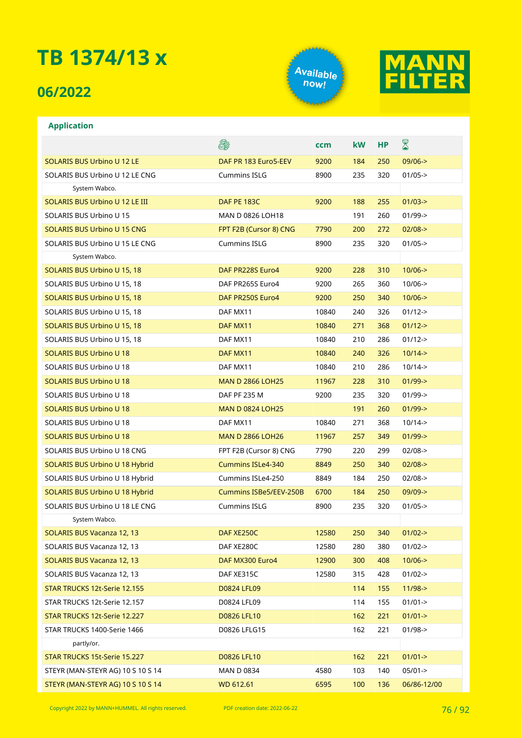## **06/2022**





### **Application** E. ⊠ **ccm kW HP** SOLARIS BUS Urbino U 12 LE DAF PR 183 Euro5-EEV 9200 184 250 09/06-> SOLARIS BUS Urbino U 12 LE CNG Cummins ISLG 8900 235 320 01/05-> System Wabco. SOLARIS BUS Urbino U 12 LE III **DAF PE 183C** 9200 188 255 01/03-> SOLARIS BUS Urbino U 15 MAN D 0826 LOH18 191 260 01/99-> SOLARIS BUS Urbino U 15 CNG FPT F2B (Cursor 8) CNG 7790 200 272 02/08-> SOLARIS BUS Urbino U 15 LE CNG Cummins ISLG 8900 235 320 01/05-> System Wabco. SOLARIS BUS Urbino U 15, 18 DAF PR228S Euro4 9200 228 310 10/06-> SOLARIS BUS Urbino U 15, 18 DAF PR265S Euro4 9200 265 360 10/06-> SOLARIS BUS Urbino U 15, 18 DAF PR250S Euro4 9200 250 340 10/06-> SOLARIS BUS Urbino U 15, 18 **DAF MX11** 10840 240 326 01/12-> SOLARIS BUS Urbino U 15, 18 **DAF MX11** DAF MX11 10840 271 368 01/12-> SOLARIS BUS Urbino U 15, 18 **DAF MX11** 10840 210 286 01/12-> SOLARIS BUS Urbino U 18 0 0 18 0 10840 10840 200 10840 10840 10840 10/14-> SOLARIS BUS Urbino U 18 0 0 0 0 0 0 0 0 0 0 0 0 0 0 0 0 0 10/14-> 10840 210 286 10/14-> SOLARIS BUS Urbino U 18 MAN D 2866 LOH25 11967 228 310 01/99-> SOLARIS BUS Urbino U 18 DAF PF 235 M 9200 235 320 01/99-> SOLARIS BUS Urbino U 18 MAN D 0824 LOH25 191 191 260 01/99-> SOLARIS BUS Urbino U 18 **DAF MX11** 10840 271 368 10/14-> SOLARIS BUS Urbino U 18 MAN D 2866 LOH26 11967 257 349 01/99-> SOLARIS BUS Urbino U 18 CNG FPT F2B (Cursor 8) CNG 7790 220 299 02/08-> SOLARIS BUS Urbino U 18 Hybrid Cummins ISLe4-340 8849 250 340 02/08-> SOLARIS BUS Urbino U 18 Hybrid Cummins ISLe4-250 8849 184 250 02/08-> SOLARIS BUS Urbino U 18 Hybrid Cummins ISBe5/EEV-250B 6700 184 250 09/09-> SOLARIS BUS Urbino U 18 LE CNG Cummins ISLG 8900 235 320 01/05-> System Wabco. SOLARIS BUS Vacanza 12, 13 DAF XE250C 12580 250 340 01/02-> SOLARIS BUS Vacanza 12, 13 DAF XE280C 12580 280 380 01/02-> SOLARIS BUS Vacanza 12, 13 **DAF MX300 Euro4** 12900 300 408 10/06-> SOLARIS BUS Vacanza 12, 13 DAF XE315C 12580 315 428 01/02->

partly/or.

STAR TRUCKS 12t-Serie 12.155 **DO824 LFL09** 2014 114 155 11/98-> STAR TRUCKS 12t-Serie 12.157 **D0824 LFL09** 114 155 01/01-> STAR TRUCKS 12t-Serie 12.227 D0826 LFL10 162 221 01/01-> STAR TRUCKS 1400-Serie 1466 162 201 221 221 01/98->

STAR TRUCKS 15t-Serie 15.227 D0826 LFL10 162 221 01/01-> STEYR (MAN-STEYR AG) 10 S 10 S 14 MAN D 0834 4580 103 140 05/01-> STEYR (MAN-STEYR AG) 10 S 10 S 14 WD 612.61 6595 100 136 06/86-12/00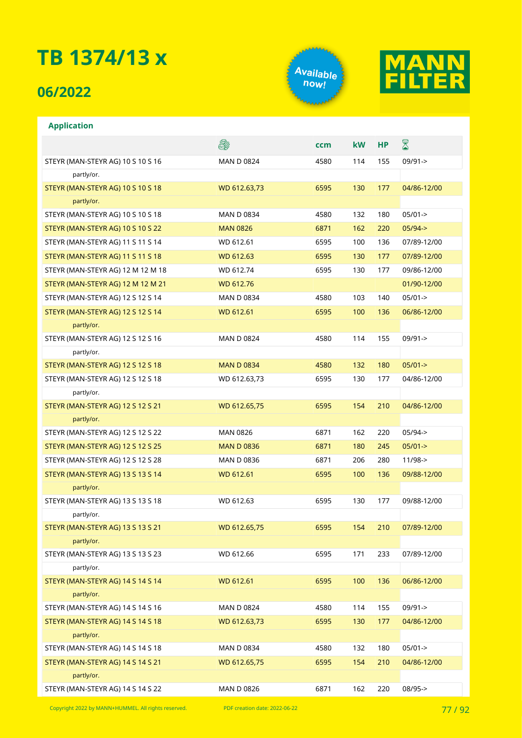## **06/2022**

**Application**





### **A** ⊠ **ccm kW HP** STEYR (MAN-STEYR AG) 10 S 10 S 16 MAN D 0824 4580 114 155 09/91-> partly/or. STEYR (MAN-STEYR AG) 10 S 10 S 18 WD 612.63,73 6595 130 177 04/86-12/00 partly/or. STEYR (MAN-STEYR AG) 10 S 10 S 18 MAN D 0834 4580 132 180 05/01-> STEYR (MAN-STEYR AG) 10 S 10 S 22 MAN 0826 6871 162 220 05/94-> STEYR (MAN-STEYR AG) 11 S 11 S 14 WD 612.61 6595 100 136 07/89-12/00 STEYR (MAN-STEYR AG) 11 S 11 S 18 WD 612.63 6595 130 177 07/89-12/00 STEYR (MAN-STEYR AG) 12 M 12 M 18 WD 612.74 6595 130 177 09/86-12/00 STEYR (MAN-STEYR AG) 12 M 12 M 21 WD 612.76 01/90-12/00 STEYR (MAN-STEYR AG) 12 S 12 S 14 MAN D 0834 4580 103 140 05/01-> STEYR (MAN-STEYR AG) 12 S 12 S 14 WD 612.61 6595 100 136 06/86-12/00 partly/or. STEYR (MAN-STEYR AG) 12 S 12 S 16 MAN D 0824 4580 114 155 09/91-> partly/or. STEYR (MAN-STEYR AG) 12 S 12 S 18 MAN D 0834 4580 132 180 05/01-> STEYR (MAN-STEYR AG) 12 S 12 S 18 WD 612.63,73 6595 130 177 04/86-12/00 partly/or. STEYR (MAN-STEYR AG) 12 S 12 S 21 WD 612.65,75 6595 154 210 04/86-12/00 partly/or. STEYR (MAN-STEYR AG) 12 S 12 S 22 MAN 0826 6871 162 220 05/94-> STEYR (MAN-STEYR AG) 12 S 12 S 25 MAN D 0836 6871 180 245 05/01-> STEYR (MAN-STEYR AG) 12 S 12 S 28 MAN D 0836 6871 206 280 11/98-> STEYR (MAN-STEYR AG) 13 S 13 S 14 WD 612.61 6595 100 136 09/88-12/00 partly/or. STEYR (MAN-STEYR AG) 13 S 13 S 18 WD 612.63 6595 130 177 09/88-12/00 partly/or. STEYR (MAN-STEYR AG) 13 S 13 S 21 WD 612.65,75 6595 154 210 07/89-12/00 partly/or. STEYR (MAN-STEYR AG) 13 S 13 S 23 WD 612.66 6595 171 233 07/89-12/00 partly/or. STEYR (MAN-STEYR AG) 14 S 14 S 14 WD 612.61 6595 100 136 06/86-12/00 partly/or. STEYR (MAN-STEYR AG) 14 S 14 S 16 MAN D 0824 4580 114 155 09/91-> STEYR (MAN-STEYR AG) 14 S 14 S 18 WD 612.63,73 6595 130 177 04/86-12/00 partly/or. STEYR (MAN-STEYR AG) 14 S 14 S 18 MAN D 0834 4580 132 180 05/01-> STEYR (MAN-STEYR AG) 14 S 14 S 21 WD 612.65,75 6595 154 210 04/86-12/00 partly/or. STEYR (MAN-STEYR AG) 14 S 14 S 22 MAN D 0826 6871 162 220 08/95->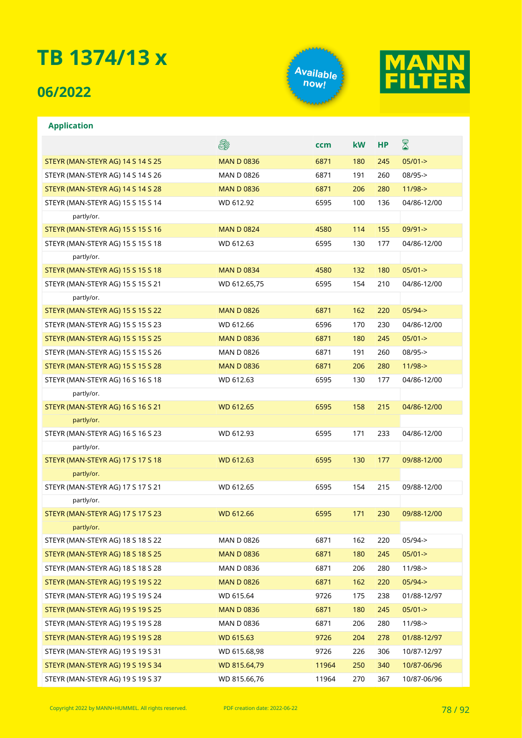### **06/2022**

**Application**





### **A** ⊠ **ccm kW HP** STEYR (MAN-STEYR AG) 14 S 14 S 25 MAN D 0836 6871 180 245 05/01-> STEYR (MAN-STEYR AG) 14 S 14 S 26 MAN D 0826 6871 191 260 08/95-> STEYR (MAN-STEYR AG) 14 S 14 S 28 MAN D 0836 6871 206 280 11/98-> STEYR (MAN-STEYR AG) 15 S 15 S 14 WD 612.92 6595 100 136 04/86-12/00 partly/or. STEYR (MAN-STEYR AG) 15 S 15 S 16 MAN D 0824 4580 114 155 09/91-> STEYR (MAN-STEYR AG) 15 S 15 S 18 WD 612.63 6595 130 177 04/86-12/00 partly/or. STEYR (MAN-STEYR AG) 15 S 15 S 18 MAN D 0834 4580 132 180 05/01-> STEYR (MAN-STEYR AG) 15 S 15 S 21 WD 612.65,75 6595 154 210 04/86-12/00 partly/or. STEYR (MAN-STEYR AG) 15 S 15 S 22 MAN D 0826 6871 162 220 05/94-> STEYR (MAN-STEYR AG) 15 S 15 S 23 WD 612.66 6596 170 230 04/86-12/00 STEYR (MAN-STEYR AG) 15 S 15 S 25 MAN D 0836 6871 180 245 05/01-> STEYR (MAN-STEYR AG) 15 S 15 S 26 MAN D 0826 6871 191 260 08/95-> STEYR (MAN-STEYR AG) 15 S 15 S 28 MAN D 0836 6871 206 280 11/98-> STEYR (MAN-STEYR AG) 16 S 16 S 18 WD 612.63 6595 130 177 04/86-12/00 partly/or. STEYR (MAN-STEYR AG) 16 S 16 S 21 WD 612.65 6595 158 215 04/86-12/00 partly/or. STEYR (MAN-STEYR AG) 16 S 16 S 23 WD 612.93 6595 171 233 04/86-12/00 partly/or. STEYR (MAN-STEYR AG) 17 S 17 S 18 WD 612.63 6595 130 177 09/88-12/00 partly/or. STEYR (MAN-STEYR AG) 17 S 17 S 21 WD 612.65 6595 154 215 09/88-12/00 partly/or. STEYR (MAN-STEYR AG) 17 S 17 S 23 WD 612.66 6595 171 230 09/88-12/00 partly/or. STEYR (MAN-STEYR AG) 18 S 18 S 22 MAN D 0826 6871 162 220 05/94-> STEYR (MAN-STEYR AG) 18 S 18 S 25 MAN D 0836 6871 180 245 05/01-> STEYR (MAN-STEYR AG) 18 S 18 S 28 MAN D 0836 6871 206 280 11/98-> STEYR (MAN-STEYR AG) 19 S 19 S 22 MAN D 0826 6871 162 220 05/94-> STEYR (MAN-STEYR AG) 19 S 19 S 24 WD 615.64 9726 175 238 01/88-12/97 STEYR (MAN-STEYR AG) 19 S 19 S 25 MAN D 0836 6871 180 245 05/01-> STEYR (MAN-STEYR AG) 19 S 19 S 28 MAN D 0836 6871 206 280 11/98-> STEYR (MAN-STEYR AG) 19 S 19 S 28 WD 615.63 9726 204 278 01/88-12/97 STEYR (MAN-STEYR AG) 19 S 19 S 31 WD 615.68,98 9726 226 306 10/87-12/97 STEYR (MAN-STEYR AG) 19 S 19 S 34 WD 815.64,79 11964 250 340 10/87-06/96 STEYR (MAN-STEYR AG) 19 S 19 S 37 WD 815.66,76 11964 270 367 10/87-06/96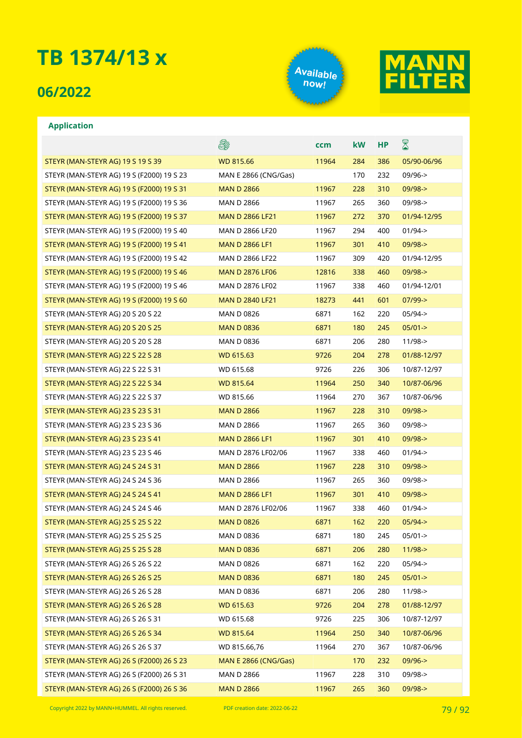### **06/2022**





#### **Application**

|                                           | es:                         | ccm   | kW  | НP  | $\boxtimes$ |
|-------------------------------------------|-----------------------------|-------|-----|-----|-------------|
| STEYR (MAN-STEYR AG) 19 S 19 S 39         | <b>WD 815.66</b>            | 11964 | 284 | 386 | 05/90-06/96 |
| STEYR (MAN-STEYR AG) 19 S (F2000) 19 S 23 | <b>MAN E 2866 (CNG/Gas)</b> |       | 170 | 232 | $09/96 - >$ |
| STEYR (MAN-STEYR AG) 19 S (F2000) 19 S 31 | <b>MAN D 2866</b>           | 11967 | 228 | 310 | $09/98 - >$ |
| STEYR (MAN-STEYR AG) 19 S (F2000) 19 S 36 | <b>MAN D 2866</b>           | 11967 | 265 | 360 | 09/98->     |
| STEYR (MAN-STEYR AG) 19 S (F2000) 19 S 37 | <b>MAN D 2866 LF21</b>      | 11967 | 272 | 370 | 01/94-12/95 |
| STEYR (MAN-STEYR AG) 19 S (F2000) 19 S 40 | MAN D 2866 LF20             | 11967 | 294 | 400 | $01/94 - >$ |
| STEYR (MAN-STEYR AG) 19 S (F2000) 19 S 41 | <b>MAN D 2866 LF1</b>       | 11967 | 301 | 410 | $09/98 - >$ |
| STEYR (MAN-STEYR AG) 19 S (F2000) 19 S 42 | <b>MAN D 2866 LF22</b>      | 11967 | 309 | 420 | 01/94-12/95 |
| STEYR (MAN-STEYR AG) 19 S (F2000) 19 S 46 | <b>MAN D 2876 LF06</b>      | 12816 | 338 | 460 | $09/98 - >$ |
| STEYR (MAN-STEYR AG) 19 S (F2000) 19 S 46 | MAN D 2876 LF02             | 11967 | 338 | 460 | 01/94-12/01 |
| STEYR (MAN-STEYR AG) 19 S (F2000) 19 S 60 | <b>MAN D 2840 LF21</b>      | 18273 | 441 | 601 | $07/99 - >$ |
| STEYR (MAN-STEYR AG) 20 S 20 S 22         | <b>MAN D 0826</b>           | 6871  | 162 | 220 | $05/94 - >$ |
| STEYR (MAN-STEYR AG) 20 S 20 S 25         | <b>MAN D 0836</b>           | 6871  | 180 | 245 | $05/01 - >$ |
| STEYR (MAN-STEYR AG) 20 S 20 S 28         | <b>MAN D 0836</b>           | 6871  | 206 | 280 | $11/98$ ->  |
| STEYR (MAN-STEYR AG) 22 S 22 S 28         | WD 615.63                   | 9726  | 204 | 278 | 01/88-12/97 |
| STEYR (MAN-STEYR AG) 22 S 22 S 31         | WD 615.68                   | 9726  | 226 | 306 | 10/87-12/97 |
| STEYR (MAN-STEYR AG) 22 S 22 S 34         | <b>WD 815.64</b>            | 11964 | 250 | 340 | 10/87-06/96 |
| STEYR (MAN-STEYR AG) 22 S 22 S 37         | WD 815.66                   | 11964 | 270 | 367 | 10/87-06/96 |
| STEYR (MAN-STEYR AG) 23 S 23 S 31         | <b>MAN D 2866</b>           | 11967 | 228 | 310 | $09/98 - >$ |
| STEYR (MAN-STEYR AG) 23 S 23 S 36         | <b>MAN D 2866</b>           | 11967 | 265 | 360 | $09/98 - >$ |
| STEYR (MAN-STEYR AG) 23 S 23 S 41         | <b>MAN D 2866 LF1</b>       | 11967 | 301 | 410 | $09/98 - >$ |
| STEYR (MAN-STEYR AG) 23 S 23 S 46         | MAN D 2876 LF02/06          | 11967 | 338 | 460 | $01/94 - >$ |
| STEYR (MAN-STEYR AG) 24 S 24 S 31         | <b>MAN D 2866</b>           | 11967 | 228 | 310 | $09/98 - >$ |
| STEYR (MAN-STEYR AG) 24 S 24 S 36         | <b>MAN D 2866</b>           | 11967 | 265 | 360 | $09/98 - >$ |
| STEYR (MAN-STEYR AG) 24 S 24 S 41         | <b>MAN D 2866 LF1</b>       | 11967 | 301 | 410 | $09/98 - >$ |
| STEYR (MAN-STEYR AG) 24 S 24 S 46         | MAN D 2876 LF02/06          | 11967 | 338 | 460 | $01/94 - >$ |
| STEYR (MAN-STEYR AG) 25 S 25 S 22         | <b>MAN D 0826</b>           | 6871  | 162 | 220 | $05/94 - >$ |
| STEYR (MAN-STEYR AG) 25 S 25 S 25         | MAN D 0836                  | 6871  | 180 | 245 | $05/01 -$   |
| STEYR (MAN-STEYR AG) 25 S 25 S 28         | <b>MAN D 0836</b>           | 6871  | 206 | 280 | $11/98 - >$ |
| STEYR (MAN-STEYR AG) 26 S 26 S 22         | <b>MAN D 0826</b>           | 6871  | 162 | 220 | 05/94->     |
| STEYR (MAN-STEYR AG) 26 S 26 S 25         | <b>MAN D 0836</b>           | 6871  | 180 | 245 | $05/01 - >$ |
| STEYR (MAN-STEYR AG) 26 S 26 S 28         | <b>MAN D 0836</b>           | 6871  | 206 | 280 | $11/98$ ->  |
| STEYR (MAN-STEYR AG) 26 S 26 S 28         | WD 615.63                   | 9726  | 204 | 278 | 01/88-12/97 |
| STEYR (MAN-STEYR AG) 26 S 26 S 31         | WD 615.68                   | 9726  | 225 | 306 | 10/87-12/97 |
| STEYR (MAN-STEYR AG) 26 S 26 S 34         | WD 815.64                   | 11964 | 250 | 340 | 10/87-06/96 |
| STEYR (MAN-STEYR AG) 26 S 26 S 37         | WD 815.66,76                | 11964 | 270 | 367 | 10/87-06/96 |
| STEYR (MAN-STEYR AG) 26 S (F2000) 26 S 23 | <b>MAN E 2866 (CNG/Gas)</b> |       | 170 | 232 | $09/96 - >$ |
| STEYR (MAN-STEYR AG) 26 S (F2000) 26 S 31 | <b>MAN D 2866</b>           | 11967 | 228 | 310 | 09/98->     |
| STEYR (MAN-STEYR AG) 26 S (F2000) 26 S 36 | <b>MAN D 2866</b>           | 11967 | 265 | 360 | $09/98 - >$ |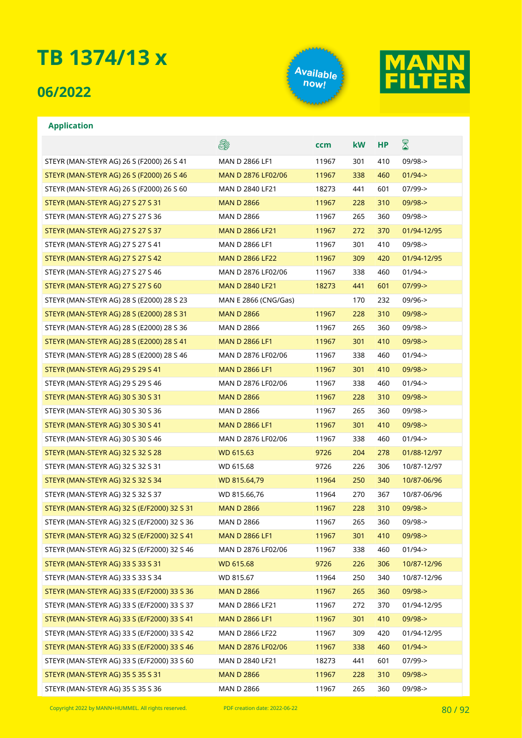### **06/2022**





|                                             | E.                          | ccm   | kW  | HP  | $\boxtimes$     |
|---------------------------------------------|-----------------------------|-------|-----|-----|-----------------|
| STEYR (MAN-STEYR AG) 26 S (F2000) 26 S 41   | MAN D 2866 LF1              | 11967 | 301 | 410 | $09/98 - >$     |
| STEYR (MAN-STEYR AG) 26 S (F2000) 26 S 46   | MAN D 2876 LF02/06          | 11967 | 338 | 460 | $01/94 - >$     |
| STEYR (MAN-STEYR AG) 26 S (F2000) 26 S 60   | MAN D 2840 LF21             | 18273 | 441 | 601 | $07/99 - >$     |
| STEYR (MAN-STEYR AG) 27 S 27 S 31           | <b>MAN D 2866</b>           | 11967 | 228 | 310 | 09/98->         |
| STEYR (MAN-STEYR AG) 27 S 27 S 36           | <b>MAN D 2866</b>           | 11967 | 265 | 360 | $09/98 - >$     |
| STEYR (MAN-STEYR AG) 27 S 27 S 37           | <b>MAN D 2866 LF21</b>      | 11967 | 272 | 370 | 01/94-12/95     |
| STEYR (MAN-STEYR AG) 27 S 27 S 41           | MAN D 2866 LF1              | 11967 | 301 | 410 | $09/98 - >$     |
| STEYR (MAN-STEYR AG) 27 S 27 S 42           | <b>MAN D 2866 LF22</b>      | 11967 | 309 | 420 | 01/94-12/95     |
| STEYR (MAN-STEYR AG) 27 S 27 S 46           | MAN D 2876 LF02/06          | 11967 | 338 | 460 | $01/94 - >$     |
| STEYR (MAN-STEYR AG) 27 S 27 S 60           | <b>MAN D 2840 LF21</b>      | 18273 | 441 | 601 | $07/99 - >$     |
| STEYR (MAN-STEYR AG) 28 S (E2000) 28 S 23   | <b>MAN E 2866 (CNG/Gas)</b> |       | 170 | 232 | $09/96 - >$     |
| STEYR (MAN-STEYR AG) 28 S (E2000) 28 S 31   | <b>MAN D 2866</b>           | 11967 | 228 | 310 | $09/98 - >$     |
| STEYR (MAN-STEYR AG) 28 S (E2000) 28 S 36   | <b>MAN D 2866</b>           | 11967 | 265 | 360 | $09/98 - >$     |
| STEYR (MAN-STEYR AG) 28 S (E2000) 28 S 41   | <b>MAN D 2866 LF1</b>       | 11967 | 301 | 410 | $09/98 - >$     |
| STEYR (MAN-STEYR AG) 28 S (E2000) 28 S 46   | MAN D 2876 LF02/06          | 11967 | 338 | 460 | $01/94 - >$     |
| STEYR (MAN-STEYR AG) 29 S 29 S 41           | <b>MAN D 2866 LF1</b>       | 11967 | 301 | 410 | $09/98 - >$     |
| STEYR (MAN-STEYR AG) 29 S 29 S 46           | MAN D 2876 LF02/06          | 11967 | 338 | 460 | $01/94 - >$     |
| STEYR (MAN-STEYR AG) 30 S 30 S 31           | <b>MAN D 2866</b>           | 11967 | 228 | 310 | $09/98 - >$     |
| STEYR (MAN-STEYR AG) 30 S 30 S 36           | <b>MAN D 2866</b>           | 11967 | 265 | 360 | $09/98 - >$     |
| STEYR (MAN-STEYR AG) 30 S 30 S 41           | <b>MAN D 2866 LF1</b>       | 11967 | 301 | 410 | 09/98->         |
| STEYR (MAN-STEYR AG) 30 S 30 S 46           | MAN D 2876 LF02/06          | 11967 | 338 | 460 | $01/94 - >$     |
| STEYR (MAN-STEYR AG) 32 S 32 S 28           | <b>WD 615.63</b>            | 9726  | 204 | 278 | 01/88-12/97     |
| STEYR (MAN-STEYR AG) 32 S 32 S 31           | WD 615.68                   | 9726  | 226 | 306 | 10/87-12/97     |
| STEYR (MAN-STEYR AG) 32 S 32 S 34           | WD 815.64,79                | 11964 | 250 | 340 | 10/87-06/96     |
| STEYR (MAN-STEYR AG) 32 S 32 S 37           | WD 815.66,76                | 11964 | 270 | 367 | 10/87-06/96     |
| STEYR (MAN-STEYR AG) 32 S (E/F2000) 32 S 31 | <b>MAN D 2866</b>           | 11967 | 228 | 310 | 09/98->         |
| STEYR (MAN-STEYR AG) 32 S (E/F2000) 32 S 36 | <b>MAN D 2866</b>           | 11967 | 265 | 360 | $09/98 - >$     |
| STEYR (MAN-STEYR AG) 32 S (E/F2000) 32 S 41 | <b>MAN D 2866 LF1</b>       | 11967 |     |     | 301 410 09/98-> |
| STEYR (MAN-STEYR AG) 32 S (E/F2000) 32 S 46 | MAN D 2876 LF02/06          | 11967 | 338 | 460 | $01/94 - >$     |
| STEYR (MAN-STEYR AG) 33 S 33 S 31           | <b>WD 615.68</b>            | 9726  | 226 | 306 | 10/87-12/96     |
| STEYR (MAN-STEYR AG) 33 S 33 S 34           | WD 815.67                   | 11964 | 250 | 340 | 10/87-12/96     |
| STEYR (MAN-STEYR AG) 33 S (E/F2000) 33 S 36 | <b>MAN D 2866</b>           | 11967 | 265 | 360 | 09/98->         |
| STEYR (MAN-STEYR AG) 33 S (E/F2000) 33 S 37 | MAN D 2866 LF21             | 11967 | 272 | 370 | 01/94-12/95     |
| STEYR (MAN-STEYR AG) 33 S (E/F2000) 33 S 41 | <b>MAN D 2866 LF1</b>       | 11967 | 301 | 410 | $09/98 - > 0$   |
| STEYR (MAN-STEYR AG) 33 S (E/F2000) 33 S 42 | <b>MAN D 2866 LF22</b>      | 11967 | 309 | 420 | 01/94-12/95     |
| STEYR (MAN-STEYR AG) 33 S (E/F2000) 33 S 46 | MAN D 2876 LF02/06          | 11967 | 338 | 460 | $01/94 - >$     |
| STEYR (MAN-STEYR AG) 33 S (E/F2000) 33 S 60 | MAN D 2840 LF21             | 18273 | 441 | 601 | 07/99->         |
| STEYR (MAN-STEYR AG) 35 S 35 S 31           | <b>MAN D 2866</b>           | 11967 | 228 | 310 | 09/98->         |
| STEYR (MAN-STEYR AG) 35 S 35 S 36           | <b>MAN D 2866</b>           | 11967 | 265 | 360 | 09/98->         |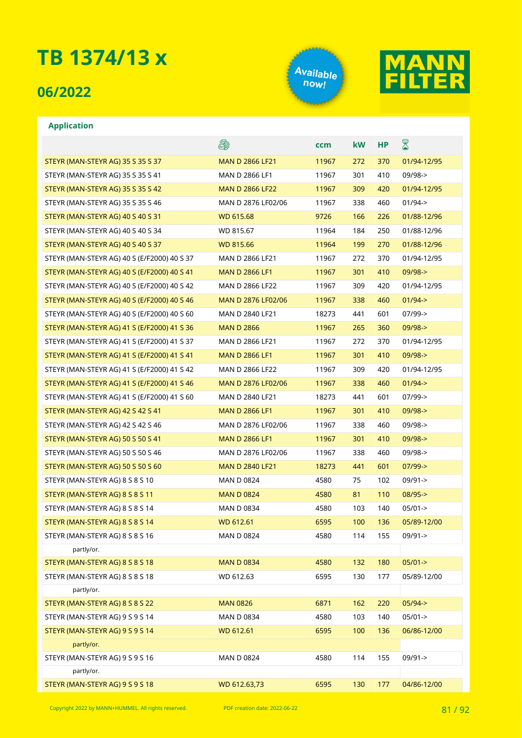### **06/2022**





|                                             | E.                     | ccm   | kW  | HP  | $\boxtimes$ |
|---------------------------------------------|------------------------|-------|-----|-----|-------------|
| STEYR (MAN-STEYR AG) 35 S 35 S 37           | <b>MAN D 2866 LF21</b> | 11967 | 272 | 370 | 01/94-12/95 |
| STEYR (MAN-STEYR AG) 35 S 35 S 41           | MAN D 2866 LF1         | 11967 | 301 | 410 | $09/98 - >$ |
| STEYR (MAN-STEYR AG) 35 S 35 S 42           | <b>MAN D 2866 LF22</b> | 11967 | 309 | 420 | 01/94-12/95 |
| STEYR (MAN-STEYR AG) 35 S 35 S 46           | MAN D 2876 LF02/06     | 11967 | 338 | 460 | $01/94 - >$ |
| STEYR (MAN-STEYR AG) 40 S 40 S 31           | WD 615.68              | 9726  | 166 | 226 | 01/88-12/96 |
| STEYR (MAN-STEYR AG) 40 S 40 S 34           | WD 815.67              | 11964 | 184 | 250 | 01/88-12/96 |
| STEYR (MAN-STEYR AG) 40 S 40 S 37           | <b>WD 815.66</b>       | 11964 | 199 | 270 | 01/88-12/96 |
| STEYR (MAN-STEYR AG) 40 S (E/F2000) 40 S 37 | MAN D 2866 LF21        | 11967 | 272 | 370 | 01/94-12/95 |
| STEYR (MAN-STEYR AG) 40 S (E/F2000) 40 S 41 | <b>MAN D 2866 LF1</b>  | 11967 | 301 | 410 | $09/98 - >$ |
| STEYR (MAN-STEYR AG) 40 S (E/F2000) 40 S 42 | <b>MAN D 2866 LF22</b> | 11967 | 309 | 420 | 01/94-12/95 |
| STEYR (MAN-STEYR AG) 40 S (E/F2000) 40 S 46 | MAN D 2876 LF02/06     | 11967 | 338 | 460 | $01/94 - >$ |
| STEYR (MAN-STEYR AG) 40 S (E/F2000) 40 S 60 | MAN D 2840 LF21        | 18273 | 441 | 601 | 07/99->     |
| STEYR (MAN-STEYR AG) 41 S (E/F2000) 41 S 36 | <b>MAN D 2866</b>      | 11967 | 265 | 360 | $09/98 - >$ |
| STEYR (MAN-STEYR AG) 41 S (E/F2000) 41 S 37 | MAN D 2866 LF21        | 11967 | 272 | 370 | 01/94-12/95 |
| STEYR (MAN-STEYR AG) 41 S (E/F2000) 41 S 41 | <b>MAN D 2866 LF1</b>  | 11967 | 301 | 410 | $09/98 - >$ |
| STEYR (MAN-STEYR AG) 41 S (E/F2000) 41 S 42 | MAN D 2866 LF22        | 11967 | 309 | 420 | 01/94-12/95 |
| STEYR (MAN-STEYR AG) 41 S (E/F2000) 41 S 46 | MAN D 2876 LF02/06     | 11967 | 338 | 460 | $01/94$ ->  |
| STEYR (MAN-STEYR AG) 41 S (E/F2000) 41 S 60 | MAN D 2840 LF21        | 18273 | 441 | 601 | $07/99 - >$ |
| STEYR (MAN-STEYR AG) 42 S 42 S 41           | <b>MAN D 2866 LF1</b>  | 11967 | 301 | 410 | $09/98 - >$ |
| STEYR (MAN-STEYR AG) 42 S 42 S 46           | MAN D 2876 LF02/06     | 11967 | 338 | 460 | 09/98->     |
| STEYR (MAN-STEYR AG) 50 S 50 S 41           | <b>MAN D 2866 LF1</b>  | 11967 | 301 | 410 | $09/98 - >$ |
| STEYR (MAN-STEYR AG) 50 S 50 S 46           | MAN D 2876 LF02/06     | 11967 | 338 | 460 | $09/98 - >$ |
| STEYR (MAN-STEYR AG) 50 S 50 S 60           | <b>MAN D 2840 LF21</b> | 18273 | 441 | 601 | $07/99$ ->  |
| STEYR (MAN-STEYR AG) 8 S 8 S 10             | <b>MAN D 0824</b>      | 4580  | 75  | 102 | $09/91 - >$ |
| STEYR (MAN-STEYR AG) 8 S 8 S 11             | <b>MAN D 0824</b>      | 4580  | 81  | 110 | $08/95 -$   |
| STEYR (MAN-STEYR AG) 8 S 8 S 14             | <b>MAN D 0834</b>      | 4580  | 103 | 140 | $05/01 -$   |
| STEYR (MAN-STEYR AG) 8 S 8 S 14             | WD 612.61              | 6595  | 100 | 136 | 05/89-12/00 |
| STEYR (MAN-STEYR AG) 8 S 8 S 16             | <b>MAN D 0824</b>      | 4580  | 114 | 155 | 09/91->     |
| partly/or.                                  |                        |       |     |     |             |
| STEYR (MAN-STEYR AG) 8 S 8 S 18             | <b>MAN D 0834</b>      | 4580  | 132 | 180 | $05/01 - >$ |
| STEYR (MAN-STEYR AG) 8 S 8 S 18             | WD 612.63              | 6595  | 130 | 177 | 05/89-12/00 |
| partly/or.                                  |                        |       |     |     |             |
| STEYR (MAN-STEYR AG) 8 S 8 S 22             | <b>MAN 0826</b>        | 6871  | 162 | 220 | $05/94 - >$ |
| STEYR (MAN-STEYR AG) 9 S 9 S 14             | <b>MAN D 0834</b>      | 4580  | 103 | 140 | $05/01 - >$ |
| STEYR (MAN-STEYR AG) 9 S 9 S 14             | WD 612.61              | 6595  | 100 | 136 | 06/86-12/00 |
| partly/or.                                  |                        |       |     |     |             |
| STEYR (MAN-STEYR AG) 9 S 9 S 16             | <b>MAN D 0824</b>      | 4580  | 114 | 155 | 09/91->     |
| partly/or.                                  |                        |       |     |     |             |
| STEYR (MAN-STEYR AG) 9 S 9 S 18             | WD 612.63,73           | 6595  | 130 | 177 | 04/86-12/00 |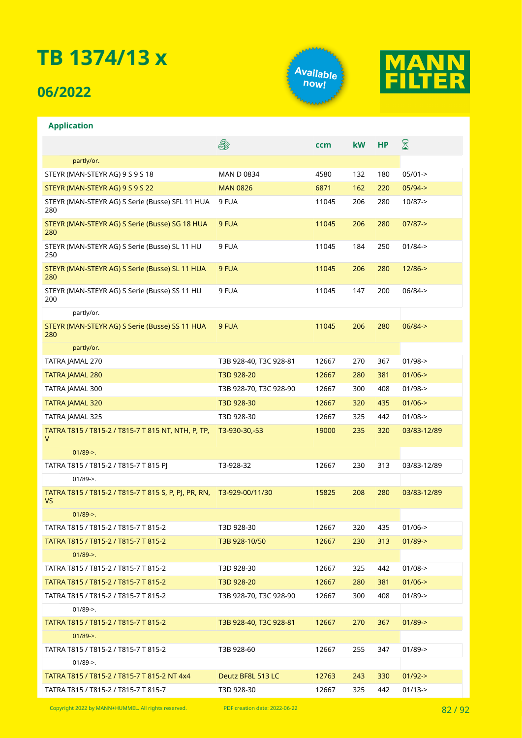## **06/2022**





|                                                            | E.                     | ccm   | kW  | <b>HP</b> | ${\color{red} \mathbb{Z}}$ |
|------------------------------------------------------------|------------------------|-------|-----|-----------|----------------------------|
| partly/or.                                                 |                        |       |     |           |                            |
| STEYR (MAN-STEYR AG) 9 S 9 S 18                            | <b>MAN D 0834</b>      | 4580  | 132 | 180       | $05/01 -$                  |
| STEYR (MAN-STEYR AG) 9 S 9 S 22                            | <b>MAN 0826</b>        | 6871  | 162 | 220       | $05/94 - >$                |
| STEYR (MAN-STEYR AG) S Serie (Busse) SFL 11 HUA<br>280     | 9 FUA                  | 11045 | 206 | 280       | $10/87 - >$                |
| STEYR (MAN-STEYR AG) S Serie (Busse) SG 18 HUA<br>280      | 9 FUA                  | 11045 | 206 | 280       | $07/87 - >$                |
| STEYR (MAN-STEYR AG) S Serie (Busse) SL 11 HU<br>250       | 9 FUA                  | 11045 | 184 | 250       | $01/84 - >$                |
| STEYR (MAN-STEYR AG) S Serie (Busse) SL 11 HUA<br>280      | 9 FUA                  | 11045 | 206 | 280       | $12/86 - >$                |
| STEYR (MAN-STEYR AG) S Serie (Busse) SS 11 HU<br>200       | 9 FUA                  | 11045 | 147 | 200       | $06/84 -$                  |
| partly/or.                                                 |                        |       |     |           |                            |
| STEYR (MAN-STEYR AG) S Serie (Busse) SS 11 HUA<br>280      | 9 FUA                  | 11045 | 206 | 280       | $06/84 - >$                |
| partly/or.                                                 |                        |       |     |           |                            |
| TATRA JAMAL 270                                            | T3B 928-40, T3C 928-81 | 12667 | 270 | 367       | $01/98 - >$                |
| <b>TATRA JAMAL 280</b>                                     | T3D 928-20             | 12667 | 280 | 381       | $01/06$ ->                 |
| TATRA JAMAL 300                                            | T3B 928-70, T3C 928-90 | 12667 | 300 | 408       | $01/98 - >$                |
| <b>TATRA JAMAL 320</b>                                     | T3D 928-30             | 12667 | 320 | 435       | $01/06$ ->                 |
| TATRA JAMAL 325                                            | T3D 928-30             | 12667 | 325 | 442       | $01/08 - >$                |
| TATRA T815 / T815-2 / T815-7 T 815 NT, NTH, P, TP,<br>v    | T3-930-30,-53          | 19000 | 235 | 320       | 03/83-12/89                |
| $01/89$ ->.                                                |                        |       |     |           |                            |
| TATRA T815 / T815-2 / T815-7 T 815 PJ                      | T3-928-32              | 12667 | 230 | 313       | 03/83-12/89                |
| $01/89$ ->.                                                |                        |       |     |           |                            |
| TATRA T815 / T815-2 / T815-7 T 815 S, P, PJ, PR, RN,<br>VS | T3-929-00/11/30        | 15825 | 208 | 280       | 03/83-12/89                |
| $01/89$ ->.                                                |                        |       |     |           |                            |
| TATRA T815 / T815-2 / T815-7 T 815-2                       | T3D 928-30             | 12667 | 320 | 435       | $01/06 - >$                |
| TATRA T815 / T815-2 / T815-7 T 815-2                       | T3B 928-10/50          | 12667 | 230 | 313       | $01/89 - >$                |
| $01/89$ ->.                                                |                        |       |     |           |                            |
| TATRA T815 / T815-2 / T815-7 T 815-2                       | T3D 928-30             | 12667 | 325 | 442       | $01/08 - >$                |
| TATRA T815 / T815-2 / T815-7 T 815-2                       | T3D 928-20             | 12667 | 280 | 381       | $01/06$ ->                 |
| TATRA T815 / T815-2 / T815-7 T 815-2                       | T3B 928-70, T3C 928-90 | 12667 | 300 | 408       | $01/89$ ->                 |
| $01/89$ ->.                                                |                        |       |     |           |                            |
| TATRA T815 / T815-2 / T815-7 T 815-2                       | T3B 928-40, T3C 928-81 | 12667 | 270 | 367       | $01/89$ ->                 |
| $01/89 - >$ .                                              |                        |       |     |           |                            |
| TATRA T815 / T815-2 / T815-7 T 815-2                       | T3B 928-60             | 12667 | 255 | 347       | $01/89$ ->                 |
| $01/89$ ->.                                                |                        |       |     |           |                            |
| TATRA T815 / T815-2 / T815-7 T 815-2 NT 4x4                | Deutz BF8L 513 LC      | 12763 | 243 | 330       | $01/92 - >$                |
| TATRA T815 / T815-2 / T815-7 T 815-7                       | T3D 928-30             | 12667 | 325 | 442       | $01/13$ ->                 |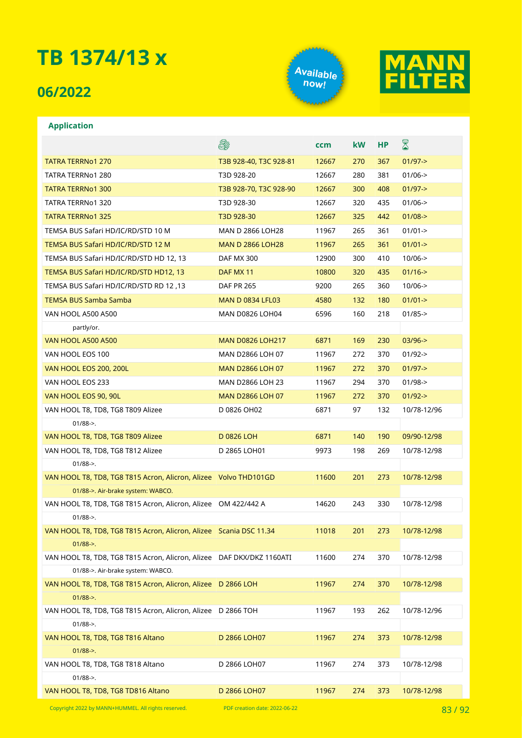### **06/2022**

**Application**





### E. ⊠ **ccm kW HP** TATRA TERRNO1 270 TATRA 1980 TO THE SERVE TO THE SERVE THE SERVE TO THE SERVE THE SERVE TO THE SERVE THE SERVE TATRA TERRNo1 280 T3D 928-20 12667 280 381 01/06-> TATRA TERRNO1 300 TATRIS 200 T3B 928-70, T3C 928-90 12667 300 408 01/97-> TATRA TERRNo1 320 T3D 928-30 12667 320 435 01/06-> TATRA TERRNo1 325 T3D 928-30 12667 325 442 01/08-> TEMSA BUS Safari HD/IC/RD/STD 10 M MAN D 2866 LOH28 11967 265 361 01/01-> TEMSA BUS Safari HD/IC/RD/STD 12 M MAN D 2866 LOH28 11967 265 361 01/01-> TEMSA BUS Safari HD/IC/RD/STD HD 12, 13 DAF MX 300 12900 300 410 10/06-> TEMSA BUS Safari HD/IC/RD/STD HD12, 13 DAF MX 11 10800 320 435 01/16-> TEMSA BUS Safari HD/IC/RD/STD RD 12 ,13 DAF PR 265 9200 265 360 10/06-> TEMSA BUS Samba Samba MAN D 0834 LFL03 4580 132 180 01/01-> VAN HOOL A500 A500 MAN D0826 LOH04 6596 160 218 01/85-> partly/or. VAN HOOL A500 A500 MAN D0826 LOH217 6871 169 230 03/96-> VAN HOOL EOS 100 MAN D2866 LOH 07 11967 272 370 01/92-> VAN HOOL EOS 200, 200L MAN D2866 LOH 07 11967 272 370 01/97-> VAN HOOL EOS 233 MAN D2866 LOH 23 11967 294 370 01/98-> VAN HOOL EOS 90, 90L MAN D2866 LOH 07 11967 272 370 01/92-> VAN HOOL T8, TD8, TG8 T809 Alizee D 0826 OH02 6871 97 132 10/78-12/96 01/88->. VAN HOOL T8, TD8, TG8 T809 Alizee D 0826 LOH 6871 140 190 09/90-12/98 VAN HOOL T8, TD8, TG8 T812 Alizee D 2865 LOH01 9973 198 269 10/78-12/98 01/88->. VAN HOOL T8, TD8, TG8 T815 Acron, Alicron, Alizee Volvo THD101GD 11600 201 273 10/78-12/98 01/88->. Air-brake system: WABCO. VAN HOOL T8, TD8, TG8 T815 Acron, Alicron, Alizee OM 422/442 A 14620 243 330 10/78-12/98 01/88->. VAN HOOL T8, TD8, TG8 T815 Acron, Alicron, Alizee Scania DSC 11.34 11018 201 273 10/78-12/98 01/88->. VAN HOOL T8, TD8, TG8 T815 Acron, Alicron, Alizee DAF DKX/DKZ 1160ATI 11600 274 370 10/78-12/98 01/88->. Air-brake system: WABCO. VAN HOOL T8, TD8, TG8 T815 Acron, Alicron, Alizee D 2866 LOH 11967 274 370 10/78-12/98 01/88->. VAN HOOL T8, TD8, TG8 T815 Acron, Alicron, Alizee D 2866 TOH 11967 193 262 10/78-12/96 01/88->. VAN HOOL T8, TD8, TG8 T816 Altano D 2866 LOH07 11967 274 373 10/78-12/98  $01/88 - >$ VAN HOOL T8, TD8, TG8 T818 Altano D 2866 LOH07 11967 274 373 10/78-12/98  $01/88 - >$ VAN HOOL T8, TD8, TG8 TD816 Altano D 2866 LOH07 11967 274 373 10/78-12/98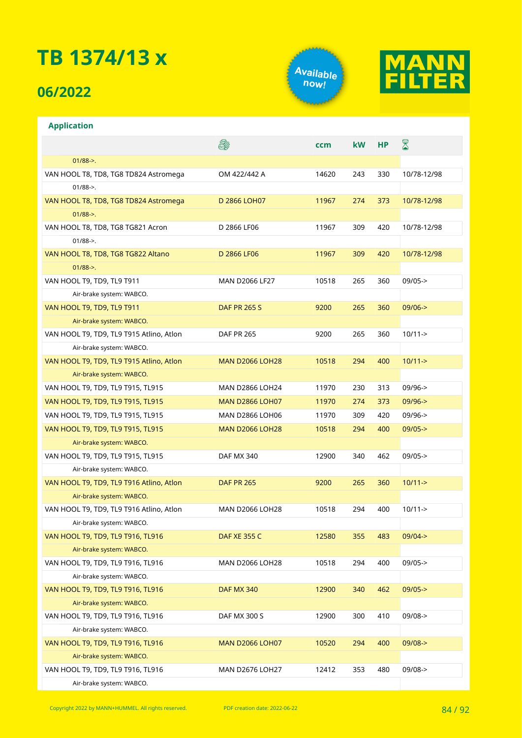### **06/2022**

**Application**





#### **A** ⊠ **ccm kW HP** 01/88->. VAN HOOL T8, TD8, TG8 TD824 Astromega OM 422/442 A 14620 243 330 10/78-12/98 01/88->. VAN HOOL T8, TD8, TG8 TD824 Astromega D 2866 LOH07 11967 274 373 10/78-12/98 01/88->. VAN HOOL T8, TD8, TG8 TG821 Acron D 2866 LF06 11967 309 420 10/78-12/98 01/88->. VAN HOOL T8, TD8, TG8 TG822 Altano D 2866 LF06 11967 309 420 10/78-12/98 01/88->. VAN HOOL T9, TD9, TL9 T911 MAN D2066 LF27 10518 265 360 09/05-> Air-brake system: WABCO. VAN HOOL T9, TD9, TL9 T911 DAF PR 265 S 9200 265 360 09/06-> Air-brake system: WABCO. VAN HOOL T9, TD9, TL9 T915 Atlino, Atlon DAF PR 265 9200 265 360 10/11-> Air-brake system: WABCO. VAN HOOL T9, TD9, TL9 T915 Atlino, Atlon MAN D2066 LOH28 10518 294 400 10/11-> Air-brake system: WABCO. VAN HOOL T9, TD9, TL9 T915, TL915 MAN D2866 LOH24 11970 230 313 09/96-> VAN HOOL T9, TD9, TL9 T915, TL915 MAN D2866 LOH07 11970 274 373 09/96-> VAN HOOL T9, TD9, TL9 T915, TL915 MAN D2866 LOH06 11970 309 420 09/96-> VAN HOOL T9, TD9, TL9 T915, TL915 MAN D2066 LOH28 10518 294 400 09/05-> Air-brake system: WABCO. VAN HOOL T9, TD9, TL9 T915, TL915 DAF MX 340 12900 340 462 09/05-> Air-brake system: WABCO. VAN HOOL T9, TD9, TL9 T916 Atlino, Atlon DAF PR 265 9200 265 360 10/11-> Air-brake system: WABCO. VAN HOOL T9, TD9, TL9 T916 Atlino, Atlon MAN D2066 LOH28 10518 294 400 10/11-> Air-brake system: WABCO. VAN HOOL T9, TD9, TL9 T916, TL916 DAF XE 355 C 12580 355 483 09/04-> Air-brake system: WABCO. VAN HOOL T9, TD9, TL9 T916, TL916 MAN D2066 LOH28 10518 294 400 09/05-> Air-brake system: WABCO. VAN HOOL T9, TD9, TL9 T916, TL916 **DAF MX 340** 12900 340 462 09/05-> Air-brake system: WABCO. VAN HOOL T9, TD9, TL9 T916, TL916 DAF MX 300 S 12900 300 410 09/08-> Air-brake system: WABCO. VAN HOOL T9, TD9, TL9 T916, TL916 MAN D2066 LOH07 10520 294 400 09/08-> Air-brake system: WABCO. VAN HOOL T9, TD9, TL9 T916, TL916 MAN D2676 LOH27 12412 353 480 09/08-> Air-brake system: WABCO.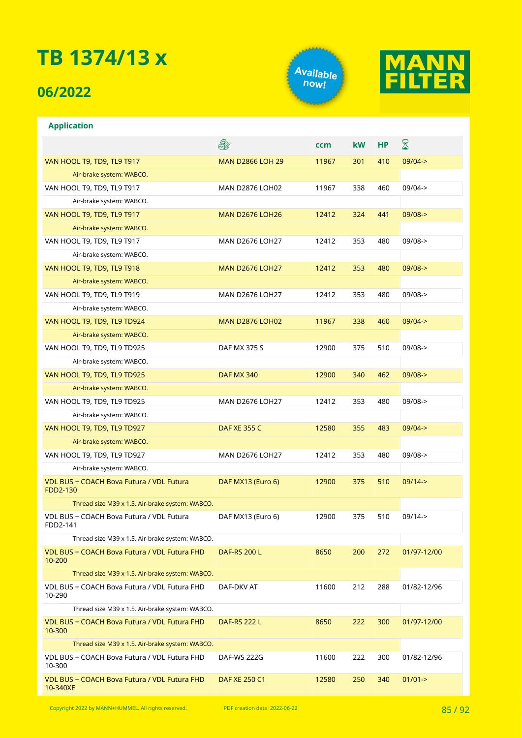### **06/2022**

**Application**





#### **A** ⊠ **ccm kW HP** VAN HOOL T9, TD9, TL9 T917 NAN D2866 LOH 29 11967 301 410 09/04-> Air-brake system: WABCO. VAN HOOL T9, TD9, TL9 T917 MAN D2876 LOH02 11967 338 460 09/04-> Air-brake system: WABCO. VAN HOOL T9, TD9, TL9 T917 MAN D2676 LOH26 12412 324 441 09/08-> Air-brake system: WABCO. VAN HOOL T9, TD9, TL9 T917 MAN D2676 LOH27 12412 353 480 09/08-> Air-brake system: WABCO. VAN HOOL T9, TD9, TL9 T918 MAN D2676 LOH27 12412 353 480 09/08-> Air-brake system: WABCO. VAN HOOL T9, TD9, TL9 T919 MAN D2676 LOH27 12412 353 480 09/08-> Air-brake system: WABCO. VAN HOOL T9, TD9, TL9 TD924 MAN D2876 LOH02 11967 338 460 09/04-> Air-brake system: WABCO. VAN HOOL T9, TD9, TL9 TD925 DAF MX 375 S 12900 375 510 09/08-> Air-brake system: WABCO. VAN HOOL T9, TD9, TL9 TD925 DAF MX 340 12900 340 462 09/08-> Air-brake system: WABCO. VAN HOOL T9, TD9, TL9 TD925 MAN D2676 LOH27 12412 353 480 09/08-> Air-brake system: WABCO. VAN HOOL T9, TD9, TL9 TD927 DAF XE 355 C 12580 355 483 09/04-> Air-brake system: WABCO. VAN HOOL T9, TD9, TL9 TD927 MAN D2676 LOH27 12412 353 480 09/08-> Air-brake system: WABCO. VDL BUS + COACH Bova Futura / VDL Futura DAF MX13 (Euro 6) 12900 375 510 09/14-> FDD2-130 Thread size M39 x 1.5. Air-brake system: WABCO. VDL BUS + COACH Bova Futura / VDL Futura DAF MX13 (Euro 6) 12900 375 510 09/14-> FDD2-141 Thread size M39 x 1.5. Air-brake system: WABCO. VDL BUS + COACH Bova Futura / VDL Futura FHD DAF-RS 200 L 8650 200 272 01/97-12/00 10-200 Thread size M39 x 1.5. Air-brake system: WABCO. VDL BUS + COACH Bova Futura / VDL Futura FHD DAF-DKV AT 11600 212 288 01/82-12/96 10-290 Thread size M39 x 1.5. Air-brake system: WABCO. VDL BUS + COACH Bova Futura / VDL Futura FHD DAF-RS 222 L 8650 222 300 01/97-12/00 10-300 Thread size M39 x 1.5. Air-brake system: WABCO. VDL BUS + COACH Bova Futura / VDL Futura FHD DAF-WS 222G 11600 222 300 01/82-12/96 10-300 VDL BUS + COACH Bova Futura / VDL Futura FHD DAF XE 250 C1 12580 250 340 01/01-> 10-340XE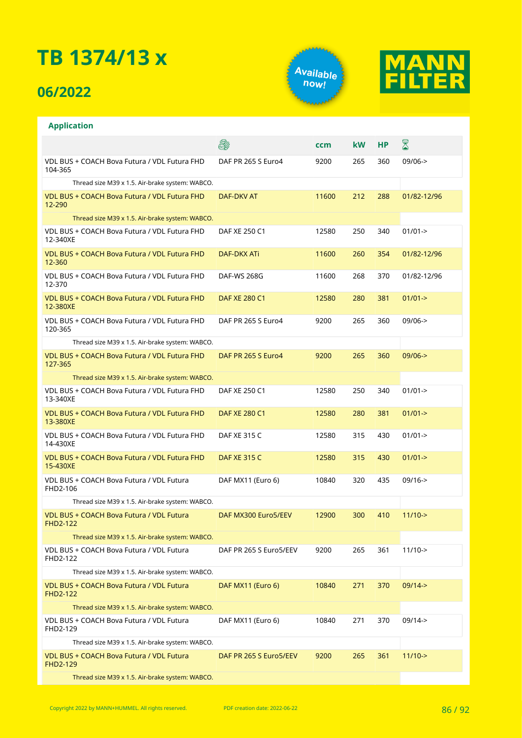## **06/2022**





|                                                             | ê.                     | ccm   | <b>kW</b> | НP  | $\boxtimes$         |
|-------------------------------------------------------------|------------------------|-------|-----------|-----|---------------------|
| VDL BUS + COACH Bova Futura / VDL Futura FHD<br>104-365     | DAF PR 265 S Euro4     | 9200  | 265       | 360 | $09/06 -$           |
| Thread size M39 x 1.5. Air-brake system: WABCO.             |                        |       |           |     |                     |
| VDL BUS + COACH Bova Futura / VDL Futura FHD<br>12-290      | DAF-DKV AT             | 11600 | 212       | 288 | 01/82-12/96         |
| Thread size M39 x 1.5. Air-brake system: WABCO.             |                        |       |           |     |                     |
| VDL BUS + COACH Bova Futura / VDL Futura FHD<br>12-340XE    | DAF XE 250 C1          | 12580 | 250       | 340 | $01/01 -$           |
| VDL BUS + COACH Bova Futura / VDL Futura FHD<br>12-360      | DAF-DKX ATI            | 11600 | 260       | 354 | 01/82-12/96         |
| VDL BUS + COACH Bova Futura / VDL Futura FHD<br>12-370      | <b>DAF-WS 268G</b>     | 11600 | 268       | 370 | 01/82-12/96         |
| VDL BUS + COACH Bova Futura / VDL Futura FHD<br>12-380XE    | DAF XE 280 C1          | 12580 | 280       | 381 | $01/01 - >$         |
| VDL BUS + COACH Bova Futura / VDL Futura FHD<br>120-365     | DAF PR 265 S Euro4     | 9200  | 265       | 360 | $09/06 -$           |
| Thread size M39 x 1.5. Air-brake system: WABCO.             |                        |       |           |     |                     |
| VDL BUS + COACH Bova Futura / VDL Futura FHD<br>127-365     | DAF PR 265 S Euro4     | 9200  | 265       | 360 | $09/06 - >$         |
| Thread size M39 x 1.5. Air-brake system: WABCO.             |                        |       |           |     |                     |
| VDL BUS + COACH Bova Futura / VDL Futura FHD<br>13-340XE    | DAF XE 250 C1          | 12580 | 250       | 340 | $01/01 - >$         |
| VDL BUS + COACH Bova Futura / VDL Futura FHD<br>13-380XE    | DAF XE 280 C1          | 12580 | 280       | 381 | $01/01 - >$         |
| VDL BUS + COACH Bova Futura / VDL Futura FHD<br>14-430XE    | DAF XE 315 C           | 12580 | 315       | 430 | $01/01 -$           |
| VDL BUS + COACH Bova Futura / VDL Futura FHD<br>15-430XE    | <b>DAF XE 315 C</b>    | 12580 | 315       | 430 | $01/01 - >$         |
| VDL BUS + COACH Bova Futura / VDL Futura<br>FHD2-106        | DAF MX11 (Euro 6)      | 10840 | 320       | 435 | $09/16 - >$         |
| Thread size M39 x 1.5. Air-brake system: WABCO.             |                        |       |           |     |                     |
| VDL BUS + COACH Bova Futura / VDL Futura<br><b>FHD2-122</b> | DAF MX300 Euro5/EEV    | 12900 | 300       | 410 | $11/10 \rightarrow$ |
| Thread size M39 x 1.5. Air-brake system: WABCO.             |                        |       |           |     |                     |
| VDL BUS + COACH Bova Futura / VDL Futura<br>FHD2-122        | DAF PR 265 S Euro5/EEV | 9200  | 265       | 361 | $11/10$ ->          |
| Thread size M39 x 1.5. Air-brake system: WABCO.             |                        |       |           |     |                     |
| VDL BUS + COACH Bova Futura / VDL Futura<br><b>FHD2-122</b> | DAF MX11 (Euro 6)      | 10840 | 271       | 370 | $09/14 - >$         |
| Thread size M39 x 1.5. Air-brake system: WABCO.             |                        |       |           |     |                     |
| VDL BUS + COACH Bova Futura / VDL Futura<br>FHD2-129        | DAF MX11 (Euro 6)      | 10840 | 271       | 370 | $09/14 -$           |
| Thread size M39 x 1.5. Air-brake system: WABCO.             |                        |       |           |     |                     |
| VDL BUS + COACH Bova Futura / VDL Futura<br><b>FHD2-129</b> | DAF PR 265 S Euro5/EEV | 9200  | 265       | 361 | $11/10$ ->          |
| Thread size M39 x 1.5. Air-brake system: WABCO.             |                        |       |           |     |                     |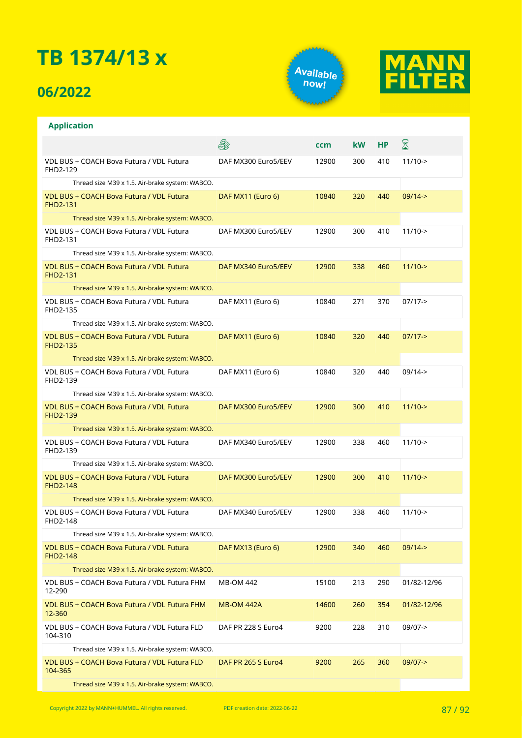## **06/2022**

**Application**





#### **A** X **ccm kW HP** VDL BUS + COACH Bova Futura / VDL Futura DAF MX300 Euro5/EEV 12900 300 410 11/10-> FHD2-129 Thread size M39 x 1.5. Air-brake system: WABCO. VDL BUS + COACH Bova Futura / VDL Futura DAF MX11 (Euro 6) 10840 320 440 09/14-> FHD2-131 Thread size M39 x 1.5. Air-brake system: WABCO. VDL BUS + COACH Bova Futura / VDL Futura DAF MX300 Euro5/EEV 12900 300 410 11/10-> FHD2-131 Thread size M39 x 1.5. Air-brake system: WABCO. VDL BUS + COACH Bova Futura / VDL Futura DAF MX340 Euro5/EEV 12900 338 460 11/10-> FHD2-131 Thread size M39 x 1.5. Air-brake system: WABCO. VDL BUS + COACH Bova Futura / VDL Futura DAF MX11 (Euro 6) 10840 271 370 07/17-> FHD2-135 Thread size M39 x 1.5. Air-brake system: WABCO. VDL BUS + COACH Bova Futura / VDL Futura DAF MX11 (Euro 6) 10840 320 440 07/17-> FHD2-135 Thread size M39 x 1.5. Air-brake system: WABCO. VDL BUS + COACH Bova Futura / VDL Futura DAF MX11 (Euro 6) 10840 320 440 09/14-> FHD2-139 Thread size M39 x 1.5. Air-brake system: WABCO. VDL BUS + COACH Bova Futura / VDL Futura DAF MX300 Euro5/EEV 12900 300 410 11/10-> FHD2-139 Thread size M39 x 1.5. Air-brake system: WABCO. VDL BUS + COACH Bova Futura / VDL Futura DAF MX340 Euro5/EEV 12900 338 460 11/10-> FHD2-139 Thread size M39 x 1.5. Air-brake system: WABCO. VDL BUS + COACH Bova Futura / VDL Futura DAF MX300 Euro5/EEV 12900 300 410 11/10-> FHD2-148 Thread size M39 x 1.5. Air-brake system: WABCO. VDL BUS + COACH Bova Futura / VDL Futura DAF MX340 Euro5/EEV 12900 338 460 11/10-> FHD2-148 Thread size M39 x 1.5. Air-brake system: WABCO. VDL BUS + COACH Bova Futura / VDL Futura DAF MX13 (Euro 6) 12900 340 460 09/14-> FHD2-148 Thread size M39 x 1.5. Air-brake system: WABCO. VDL BUS + COACH Bova Futura / VDL Futura FHM MB-OM 442 15100 213 290 01/82-12/96 12-290 VDL BUS + COACH Bova Futura / VDL Futura FHM MB-OM 442A 14600 260 354 01/82-12/96 12-360 VDL BUS + COACH Bova Futura / VDL Futura FLD DAF PR 228 S Euro4 9200 228 310 09/07-> 104-310 Thread size M39 x 1.5. Air-brake system: WABCO. VDL BUS + COACH Bova Futura / VDL Futura FLD DAF PR 265 S Euro4 9200 265 360 09/07-> 104-365

Thread size M39 x 1.5. Air-brake system: WABCO.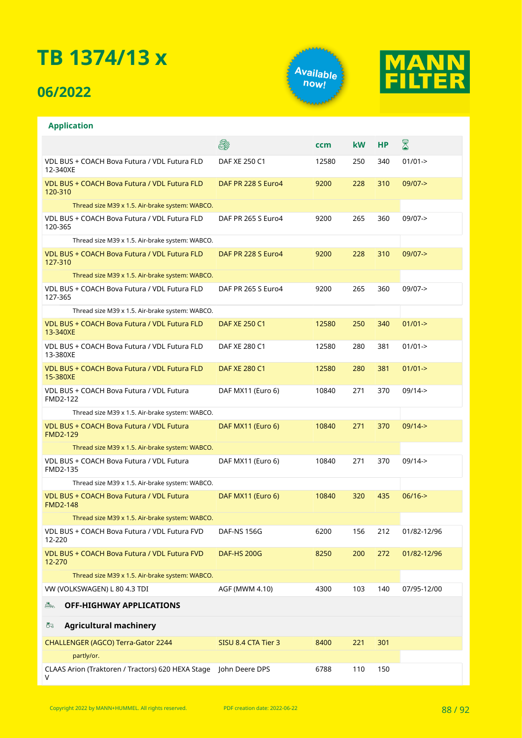## **06/2022**

**Application**





#### **A** X **ccm kW HP** VDL BUS + COACH Bova Futura / VDL Futura FLD DAF XE 250 C1 12580 250 340 01/01-> 12-340XE VDL BUS + COACH Bova Futura / VDL Futura FLD DAF PR 228 S Euro4 9200 228 310 09/07-> 120-310 Thread size M39 x 1.5. Air-brake system: WABCO. VDL BUS + COACH Bova Futura / VDL Futura FLD DAF PR 265 S Euro4 9200 265 360 09/07-> 120-365 Thread size M39 x 1.5. Air-brake system: WABCO. VDL BUS + COACH Bova Futura / VDL Futura FLD DAF PR 228 S Euro4 9200 228 310 09/07-> 127-310 Thread size M39 x 1.5. Air-brake system: WABCO. VDL BUS + COACH Bova Futura / VDL Futura FLD DAF PR 265 S Euro4 9200 265 360 09/07-> 127-365 Thread size M39 x 1.5. Air-brake system: WABCO. VDL BUS + COACH Bova Futura / VDL Futura FLD DAF XE 250 C1 12580 250 340 01/01-> 13-340XE VDL BUS + COACH Bova Futura / VDL Futura FLD DAF XE 280 C1 12580 280 381 01/01-> 13-380XE VDL BUS + COACH Bova Futura / VDL Futura FLD DAF XE 280 C1 12580 280 381 01/01-> 15-380XE VDL BUS + COACH Bova Futura / VDL Futura DAF MX11 (Euro 6) 10840 271 370 09/14-> FMD2-122 Thread size M39 x 1.5. Air-brake system: WABCO. VDL BUS + COACH Bova Futura / VDL Futura DAF MX11 (Euro 6) 10840 271 370 09/14-> FMD2-129 Thread size M39 x 1.5. Air-brake system: WABCO. VDL BUS + COACH Bova Futura / VDL Futura DAF MX11 (Euro 6) 10840 271 370 09/14-> FMD2-135 Thread size M39 x 1.5. Air-brake system: WABCO. VDL BUS + COACH Bova Futura / VDL Futura DAF MX11 (Euro 6) 10840 320 435 06/16-> FMD2-148 Thread size M39 x 1.5. Air-brake system: WABCO. VDL BUS + COACH Bova Futura / VDL Futura FVD DAF-NS 156G 6200 156 212 01/82-12/96 12-220 VDL BUS + COACH Bova Futura / VDL Futura FVD DAF-HS 200G 8250 200 272 01/82-12/96 12-270 Thread size M39 x 1.5. Air-brake system: WABCO. VW (VOLKSWAGEN) L 80 4.3 TDI AGF (MWM 4.10) 4300 103 140 07/95-12/00 **OFF-HIGHWAY APPLICATIONS**  $\mathbb{R}$  $\sum_{i=1}^{n}$ **Agricultural machinery** CHALLENGER (AGCO) Terra-Gator 2244 SISU 8.4 CTA Tier 3 8400 221 301 partly/or. CLAAS Arion (Traktoren / Tractors) 620 HEXA Stage John Deere DPS 6788 110 150

V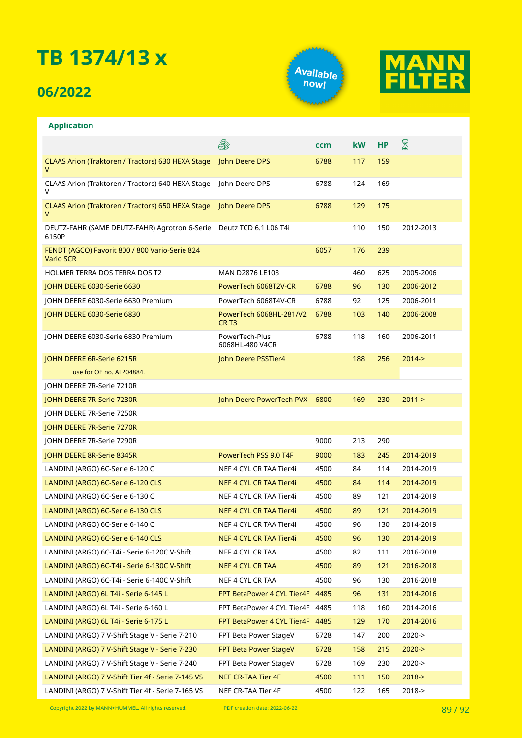## **06/2022**





#### **Application**

|                                                                              | E.                                          | ccm  | kW  | <b>HP</b> | ${\color{red} \mathbb{Z}}$ |
|------------------------------------------------------------------------------|---------------------------------------------|------|-----|-----------|----------------------------|
| CLAAS Arion (Traktoren / Tractors) 630 HEXA Stage<br>v                       | John Deere DPS                              | 6788 | 117 | 159       |                            |
| CLAAS Arion (Traktoren / Tractors) 640 HEXA Stage<br>V                       | John Deere DPS                              | 6788 | 124 | 169       |                            |
| CLAAS Arion (Traktoren / Tractors) 650 HEXA Stage<br>V                       | John Deere DPS                              | 6788 | 129 | 175       |                            |
| DEUTZ-FAHR (SAME DEUTZ-FAHR) Agrotron 6-Serie Deutz TCD 6.1 L06 T4i<br>6150P |                                             |      | 110 | 150       | 2012-2013                  |
| FENDT (AGCO) Favorit 800 / 800 Vario-Serie 824<br><b>Vario SCR</b>           |                                             | 6057 | 176 | 239       |                            |
| <b>HOLMER TERRA DOS TERRA DOS T2</b>                                         | MAN D2876 LE103                             |      | 460 | 625       | 2005-2006                  |
| JOHN DEERE 6030-Serie 6630                                                   | PowerTech 6068T2V-CR                        | 6788 | 96  | 130       | 2006-2012                  |
| JOHN DEERE 6030-Serie 6630 Premium                                           | PowerTech 6068T4V-CR                        | 6788 | 92  | 125       | 2006-2011                  |
| JOHN DEERE 6030-Serie 6830                                                   | PowerTech 6068HL-281/V2<br>CR <sub>T3</sub> | 6788 | 103 | 140       | 2006-2008                  |
| JOHN DEERE 6030-Serie 6830 Premium                                           | PowerTech-Plus<br>6068HL-480 V4CR           | 6788 | 118 | 160       | 2006-2011                  |
| JOHN DEERE 6R-Serie 6215R                                                    | John Deere PSSTier4                         |      | 188 | 256       | $2014 -$                   |
| use for OE no. AL204884.                                                     |                                             |      |     |           |                            |
| JOHN DEERE 7R-Serie 7210R                                                    |                                             |      |     |           |                            |
| JOHN DEERE 7R-Serie 7230R                                                    | John Deere PowerTech PVX                    | 6800 | 169 | 230       | $2011 - >$                 |
| JOHN DEERE 7R-Serie 7250R                                                    |                                             |      |     |           |                            |
| JOHN DEERE 7R-Serie 7270R                                                    |                                             |      |     |           |                            |
| JOHN DEERE 7R-Serie 7290R                                                    |                                             | 9000 | 213 | 290       |                            |
| JOHN DEERE 8R-Serie 8345R                                                    | PowerTech PSS 9.0 T4F                       | 9000 | 183 | 245       | 2014-2019                  |
| LANDINI (ARGO) 6C-Serie 6-120 C                                              | NEF 4 CYL CR TAA Tier4i                     | 4500 | 84  | 114       | 2014-2019                  |
| LANDINI (ARGO) 6C-Serie 6-120 CLS                                            | NEF 4 CYL CR TAA Tier4i                     | 4500 | 84  | 114       | 2014-2019                  |
| LANDINI (ARGO) 6C-Serie 6-130 C                                              | NEF 4 CYL CR TAA Tier4i                     | 4500 | 89  | 121       | 2014-2019                  |
| LANDINI (ARGO) 6C-Serie 6-130 CLS                                            | NEF 4 CYL CR TAA Tier4i                     | 4500 | 89  | 121       | 2014-2019                  |
| LANDINI (ARGO) 6C-Serie 6-140 C                                              | NEF 4 CYL CR TAA Tier4i                     | 4500 | 96  | 130       | 2014-2019                  |
| LANDINI (ARGO) 6C-Serie 6-140 CLS                                            | NEF 4 CYL CR TAA Tier4i                     | 4500 | 96  | 130       | 2014-2019                  |
| LANDINI (ARGO) 6C-T4i - Serie 6-120C V-Shift                                 | NEF 4 CYL CR TAA                            | 4500 | 82  | 111       | 2016-2018                  |
| LANDINI (ARGO) 6C-T4i - Serie 6-130C V-Shift                                 | <b>NEF 4 CYL CR TAA</b>                     | 4500 | 89  | 121       | 2016-2018                  |
| LANDINI (ARGO) 6C-T4i - Serie 6-140C V-Shift                                 | NEF 4 CYL CR TAA                            | 4500 | 96  | 130       | 2016-2018                  |
| LANDINI (ARGO) 6L T4i - Serie 6-145 L                                        | FPT BetaPower 4 CYL Tier4F 4485             |      | 96  | 131       | 2014-2016                  |
| LANDINI (ARGO) 6L T4i - Serie 6-160 L                                        | FPT BetaPower 4 CYL Tier4F 4485             |      | 118 | 160       | 2014-2016                  |
| LANDINI (ARGO) 6L T4i - Serie 6-175 L                                        | FPT BetaPower 4 CYL Tier4F 4485             |      | 129 | 170       | 2014-2016                  |
| LANDINI (ARGO) 7 V-Shift Stage V - Serie 7-210                               | FPT Beta Power StageV                       | 6728 | 147 | 200       | $2020 - >$                 |
| LANDINI (ARGO) 7 V-Shift Stage V - Serie 7-230                               | FPT Beta Power StageV                       | 6728 | 158 | 215       | $2020 - >$                 |
| LANDINI (ARGO) 7 V-Shift Stage V - Serie 7-240                               | FPT Beta Power StageV                       | 6728 | 169 | 230       | $2020 - >$                 |
| LANDINI (ARGO) 7 V-Shift Tier 4f - Serie 7-145 VS                            | <b>NEF CR-TAA Tier 4F</b>                   | 4500 | 111 | 150       | $2018 - >$                 |
| LANDINI (ARGO) 7 V-Shift Tier 4f - Serie 7-165 VS                            | NEF CR-TAA Tier 4F                          | 4500 | 122 | 165       | 2018->                     |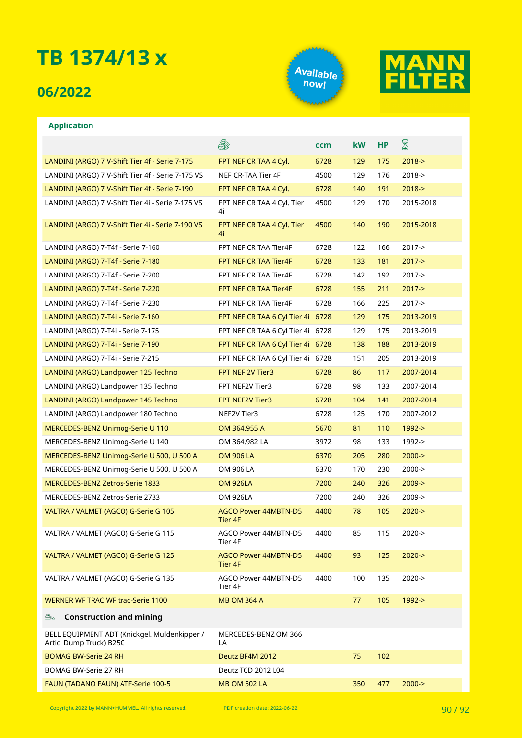### **06/2022**





|                                                                         | 8                                      | ccm  | kW  | <b>HP</b> | $\boxtimes$ |
|-------------------------------------------------------------------------|----------------------------------------|------|-----|-----------|-------------|
| LANDINI (ARGO) 7 V-Shift Tier 4f - Serie 7-175                          | FPT NEF CR TAA 4 Cyl.                  | 6728 | 129 | 175       | $2018 - >$  |
| LANDINI (ARGO) 7 V-Shift Tier 4f - Serie 7-175 VS                       | NEF CR-TAA Tier 4F                     | 4500 | 129 | 176       | $2018 - >$  |
| LANDINI (ARGO) 7 V-Shift Tier 4f - Serie 7-190                          | FPT NEF CR TAA 4 Cyl.                  | 6728 | 140 | 191       | $2018 - >$  |
| LANDINI (ARGO) 7 V-Shift Tier 4i - Serie 7-175 VS                       | FPT NEF CR TAA 4 Cyl. Tier<br>4i       | 4500 | 129 | 170       | 2015-2018   |
| LANDINI (ARGO) 7 V-Shift Tier 4i - Serie 7-190 VS                       | FPT NEF CR TAA 4 Cyl. Tier<br>4i       | 4500 | 140 | 190       | 2015-2018   |
| LANDINI (ARGO) 7-T4f - Serie 7-160                                      | FPT NEF CR TAA Tier4F                  | 6728 | 122 | 166       | $2017 - >$  |
| LANDINI (ARGO) 7-T4f - Serie 7-180                                      | FPT NEF CR TAA Tier4F                  | 6728 | 133 | 181       | $2017 - >$  |
| LANDINI (ARGO) 7-T4f - Serie 7-200                                      | FPT NEF CR TAA Tier4F                  | 6728 | 142 | 192       | $2017 - >$  |
| LANDINI (ARGO) 7-T4f - Serie 7-220                                      | FPT NEF CR TAA Tier4F                  | 6728 | 155 | 211       | $2017 - >$  |
| LANDINI (ARGO) 7-T4f - Serie 7-230                                      | FPT NEF CR TAA Tier4F                  | 6728 | 166 | 225       | $2017 - >$  |
| LANDINI (ARGO) 7-T4i - Serie 7-160                                      | FPT NEF CR TAA 6 Cyl Tier 4i           | 6728 | 129 | 175       | 2013-2019   |
| LANDINI (ARGO) 7-T4i - Serie 7-175                                      | FPT NEF CR TAA 6 Cyl Tier 4i           | 6728 | 129 | 175       | 2013-2019   |
| LANDINI (ARGO) 7-T4i - Serie 7-190                                      | FPT NEF CR TAA 6 Cyl Tier 4i 6728      |      | 138 | 188       | 2013-2019   |
| LANDINI (ARGO) 7-T4i - Serie 7-215                                      | FPT NEF CR TAA 6 Cyl Tier 4i 6728      |      | 151 | 205       | 2013-2019   |
| LANDINI (ARGO) Landpower 125 Techno                                     | FPT NEF 2V Tier3                       | 6728 | 86  | 117       | 2007-2014   |
| LANDINI (ARGO) Landpower 135 Techno                                     | FPT NEF2V Tier3                        | 6728 | 98  | 133       | 2007-2014   |
| LANDINI (ARGO) Landpower 145 Techno                                     | FPT NEF2V Tier3                        | 6728 | 104 | 141       | 2007-2014   |
| LANDINI (ARGO) Landpower 180 Techno                                     | NEF2V Tier3                            | 6728 | 125 | 170       | 2007-2012   |
| MERCEDES-BENZ Unimog-Serie U 110                                        | OM 364.955 A                           | 5670 | 81  | 110       | 1992->      |
| MERCEDES-BENZ Unimog-Serie U 140                                        | OM 364.982 LA                          | 3972 | 98  | 133       | 1992->      |
| MERCEDES-BENZ Unimog-Serie U 500, U 500 A                               | <b>OM 906 LA</b>                       | 6370 | 205 | 280       | $2000 - >$  |
| MERCEDES-BENZ Unimog-Serie U 500, U 500 A                               | OM 906 LA                              | 6370 | 170 | 230       | $2000 - >$  |
| MERCEDES-BENZ Zetros-Serie 1833                                         | <b>OM 926LA</b>                        | 7200 | 240 | 326       | $2009 - >$  |
| MERCEDES-BENZ Zetros-Serie 2733                                         | <b>OM 926LA</b>                        | 7200 | 240 | 326       | $2009 - >$  |
| VALTRA / VALMET (AGCO) G-Serie G 105                                    | AGCO Power 44MBTN-D5<br>Tier 4F        | 4400 | 78  | 105       | $2020 - >$  |
| VALTRA / VALMET (AGCO) G-Serie G 115                                    | AGCO Power 44MBTN-D5<br>Tier 4F        | 4400 | 85  | 115       | 2020->      |
| VALTRA / VALMET (AGCO) G-Serie G 125                                    | <b>AGCO Power 44MBTN-D5</b><br>Tier 4F | 4400 | 93  | 125       | $2020 - >$  |
| VALTRA / VALMET (AGCO) G-Serie G 135                                    | AGCO Power 44MBTN-D5<br>Tier 4F        | 4400 | 100 | 135       | $2020 - >$  |
| <b>WERNER WF TRAC WF trac-Serie 1100</b>                                | <b>MB OM 364 A</b>                     |      | 77  | 105       | 1992->      |
| <b>Construction and mining</b><br>a.                                    |                                        |      |     |           |             |
| BELL EQUIPMENT ADT (Knickgel. Muldenkipper /<br>Artic. Dump Truck) B25C | MERCEDES-BENZ OM 366<br>LA             |      |     |           |             |
| <b>BOMAG BW-Serie 24 RH</b>                                             | Deutz BF4M 2012                        |      | 75  | 102       |             |
| BOMAG BW-Serie 27 RH                                                    | Deutz TCD 2012 L04                     |      |     |           |             |
| FAUN (TADANO FAUN) ATF-Serie 100-5                                      | <b>MB OM 502 LA</b>                    |      | 350 | 477       | $2000 - >$  |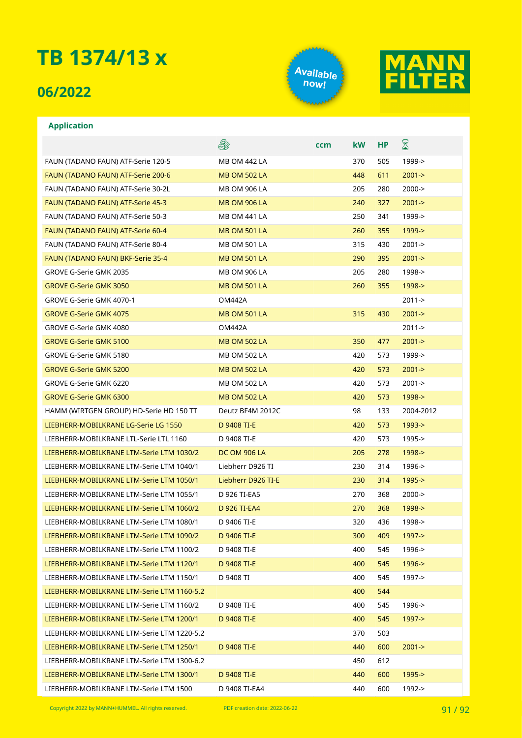### **06/2022**





#### **Application**

|                                            | es:                 | ccm | <b>kW</b> | <b>HP</b> | $\boxtimes$ |
|--------------------------------------------|---------------------|-----|-----------|-----------|-------------|
| FAUN (TADANO FAUN) ATF-Serie 120-5         | <b>MB OM 442 LA</b> |     | 370       | 505       | 1999->      |
| FAUN (TADANO FAUN) ATF-Serie 200-6         | <b>MB OM 502 LA</b> |     | 448       | 611       | $2001 - >$  |
| FAUN (TADANO FAUN) ATF-Serie 30-2L         | MB OM 906 LA        |     | 205       | 280       | $2000 - >$  |
| FAUN (TADANO FAUN) ATF-Serie 45-3          | <b>MB OM 906 LA</b> |     | 240       | 327       | $2001 - >$  |
| FAUN (TADANO FAUN) ATF-Serie 50-3          | <b>MB OM 441 LA</b> |     | 250       | 341       | 1999->      |
| FAUN (TADANO FAUN) ATF-Serie 60-4          | <b>MB OM 501 LA</b> |     | 260       | 355       | $1999 - >$  |
| FAUN (TADANO FAUN) ATF-Serie 80-4          | MB OM 501 LA        |     | 315       | 430       | $2001 - >$  |
| FAUN (TADANO FAUN) BKF-Serie 35-4          | <b>MB OM 501 LA</b> |     | 290       | 395       | $2001 - >$  |
| GROVE G-Serie GMK 2035                     | MB OM 906 LA        |     | 205       | 280       | 1998->      |
| <b>GROVE G-Serie GMK 3050</b>              | <b>MB OM 501 LA</b> |     | 260       | 355       | $1998 - >$  |
| GROVE G-Serie GMK 4070-1                   | <b>OM442A</b>       |     |           |           | $2011 - >$  |
| <b>GROVE G-Serie GMK 4075</b>              | <b>MB OM 501 LA</b> |     | 315       | 430       | $2001 - >$  |
| GROVE G-Serie GMK 4080                     | <b>OM442A</b>       |     |           |           | $2011 - >$  |
| <b>GROVE G-Serie GMK 5100</b>              | <b>MB OM 502 LA</b> |     | 350       | 477       | $2001 - >$  |
| GROVE G-Serie GMK 5180                     | <b>MB OM 502 LA</b> |     | 420       | 573       | 1999->      |
| <b>GROVE G-Serie GMK 5200</b>              | <b>MB OM 502 LA</b> |     | 420       | 573       | $2001 - >$  |
| GROVE G-Serie GMK 6220                     | <b>MB OM 502 LA</b> |     | 420       | 573       | $2001 - >$  |
| <b>GROVE G-Serie GMK 6300</b>              | <b>MB OM 502 LA</b> |     | 420       | 573       | $1998 - >$  |
| HAMM (WIRTGEN GROUP) HD-Serie HD 150 TT    | Deutz BF4M 2012C    |     | 98        | 133       | 2004-2012   |
| LIEBHERR-MOBILKRANE LG-Serie LG 1550       | D 9408 TI-E         |     | 420       | 573       | $1993 - >$  |
| LIEBHERR-MOBILKRANE LTL-Serie LTL 1160     | D 9408 TI-E         |     | 420       | 573       | 1995->      |
| LIEBHERR-MOBILKRANE LTM-Serie LTM 1030/2   | <b>DC OM 906 LA</b> |     | 205       | 278       | 1998->      |
| LIEBHERR-MOBILKRANE LTM-Serie LTM 1040/1   | Liebherr D926 TI    |     | 230       | 314       | 1996->      |
| LIEBHERR-MOBILKRANE LTM-Serie LTM 1050/1   | Liebherr D926 TI-E  |     | 230       | 314       | $1995 - >$  |
| LIEBHERR-MOBILKRANE LTM-Serie LTM 1055/1   | D 926 TI-EA5        |     | 270       | 368       | $2000 - >$  |
| LIEBHERR-MOBILKRANE LTM-Serie LTM 1060/2   | D 926 TI-EA4        |     | 270       | 368       | 1998->      |
| LIEBHERR-MOBILKRANE LTM-Serie LTM 1080/1   | D 9406 TI-E         |     | 320       | 436       | 1998->      |
| LIEBHERR-MOBILKRANE LTM-Serie LTM 1090/2   | D 9406 TI-E         |     | 300       | 409       | 1997->      |
| LIEBHERR-MOBILKRANE LTM-Serie LTM 1100/2   | D 9408 TI-E         |     | 400       | 545       | 1996->      |
| LIEBHERR-MOBILKRANE LTM-Serie LTM 1120/1   | D 9408 TI-E         |     | 400       | 545       | $1996 - >$  |
| LIEBHERR-MOBILKRANE LTM-Serie LTM 1150/1   | D 9408 TI           |     | 400       | 545       | 1997->      |
| LIEBHERR-MOBILKRANE LTM-Serie LTM 1160-5.2 |                     |     | 400       | 544       |             |
| LIEBHERR-MOBILKRANE LTM-Serie LTM 1160/2   | D 9408 TI-E         |     | 400       | 545       | 1996->      |
| LIEBHERR-MOBILKRANE LTM-Serie LTM 1200/1   | D 9408 TI-E         |     | 400       | 545       | $1997 - >$  |
| LIEBHERR-MOBILKRANE LTM-Serie LTM 1220-5.2 |                     |     | 370       | 503       |             |
| LIEBHERR-MOBILKRANE LTM-Serie LTM 1250/1   | D 9408 TI-E         |     | 440       | 600       | $2001 - >$  |
| LIEBHERR-MOBILKRANE LTM-Serie LTM 1300-6.2 |                     |     | 450       | 612       |             |
| LIEBHERR-MOBILKRANE LTM-Serie LTM 1300/1   | D 9408 TI-E         |     | 440       | 600       | $1995 - >$  |
| LIEBHERR-MOBILKRANE LTM-Serie LTM 1500     | D 9408 TI-EA4       |     | 440       | 600       | 1992->      |